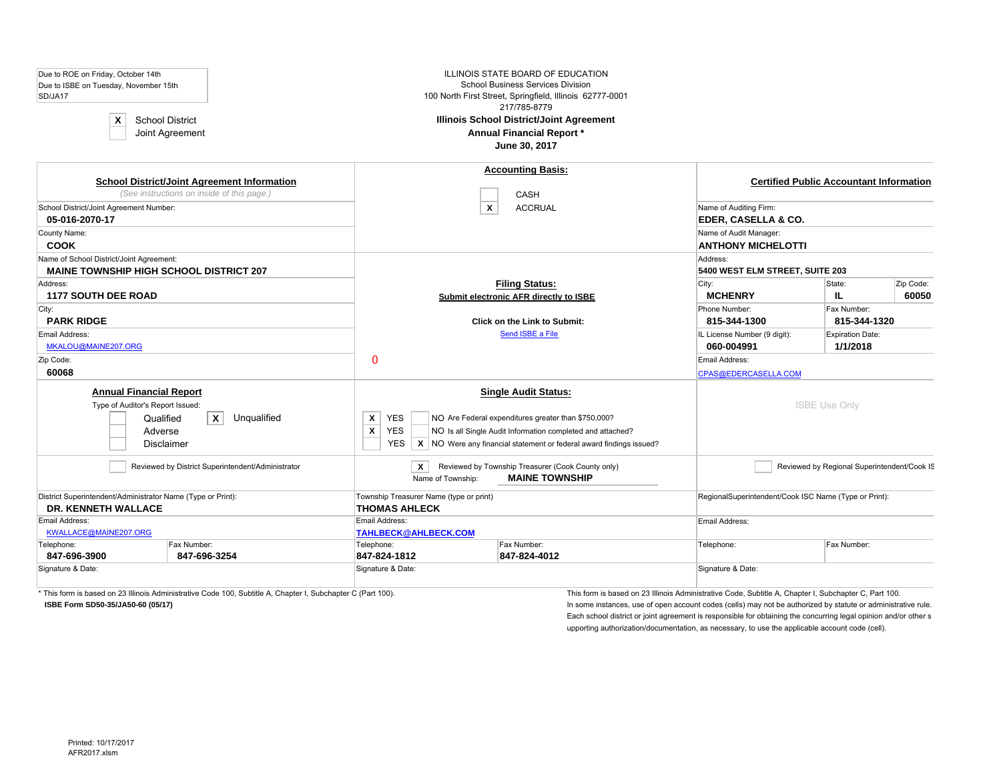| Due to ROE on Friday, October 14th<br>Due to ISBE on Tuesday, November 15th<br>SD/JA17<br><b>School District</b><br>X<br>Joint Agreement | <b>ILLINOIS STATE BOARD OF EDUCATION</b><br><b>School Business Services Division</b><br>100 North First Street, Springfield, Illinois 62777-0001<br>217/785-8779<br><b>Illinois School District/Joint Agreement</b><br>Annual Financial Report *<br>June 30, 2017                              |                                                          |                                                |
|------------------------------------------------------------------------------------------------------------------------------------------|------------------------------------------------------------------------------------------------------------------------------------------------------------------------------------------------------------------------------------------------------------------------------------------------|----------------------------------------------------------|------------------------------------------------|
| <b>School District/Joint Agreement Information</b><br>(See instructions on inside of this page.)                                         | <b>Accounting Basis:</b><br><b>CASH</b>                                                                                                                                                                                                                                                        |                                                          | <b>Certified Public Accountant Information</b> |
| School District/Joint Agreement Number:                                                                                                  | $\boldsymbol{x}$<br><b>ACCRUAL</b>                                                                                                                                                                                                                                                             | Name of Auditing Firm:                                   |                                                |
| 05-016-2070-17<br>County Name:                                                                                                           |                                                                                                                                                                                                                                                                                                | <b>EDER, CASELLA &amp; CO.</b><br>Name of Audit Manager: |                                                |
| <b>COOK</b>                                                                                                                              |                                                                                                                                                                                                                                                                                                | <b>ANTHONY MICHELOTTI</b>                                |                                                |
| Name of School District/Joint Agreement:<br><b>MAINE TOWNSHIP HIGH SCHOOL DISTRICT 207</b>                                               |                                                                                                                                                                                                                                                                                                | Address:<br>5400 WEST ELM STREET, SUITE 203              |                                                |
| Address:<br><b>1177 SOUTH DEE ROAD</b>                                                                                                   | <b>Filing Status:</b><br>Submit electronic AFR directly to ISBE                                                                                                                                                                                                                                | City:<br><b>MCHENRY</b>                                  | Zip Code:<br>State:<br>IL.<br>60050            |
| City:<br><b>PARK RIDGE</b>                                                                                                               | <b>Click on the Link to Submit:</b>                                                                                                                                                                                                                                                            | Phone Number:<br>815-344-1300                            | Fax Number:<br>815-344-1320                    |
| Email Address:<br>MKALOU@MAINE207.ORG                                                                                                    | Send ISBE a File                                                                                                                                                                                                                                                                               | IL License Number (9 digit):<br>060-004991               | Expiration Date:<br>1/1/2018                   |
| Zip Code:<br>60068                                                                                                                       | $\mathbf 0$                                                                                                                                                                                                                                                                                    | Email Address:<br>CPAS@EDERCASELLA.COM                   |                                                |
| <b>Annual Financial Report</b><br>Type of Auditor's Report Issued:<br>$\mathsf{x}$<br>Unqualified<br>Qualified<br>Adverse<br>Disclaimer  | <b>Single Audit Status:</b><br>X<br><b>YES</b><br>NO Are Federal expenditures greater than \$750,000?<br>$\pmb{\mathsf{x}}$<br><b>YES</b><br>NO Is all Single Audit Information completed and attached?<br>$X$ NO Were any financial statement or federal award findings issued?<br><b>YES</b> |                                                          | <b>ISBE Use Only</b>                           |
| Reviewed by District Superintendent/Administrator                                                                                        | X<br>Reviewed by Township Treasurer (Cook County only)<br><b>MAINE TOWNSHIP</b><br>Name of Township:                                                                                                                                                                                           |                                                          | Reviewed by Regional Superintendent/Cook IS    |
| District Superintendent/Administrator Name (Type or Print):                                                                              | Township Treasurer Name (type or print)                                                                                                                                                                                                                                                        | RegionalSuperintendent/Cook ISC Name (Type or Print):    |                                                |
| <b>DR. KENNETH WALLACE</b><br>Email Address:<br>KWALLACE@MAINE207.ORG                                                                    | <b>THOMAS AHLECK</b><br>Email Address:<br><b>TAHLBECK@AHLBECK.COM</b>                                                                                                                                                                                                                          | Email Address:                                           |                                                |
| Telephone:<br>Fax Number:<br>847-696-3900<br>847-696-3254                                                                                | Telephone:<br>Fax Number:<br>847-824-1812<br>847-824-4012                                                                                                                                                                                                                                      | Telephone:                                               | Fax Number:                                    |
| Signature & Date:                                                                                                                        | Signature & Date:                                                                                                                                                                                                                                                                              | Signature & Date:                                        |                                                |

\* This form is based on 23 Illinois Administrative Code 100, Subtitle A, Chapter I, Subchapter C (Part 100).<br>\* This form is based on 23 Illinois Administrative Code, Subtitle A, Chapter I, Subchapter C, Part 100.

**ISBE Form SD50-35/JA50-60 (05/17)** In some instances, use of open account codes (cells) may not be authorized by statute or administrative rule. Each school district or joint agreement is responsible for obtaining the concurring legal opinion and/or other s upporting authorization/documentation, as necessary, to use the applicable account code (cell).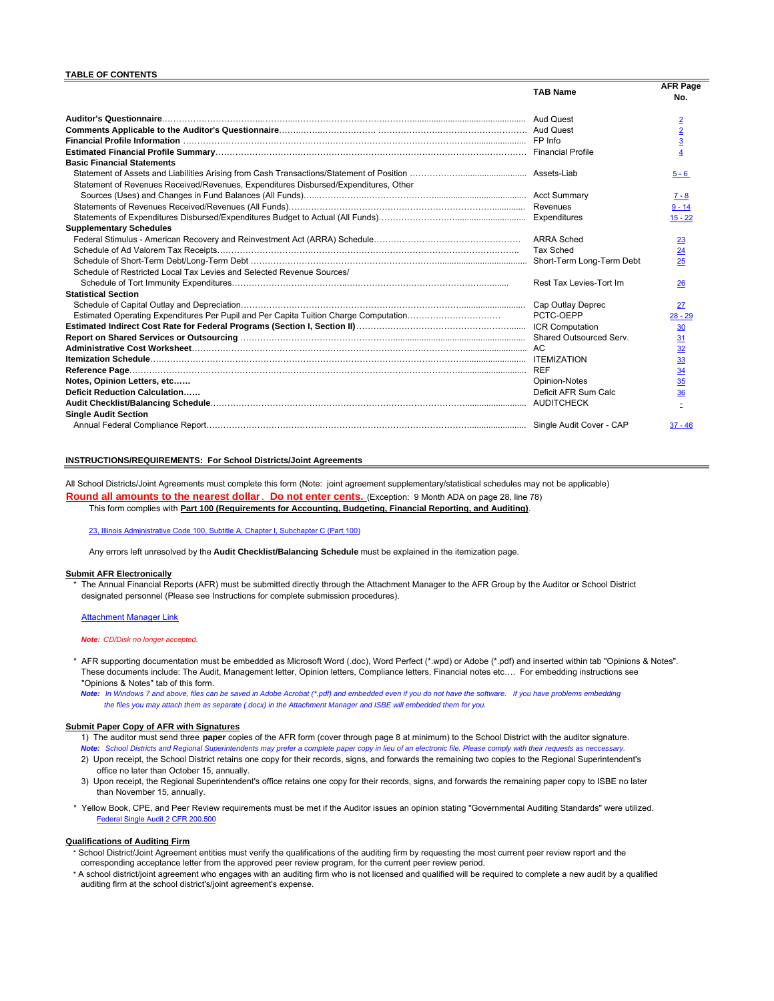#### **TABLE OF CONTENTS**

|                                                                                      | <b>TAB Name</b>         | <b>AFR Page</b><br>No. |
|--------------------------------------------------------------------------------------|-------------------------|------------------------|
|                                                                                      |                         | $\overline{2}$         |
|                                                                                      |                         | $\overline{2}$         |
|                                                                                      |                         | $\overline{3}$         |
|                                                                                      |                         |                        |
| <b>Basic Financial Statements</b>                                                    |                         |                        |
|                                                                                      |                         | $5 - 6$                |
| Statement of Revenues Received/Revenues, Expenditures Disbursed/Expenditures, Other  |                         |                        |
|                                                                                      |                         | $7 - 8$                |
|                                                                                      |                         | $9 - 14$               |
|                                                                                      |                         | $15 - 22$              |
| <b>Supplementary Schedules</b>                                                       |                         |                        |
|                                                                                      | <b>ARRA Sched</b>       | 23                     |
|                                                                                      | <b>Tax Sched</b>        | 24                     |
|                                                                                      |                         | 25                     |
| Schedule of Restricted Local Tax Levies and Selected Revenue Sources/                |                         |                        |
|                                                                                      | Rest Tax Levies-Tort Im | 26                     |
| <b>Statistical Section</b>                                                           |                         |                        |
|                                                                                      |                         | 27                     |
| Estimated Operating Expenditures Per Pupil and Per Capita Tuition Charge Computation | PCTC-OEPP               | $28 - 29$              |
|                                                                                      | <b>ICR Computation</b>  | 30                     |
|                                                                                      |                         | 31                     |
|                                                                                      |                         | 32                     |
|                                                                                      |                         | 33                     |
|                                                                                      | <b>REF</b>              | 34                     |
| Notes, Opinion Letters, etc                                                          | Opinion-Notes           | 35                     |
| Deficit Reduction Calculation                                                        | Deficit AFR Sum Calc    | 36                     |
|                                                                                      | <b>AUDITCHECK</b>       |                        |
| <b>Single Audit Section</b>                                                          |                         |                        |
|                                                                                      |                         | $37 - 46$              |
|                                                                                      |                         |                        |

#### **INSTRUCTIONS/REQUIREMENTS: For School Districts/Joint Agreements**

All School Districts/Joint Agreements must complete this form (Note: joint agreement supplementary/statistical schedules may not be applicable) **Round all amounts to the nearest dollar**. **Do not enter cents.** (Exception: 9 Month ADA on page 28, line 78) This form complies with **Part 100 (Requirements for Accounting, Budgeting, Financial Reporting, and Auditing)**.

23, Illinois Administrative Code 100, Subtitle A, Chapter I, Subchapter C (Part 100)

Any errors left unresolved by the **Audit Checklist/Balancing Schedule** must be explained in the itemization page.

#### **Submit AFR Electronically**

The Annual Financial Reports (AFR) must be submitted directly through the Attachment Manager to the AFR Group by the Auditor or School District designated personnel (Please see Instructions for complete submission procedures).

Attachment Manager Link

#### *Note: CD/Disk no longer accepted.*

AFR supporting documentation must be embedded as Microsoft Word (.doc), Word Perfect (\*.wpd) or Adobe (\*.pdf) and inserted within tab "Opinions & Notes". These documents include: The Audit, Management letter, Opinion letters, Compliance letters, Financial notes etc…. For embedding instructions see "Opinions & Notes" tab of this form.

*Note: In Windows 7 and above, files can be saved in Adobe Acrobat (\*.pdf) and embedded even if you do not have the software. If you have problems embedding the files you may attach them as separate (.docx) in the Attachment Manager and ISBE will embedded them for you.*

#### **Submit Paper Copy of AFR with Signatures**

- 1) The auditor must send three **paper** copies of the AFR form (cover through page 8 at minimum) to the School District with the auditor signature. *Note: School Districts and Regional Superintendents may prefer a complete paper copy in lieu of an electronic file. Please comply with their requests as neccessary.*
- 2) Upon receipt, the School District retains one copy for their records, signs, and forwards the remaining two copies to the Regional Superintendent's office no later than October 15, annually.
- 3) Upon receipt, the Regional Superintendent's office retains one copy for their records, signs, and forwards the remaining paper copy to ISBE no later than November 15, annually.
- \* Yellow Book, CPE, and Peer Review requirements must be met if the Auditor issues an opinion stating "Governmental Auditing Standards" were utilized. Federal Single Audit 2 CFR 200.500

#### **Qualifications of Auditing Firm**

- \* School District/Joint Agreement entities must verify the qualifications of the auditing firm by requesting the most current peer review report and the corresponding acceptance letter from the approved peer review program, for the current peer review period.
- \* A school district/joint agreement who engages with an auditing firm who is not licensed and qualified will be required to complete a new audit by a qualified auditing firm at the school district's/joint agreement's expense.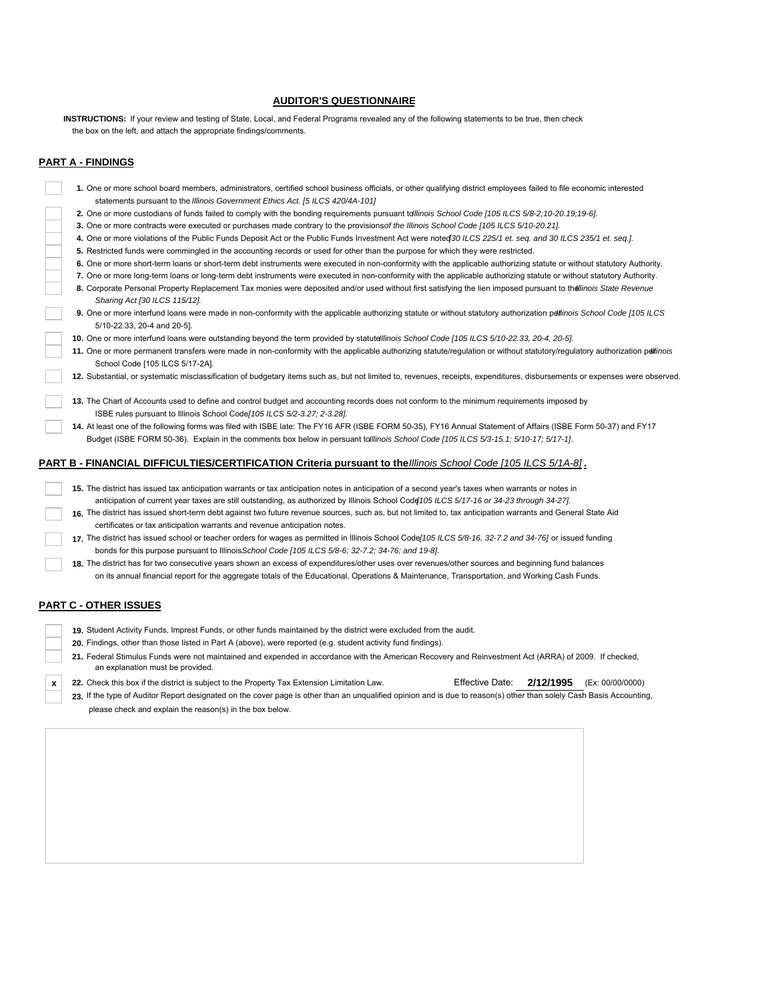# **AUDITOR'S QUESTIONNAIRE**

 the box on the left, and attach the appropriate findings/comments. **INSTRUCTIONS:** If your review and testing of State, Local, and Federal Programs revealed any of the following statements to be true, then check

# **PART A - FINDINGS**

| 1. One or more school board members, administrators, certified school business officials, or other qualifying district employees failed to file economic interested                                                                       |
|-------------------------------------------------------------------------------------------------------------------------------------------------------------------------------------------------------------------------------------------|
| statements pursuant to the Illinois Government Ethics Act. [5 ILCS 420/4A-101]                                                                                                                                                            |
| 2. One or more custodians of funds failed to comply with the bonding requirements pursuant tollinois School Code [105 ILCS 5/8-2;10-20.19;19-6].                                                                                          |
| 3. One or more contracts were executed or purchases made contrary to the provisions of the Illinois School Code [105 ILCS 5/10-20.21].                                                                                                    |
| 4. One or more violations of the Public Funds Deposit Act or the Public Funds Investment Act were noted 30 ILCS 225/1 et. seq. and 30 ILCS 235/1 et. seq.].                                                                               |
| 5. Restricted funds were commingled in the accounting records or used for other than the purpose for which they were restricted.                                                                                                          |
| 6. One or more short-term loans or short-term debt instruments were executed in non-conformity with the applicable authorizing statute or without statutory Authority.                                                                    |
| 7. One or more long-term loans or long-term debt instruments were executed in non-conformity with the applicable authorizing statute or without statutory Authority.                                                                      |
| 8. Corporate Personal Property Replacement Tax monies were deposited and/or used without first satisfying the lien imposed pursuant to the llinois State Revenue<br>Sharing Act [30 ILCS 115/12].                                         |
| 9. One or more interfund loans were made in non-conformity with the applicable authorizing statute or without statutory authorization pellinois School Code [105 ILCS<br>5/10-22.33, 20-4 and 20-5].                                      |
| 10. One or more interfund loans were outstanding beyond the term provided by statutellinois School Code [105 ILCS 5/10-22.33, 20-4, 20-5].                                                                                                |
| 11. One or more permanent transfers were made in non-conformity with the applicable authorizing statute/regulation or without statutory/regulatory authorization pellinois<br>School Code [105 ILCS 5/17-2A].                             |
| 12. Substantial, or systematic misclassification of budgetary items such as, but not limited to, revenues, receipts, expenditures, disbursements or expenses were observed                                                                |
| 13. The Chart of Accounts used to define and control budget and accounting records does not conform to the minimum requirements imposed by                                                                                                |
| ISBE rules pursuant to Illinois School Code [105 ILCS 5/2-3.27; 2-3.28].                                                                                                                                                                  |
| 14. At least one of the following forms was filed with ISBE late: The FY16 AFR (ISBE FORM 50-35), FY16 Annual Statement of Affairs (ISBE Form 50-37) and FY17                                                                             |
| Budget (ISBE FORM 50-36). Explain in the comments box below in persuant tolllinois School Code [105 ILCS 5/3-15.1; 5/10-17; 5/17-1].                                                                                                      |
| PART B - FINANCIAL DIFFICULTIES/CERTIFICATION Criteria pursuant to the Illinois School Code [105 ILCS 5/1A-8].                                                                                                                            |
| 15. The district has issued tax anticipation warrants or tax anticipation notes in anticipation of a second year's taxes when warrants or notes in                                                                                        |
| anticipation of current year taxes are still outstanding, as authorized by Illinois School Code 105 ILCS 5/17-16 or 34-23 through 34-27].                                                                                                 |
| 16. The district has issued short-term debt against two future revenue sources, such as, but not limited to, tax anticipation warrants and General State Aid<br>certificates or tax anticipation warrants and revenue anticipation notes. |
| 17. The district has issued school or teacher orders for wages as permitted in Illinois School Code 105 ILCS 5/8-16, 32-7.2 and 34-76] or issued funding                                                                                  |
| bonds for this purpose pursuant to Illinois School Code [105 ILCS 5/8-6; 32-7.2; 34-76; and 19-8].                                                                                                                                        |
| 18. The district has for two consecutive years shown an excess of expenditures/other uses over revenues/other sources and beginning fund balances                                                                                         |
| on its annual financial report for the aggregate totals of the Educational, Operations & Maintenance, Transportation, and Working Cash Funds.                                                                                             |
| <b>PART C - OTHER ISSUES</b>                                                                                                                                                                                                              |

- **19.** Student Activity Funds, Imprest Funds, or other funds maintained by the district were excluded from the audit.
- **20.** Findings, other than those listed in Part A (above), were reported (e.g. student activity fund findings).
- **21.** Federal Stimulus Funds were not maintained and expended in accordance with the American Recovery and Reinvestment Act (ARRA) of 2009. If checked, an explanation must be provided.
- **x 22.** Check this box if the district is subject to the Property Tax Extension Limitation Law. Effective Date: **2/12/1995** (Ex: 00/00/0000)

23. If the type of Auditor Report designated on the cover page is other than an unqualified opinion and is due to reason(s) other than solely Cash Basis Accounting, please check and explain the reason(s) in the box below.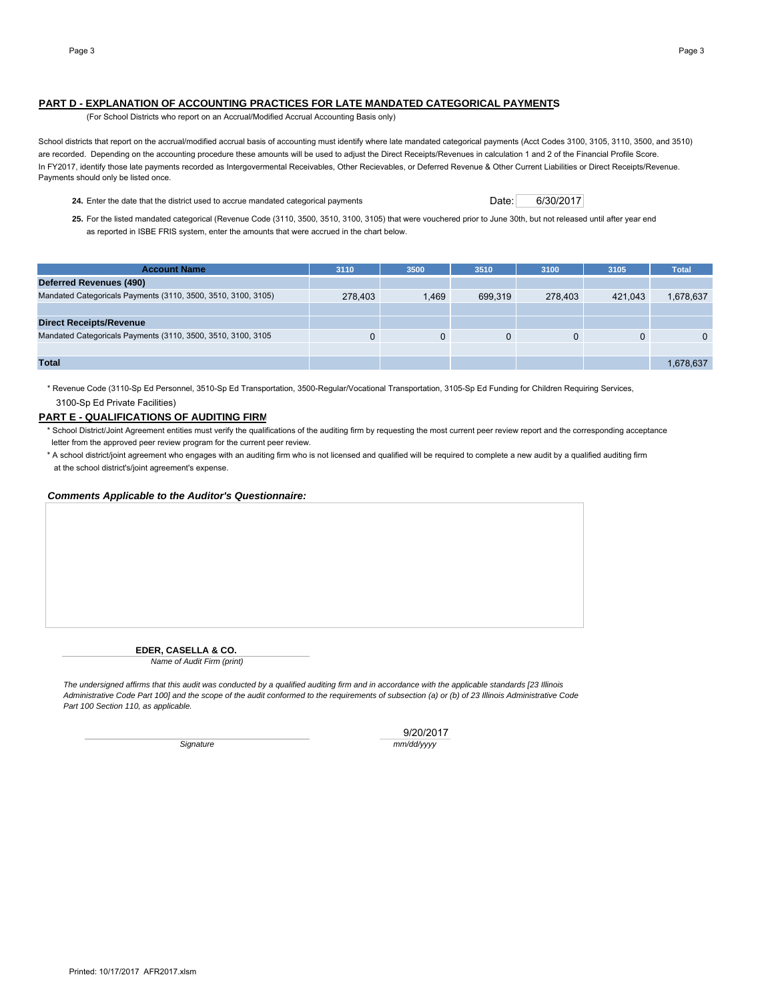# **PART D - EXPLANATION OF ACCOUNTING PRACTICES FOR LATE MANDATED CATEGORICAL PAYMENTS**

(For School Districts who report on an Accrual/Modified Accrual Accounting Basis only)

School districts that report on the accrual/modified accrual basis of accounting must identify where late mandated categorical payments (Acct Codes 3100, 3105, 3110, 3500, and 3510) are recorded. Depending on the accounting procedure these amounts will be used to adjust the Direct Receipts/Revenues in calculation 1 and 2 of the Financial Profile Score. In FY2017, identify those late payments recorded as Intergovermental Receivables, Other Recievables, or Deferred Revenue & Other Current Liabilities or Direct Receipts/Revenue. Payments should only be listed once.

24. Enter the date that the district used to accrue mandated categorical payments Date: 06/30/2017

**25.** For the listed mandated categorical (Revenue Code (3110, 3500, 3510, 3100, 3105) that were vouchered prior to June 30th, but not released until after year end as reported in ISBE FRIS system, enter the amounts that were accrued in the chart below.

| <b>Account Name</b>                                           | 3110    | 3500  | 3510    | 3100     | 3105    | <b>Total</b> |
|---------------------------------------------------------------|---------|-------|---------|----------|---------|--------------|
| Deferred Revenues (490)                                       |         |       |         |          |         |              |
| Mandated Categoricals Payments (3110, 3500, 3510, 3100, 3105) | 278,403 | 1.469 | 699.319 | 278,403  | 421.043 | 1,678,637    |
|                                                               |         |       |         |          |         |              |
| <b>Direct Receipts/Revenue</b>                                |         |       |         |          |         |              |
| Mandated Categoricals Payments (3110, 3500, 3510, 3100, 3105  |         | 0     | 0       | $\Omega$ |         | $\Omega$     |
|                                                               |         |       |         |          |         |              |
| <b>Total</b>                                                  |         |       |         |          |         | 1,678,637    |

\* Revenue Code (3110-Sp Ed Personnel, 3510-Sp Ed Transportation, 3500-Regular/Vocational Transportation, 3105-Sp Ed Funding for Children Requiring Services, 3100-Sp Ed Private Facilities)

# **PART E - QUALIFICATIONS OF AUDITING FIRM**

- \* School District/Joint Agreement entities must verify the qualifications of the auditing firm by requesting the most current peer review report and the corresponding acceptance letter from the approved peer review program for the current peer review.
- \* A school district/joint agreement who engages with an auditing firm who is not licensed and qualified will be required to complete a new audit by a qualified auditing firm at the school district's/joint agreement's expense.

#### *Comments Applicable to the Auditor's Questionnaire:*

**EDER, CASELLA & CO.**

*Name of Audit Firm (print)*

*The undersigned affirms that this audit was conducted by a qualified auditing firm and in accordance with the applicable standards [23 Illinois Administrative Code Part 100] and the scope of the audit conformed to the requirements of subsection (a) or (b) of 23 Illinois Administrative Code Part 100 Section 110, as applicable.*

9/20/2017 *Signature mm/dd/yyyy*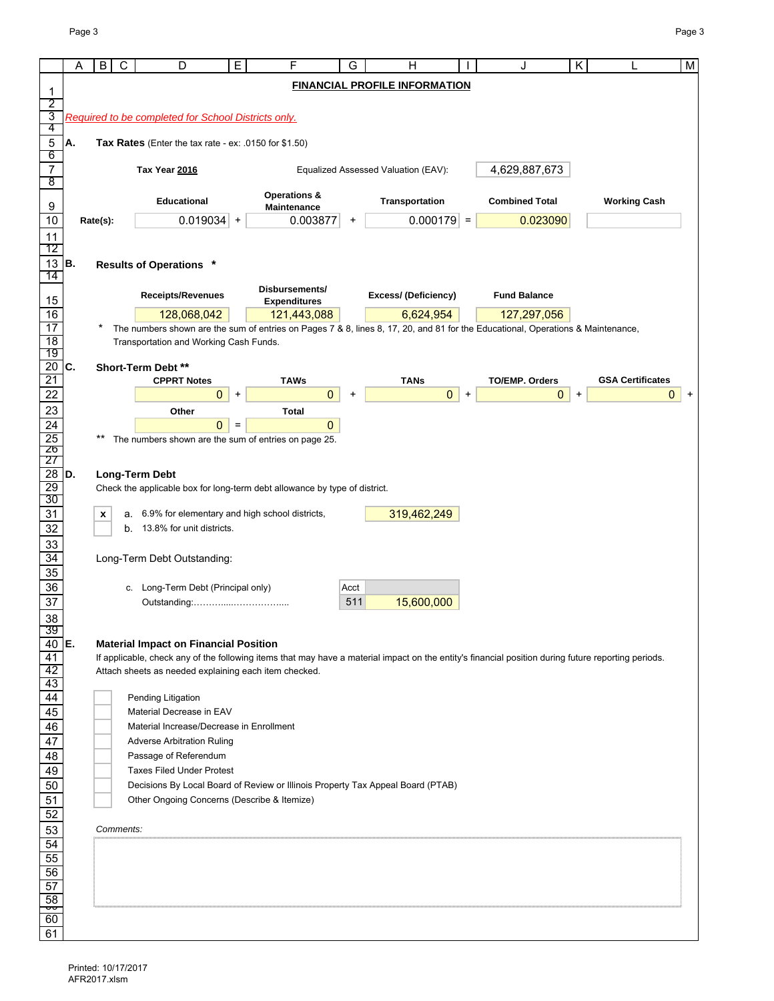|                     | Α   | B<br>С    | D                                                                                 | Ε         | F                                  | G         | н                                                                                                                                                   |           | Π.                    | κ         |                         | M        |
|---------------------|-----|-----------|-----------------------------------------------------------------------------------|-----------|------------------------------------|-----------|-----------------------------------------------------------------------------------------------------------------------------------------------------|-----------|-----------------------|-----------|-------------------------|----------|
|                     |     |           |                                                                                   |           |                                    |           | <b>FINANCIAL PROFILE INFORMATION</b>                                                                                                                |           |                       |           |                         |          |
| 1<br>2              |     |           |                                                                                   |           |                                    |           |                                                                                                                                                     |           |                       |           |                         |          |
| 3                   |     |           | Required to be completed for School Districts only.                               |           |                                    |           |                                                                                                                                                     |           |                       |           |                         |          |
| 4                   |     |           |                                                                                   |           |                                    |           |                                                                                                                                                     |           |                       |           |                         |          |
| $\mathbf 5$         | IA. |           | Tax Rates (Enter the tax rate - ex: .0150 for $$1.50$ )                           |           |                                    |           |                                                                                                                                                     |           |                       |           |                         |          |
| 6<br>$\overline{7}$ |     |           | Tax Year 2016                                                                     |           |                                    |           | Equalized Assessed Valuation (EAV):                                                                                                                 |           | 4,629,887,673         |           |                         |          |
| 8                   |     |           |                                                                                   |           |                                    |           |                                                                                                                                                     |           |                       |           |                         |          |
|                     |     |           | <b>Educational</b>                                                                |           | <b>Operations &amp;</b>            |           | Transportation                                                                                                                                      |           | <b>Combined Total</b> |           | <b>Working Cash</b>     |          |
| 9                   |     |           |                                                                                   |           | Maintenance                        |           |                                                                                                                                                     |           |                       |           |                         |          |
| 10                  |     | Rate(s):  | $0.019034$ +                                                                      |           | 0.003877                           | +         | $0.000179$ =                                                                                                                                        |           | 0.023090              |           |                         |          |
| 11<br>12            |     |           |                                                                                   |           |                                    |           |                                                                                                                                                     |           |                       |           |                         |          |
| $13$ B.             |     |           | <b>Results of Operations *</b>                                                    |           |                                    |           |                                                                                                                                                     |           |                       |           |                         |          |
| 14                  |     |           |                                                                                   |           |                                    |           |                                                                                                                                                     |           |                       |           |                         |          |
| 15                  |     |           | <b>Receipts/Revenues</b>                                                          |           | Disbursements/                     |           | Excess/ (Deficiency)                                                                                                                                |           | <b>Fund Balance</b>   |           |                         |          |
| 16                  |     |           | 128,068,042                                                                       |           | <b>Expenditures</b><br>121,443,088 |           | 6,624,954                                                                                                                                           |           | 127,297,056           |           |                         |          |
| 17                  |     |           |                                                                                   |           |                                    |           | The numbers shown are the sum of entries on Pages 7 & 8, lines 8, 17, 20, and 81 for the Educational, Operations & Maintenance,                     |           |                       |           |                         |          |
| 18                  |     |           | Transportation and Working Cash Funds.                                            |           |                                    |           |                                                                                                                                                     |           |                       |           |                         |          |
| 19                  |     |           |                                                                                   |           |                                    |           |                                                                                                                                                     |           |                       |           |                         |          |
| $20$ C.<br>21       |     |           | Short-Term Debt **<br><b>CPPRT Notes</b>                                          |           | <b>TAWs</b>                        |           | <b>TANs</b>                                                                                                                                         |           | <b>TO/EMP. Orders</b> |           | <b>GSA Certificates</b> |          |
| 22                  |     |           | $\mathbf{0}$                                                                      | $\ddot{}$ | $\mathbf{0}$                       | $\ddot{}$ | $\mathbf{0}$                                                                                                                                        | $\ddot{}$ | $\mathbf{0}$          | $\ddot{}$ |                         | 0<br>$+$ |
| 23                  |     |           | Other                                                                             |           | <b>Total</b>                       |           |                                                                                                                                                     |           |                       |           |                         |          |
| 24                  |     |           | $\mathbf{0}$                                                                      | $=$       | $\overline{0}$                     |           |                                                                                                                                                     |           |                       |           |                         |          |
|                     |     | $***$     | The numbers shown are the sum of entries on page 25.                              |           |                                    |           |                                                                                                                                                     |           |                       |           |                         |          |
| $\frac{25}{26}$     |     |           |                                                                                   |           |                                    |           |                                                                                                                                                     |           |                       |           |                         |          |
| $28$ D.             |     |           | <b>Long-Term Debt</b>                                                             |           |                                    |           |                                                                                                                                                     |           |                       |           |                         |          |
| 29                  |     |           | Check the applicable box for long-term debt allowance by type of district.        |           |                                    |           |                                                                                                                                                     |           |                       |           |                         |          |
| 30                  |     |           |                                                                                   |           |                                    |           |                                                                                                                                                     |           |                       |           |                         |          |
| 31<br>32            |     | x         | a. 6.9% for elementary and high school districts,<br>b. 13.8% for unit districts. |           |                                    |           | 319,462,249                                                                                                                                         |           |                       |           |                         |          |
| 33                  |     |           |                                                                                   |           |                                    |           |                                                                                                                                                     |           |                       |           |                         |          |
| 34                  |     |           | Long-Term Debt Outstanding:                                                       |           |                                    |           |                                                                                                                                                     |           |                       |           |                         |          |
| 35                  |     |           |                                                                                   |           |                                    |           |                                                                                                                                                     |           |                       |           |                         |          |
| 36                  |     |           | c. Long-Term Debt (Principal only)                                                |           |                                    | Acct      |                                                                                                                                                     |           |                       |           |                         |          |
| 37                  |     |           |                                                                                   |           |                                    | 511       | 15,600,000                                                                                                                                          |           |                       |           |                         |          |
| $\frac{38}{39}$     |     |           |                                                                                   |           |                                    |           |                                                                                                                                                     |           |                       |           |                         |          |
| $40$ E.             |     |           | <b>Material Impact on Financial Position</b>                                      |           |                                    |           |                                                                                                                                                     |           |                       |           |                         |          |
| 41                  |     |           |                                                                                   |           |                                    |           | If applicable, check any of the following items that may have a material impact on the entity's financial position during future reporting periods. |           |                       |           |                         |          |
| 42                  |     |           | Attach sheets as needed explaining each item checked.                             |           |                                    |           |                                                                                                                                                     |           |                       |           |                         |          |
| 43                  |     |           |                                                                                   |           |                                    |           |                                                                                                                                                     |           |                       |           |                         |          |
| 44                  |     |           | Pending Litigation                                                                |           |                                    |           |                                                                                                                                                     |           |                       |           |                         |          |
| 45<br>46            |     |           | Material Decrease in EAV<br>Material Increase/Decrease in Enrollment              |           |                                    |           |                                                                                                                                                     |           |                       |           |                         |          |
| 47                  |     |           | <b>Adverse Arbitration Ruling</b>                                                 |           |                                    |           |                                                                                                                                                     |           |                       |           |                         |          |
| 48                  |     |           | Passage of Referendum                                                             |           |                                    |           |                                                                                                                                                     |           |                       |           |                         |          |
| 49                  |     |           | <b>Taxes Filed Under Protest</b>                                                  |           |                                    |           |                                                                                                                                                     |           |                       |           |                         |          |
| 50                  |     |           |                                                                                   |           |                                    |           | Decisions By Local Board of Review or Illinois Property Tax Appeal Board (PTAB)                                                                     |           |                       |           |                         |          |
| 51                  |     |           | Other Ongoing Concerns (Describe & Itemize)                                       |           |                                    |           |                                                                                                                                                     |           |                       |           |                         |          |
| 52                  |     |           |                                                                                   |           |                                    |           |                                                                                                                                                     |           |                       |           |                         |          |
| 53                  |     | Comments: |                                                                                   |           |                                    |           |                                                                                                                                                     |           |                       |           |                         |          |
| 54<br>55            |     |           |                                                                                   |           |                                    |           |                                                                                                                                                     |           |                       |           |                         |          |
| 56                  |     |           |                                                                                   |           |                                    |           |                                                                                                                                                     |           |                       |           |                         |          |
| 57                  |     |           |                                                                                   |           |                                    |           |                                                                                                                                                     |           |                       |           |                         |          |
| 58                  |     |           |                                                                                   |           |                                    |           |                                                                                                                                                     |           |                       |           |                         |          |
| १<br>60             |     |           |                                                                                   |           |                                    |           |                                                                                                                                                     |           |                       |           |                         |          |
| 61                  |     |           |                                                                                   |           |                                    |           |                                                                                                                                                     |           |                       |           |                         |          |
|                     |     |           |                                                                                   |           |                                    |           |                                                                                                                                                     |           |                       |           |                         |          |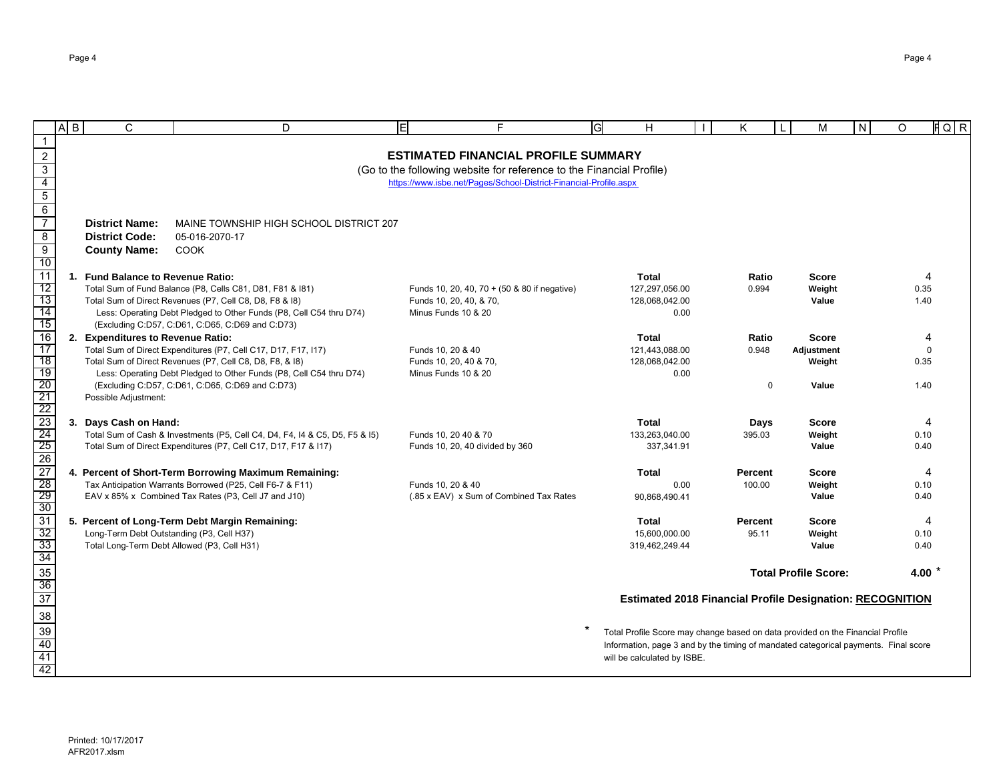|                                                                                 | $\overline{A}$ $\overline{B}$ | C                                           | D                                                                                                                               |                                                                      | н                                                                                   | κ       |             | M                           | IN. | O | $FQ$ $R$               |
|---------------------------------------------------------------------------------|-------------------------------|---------------------------------------------|---------------------------------------------------------------------------------------------------------------------------------|----------------------------------------------------------------------|-------------------------------------------------------------------------------------|---------|-------------|-----------------------------|-----|---|------------------------|
| $\mathbf{1}$                                                                    |                               |                                             |                                                                                                                                 |                                                                      |                                                                                     |         |             |                             |     |   |                        |
|                                                                                 |                               |                                             |                                                                                                                                 | <b>ESTIMATED FINANCIAL PROFILE SUMMARY</b>                           |                                                                                     |         |             |                             |     |   |                        |
| $\frac{2}{3}$ $\frac{4}{5}$ $\frac{6}{7}$                                       |                               |                                             |                                                                                                                                 | (Go to the following website for reference to the Financial Profile) |                                                                                     |         |             |                             |     |   |                        |
|                                                                                 |                               |                                             |                                                                                                                                 | https://www.isbe.net/Pages/School-District-Financial-Profile.aspx    |                                                                                     |         |             |                             |     |   |                        |
|                                                                                 |                               |                                             |                                                                                                                                 |                                                                      |                                                                                     |         |             |                             |     |   |                        |
|                                                                                 |                               |                                             |                                                                                                                                 |                                                                      |                                                                                     |         |             |                             |     |   |                        |
|                                                                                 |                               | <b>District Name:</b>                       | MAINE TOWNSHIP HIGH SCHOOL DISTRICT 207                                                                                         |                                                                      |                                                                                     |         |             |                             |     |   |                        |
| $\bf 8$                                                                         |                               | <b>District Code:</b>                       | 05-016-2070-17                                                                                                                  |                                                                      |                                                                                     |         |             |                             |     |   |                        |
| $\overline{9}$<br>10                                                            |                               | <b>County Name:</b>                         | <b>COOK</b>                                                                                                                     |                                                                      |                                                                                     |         |             |                             |     |   |                        |
| 11                                                                              | 1.                            | <b>Fund Balance to Revenue Ratio:</b>       |                                                                                                                                 |                                                                      | <b>Total</b>                                                                        | Ratio   |             | <b>Score</b>                |     |   | 4                      |
| 12                                                                              |                               |                                             | Total Sum of Fund Balance (P8, Cells C81, D81, F81 & 181)                                                                       | Funds 10, 20, 40, 70 + (50 & 80 if negative)                         | 127,297,056.00                                                                      | 0.994   |             | Weight                      |     |   | 0.35                   |
| 13                                                                              |                               |                                             | Total Sum of Direct Revenues (P7, Cell C8, D8, F8 & 18)                                                                         | Funds 10, 20, 40, & 70,                                              | 128,068,042.00                                                                      |         |             | Value                       |     |   | 1.40                   |
| 14                                                                              |                               |                                             | Less: Operating Debt Pledged to Other Funds (P8, Cell C54 thru D74)                                                             | Minus Funds 10 & 20                                                  | 0.00                                                                                |         |             |                             |     |   |                        |
| 15                                                                              |                               |                                             | (Excluding C:D57, C:D61, C:D65, C:D69 and C:D73)                                                                                |                                                                      |                                                                                     |         |             |                             |     |   |                        |
| $\overline{16}$                                                                 |                               | 2. Expenditures to Revenue Ratio:           |                                                                                                                                 |                                                                      | <b>Total</b>                                                                        | Ratio   |             | <b>Score</b>                |     |   | Δ                      |
| $\frac{1}{17}$<br>18                                                            |                               |                                             | Total Sum of Direct Expenditures (P7, Cell C17, D17, F17, I17)                                                                  | Funds 10, 20 & 40                                                    | 121,443,088.00                                                                      | 0.948   |             | <b>Adjustment</b>           |     |   | $\Omega$               |
| 19                                                                              |                               |                                             | Total Sum of Direct Revenues (P7, Cell C8, D8, F8, & 18)<br>Less: Operating Debt Pledged to Other Funds (P8, Cell C54 thru D74) | Funds 10, 20, 40 & 70,<br>Minus Funds 10 & 20                        | 128,068,042.00<br>0.00                                                              |         |             | Weight                      |     |   | 0.35                   |
|                                                                                 |                               |                                             | (Excluding C:D57, C:D61, C:D65, C:D69 and C:D73)                                                                                |                                                                      |                                                                                     |         | $\mathbf 0$ | Value                       |     |   | 1.40                   |
|                                                                                 |                               | Possible Adjustment:                        |                                                                                                                                 |                                                                      |                                                                                     |         |             |                             |     |   |                        |
|                                                                                 |                               |                                             |                                                                                                                                 |                                                                      |                                                                                     |         |             |                             |     |   |                        |
|                                                                                 |                               | 3. Days Cash on Hand:                       |                                                                                                                                 |                                                                      | <b>Total</b>                                                                        | Days    |             | <b>Score</b>                |     |   | 4                      |
|                                                                                 |                               |                                             | Total Sum of Cash & Investments (P5, Cell C4, D4, F4, I4 & C5, D5, F5 & I5)                                                     | Funds 10, 20 40 & 70                                                 | 133.263.040.00                                                                      | 395.03  |             | Weight                      |     |   | 0.10                   |
| 20<br>21 22 23 4<br>24 25 26 27 28 29<br>30 30 31                               |                               |                                             | Total Sum of Direct Expenditures (P7, Cell C17, D17, F17 & I17)                                                                 | Funds 10, 20, 40 divided by 360                                      | 337,341.91                                                                          |         |             | Value                       |     |   | 0.40                   |
|                                                                                 |                               |                                             | 4. Percent of Short-Term Borrowing Maximum Remaining:                                                                           |                                                                      | <b>Total</b>                                                                        | Percent |             | <b>Score</b>                |     |   | $\boldsymbol{\Lambda}$ |
|                                                                                 |                               |                                             | Tax Anticipation Warrants Borrowed (P25, Cell F6-7 & F11)                                                                       | Funds 10, 20 & 40                                                    | 0.00                                                                                | 100.00  |             | Weight                      |     |   | 0.10                   |
|                                                                                 |                               |                                             | EAV x 85% x Combined Tax Rates (P3, Cell J7 and J10)                                                                            | (.85 x EAV) x Sum of Combined Tax Rates                              | 90,868,490.41                                                                       |         |             | Value                       |     |   | 0.40                   |
|                                                                                 |                               |                                             |                                                                                                                                 |                                                                      |                                                                                     |         |             |                             |     |   |                        |
|                                                                                 |                               |                                             | 5. Percent of Long-Term Debt Margin Remaining:                                                                                  |                                                                      | Total                                                                               | Percent |             | <b>Score</b>                |     |   | 4                      |
| 32<br>33                                                                        |                               | Long-Term Debt Outstanding (P3, Cell H37)   |                                                                                                                                 |                                                                      | 15,600,000.00                                                                       | 95.11   |             | Weight                      |     |   | 0.10                   |
|                                                                                 |                               | Total Long-Term Debt Allowed (P3, Cell H31) |                                                                                                                                 |                                                                      | 319,462,249.44                                                                      |         |             | Value                       |     |   | 0.40                   |
|                                                                                 |                               |                                             |                                                                                                                                 |                                                                      |                                                                                     |         |             | <b>Total Profile Score:</b> |     |   | 4.00 $*$               |
|                                                                                 |                               |                                             |                                                                                                                                 |                                                                      |                                                                                     |         |             |                             |     |   |                        |
| $\frac{34}{36}$ $\frac{36}{37}$ $\frac{38}{39}$ $\frac{39}{40}$ $\frac{41}{42}$ |                               |                                             |                                                                                                                                 |                                                                      | <b>Estimated 2018 Financial Profile Designation: RECOGNITION</b>                    |         |             |                             |     |   |                        |
|                                                                                 |                               |                                             |                                                                                                                                 |                                                                      |                                                                                     |         |             |                             |     |   |                        |
|                                                                                 |                               |                                             |                                                                                                                                 |                                                                      | Total Profile Score may change based on data provided on the Financial Profile      |         |             |                             |     |   |                        |
|                                                                                 |                               |                                             |                                                                                                                                 |                                                                      | Information, page 3 and by the timing of mandated categorical payments. Final score |         |             |                             |     |   |                        |
|                                                                                 |                               |                                             |                                                                                                                                 |                                                                      | will be calculated by ISBE.                                                         |         |             |                             |     |   |                        |
|                                                                                 |                               |                                             |                                                                                                                                 |                                                                      |                                                                                     |         |             |                             |     |   |                        |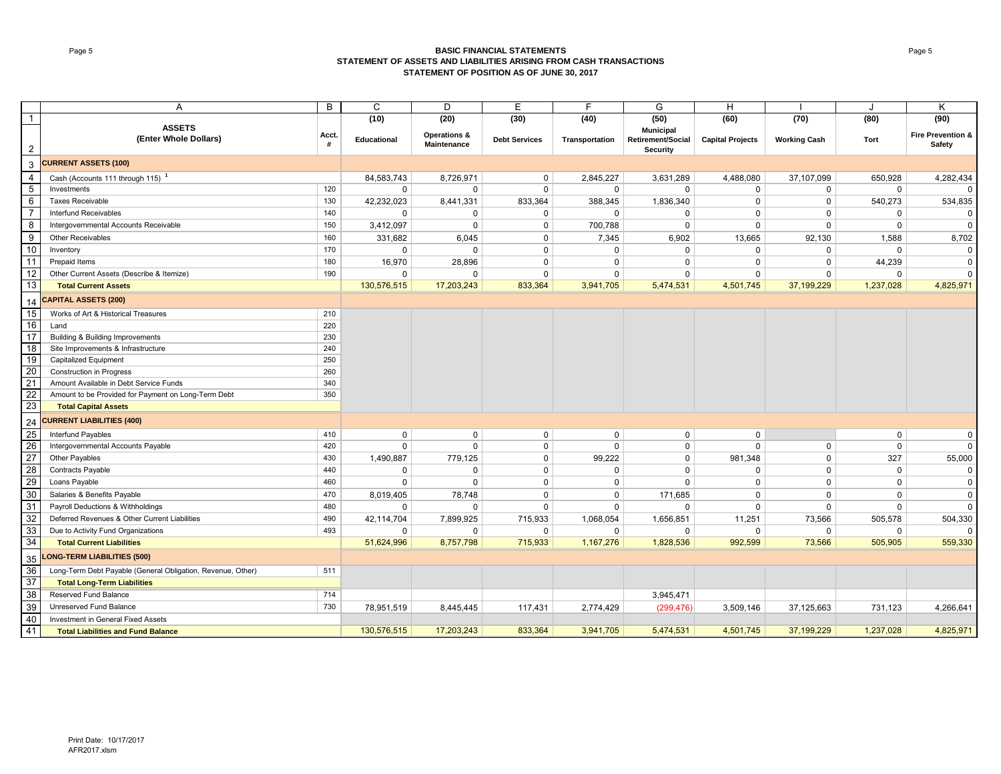#### Page 5 **BASIC FINANCIAL STATEMENTS STATEMENT OF ASSETS AND LIABILITIES ARISING FROM CASH TRANSACTIONS STATEMENT OF POSITION AS OF JUNE 30, 2017**

|                 | A                                                           | B          | $\mathsf{C}$ | D                                      | E                    | F              | G                                                 | H                       |                     |             | Κ                                      |
|-----------------|-------------------------------------------------------------|------------|--------------|----------------------------------------|----------------------|----------------|---------------------------------------------------|-------------------------|---------------------|-------------|----------------------------------------|
| $\overline{1}$  |                                                             |            | (10)         | (20)                                   | (30)                 | (40)           | (50)                                              | (60)                    | (70)                | (80)        | (90)                                   |
| $\overline{2}$  | <b>ASSETS</b><br>(Enter Whole Dollars)                      | Acct.<br># | Educational  | <b>Operations &amp;</b><br>Maintenance | <b>Debt Services</b> | Transportation | <b>Municipal</b><br>Retirement/Social<br>Security | <b>Capital Projects</b> | <b>Working Cash</b> | <b>Tort</b> | <b>Fire Prevention &amp;</b><br>Safety |
| 3               | <b>CURRENT ASSETS (100)</b>                                 |            |              |                                        |                      |                |                                                   |                         |                     |             |                                        |
| $\overline{4}$  | Cash (Accounts 111 through 115) <sup>1</sup>                |            | 84,583,743   | 8,726,971                              | $\mathbf 0$          | 2,845,227      | 3,631,289                                         | 4,488,080               | 37,107,099          | 650,928     | 4,282,434                              |
| $\overline{5}$  | Investments                                                 | 120        | 0            | $\Omega$                               | $\mathbf 0$          | $\mathbf 0$    | $\Omega$                                          | 0                       | 0                   | 0           | <sup>0</sup>                           |
| 6               | <b>Taxes Receivable</b>                                     | 130        | 42,232,023   | 8,441,331                              | 833,364              | 388,345        | 1,836,340                                         | 0                       | 0                   | 540,273     | 534,835                                |
| $\overline{7}$  | Interfund Receivables                                       | 140        | $\Omega$     | $\Omega$                               | $\mathbf 0$          | $\Omega$       | $\Omega$                                          | $\mathbf 0$             | 0                   | $\mathbf 0$ | $\mathbf 0$                            |
| 8               | Intergovernmental Accounts Receivable                       | 150        | 3,412,097    | $\Omega$                               | $\mathbf 0$          | 700,788        | $\mathbf 0$                                       | $\mathbf 0$             | 0                   | $\mathbf 0$ | $\Omega$                               |
| 9               | <b>Other Receivables</b>                                    | 160        | 331,682      | 6,045                                  | $\mathbf 0$          | 7,345          | 6,902                                             | 13,665                  | 92,130              | 1,588       | 8,702                                  |
| 10              | Inventory                                                   | 170        | 0            | $\Omega$                               | $\mathbf 0$          | $\mathbf 0$    | $\Omega$                                          | $\mathbf 0$             | 0                   | $\Omega$    | $\mathbf 0$                            |
| 11              | Prepaid Items                                               | 180        | 16,970       | 28,896                                 | $\mathbf 0$          | $\mathbf 0$    | $\Omega$                                          | $\Omega$                | 0                   | 44,239      | $\mathbf 0$                            |
| 12              | Other Current Assets (Describe & Itemize)                   | 190        | 0            | $\Omega$                               | $\mathbf 0$          | $\mathbf 0$    | $\mathbf 0$                                       | $\mathbf 0$             | 0                   | $\mathbf 0$ | $\Omega$                               |
| 13              | <b>Total Current Assets</b>                                 |            | 130,576,515  | 17,203,243                             | 833,364              | 3,941,705      | 5,474,531                                         | 4,501,745               | 37,199,229          | 1,237,028   | 4,825,971                              |
| 14              | <b>CAPITAL ASSETS (200)</b>                                 |            |              |                                        |                      |                |                                                   |                         |                     |             |                                        |
| 15              | Works of Art & Historical Treasures                         | 210        |              |                                        |                      |                |                                                   |                         |                     |             |                                        |
| 16              | Land                                                        | 220        |              |                                        |                      |                |                                                   |                         |                     |             |                                        |
| 17              | Building & Building Improvements                            | 230        |              |                                        |                      |                |                                                   |                         |                     |             |                                        |
| 18              | Site Improvements & Infrastructure                          | 240        |              |                                        |                      |                |                                                   |                         |                     |             |                                        |
| 19              | <b>Capitalized Equipment</b>                                | 250        |              |                                        |                      |                |                                                   |                         |                     |             |                                        |
| $\frac{20}{21}$ | <b>Construction in Progress</b>                             | 260        |              |                                        |                      |                |                                                   |                         |                     |             |                                        |
|                 | Amount Available in Debt Service Funds                      | 340        |              |                                        |                      |                |                                                   |                         |                     |             |                                        |
| 22              | Amount to be Provided for Payment on Long-Term Debt         | 350        |              |                                        |                      |                |                                                   |                         |                     |             |                                        |
| 23              | <b>Total Capital Assets</b>                                 |            |              |                                        |                      |                |                                                   |                         |                     |             |                                        |
| 24              | <b>CURRENT LIABILITIES (400)</b>                            |            |              |                                        |                      |                |                                                   |                         |                     |             |                                        |
| 25              | Interfund Payables                                          | 410        | 0            | $\mathbf 0$                            | $\mathbf 0$          | $\mathbf 0$    | 0                                                 | $\mathbf 0$             |                     | $\mathbf 0$ | $\mathbf 0$                            |
| 26              | Intergovernmental Accounts Payable                          | 420        | 0            | $\Omega$                               | $\mathbf 0$          | $\mathsf 0$    | 0                                                 | $\mathbf 0$             | 0                   | $\mathbf 0$ | $\mathbf 0$                            |
| 27              | Other Payables                                              | 430        | 1,490,887    | 779,125                                | $\mathbf 0$          | 99,222         | 0                                                 | 981,348                 | $\mathbf 0$         | 327         | 55,000                                 |
| 28              | Contracts Payable                                           | 440        | 0            | $\Omega$                               | $\mathbf 0$          | $\mathbf 0$    | $\Omega$                                          | $\mathbf 0$             | $\mathbf 0$         | $\mathbf 0$ | $\mathsf 0$                            |
| 29              | Loans Payable                                               | 460        | $\mathbf 0$  | $\Omega$                               | $\mathbf 0$          | $\mathbf 0$    | 0                                                 | $\mathbf 0$             | $\mathbf 0$         | $\mathbf 0$ | $\mathbf 0$                            |
| 30              | Salaries & Benefits Payable                                 | 470        | 8,019,405    | 78,748                                 | $\mathbf 0$          | $\mathbf 0$    | 171,685                                           | $\mathbf 0$             | 0                   | $\mathbf 0$ | $\Omega$                               |
| 31              | Payroll Deductions & Withholdings                           | 480        | $\Omega$     | $\Omega$                               | $\mathbf 0$          | $\mathbf{0}$   | 0                                                 | $\Omega$                | $\Omega$            | $\Omega$    | $\mathbf 0$                            |
| 32              | Deferred Revenues & Other Current Liabilities               | 490        | 42,114,704   | 7,899,925                              | 715,933              | 1,068,054      | 1,656,851                                         | 11,251                  | 73,566              | 505,578     | 504,330                                |
| 33              | Due to Activity Fund Organizations                          | 493        | 0            | $\Omega$                               | $\mathbf 0$          | $\mathbf 0$    | 0                                                 | $\mathbf 0$             | 0                   | 0           | n                                      |
| 34              | <b>Total Current Liabilities</b>                            |            | 51,624,996   | 8,757,798                              | 715,933              | 1,167,276      | 1,828,536                                         | 992,599                 | 73,566              | 505,905     | 559,330                                |
| 35              | <b>LONG-TERM LIABILITIES (500)</b>                          |            |              |                                        |                      |                |                                                   |                         |                     |             |                                        |
| 36              | Long-Term Debt Payable (General Obligation, Revenue, Other) | 511        |              |                                        |                      |                |                                                   |                         |                     |             |                                        |
| 37              | <b>Total Long-Term Liabilities</b>                          |            |              |                                        |                      |                |                                                   |                         |                     |             |                                        |
| 38              | Reserved Fund Balance                                       | 714        |              |                                        |                      |                | 3,945,471                                         |                         |                     |             |                                        |
| 39              | Unreserved Fund Balance                                     | 730        | 78,951,519   | 8,445,445                              | 117,431              | 2,774,429      | (299, 476)                                        | 3,509,146               | 37,125,663          | 731,123     | 4,266,641                              |
| 40              | Investment in General Fixed Assets                          |            |              |                                        |                      |                |                                                   |                         |                     |             |                                        |
| 41              | <b>Total Liabilities and Fund Balance</b>                   |            | 130,576,515  | 17,203,243                             | 833,364              | 3,941,705      | 5,474,531                                         | 4,501,745               | 37,199,229          | 1,237,028   | 4,825,971                              |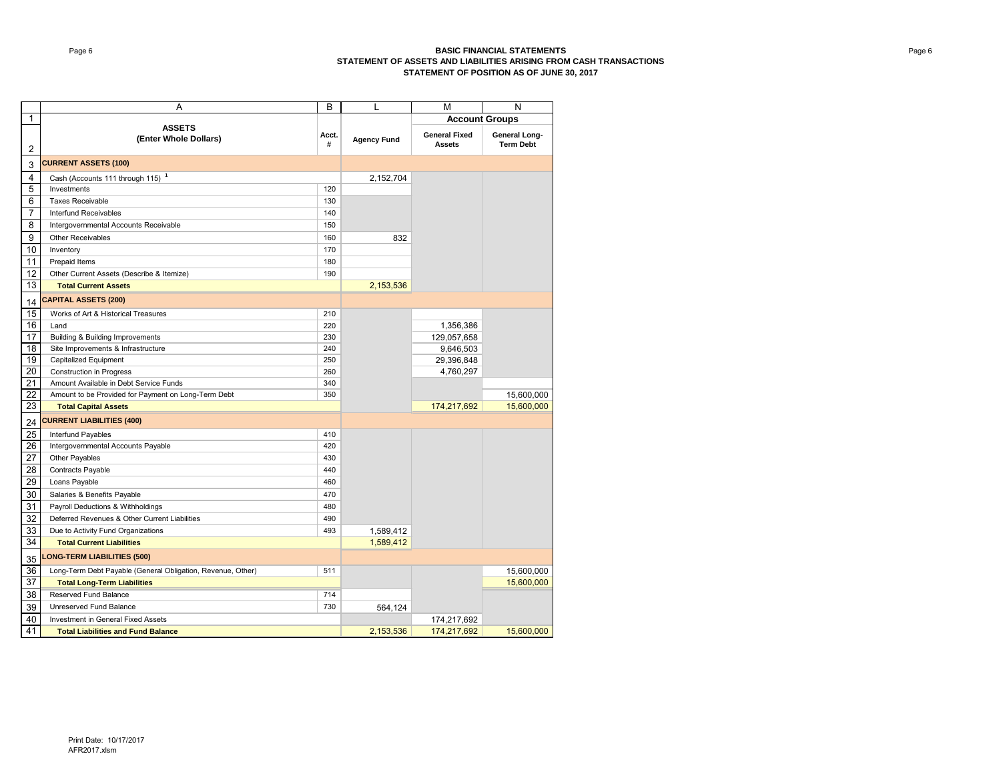#### Page 6 **BASIC FINANCIAL STATEMENTS STATEMENT OF ASSETS AND LIABILITIES ARISING FROM CASH TRANSACTIONS STATEMENT OF POSITION AS OF JUNE 30, 2017**

|                 | Α                                                           | B          | L                  | M                                     | N                          |
|-----------------|-------------------------------------------------------------|------------|--------------------|---------------------------------------|----------------------------|
| 1               |                                                             |            |                    | <b>Account Groups</b>                 |                            |
| 2               | <b>ASSETS</b><br>(Enter Whole Dollars)                      | Acct.<br># | <b>Agency Fund</b> | <b>General Fixed</b><br><b>Assets</b> | General Long-<br>Term Debt |
| 3               | <b>CURRENT ASSETS (100)</b>                                 |            |                    |                                       |                            |
| 4               | Cash (Accounts 111 through 115) <sup>1</sup>                |            | 2,152,704          |                                       |                            |
| 5               | Investments                                                 | 120        |                    |                                       |                            |
| 6               | <b>Taxes Receivable</b>                                     | 130        |                    |                                       |                            |
| 7               | Interfund Receivables                                       | 140        |                    |                                       |                            |
| 8               | Intergovernmental Accounts Receivable                       | 150        |                    |                                       |                            |
| 9               | Other Receivables                                           | 160        | 832                |                                       |                            |
| 10              | Inventory                                                   | 170        |                    |                                       |                            |
| 11              | Prepaid Items                                               | 180        |                    |                                       |                            |
| 12              | Other Current Assets (Describe & Itemize)                   | 190        |                    |                                       |                            |
| 13              | <b>Total Current Assets</b>                                 |            | 2,153,536          |                                       |                            |
| 14              | <b>CAPITAL ASSETS (200)</b>                                 |            |                    |                                       |                            |
| 15              | Works of Art & Historical Treasures                         | 210        |                    |                                       |                            |
| 16              | Land                                                        | 220        |                    | 1,356,386                             |                            |
| 17              | Building & Building Improvements                            | 230        |                    | 129,057,658                           |                            |
| $\overline{18}$ | Site Improvements & Infrastructure                          | 240        |                    | 9,646,503                             |                            |
| 19              | Capitalized Equipment                                       | 250        |                    | 29,396,848                            |                            |
| 20              | Construction in Progress                                    | 260        |                    | 4,760,297                             |                            |
| 21              | Amount Available in Debt Service Funds                      | 340        |                    |                                       |                            |
| 22              | Amount to be Provided for Payment on Long-Term Debt         | 350        |                    |                                       | 15,600,000                 |
| 23              | <b>Total Capital Assets</b>                                 |            |                    | 174,217,692                           | 15,600,000                 |
| 24              | <b>CURRENT LIABILITIES (400)</b>                            |            |                    |                                       |                            |
| 25              | Interfund Payables                                          | 410        |                    |                                       |                            |
| 26              | Intergovernmental Accounts Payable                          | 420        |                    |                                       |                            |
| 27              | Other Payables                                              | 430        |                    |                                       |                            |
| 28              | <b>Contracts Payable</b>                                    | 440        |                    |                                       |                            |
| 29              | Loans Payable                                               | 460        |                    |                                       |                            |
| 30              | Salaries & Benefits Payable                                 | 470        |                    |                                       |                            |
| 31              | Payroll Deductions & Withholdings                           | 480        |                    |                                       |                            |
| 32              | Deferred Revenues & Other Current Liabilities               | 490        |                    |                                       |                            |
| 33              | Due to Activity Fund Organizations                          | 493        | 1,589,412          |                                       |                            |
| 34              | <b>Total Current Liabilities</b>                            |            | 1,589,412          |                                       |                            |
| 35              | <b>LONG-TERM LIABILITIES (500)</b>                          |            |                    |                                       |                            |
| 36              | Long-Term Debt Payable (General Obligation, Revenue, Other) | 511        |                    |                                       | 15,600,000                 |
| 37              | <b>Total Long-Term Liabilities</b>                          |            |                    |                                       | 15,600,000                 |
| 38              | Reserved Fund Balance                                       | 714        |                    |                                       |                            |
| 39              | Unreserved Fund Balance                                     | 730        | 564,124            |                                       |                            |
| 40              | Investment in General Fixed Assets                          |            |                    | 174,217,692                           |                            |
| 41              | <b>Total Liabilities and Fund Balance</b>                   |            | 2,153,536          | 174,217,692                           | 15,600,000                 |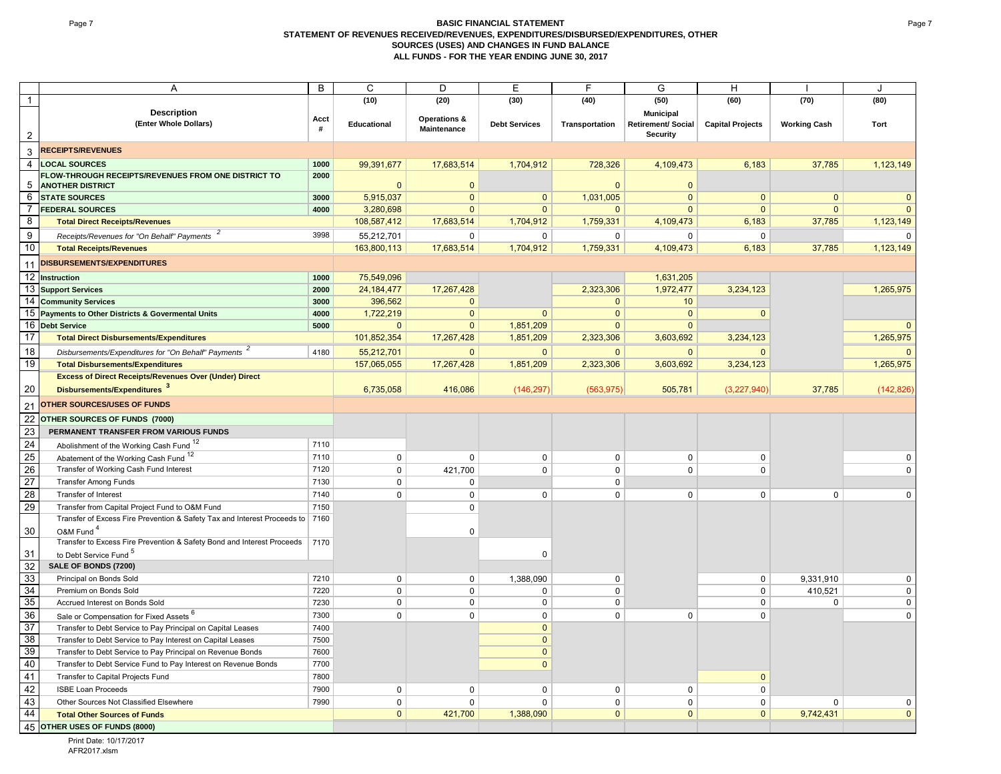#### **Page 7 BASIC FINANCIAL STATEMENT STATEMENT OF REVENUES RECEIVED/REVENUES, EXPENDITURES/DISBURSED/EXPENDITURES, OTHER SOURCES (USES) AND CHANGES IN FUND BALANCE ALL FUNDS - FOR THE YEAR ENDING JUNE 30, 2017**

| A                                                                                                              | B            | C                           | D                           | E                       | F                         | G                              | H                       |                     | $\cdot$           |
|----------------------------------------------------------------------------------------------------------------|--------------|-----------------------------|-----------------------------|-------------------------|---------------------------|--------------------------------|-------------------------|---------------------|-------------------|
| $\mathbf{1}$                                                                                                   |              | (10)                        | (20)                        | (30)                    | (40)                      | (50)                           | (60)                    | (70)                | (80)              |
| <b>Description</b>                                                                                             |              |                             |                             |                         |                           | <b>Municipal</b>               |                         |                     |                   |
| (Enter Whole Dollars)<br>$\overline{2}$                                                                        | Acct<br>#    | Educational                 | Operations &<br>Maintenance | <b>Debt Services</b>    | Transportation            | Retirement/ Social<br>Security | <b>Capital Projects</b> | <b>Working Cash</b> | Tort              |
| <b>RECEIPTS/REVENUES</b><br>$\mathbf{3}$                                                                       |              |                             |                             |                         |                           |                                |                         |                     |                   |
| $\overline{4}$<br><b>LOCAL SOURCES</b>                                                                         | 1000         | 99,391,677                  | 17,683,514                  | 1,704,912               | 728,326                   | 4,109,473                      | 6,183                   | 37,785              | 1,123,149         |
| FLOW-THROUGH RECEIPTS/REVENUES FROM ONE DISTRICT TO<br>5<br><b>ANOTHER DISTRICT</b>                            | 2000         | $\Omega$                    | $\Omega$                    |                         | $\Omega$                  | $\Omega$                       |                         |                     |                   |
| 6 STATE SOURCES                                                                                                | 3000         | 5,915,037                   | $\mathbf{0}$                | $\mathbf{0}$            | 1,031,005                 | $\mathbf{0}$                   | $\mathbf{0}$            | $\mathbf{0}$        |                   |
| $\overline{7}$<br><b>FEDERAL SOURCES</b>                                                                       | 4000         | 3,280,698                   | $\mathbf{0}$                | $\mathbf{0}$            | $\Omega$                  | $\Omega$                       | $\Omega$                | $\mathbf{0}$        |                   |
| 8<br><b>Total Direct Receipts/Revenues</b>                                                                     |              | 108,587,412                 | 17,683,514                  | 1,704,912               | 1,759,331                 | 4,109,473                      | 6,183                   | 37,785              | 1,123,149         |
| 9<br>Receipts/Revenues for "On Behalf" Payments <sup>2</sup>                                                   | 3998         | 55,212,701                  | $\mathbf 0$                 | $\mathbf 0$             | 0                         | $\Omega$                       | $\mathbf 0$             |                     | $\Omega$          |
| 10<br><b>Total Receipts/Revenues</b>                                                                           |              | 163,800,113                 | 17,683,514                  | 1,704,912               | 1,759,331                 | 4,109,473                      | 6,183                   | 37,785              | 1,123,149         |
| <b>DISBURSEMENTS/EXPENDITURES</b><br>11                                                                        |              |                             |                             |                         |                           |                                |                         |                     |                   |
| 12 Instruction                                                                                                 | 1000         | 75,549,096                  |                             |                         |                           | 1,631,205                      |                         |                     |                   |
| 13 Support Services                                                                                            | 2000         | 24, 184, 477                | 17,267,428                  |                         | 2,323,306                 | 1,972,477                      | 3,234,123               |                     | 1,265,975         |
| 14 Community Services                                                                                          | 3000         | 396,562                     | $\Omega$                    |                         | $\Omega$                  | 10                             |                         |                     |                   |
| 15 Payments to Other Districts & Govermental Units                                                             | 4000<br>5000 | 1,722,219                   | $\mathbf{0}$                | $\mathbf{0}$            | $\mathbf{0}$              | $\mathbf{0}$                   | $\mathbf{0}$            |                     |                   |
| 16 Debt Service<br>17<br><b>Total Direct Disbursements/Expenditures</b>                                        |              | $\mathbf{0}$<br>101,852,354 | $\mathbf{0}$<br>17,267,428  | 1,851,209<br>1,851,209  | $\mathbf{0}$<br>2,323,306 | $\mathbf{0}$<br>3,603,692      | 3,234,123               |                     | 1,265,975         |
|                                                                                                                |              |                             |                             |                         |                           |                                |                         |                     |                   |
| 18<br>Disbursements/Expenditures for "On Behalf" Payments <sup>2</sup>                                         | 4180         | 55,212,701                  | $\mathbf{0}$                | $\mathbf{0}$            | $\Omega$                  | $\overline{0}$                 | $\Omega$                |                     |                   |
| 19<br><b>Total Disbursements/Expenditures</b><br><b>Excess of Direct Receipts/Revenues Over (Under) Direct</b> |              | 157,065,055                 | 17,267,428                  | 1,851,209               | 2,323,306                 | 3,603,692                      | 3,234,123               |                     | 1,265,975         |
| 20<br>Disbursements/Expenditures <sup>3</sup>                                                                  |              | 6,735,058                   | 416,086                     |                         |                           | 505,781                        |                         | 37,785              |                   |
|                                                                                                                |              |                             |                             | (146, 297)              | (563, 975)                |                                | (3,227,940)             |                     | (142, 826)        |
| <b>OTHER SOURCES/USES OF FUNDS</b><br>21                                                                       |              |                             |                             |                         |                           |                                |                         |                     |                   |
| 22<br>OTHER SOURCES OF FUNDS (7000)                                                                            |              |                             |                             |                         |                           |                                |                         |                     |                   |
| 23<br>PERMANENT TRANSFER FROM VARIOUS FUNDS                                                                    |              |                             |                             |                         |                           |                                |                         |                     |                   |
| 24<br>Abolishment of the Working Cash Fund 12                                                                  | 7110         |                             |                             |                         |                           |                                |                         |                     |                   |
| 25<br>Abatement of the Working Cash Fund <sup>12</sup>                                                         | 7110         | $\mathbf 0$                 | $\Omega$                    | $\mathbf 0$             | $\mathbf 0$               | $\mathbf 0$                    | $\mathbf 0$             |                     | <sup>0</sup>      |
| 26<br>Transfer of Working Cash Fund Interest                                                                   | 7120         | $\mathsf 0$                 | 421,700                     | $\mathbf 0$             | $\mathbf 0$               | $\mathbf 0$                    | 0                       |                     | $\Omega$          |
| 27<br><b>Transfer Among Funds</b>                                                                              | 7130         | $\mathbf 0$                 | $\mathbf 0$                 |                         | $\mathbf 0$               |                                |                         |                     |                   |
| 28<br>Transfer of Interest                                                                                     | 7140         | $\mathbf 0$                 | $\mathbf 0$                 | $\mathbf 0$             | 0                         | $\mathbf 0$                    | $\mathbf 0$             | $\mathbf 0$         | $\Omega$          |
| 29<br>Transfer from Capital Project Fund to O&M Fund                                                           | 7150         |                             | $\Omega$                    |                         |                           |                                |                         |                     |                   |
| Transfer of Excess Fire Prevention & Safety Tax and Interest Proceeds to 7160<br>30<br>O&M Fund <sup>4</sup>   |              |                             | $\mathbf 0$                 |                         |                           |                                |                         |                     |                   |
| Transfer to Excess Fire Prevention & Safety Bond and Interest Proceeds                                         | 7170         |                             |                             |                         |                           |                                |                         |                     |                   |
| 31<br>to Debt Service Fund <sup>5</sup>                                                                        |              |                             |                             | $\mathbf 0$             |                           |                                |                         |                     |                   |
| 32<br>SALE OF BONDS (7200)                                                                                     |              |                             |                             |                         |                           |                                |                         |                     |                   |
| 33<br>Principal on Bonds Sold<br>34<br>Premium on Bonds Sold                                                   | 7210<br>7220 | $\mathbf 0$<br>$\mathbf 0$  | $\mathbf 0$<br>$\mathbf 0$  | 1,388,090               | 0<br>0                    |                                | $\mathbf 0$<br>0        | 9,331,910           | 0<br>$\mathbf{0}$ |
| 35<br>Accrued Interest on Bonds Sold                                                                           | 7230         | $\mathbf 0$                 | $\mathbf 0$                 | 0<br>0                  | 0                         |                                | 0                       | 410,521<br>0        | $\mathbf{0}$      |
| 36                                                                                                             | 7300         | $\Omega$                    | $\Omega$                    |                         | $\Omega$                  | $\mathbf{0}$                   | $\Omega$                |                     | $\Omega$          |
| Sale or Compensation for Fixed Assets 6<br>37<br>Transfer to Debt Service to Pay Principal on Capital Leases   | 7400         |                             |                             | $\mathbf 0$<br>$\Omega$ |                           |                                |                         |                     |                   |
| 38<br>Transfer to Debt Service to Pay Interest on Capital Leases                                               | 7500         |                             |                             | $\Omega$                |                           |                                |                         |                     |                   |
| 39<br>Transfer to Debt Service to Pay Principal on Revenue Bonds                                               | 7600         |                             |                             | $\Omega$                |                           |                                |                         |                     |                   |
| 40<br>Transfer to Debt Service Fund to Pay Interest on Revenue Bonds                                           | 7700         |                             |                             | $\Omega$                |                           |                                |                         |                     |                   |
| 41<br>Transfer to Capital Projects Fund                                                                        | 7800         |                             |                             |                         |                           |                                | $\mathbf{0}$            |                     |                   |
| 42<br><b>ISBE Loan Proceeds</b>                                                                                | 7900         | $\mathbf 0$                 | $\mathbf 0$                 | $\mathbf 0$             | $\mathbf 0$               | $\mathbf 0$                    | 0                       |                     |                   |
| 43<br>Other Sources Not Classified Elsewhere                                                                   | 7990         | $\mathbf 0$                 | $\Omega$                    | $\Omega$                | 0                         | $\mathbf 0$                    | 0                       | 0                   |                   |
| 44<br><b>Total Other Sources of Funds</b>                                                                      |              | $\mathbf{0}$                | 421,700                     | 1,388,090               | $\mathbf{0}$              | $\mathbf{0}$                   | $\overline{0}$          | 9,742,431           | $\overline{0}$    |
| 45 OTHER USES OF FUNDS (8000)                                                                                  |              |                             |                             |                         |                           |                                |                         |                     |                   |

Print Date: 10/17/2017 AFR2017.xlsm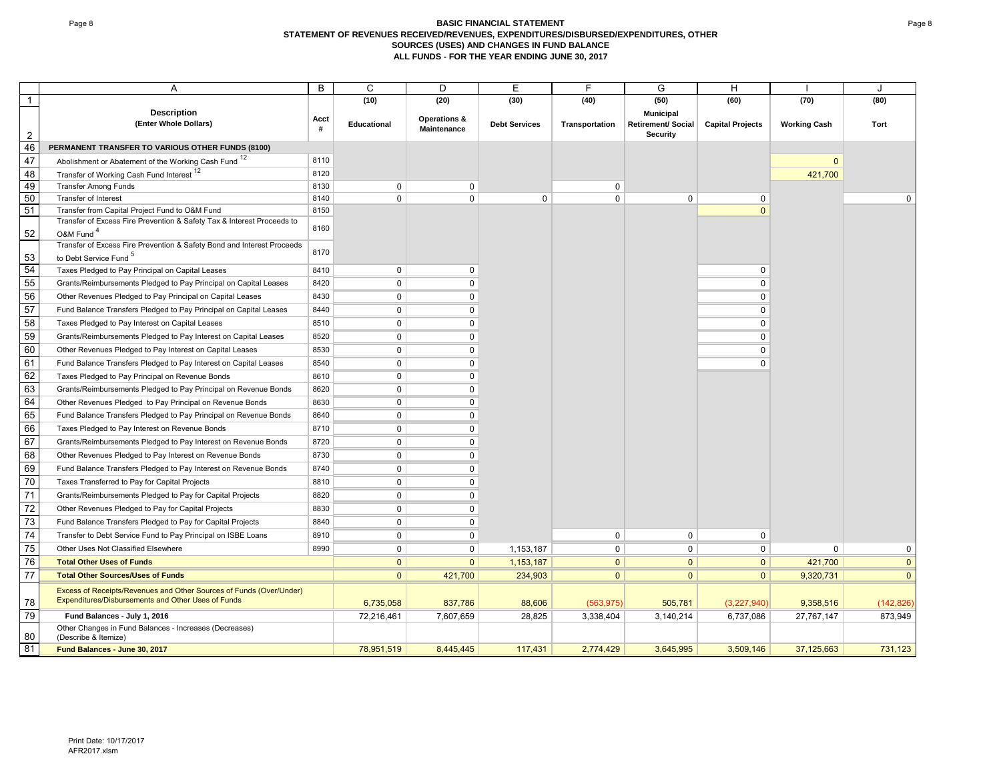#### Page 8 **BASIC FINANCIAL STATEMENT STATEMENT OF REVENUES RECEIVED/REVENUES, EXPENDITURES/DISBURSED/EXPENDITURES, OTHER SOURCES (USES) AND CHANGES IN FUND BALANCE ALL FUNDS - FOR THE YEAR ENDING JUNE 30, 2017**

|                 | Α                                                                                                                         | B         | C            | D            | E                    | E              | G                         | H                       |                     |                |
|-----------------|---------------------------------------------------------------------------------------------------------------------------|-----------|--------------|--------------|----------------------|----------------|---------------------------|-------------------------|---------------------|----------------|
| 1               |                                                                                                                           |           | (10)         | (20)         | (30)                 | (40)           | (50)                      | (60)                    | (70)                | (80)           |
|                 | <b>Description</b>                                                                                                        |           |              | Operations & |                      |                | <b>Municipal</b>          |                         |                     |                |
|                 | (Enter Whole Dollars)                                                                                                     | Acct<br># | Educational  | Maintenance  | <b>Debt Services</b> | Transportation | <b>Retirement/ Social</b> | <b>Capital Projects</b> | <b>Working Cash</b> | Tort           |
| $\overline{2}$  |                                                                                                                           |           |              |              |                      |                | Security                  |                         |                     |                |
| 46              | PERMANENT TRANSFER TO VARIOUS OTHER FUNDS (8100)                                                                          |           |              |              |                      |                |                           |                         |                     |                |
| 47              | Abolishment or Abatement of the Working Cash Fund <sup>12</sup>                                                           | 8110      |              |              |                      |                |                           |                         | $\Omega$            |                |
| 48              | Transfer of Working Cash Fund Interest 12                                                                                 | 8120      |              |              |                      |                |                           |                         | 421,700             |                |
| 49              | <b>Transfer Among Funds</b>                                                                                               | 8130      | $\mathbf 0$  | $\Omega$     |                      | $\mathbf 0$    |                           |                         |                     |                |
| 50<br>51        | Transfer of Interest                                                                                                      | 8140      | $\mathbf 0$  | $\mathbf 0$  | $\mathbf 0$          | $\mathbf 0$    | $\mathbf 0$               | 0                       |                     | $\Omega$       |
|                 | Transfer from Capital Project Fund to O&M Fund<br>Transfer of Excess Fire Prevention & Safety Tax & Interest Proceeds to  | 8150      |              |              |                      |                |                           | $\mathbf{0}$            |                     |                |
| 52              | O&M Fund <sup>4</sup>                                                                                                     | 8160      |              |              |                      |                |                           |                         |                     |                |
|                 | Transfer of Excess Fire Prevention & Safety Bond and Interest Proceeds                                                    |           |              |              |                      |                |                           |                         |                     |                |
| 53              | to Debt Service Fund <sup>5</sup>                                                                                         | 8170      |              |              |                      |                |                           |                         |                     |                |
| 54              | Taxes Pledged to Pay Principal on Capital Leases                                                                          | 8410      | $\mathbf 0$  | $\mathbf 0$  |                      |                |                           | 0                       |                     |                |
| 55              | Grants/Reimbursements Pledged to Pay Principal on Capital Leases                                                          | 8420      | $\mathbf 0$  | $\Omega$     |                      |                |                           | 0                       |                     |                |
| 56              | Other Revenues Pledged to Pay Principal on Capital Leases                                                                 | 8430      | $\mathbf{0}$ | 0            |                      |                |                           | 0                       |                     |                |
| 57              | Fund Balance Transfers Pledged to Pay Principal on Capital Leases                                                         | 8440      | $\mathbf 0$  | $\Omega$     |                      |                |                           | 0                       |                     |                |
| 58              |                                                                                                                           |           |              |              |                      |                |                           |                         |                     |                |
|                 | Taxes Pledged to Pay Interest on Capital Leases                                                                           | 8510      | $\mathbf 0$  | $\mathbf 0$  |                      |                |                           | 0                       |                     |                |
| 59              | Grants/Reimbursements Pledged to Pay Interest on Capital Leases                                                           | 8520      | $\mathbf 0$  | 0            |                      |                |                           | 0                       |                     |                |
| 60              | Other Revenues Pledged to Pay Interest on Capital Leases                                                                  | 8530      | $\mathbf 0$  | 0            |                      |                |                           | 0                       |                     |                |
| 61              | Fund Balance Transfers Pledged to Pay Interest on Capital Leases                                                          | 8540      | $\mathbf 0$  | 0            |                      |                |                           | 0                       |                     |                |
| 62              | Taxes Pledged to Pay Principal on Revenue Bonds                                                                           | 8610      | $\mathbf 0$  | $\Omega$     |                      |                |                           |                         |                     |                |
| 63              | Grants/Reimbursements Pledged to Pay Principal on Revenue Bonds                                                           | 8620      | 0            | 0            |                      |                |                           |                         |                     |                |
| 64              | Other Revenues Pledged to Pay Principal on Revenue Bonds                                                                  | 8630      | $\mathbf 0$  | $\Omega$     |                      |                |                           |                         |                     |                |
| 65              | Fund Balance Transfers Pledged to Pay Principal on Revenue Bonds                                                          | 8640      | 0            | 0            |                      |                |                           |                         |                     |                |
| 66              | Taxes Pledged to Pay Interest on Revenue Bonds                                                                            | 8710      | 0            | $\Omega$     |                      |                |                           |                         |                     |                |
| 67              | Grants/Reimbursements Pledged to Pay Interest on Revenue Bonds                                                            | 8720      | 0            | $\Omega$     |                      |                |                           |                         |                     |                |
| 68              | Other Revenues Pledged to Pay Interest on Revenue Bonds                                                                   | 8730      | $\mathbf 0$  | $\mathbf 0$  |                      |                |                           |                         |                     |                |
| 69              | Fund Balance Transfers Pledged to Pay Interest on Revenue Bonds                                                           | 8740      | $\mathbf 0$  | $\Omega$     |                      |                |                           |                         |                     |                |
| $\overline{70}$ | Taxes Transferred to Pay for Capital Projects                                                                             | 8810      | $\mathbf{0}$ | 0            |                      |                |                           |                         |                     |                |
| 71              | Grants/Reimbursements Pledged to Pay for Capital Projects                                                                 | 8820      | 0            | $\Omega$     |                      |                |                           |                         |                     |                |
| 72              | Other Revenues Pledged to Pay for Capital Projects                                                                        | 8830      | $\mathbf 0$  | $\mathbf 0$  |                      |                |                           |                         |                     |                |
| 73              | Fund Balance Transfers Pledged to Pay for Capital Projects                                                                | 8840      | $\mathbf 0$  | $\Omega$     |                      |                |                           |                         |                     |                |
| 74              | Transfer to Debt Service Fund to Pay Principal on ISBE Loans                                                              | 8910      | $\mathbf 0$  | 0            |                      | 0              | $\mathbf 0$               | 0                       |                     |                |
| 75              | Other Uses Not Classified Elsewhere                                                                                       | 8990      | $\mathbf 0$  | $\Omega$     | 1,153,187            | 0              | $\mathbf 0$               | 0                       | $\Omega$            | 0              |
| 76              | <b>Total Other Uses of Funds</b>                                                                                          |           | $\mathbf{0}$ | $\Omega$     | 1,153,187            | $\overline{0}$ | $\overline{0}$            | $\overline{0}$          | 421,700             | $\pmb{0}$      |
| 77              | <b>Total Other Sources/Uses of Funds</b>                                                                                  |           | $\mathbf{0}$ | 421,700      | 234,903              | $\mathbf{0}$   | $\overline{0}$            | $\overline{0}$          | 9,320,731           | $\overline{0}$ |
|                 |                                                                                                                           |           |              |              |                      |                |                           |                         |                     |                |
| 78              | Excess of Receipts/Revenues and Other Sources of Funds (Over/Under)<br>Expenditures/Disbursements and Other Uses of Funds |           | 6,735,058    | 837,786      | 88,606               | (563, 975)     | 505,781                   | (3,227,940)             | 9,358,516           | (142, 826)     |
| 79              | Fund Balances - July 1, 2016                                                                                              |           | 72,216,461   | 7,607,659    | 28,825               | 3,338,404      | 3,140,214                 | 6,737,086               | 27,767,147          | 873,949        |
| 80              | Other Changes in Fund Balances - Increases (Decreases)<br>(Describe & Itemize)                                            |           |              |              |                      |                |                           |                         |                     |                |
| 81              | Fund Balances - June 30, 2017                                                                                             |           | 78.951.519   | 8.445.445    | 117.431              | 2,774,429      | 3.645.995                 | 3,509,146               | 37,125,663          | 731,123        |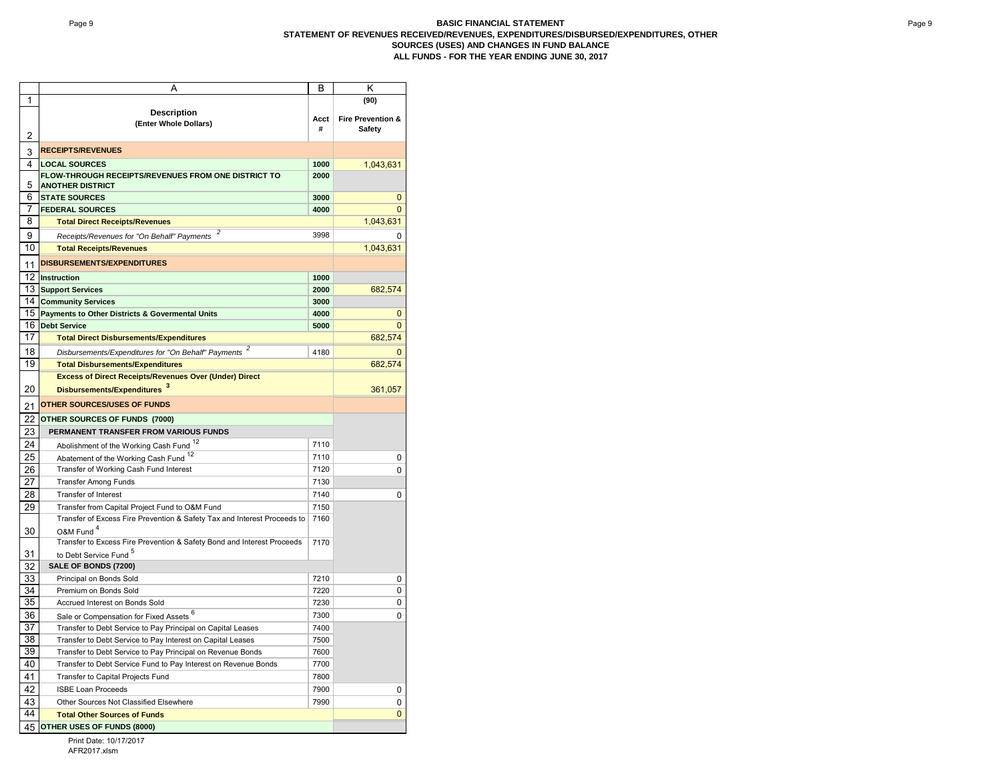|          | Α                                                                                                                         | В    | Κ                             |
|----------|---------------------------------------------------------------------------------------------------------------------------|------|-------------------------------|
| 1        |                                                                                                                           |      | (90)                          |
|          | <b>Description</b>                                                                                                        | Acct | <b>Fire Prevention &amp;</b>  |
|          | (Enter Whole Dollars)                                                                                                     | #    | Safety                        |
| 2        |                                                                                                                           |      |                               |
| 3        | <b>RECEIPTS/REVENUES</b>                                                                                                  |      |                               |
| 4        | <b>LOCAL SOURCES</b>                                                                                                      | 1000 | 1,043,631                     |
| 5        | FLOW-THROUGH RECEIPTS/REVENUES FROM ONE DISTRICT TO<br><b>ANOTHER DISTRICT</b>                                            | 2000 |                               |
| 6        | <b>STATE SOURCES</b>                                                                                                      | 3000 | 0                             |
| 7        | <b>FEDERAL SOURCES</b>                                                                                                    | 4000 | $\Omega$                      |
| 8        | <b>Total Direct Receipts/Revenues</b>                                                                                     |      | 1,043,631                     |
| 9        | Receipts/Revenues for "On Behalf" Payments                                                                                | 3998 | ŋ                             |
| 10       | <b>Total Receipts/Revenues</b>                                                                                            |      | 1,043,631                     |
|          | <b>DISBURSEMENTS/EXPENDITURES</b>                                                                                         |      |                               |
| 11       |                                                                                                                           |      |                               |
| 12       | <b>Instruction</b>                                                                                                        | 1000 |                               |
| 13       | <b>Support Services</b>                                                                                                   | 2000 | 682,574                       |
| 14       | <b>Community Services</b>                                                                                                 | 3000 |                               |
| 15       | <b>Payments to Other Districts &amp; Govermental Units</b>                                                                | 4000 | 0                             |
| 16       | <b>Debt Service</b>                                                                                                       | 5000 | $\mathbf 0$                   |
| 17       | <b>Total Direct Disbursements/Expenditures</b>                                                                            |      | 682,574                       |
| 18       | Disbursements/Expenditures for "On Behalf" Payments                                                                       | 4180 | 0                             |
| 19       | <b>Total Disbursements/Expenditures</b>                                                                                   |      | 682,574                       |
|          | <b>Excess of Direct Receipts/Revenues Over (Under) Direct</b>                                                             |      |                               |
| 20       | Disbursements/Expenditures 3                                                                                              |      | 361,057                       |
| 21       | <b>OTHER SOURCES/USES OF FUNDS</b>                                                                                        |      |                               |
| 22       | OTHER SOURCES OF FUNDS (7000)                                                                                             |      |                               |
| 23       | PERMANENT TRANSFER FROM VARIOUS FUNDS                                                                                     |      |                               |
| 24       | Abolishment of the Working Cash Fund <sup>12</sup>                                                                        | 7110 |                               |
| 25       | Abatement of the Working Cash Fund <sup>12</sup>                                                                          | 7110 | 0                             |
| 26       | Transfer of Working Cash Fund Interest                                                                                    | 7120 | $\mathbf 0$                   |
| 27       | <b>Transfer Among Funds</b>                                                                                               | 7130 |                               |
|          | <b>Transfer of Interest</b>                                                                                               | 7140 |                               |
| 28       |                                                                                                                           | 7150 | 0                             |
| 29       | Transfer from Capital Project Fund to O&M Fund                                                                            | 7160 |                               |
|          | Transfer of Excess Fire Prevention & Safety Tax and Interest Proceeds to<br>O&M Fund <sup>4</sup>                         |      |                               |
| 30       | Transfer to Excess Fire Prevention & Safety Bond and Interest Proceeds                                                    | 7170 |                               |
| 31       | to Debt Service Fund <sup>5</sup>                                                                                         |      |                               |
| 32       | SALE OF BONDS (7200)                                                                                                      |      |                               |
| 33       | Principal on Bonds Sold                                                                                                   | 7210 | 0                             |
| 34       | Premium on Bonds Sold                                                                                                     | 7220 | $\mathbf 0$                   |
| 35       | Accrued Interest on Bonds Sold                                                                                            | 7230 | 0                             |
| 36       |                                                                                                                           | 7300 | 0                             |
| 37       | Sale or Compensation for Fixed Assets 6                                                                                   | 7400 |                               |
| 38       | Transfer to Debt Service to Pay Principal on Capital Leases<br>Transfer to Debt Service to Pay Interest on Capital Leases | 7500 |                               |
| 39       | Transfer to Debt Service to Pay Principal on Revenue Bonds                                                                | 7600 |                               |
| 40       | Transfer to Debt Service Fund to Pay Interest on Revenue Bonds                                                            | 7700 |                               |
| 41       | Transfer to Capital Projects Fund                                                                                         | 7800 |                               |
|          | <b>ISBE Loan Proceeds</b>                                                                                                 | 7900 |                               |
| 42       |                                                                                                                           |      | 0                             |
| 43<br>44 | Other Sources Not Classified Elsewhere                                                                                    | 7990 | $\mathbf 0$<br>$\overline{0}$ |
|          | <b>Total Other Sources of Funds</b>                                                                                       |      |                               |
|          | 45 OTHER USES OF FUNDS (8000)                                                                                             |      |                               |

**S OF FUNDS (8000)** 

Print Date: 10/17/2017 AFR2017.xlsm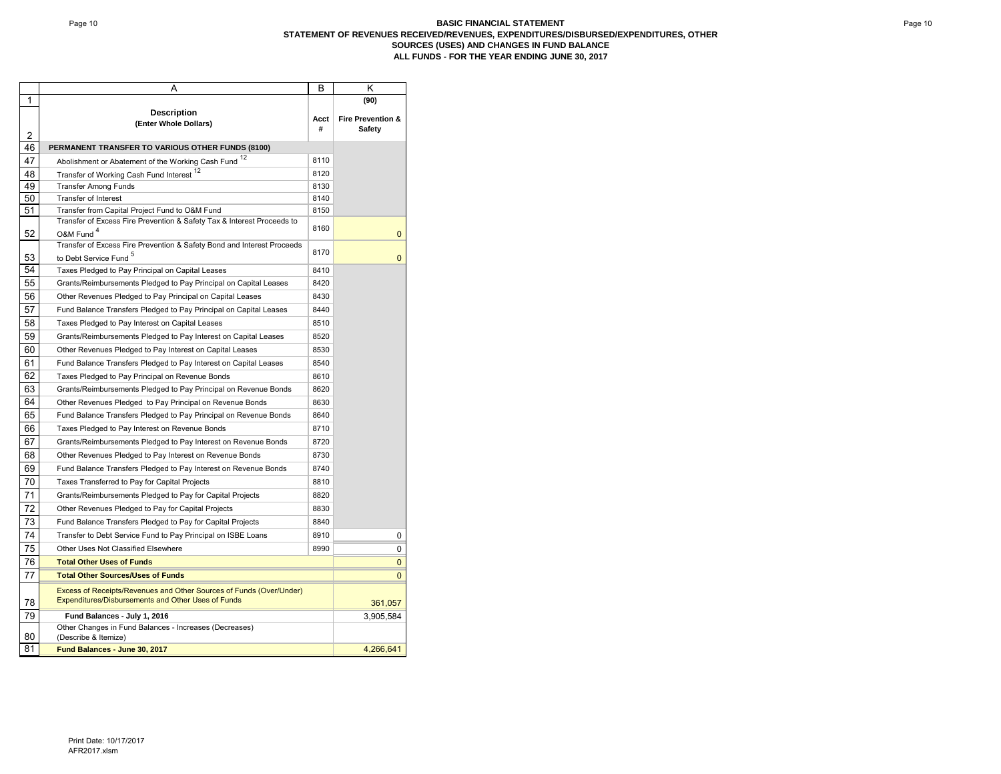#### Page 10 **BASIC FINANCIAL STATEMENT STATEMENT OF REVENUES RECEIVED/REVENUES, EXPENDITURES/DISBURSED/EXPENDITURES, OTHER SOURCES (USES) AND CHANGES IN FUND BALANCE ALL FUNDS - FOR THE YEAR ENDING JUNE 30, 2017**

|    | Α                                                                                                                         | В         | κ                                      |
|----|---------------------------------------------------------------------------------------------------------------------------|-----------|----------------------------------------|
| 1  |                                                                                                                           |           | (90)                                   |
| 2  | <b>Description</b><br>(Enter Whole Dollars)                                                                               | Acct<br># | <b>Fire Prevention &amp;</b><br>Safety |
| 46 | PERMANENT TRANSFER TO VARIOUS OTHER FUNDS (8100)                                                                          |           |                                        |
| 47 | Abolishment or Abatement of the Working Cash Fund 12                                                                      | 8110      |                                        |
| 48 | Transfer of Working Cash Fund Interest 12                                                                                 | 8120      |                                        |
| 49 | <b>Transfer Among Funds</b>                                                                                               | 8130      |                                        |
| 50 | <b>Transfer of Interest</b>                                                                                               | 8140      |                                        |
| 51 | Transfer from Capital Project Fund to O&M Fund                                                                            | 8150      |                                        |
|    | Transfer of Excess Fire Prevention & Safety Tax & Interest Proceeds to                                                    | 8160      |                                        |
| 52 | O&M Fund <sup>4</sup>                                                                                                     |           | $\mathbf 0$                            |
|    | Transfer of Excess Fire Prevention & Safety Bond and Interest Proceeds                                                    | 8170      |                                        |
| 53 | to Debt Service Fund <sup>5</sup>                                                                                         |           | $\mathbf{0}$                           |
| 54 | Taxes Pledged to Pay Principal on Capital Leases                                                                          | 8410      |                                        |
| 55 | Grants/Reimbursements Pledged to Pay Principal on Capital Leases                                                          | 8420      |                                        |
| 56 | Other Revenues Pledged to Pay Principal on Capital Leases                                                                 | 8430      |                                        |
| 57 | Fund Balance Transfers Pledged to Pay Principal on Capital Leases                                                         | 8440      |                                        |
| 58 | Taxes Pledged to Pay Interest on Capital Leases                                                                           | 8510      |                                        |
| 59 | Grants/Reimbursements Pledged to Pay Interest on Capital Leases                                                           | 8520      |                                        |
| 60 | Other Revenues Pledged to Pay Interest on Capital Leases                                                                  | 8530      |                                        |
| 61 | Fund Balance Transfers Pledged to Pay Interest on Capital Leases                                                          | 8540      |                                        |
| 62 | Taxes Pledged to Pay Principal on Revenue Bonds                                                                           | 8610      |                                        |
| 63 | Grants/Reimbursements Pledged to Pay Principal on Revenue Bonds                                                           | 8620      |                                        |
| 64 | Other Revenues Pledged to Pay Principal on Revenue Bonds                                                                  | 8630      |                                        |
| 65 | Fund Balance Transfers Pledged to Pay Principal on Revenue Bonds                                                          | 8640      |                                        |
| 66 | Taxes Pledged to Pay Interest on Revenue Bonds                                                                            | 8710      |                                        |
| 67 | Grants/Reimbursements Pledged to Pay Interest on Revenue Bonds                                                            | 8720      |                                        |
| 68 | Other Revenues Pledged to Pay Interest on Revenue Bonds                                                                   | 8730      |                                        |
| 69 | Fund Balance Transfers Pledged to Pay Interest on Revenue Bonds                                                           | 8740      |                                        |
| 70 | Taxes Transferred to Pay for Capital Projects                                                                             | 8810      |                                        |
| 71 | Grants/Reimbursements Pledged to Pay for Capital Projects                                                                 | 8820      |                                        |
| 72 | Other Revenues Pledged to Pay for Capital Projects                                                                        | 8830      |                                        |
| 73 | Fund Balance Transfers Pledged to Pay for Capital Projects                                                                | 8840      |                                        |
| 74 | Transfer to Debt Service Fund to Pay Principal on ISBE Loans                                                              | 8910      | 0                                      |
| 75 | Other Uses Not Classified Elsewhere                                                                                       | 8990      | 0                                      |
| 76 | <b>Total Other Uses of Funds</b>                                                                                          |           | $\mathbf{0}$                           |
| 77 | <b>Total Other Sources/Uses of Funds</b>                                                                                  |           | $\mathbf{0}$                           |
|    |                                                                                                                           |           |                                        |
| 78 | Excess of Receipts/Revenues and Other Sources of Funds (Over/Under)<br>Expenditures/Disbursements and Other Uses of Funds |           | 361,057                                |
| 79 | Fund Balances - July 1, 2016                                                                                              |           | 3,905,584                              |
| 80 | Other Changes in Fund Balances - Increases (Decreases)<br>(Describe & Itemize)                                            |           |                                        |
| 81 | Fund Balances - June 30, 2017                                                                                             |           | 4,266,641                              |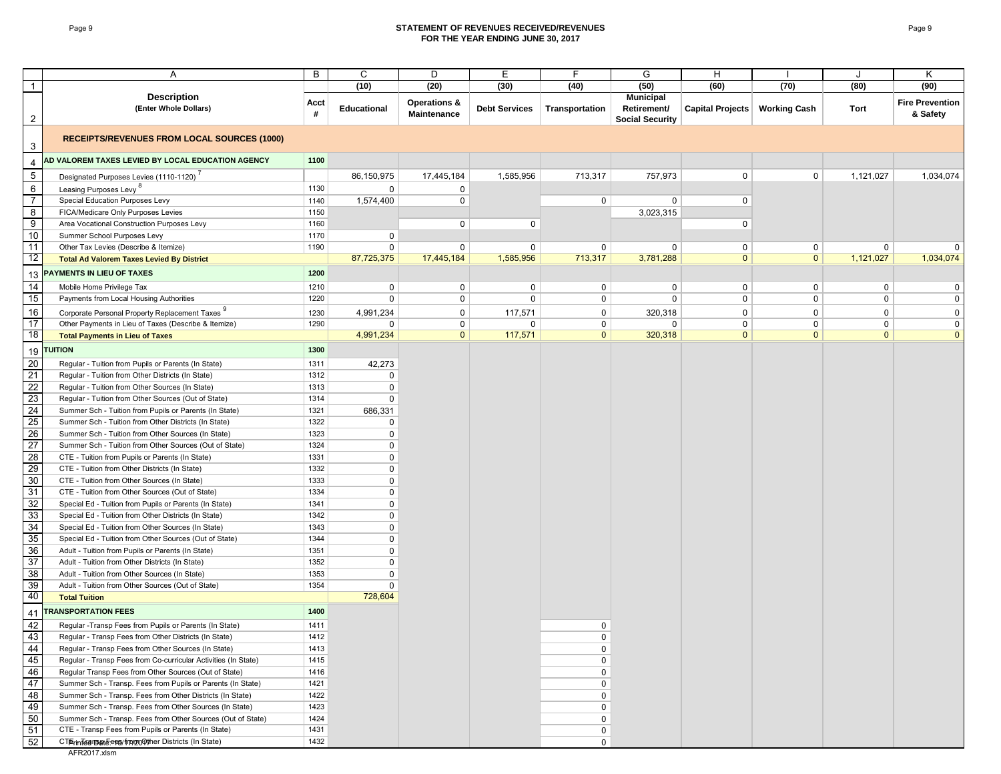#### Page 9 **STATEMENT OF REVENUES RECEIVED/REVENUES FOR THE YEAR ENDING JUNE 30, 2017**

|                  | Α                                                                                                | B            | C                             | D                                      | Е                    | F              | G                                                         | н                               |                | J            | Κ                                  |
|------------------|--------------------------------------------------------------------------------------------------|--------------|-------------------------------|----------------------------------------|----------------------|----------------|-----------------------------------------------------------|---------------------------------|----------------|--------------|------------------------------------|
| $\overline{1}$   |                                                                                                  |              | (10)                          | (20)                                   | (30)                 | (40)           | (50)                                                      | (60)                            | (70)           | (80)         | (90)                               |
| $\overline{a}$   | <b>Description</b><br>(Enter Whole Dollars)                                                      | Acct<br>#    | <b>Educational</b>            | <b>Operations &amp;</b><br>Maintenance | <b>Debt Services</b> | Transportation | <b>Municipal</b><br>Retirement/<br><b>Social Security</b> | Capital Projects   Working Cash |                | Tort         | <b>Fire Prevention</b><br>& Safety |
| 3                | <b>RECEIPTS/REVENUES FROM LOCAL SOURCES (1000)</b>                                               |              |                               |                                        |                      |                |                                                           |                                 |                |              |                                    |
| $\overline{4}$   | AD VALOREM TAXES LEVIED BY LOCAL EDUCATION AGENCY                                                | 1100         |                               |                                        |                      |                |                                                           |                                 |                |              |                                    |
| $\sqrt{5}$       | Designated Purposes Levies (1110-1120)                                                           |              | 86,150,975                    | 17,445,184                             | 1,585,956            | 713,317        | 757,973                                                   | $\mathbf 0$                     | $\mathbf 0$    | 1,121,027    | 1,034,074                          |
| $\,6\,$          | Leasing Purposes Levy <sup>o</sup>                                                               | 1130         | $\mathbf 0$                   | 0                                      |                      |                |                                                           |                                 |                |              |                                    |
| $\overline{7}$   | Special Education Purposes Levy                                                                  | 1140         | 1,574,400                     | $\mathbf 0$                            |                      | 0              | 0                                                         | 0                               |                |              |                                    |
| 8                | FICA/Medicare Only Purposes Levies                                                               | 1150         |                               |                                        |                      |                | 3,023,315                                                 |                                 |                |              |                                    |
| $\boldsymbol{9}$ | Area Vocational Construction Purposes Levy                                                       | 1160         |                               | $\mathbf 0$                            | 0                    |                |                                                           | 0                               |                |              |                                    |
| 10               | Summer School Purposes Levy                                                                      | 1170         | $\overline{0}$                |                                        |                      |                |                                                           |                                 |                |              |                                    |
| 11               | Other Tax Levies (Describe & Itemize)                                                            | 1190         | $\Omega$                      | 0                                      | $\mathbf 0$          | 0              | 0                                                         | 0                               | $\mathbf{0}$   | 0            | $\Omega$                           |
| 12               | <b>Total Ad Valorem Taxes Levied By District</b>                                                 |              | 87,725,375                    | 17,445,184                             | 1,585,956            | 713,317        | 3,781,288                                                 | $\mathbf{0}$                    | $\overline{0}$ | 1,121,027    | 1,034,074                          |
| 13               | PAYMENTS IN LIEU OF TAXES                                                                        | 1200         |                               |                                        |                      |                |                                                           |                                 |                |              |                                    |
| 14               | Mobile Home Privilege Tax                                                                        | 1210         | 0                             | 0                                      | $\mathbf 0$          | 0              | $\mathbf 0$                                               | 0                               | $\mathbf 0$    | 0            | 0                                  |
| 15               | Payments from Local Housing Authorities                                                          | 1220         | 0                             | 0                                      | $\mathbf 0$          | 0              | $\mathbf 0$                                               | $\mathbf 0$                     | $\mathbf 0$    | 0            | 0                                  |
| 16               | Corporate Personal Property Replacement Taxes                                                    | 1230         | 4,991,234                     | 0                                      | 117,571              | $\mathbf 0$    | 320,318                                                   | $\mathbf 0$                     | $\mathbf 0$    | 0            | 0                                  |
| 17               | Other Payments in Lieu of Taxes (Describe & Itemize)                                             | 1290         | 0                             | $\mathbf 0$                            | 0                    | $\mathbf 0$    | $\mathbf 0$                                               | $\mathbf 0$                     | $\mathbf 0$    | 0            | $\mathbf 0$                        |
| 18               | <b>Total Payments in Lieu of Taxes</b>                                                           |              | 4,991,234                     | $\mathbf{0}$                           | 117,571              | $\mathbf{0}$   | 320,318                                                   | $\mathbf{0}$                    | $\mathbf{0}$   | $\mathbf{0}$ | $\mathbf{0}$                       |
| 19               | <b>TUITION</b>                                                                                   | 1300         |                               |                                        |                      |                |                                                           |                                 |                |              |                                    |
| 20               | Regular - Tuition from Pupils or Parents (In State)                                              | 1311         | 42,273                        |                                        |                      |                |                                                           |                                 |                |              |                                    |
| 21               | Regular - Tuition from Other Districts (In State)                                                | 1312         | $\overline{0}$                |                                        |                      |                |                                                           |                                 |                |              |                                    |
| 22               | Regular - Tuition from Other Sources (In State)                                                  | 1313         | $\overline{0}$                |                                        |                      |                |                                                           |                                 |                |              |                                    |
| 23               | Regular - Tuition from Other Sources (Out of State)                                              | 1314         | $\Omega$                      |                                        |                      |                |                                                           |                                 |                |              |                                    |
| 24               | Summer Sch - Tuition from Pupils or Parents (In State)                                           | 1321         | 686,331                       |                                        |                      |                |                                                           |                                 |                |              |                                    |
| 25               | Summer Sch - Tuition from Other Districts (In State)                                             | 1322         | 0                             |                                        |                      |                |                                                           |                                 |                |              |                                    |
| 26               | Summer Sch - Tuition from Other Sources (In State)                                               | 1323         | $\mathbf 0$                   |                                        |                      |                |                                                           |                                 |                |              |                                    |
| 27               | Summer Sch - Tuition from Other Sources (Out of State)                                           | 1324         | $\mathbf 0$                   |                                        |                      |                |                                                           |                                 |                |              |                                    |
| 28               | CTE - Tuition from Pupils or Parents (In State)                                                  | 1331         | $\mathbf 0$                   |                                        |                      |                |                                                           |                                 |                |              |                                    |
| 29               | CTE - Tuition from Other Districts (In State)                                                    | 1332         | $\mathsf 0$                   |                                        |                      |                |                                                           |                                 |                |              |                                    |
| 30               | CTE - Tuition from Other Sources (In State)                                                      | 1333         | $\overline{0}$                |                                        |                      |                |                                                           |                                 |                |              |                                    |
| 31               | CTE - Tuition from Other Sources (Out of State)                                                  | 1334         | $\mathbf 0$                   |                                        |                      |                |                                                           |                                 |                |              |                                    |
| 32               | Special Ed - Tuition from Pupils or Parents (In State)                                           | 1341         | $\overline{0}$                |                                        |                      |                |                                                           |                                 |                |              |                                    |
| 33               | Special Ed - Tuition from Other Districts (In State)                                             | 1342         | $\overline{0}$                |                                        |                      |                |                                                           |                                 |                |              |                                    |
| 34               | Special Ed - Tuition from Other Sources (In State)                                               | 1343         | $\overline{0}$                |                                        |                      |                |                                                           |                                 |                |              |                                    |
| 35               | Special Ed - Tuition from Other Sources (Out of State)                                           | 1344         | $\overline{0}$                |                                        |                      |                |                                                           |                                 |                |              |                                    |
| 36<br>37         | Adult - Tuition from Pupils or Parents (In State)                                                | 1351<br>1352 | $\mathbf 0$                   |                                        |                      |                |                                                           |                                 |                |              |                                    |
| 38               | Adult - Tuition from Other Districts (In State)<br>Adult - Tuition from Other Sources (In State) | 1353         | $\mathbf 0$<br>$\overline{0}$ |                                        |                      |                |                                                           |                                 |                |              |                                    |
| 39               | Adult - Tuition from Other Sources (Out of State)                                                | 1354         | $\mathbf 0$                   |                                        |                      |                |                                                           |                                 |                |              |                                    |
| 40               | <b>Total Tuition</b>                                                                             |              | 728,604                       |                                        |                      |                |                                                           |                                 |                |              |                                    |
| 41               | <b>TRANSPORTATION FEES</b>                                                                       | 1400         |                               |                                        |                      |                |                                                           |                                 |                |              |                                    |
| 42               | Regular -Transp Fees from Pupils or Parents (In State)                                           | 1411         |                               |                                        |                      | $\Omega$       |                                                           |                                 |                |              |                                    |
| 43               | Regular - Transp Fees from Other Districts (In State)                                            | 1412         |                               |                                        |                      | $\mathbf 0$    |                                                           |                                 |                |              |                                    |
| 44               | Regular - Transp Fees from Other Sources (In State)                                              | 1413         |                               |                                        |                      | 0              |                                                           |                                 |                |              |                                    |
| 45               | Regular - Transp Fees from Co-curricular Activities (In State)                                   | 1415         |                               |                                        |                      | 0              |                                                           |                                 |                |              |                                    |
| 46               | Regular Transp Fees from Other Sources (Out of State)                                            | 1416         |                               |                                        |                      | 0              |                                                           |                                 |                |              |                                    |
| 47               | Summer Sch - Transp. Fees from Pupils or Parents (In State)                                      | 1421         |                               |                                        |                      | 0              |                                                           |                                 |                |              |                                    |
| 48               | Summer Sch - Transp. Fees from Other Districts (In State)                                        | 1422         |                               |                                        |                      | $\mathbf 0$    |                                                           |                                 |                |              |                                    |
| 49               | Summer Sch - Transp. Fees from Other Sources (In State)                                          | 1423         |                               |                                        |                      | $\mathbf 0$    |                                                           |                                 |                |              |                                    |
| 50               | Summer Sch - Transp. Fees from Other Sources (Out of State)                                      | 1424         |                               |                                        |                      | $\mathbf 0$    |                                                           |                                 |                |              |                                    |
| 51               | CTE - Transp Fees from Pupils or Parents (In State)                                              | 1431         |                               |                                        |                      | 0              |                                                           |                                 |                |              |                                    |
| 52               | CTErinTearreal Fees/frampo@ther Districts (In State)                                             | 1432         |                               |                                        |                      | $\mathbf 0$    |                                                           |                                 |                |              |                                    |

AFR2017.xlsm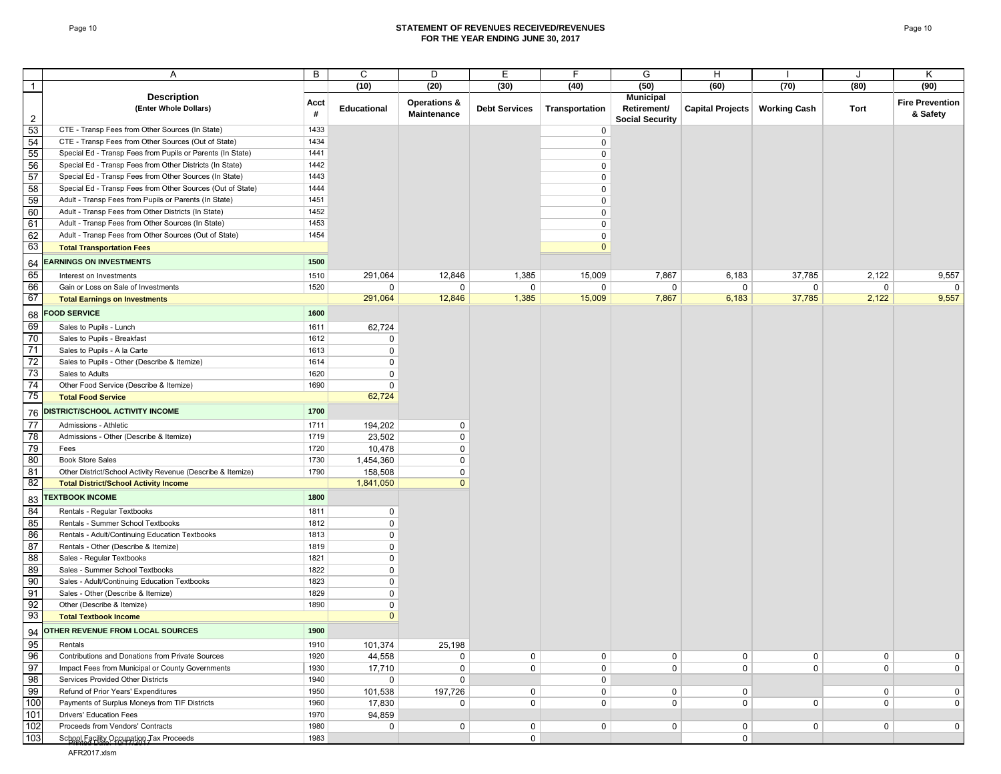#### Page 10 **STATEMENT OF REVENUES RECEIVED/REVENUES FOR THE YEAR ENDING JUNE 30, 2017**

|                 | Α                                                           | B         | C                    | D                                      | Е                    | F              | G                      | н                |                     | J           | Κ                                  |
|-----------------|-------------------------------------------------------------|-----------|----------------------|----------------------------------------|----------------------|----------------|------------------------|------------------|---------------------|-------------|------------------------------------|
| $\mathbf{1}$    |                                                             |           | (10)                 | (20)                                   | (30)                 | (40)           | (50)                   | (60)             | (70)                | (80)        | (90)                               |
|                 | <b>Description</b>                                          |           |                      |                                        |                      |                | <b>Municipal</b>       |                  |                     |             |                                    |
|                 | (Enter Whole Dollars)                                       | Acct<br># | <b>Educational</b>   | <b>Operations &amp;</b><br>Maintenance | <b>Debt Services</b> | Transportation | Retirement/            | Capital Projects | <b>Working Cash</b> | Tort        | <b>Fire Prevention</b><br>& Safety |
| $\overline{2}$  | CTE - Transp Fees from Other Sources (In State)             | 1433      |                      |                                        |                      |                | <b>Social Security</b> |                  |                     |             |                                    |
| 53              | CTE - Transp Fees from Other Sources (Out of State)         | 1434      |                      |                                        |                      | 0              |                        |                  |                     |             |                                    |
| 54              |                                                             |           |                      |                                        |                      | $\mathbf 0$    |                        |                  |                     |             |                                    |
| 55              | Special Ed - Transp Fees from Pupils or Parents (In State)  | 1441      |                      |                                        |                      | $\mathbf 0$    |                        |                  |                     |             |                                    |
| 56              | Special Ed - Transp Fees from Other Districts (In State)    | 1442      |                      |                                        |                      | $\mathbf 0$    |                        |                  |                     |             |                                    |
| 57              | Special Ed - Transp Fees from Other Sources (In State)      | 1443      |                      |                                        |                      | $\mathbf 0$    |                        |                  |                     |             |                                    |
| 58              | Special Ed - Transp Fees from Other Sources (Out of State)  | 1444      |                      |                                        |                      | 0              |                        |                  |                     |             |                                    |
| 59              | Adult - Transp Fees from Pupils or Parents (In State)       | 1451      |                      |                                        |                      | 0              |                        |                  |                     |             |                                    |
| 60              | Adult - Transp Fees from Other Districts (In State)         | 1452      |                      |                                        |                      | 0              |                        |                  |                     |             |                                    |
| 61              | Adult - Transp Fees from Other Sources (In State)           | 1453      |                      |                                        |                      | 0              |                        |                  |                     |             |                                    |
| 62              | Adult - Transp Fees from Other Sources (Out of State)       | 1454      |                      |                                        |                      | $\mathbf 0$    |                        |                  |                     |             |                                    |
| 63              | <b>Total Transportation Fees</b>                            |           |                      |                                        |                      | $\mathbf{0}$   |                        |                  |                     |             |                                    |
| 64              | <b>EARNINGS ON INVESTMENTS</b>                              | 1500      |                      |                                        |                      |                |                        |                  |                     |             |                                    |
| 65              | Interest on Investments                                     | 1510      | 291,064              | 12,846                                 | 1,385                | 15,009         | 7,867                  | 6,183            | 37,785              | 2,122       | 9,557                              |
| 66              | Gain or Loss on Sale of Investments                         | 1520      | 0                    | 0                                      | 0                    | 0              | 0                      | 0                | 0                   | 0           | $\overline{0}$                     |
| 67              | <b>Total Earnings on Investments</b>                        |           | 291,064              | 12,846                                 | 1,385                | 15,009         | 7,867                  | 6,183            | 37,785              | 2,122       | 9,557                              |
| 68              | <b>FOOD SERVICE</b>                                         | 1600      |                      |                                        |                      |                |                        |                  |                     |             |                                    |
| 69              | Sales to Pupils - Lunch                                     | 1611      | 62,724               |                                        |                      |                |                        |                  |                     |             |                                    |
| 70              | Sales to Pupils - Breakfast                                 | 1612      | 0                    |                                        |                      |                |                        |                  |                     |             |                                    |
| 71              | Sales to Pupils - A la Carte                                | 1613      | $\mathbf 0$          |                                        |                      |                |                        |                  |                     |             |                                    |
| 72              | Sales to Pupils - Other (Describe & Itemize)                | 1614      | $\mathbf 0$          |                                        |                      |                |                        |                  |                     |             |                                    |
| 73              | Sales to Adults                                             | 1620      | $\mathbf 0$          |                                        |                      |                |                        |                  |                     |             |                                    |
| 74              | Other Food Service (Describe & Itemize)                     | 1690      | 0                    |                                        |                      |                |                        |                  |                     |             |                                    |
| 75              | <b>Total Food Service</b>                                   |           | 62,724               |                                        |                      |                |                        |                  |                     |             |                                    |
|                 | 76 DISTRICT/SCHOOL ACTIVITY INCOME                          | 1700      |                      |                                        |                      |                |                        |                  |                     |             |                                    |
| $\overline{77}$ | Admissions - Athletic                                       | 1711      | 194,202              | $\mathbf 0$                            |                      |                |                        |                  |                     |             |                                    |
| 78              | Admissions - Other (Describe & Itemize)                     | 1719      | 23,502               | $\mathbf 0$                            |                      |                |                        |                  |                     |             |                                    |
| 79              | Fees                                                        | 1720      | 10,478               | $\mathbf 0$                            |                      |                |                        |                  |                     |             |                                    |
| 80              | <b>Book Store Sales</b>                                     | 1730      | 1,454,360            | $\mathbf 0$                            |                      |                |                        |                  |                     |             |                                    |
| 81              | Other District/School Activity Revenue (Describe & Itemize) | 1790      |                      | 0                                      |                      |                |                        |                  |                     |             |                                    |
| 82              |                                                             |           | 158,508<br>1,841,050 | $\mathbf{0}$                           |                      |                |                        |                  |                     |             |                                    |
|                 | <b>Total District/School Activity Income</b>                |           |                      |                                        |                      |                |                        |                  |                     |             |                                    |
| 83              | <b>TEXTBOOK INCOME</b>                                      | 1800      |                      |                                        |                      |                |                        |                  |                     |             |                                    |
| 84              | Rentals - Regular Textbooks                                 | 1811      | $\mathbf 0$          |                                        |                      |                |                        |                  |                     |             |                                    |
| 85              | Rentals - Summer School Textbooks                           | 1812      | 0                    |                                        |                      |                |                        |                  |                     |             |                                    |
| 86              | Rentals - Adult/Continuing Education Textbooks              | 1813      | $\mathbf 0$          |                                        |                      |                |                        |                  |                     |             |                                    |
| 87              | Rentals - Other (Describe & Itemize)                        | 1819      | 0                    |                                        |                      |                |                        |                  |                     |             |                                    |
| 88              | Sales - Regular Textbooks                                   | 1821      | $\mathbf 0$          |                                        |                      |                |                        |                  |                     |             |                                    |
| 89              | Sales - Summer School Textbooks                             | 1822      | $\mathbf 0$          |                                        |                      |                |                        |                  |                     |             |                                    |
| 90              | Sales - Adult/Continuing Education Textbooks                | 1823      | $\mathbf 0$          |                                        |                      |                |                        |                  |                     |             |                                    |
| 91              | Sales - Other (Describe & Itemize)                          | 1829      | $\pmb{0}$            |                                        |                      |                |                        |                  |                     |             |                                    |
| 92              | Other (Describe & Itemize)                                  | 1890      | 0                    |                                        |                      |                |                        |                  |                     |             |                                    |
| 93              | <b>Total Textbook Income</b>                                |           | $\mathbf{0}$         |                                        |                      |                |                        |                  |                     |             |                                    |
| 94              | <b>OTHER REVENUE FROM LOCAL SOURCES</b>                     | 1900      |                      |                                        |                      |                |                        |                  |                     |             |                                    |
| 95              | Rentals                                                     | 1910      | 101,374              | 25,198                                 |                      |                |                        |                  |                     |             |                                    |
| 96              | Contributions and Donations from Private Sources            | 1920      | 44,558               | 0                                      | $\mathbf{0}$         | $\mathsf{O}$   | $\mathbf 0$            | $\overline{0}$   | $\mathbf 0$         | 0           | $\mathbf 0$                        |
| 97              | Impact Fees from Municipal or County Governments            | 1930      | 17,710               | $\mathbf 0$                            | $\mathbf 0$          | $\mathsf 0$    | $\mathbf 0$            | $\mathbf 0$      | $\mathsf{O}$        | $\mathbf 0$ | $\overline{0}$                     |
| 98              | Services Provided Other Districts                           | 1940      | $\mathbf 0$          | $\mathbf 0$                            |                      | $\mathsf{O}$   |                        |                  |                     |             |                                    |
| 99              | Refund of Prior Years' Expenditures                         | 1950      | 101,538              | 197,726                                | $\mathbf 0$          | $\mathsf{O}$   | $\mathbf 0$            | $\mathbf 0$      |                     | 0           | $\overline{0}$                     |
| 100             | Payments of Surplus Moneys from TIF Districts               | 1960      | 17,830               | $\mathbf{0}$                           | $\mathbf 0$          | $\mathsf{O}$   | 0                      | $\mathbf 0$      | $\mathbf 0$         | $\mathbf 0$ | $\overline{0}$                     |
| 101             | <b>Drivers' Education Fees</b>                              | 1970      | 94,859               |                                        |                      |                |                        |                  |                     |             |                                    |
| 102             | Proceeds from Vendors' Contracts                            | 1980      | $\mathbf{0}$         | 0                                      | $\mathbf{0}$         | 0              | $\mathbf 0$            | $\overline{0}$   | $\mathbf{0}$        | 0           | $\overline{0}$                     |
| 103             | School Facility Occupation Tax Proceeds                     | 1983      |                      |                                        | $\mathsf{O}$         |                |                        | $\overline{0}$   |                     |             |                                    |
|                 |                                                             |           |                      |                                        |                      |                |                        |                  |                     |             |                                    |

AFR2017.xlsm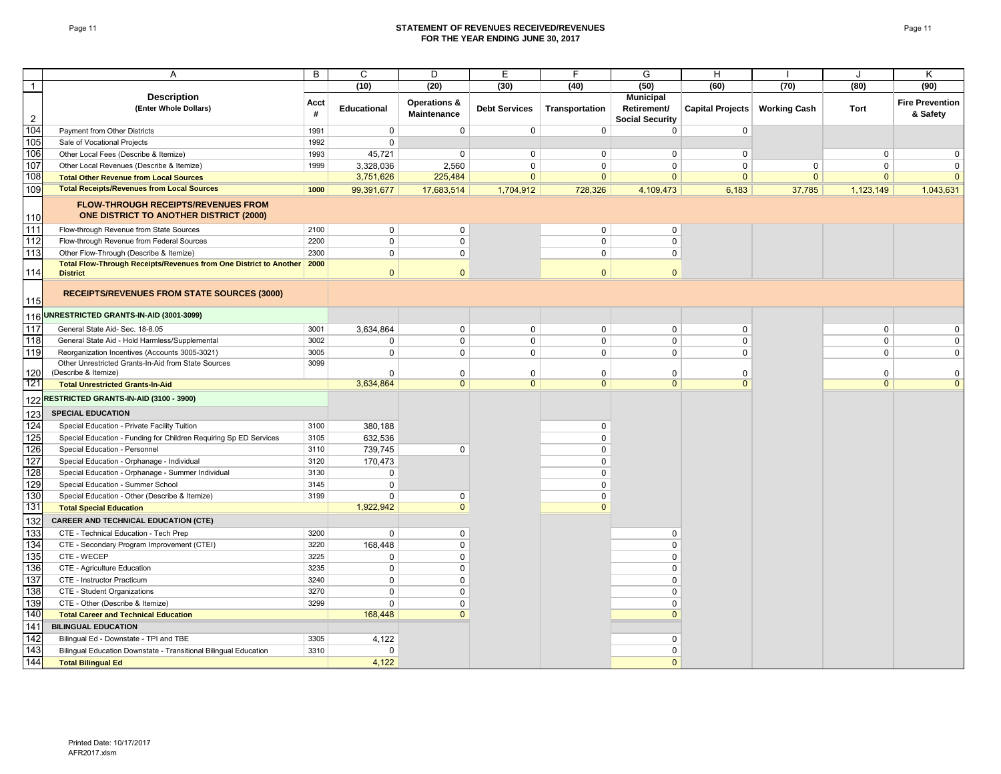#### Page 11 **STATEMENT OF REVENUES RECEIVED/REVENUES FOR THE YEAR ENDING JUNE 30, 2017**

|                | A                                                                                     | B         | C                  | D                                      | E                    | E              | G                                                         | н                       |                     | J              | ĸ                                  |
|----------------|---------------------------------------------------------------------------------------|-----------|--------------------|----------------------------------------|----------------------|----------------|-----------------------------------------------------------|-------------------------|---------------------|----------------|------------------------------------|
| $\overline{1}$ |                                                                                       |           | (10)               | (20)                                   | (30)                 | (40)           | (50)                                                      | (60)                    | (70)                | (80)           | (90)                               |
| $\overline{2}$ | <b>Description</b><br>(Enter Whole Dollars)                                           | Acct<br># | <b>Educational</b> | <b>Operations &amp;</b><br>Maintenance | <b>Debt Services</b> | Transportation | <b>Municipal</b><br>Retirement/<br><b>Social Security</b> | <b>Capital Projects</b> | <b>Working Cash</b> | Tort           | <b>Fire Prevention</b><br>& Safety |
| 104            | Payment from Other Districts                                                          | 1991      | $\mathbf 0$        | $\mathbf 0$                            | $\mathbf 0$          | $\mathbf 0$    | $\Omega$                                                  | $\mathbf{0}$            |                     |                |                                    |
| 105            | Sale of Vocational Projects                                                           | 1992      | $\mathbf 0$        |                                        |                      |                |                                                           |                         |                     |                |                                    |
| 106            | Other Local Fees (Describe & Itemize)                                                 | 1993      | 45,721             | $\mathbf{0}$                           | $\mathbf 0$          | $\mathbf 0$    | $\Omega$                                                  | $\mathbf 0$             |                     | $\mathbf 0$    | $\mathbf 0$                        |
| 107            | Other Local Revenues (Describe & Itemize)                                             | 1999      | 3,328,036          | 2,560                                  | $\mathbf 0$          | 0              | $\mathbf 0$                                               | $\mathbf 0$             | 0                   | 0              | $\mathbf 0$                        |
| 108            | <b>Total Other Revenue from Local Sources</b>                                         |           | 3,751,626          | 225,484                                | $\mathbf{0}$         | $\mathbf{0}$   | $\mathbf{0}$                                              | $\mathbf{0}$            | $\mathbf{0}$        | $\mathbf{0}$   | $\mathbf{0}$                       |
| 109            | <b>Total Receipts/Revenues from Local Sources</b>                                     | 1000      | 99,391,677         | 17,683,514                             | 1,704,912            | 728,326        | 4,109,473                                                 | 6,183                   | 37,785              | 1,123,149      | 1,043,631                          |
| 110            | <b>FLOW-THROUGH RECEIPTS/REVENUES FROM</b><br>ONE DISTRICT TO ANOTHER DISTRICT (2000) |           |                    |                                        |                      |                |                                                           |                         |                     |                |                                    |
| 111            | Flow-through Revenue from State Sources                                               | 2100      | $\mathbf 0$        | $\mathbf 0$                            |                      | $\mathbf 0$    | $\mathbf 0$                                               |                         |                     |                |                                    |
| 112            | Flow-through Revenue from Federal Sources                                             | 2200      | $\mathbf 0$        | 0                                      |                      | $\mathbf 0$    | $\mathbf 0$                                               |                         |                     |                |                                    |
| 113            | Other Flow-Through (Describe & Itemize)                                               | 2300      | $\mathbf 0$        | $\mathbf 0$                            |                      | $\mathbf 0$    | $\mathbf 0$                                               |                         |                     |                |                                    |
|                | Total Flow-Through Receipts/Revenues from One District to Another                     | 2000      |                    |                                        |                      |                |                                                           |                         |                     |                |                                    |
| 114            | <b>District</b>                                                                       |           | $\mathbf{0}$       | $\mathbf{0}$                           |                      | $\mathbf{0}$   | $\mathbf{0}$                                              |                         |                     |                |                                    |
| 115            | <b>RECEIPTS/REVENUES FROM STATE SOURCES (3000)</b>                                    |           |                    |                                        |                      |                |                                                           |                         |                     |                |                                    |
|                | 116 UNRESTRICTED GRANTS-IN-AID (3001-3099)                                            |           |                    |                                        |                      |                |                                                           |                         |                     |                |                                    |
| 117            | General State Aid- Sec. 18-8.05                                                       | 3001      | 3,634,864          | $\mathbf 0$                            | $\mathbf 0$          | $\mathbf 0$    | $\mathbf 0$                                               | $\mathbf 0$             |                     | $\mathsf 0$    | $\mathbf 0$                        |
| 118            | General State Aid - Hold Harmless/Supplemental                                        | 3002      | $\mathbf 0$        | $\mathbf 0$                            | $\mathbf 0$          | $\mathbf 0$    | $\mathbf 0$                                               | 0                       |                     | $\mathbf 0$    | $\mathbf 0$                        |
| 119            | Reorganization Incentives (Accounts 3005-3021)                                        | 3005      | $\mathbf 0$        | $\mathbf 0$                            | $\mathbf 0$          | $\mathbf 0$    | $\mathbf 0$                                               | 0                       |                     | $\mathbf 0$    | $\mathbf 0$                        |
|                | Other Unrestricted Grants-In-Aid from State Sources                                   | 3099      |                    |                                        |                      |                |                                                           |                         |                     |                |                                    |
| 120            | (Describe & Itemize)                                                                  |           | $\mathbf 0$        | $\mathbf 0$                            | $\mathbf 0$          | $\mathbf 0$    | $\mathbf 0$                                               | $\mathbf 0$             |                     | $\mathbf 0$    | $\mathbf 0$                        |
| 121            | <b>Total Unrestricted Grants-In-Aid</b>                                               |           | 3,634,864          | $\Omega$                               | $\overline{0}$       | $\overline{0}$ | $\Omega$                                                  | $\overline{0}$          |                     | $\overline{0}$ | $\overline{0}$                     |
|                | 122 RESTRICTED GRANTS-IN-AID (3100 - 3900)                                            |           |                    |                                        |                      |                |                                                           |                         |                     |                |                                    |
| 123            | <b>SPECIAL EDUCATION</b>                                                              |           |                    |                                        |                      |                |                                                           |                         |                     |                |                                    |
| 124            | Special Education - Private Facility Tuition                                          | 3100      | 380,188            |                                        |                      | $\mathbf 0$    |                                                           |                         |                     |                |                                    |
| 125            | Special Education - Funding for Children Requiring Sp ED Services                     | 3105      | 632,536            |                                        |                      | $\mathbf 0$    |                                                           |                         |                     |                |                                    |
| 126            | Special Education - Personnel                                                         | 3110      | 739,745            | 0                                      |                      | $\mathbf 0$    |                                                           |                         |                     |                |                                    |
| 127            | Special Education - Orphanage - Individual                                            | 3120      | 170,473            |                                        |                      | $\mathbf 0$    |                                                           |                         |                     |                |                                    |
| 128            | Special Education - Orphanage - Summer Individual                                     | 3130      | 0                  |                                        |                      | $\mathbf 0$    |                                                           |                         |                     |                |                                    |
| 129            | Special Education - Summer School                                                     | 3145      | $\mathbf 0$        |                                        |                      | $\mathbf 0$    |                                                           |                         |                     |                |                                    |
| 130            | Special Education - Other (Describe & Itemize)                                        | 3199      | $\mathbf 0$        | 0                                      |                      | $\mathbf 0$    |                                                           |                         |                     |                |                                    |
| 131            | <b>Total Special Education</b>                                                        |           | 1,922,942          | $\Omega$                               |                      | $\overline{0}$ |                                                           |                         |                     |                |                                    |
| 132            | <b>CAREER AND TECHNICAL EDUCATION (CTE)</b>                                           |           |                    |                                        |                      |                |                                                           |                         |                     |                |                                    |
| 133            | CTE - Technical Education - Tech Prep                                                 | 3200      | 0                  | $\mathbf 0$                            |                      |                | 0                                                         |                         |                     |                |                                    |
| 134            | CTE - Secondary Program Improvement (CTEI)                                            | 3220      | 168.448            | $\mathbf 0$                            |                      |                | $\mathbf 0$                                               |                         |                     |                |                                    |
| 135            | CTE - WECEP                                                                           | 3225      | 0                  | 0                                      |                      |                | $\mathbf 0$                                               |                         |                     |                |                                    |
| 136            | CTE - Agriculture Education                                                           | 3235      | $\mathbf 0$        | $\Omega$                               |                      |                | $\mathbf 0$                                               |                         |                     |                |                                    |
| 137            | CTE - Instructor Practicum                                                            | 3240      | $\mathbf 0$        | $\Omega$                               |                      |                | $\mathbf 0$                                               |                         |                     |                |                                    |
| 138            | CTE - Student Organizations                                                           | 3270      | $\mathbf 0$        | $\Omega$                               |                      |                | $\mathbf 0$                                               |                         |                     |                |                                    |
| 139            | CTE - Other (Describe & Itemize)                                                      | 3299      | $\mathbf 0$        | 0                                      |                      |                | $\mathbf 0$                                               |                         |                     |                |                                    |
| 140            | <b>Total Career and Technical Education</b>                                           |           | 168,448            | $\Omega$                               |                      |                | $\mathbf{0}$                                              |                         |                     |                |                                    |
| 141            | <b>BILINGUAL EDUCATION</b>                                                            |           |                    |                                        |                      |                |                                                           |                         |                     |                |                                    |
| 142            | Bilingual Ed - Downstate - TPI and TBE                                                | 3305      | 4,122              |                                        |                      |                | 0                                                         |                         |                     |                |                                    |
| 143            | Bilingual Education Downstate - Transitional Bilingual Education                      | 3310      | $\mathbf 0$        |                                        |                      |                | $\mathbf 0$                                               |                         |                     |                |                                    |
| 144            | <b>Total Bilingual Ed</b>                                                             |           | 4,122              |                                        |                      |                | $\mathbf{0}$                                              |                         |                     |                |                                    |
|                |                                                                                       |           |                    |                                        |                      |                |                                                           |                         |                     |                |                                    |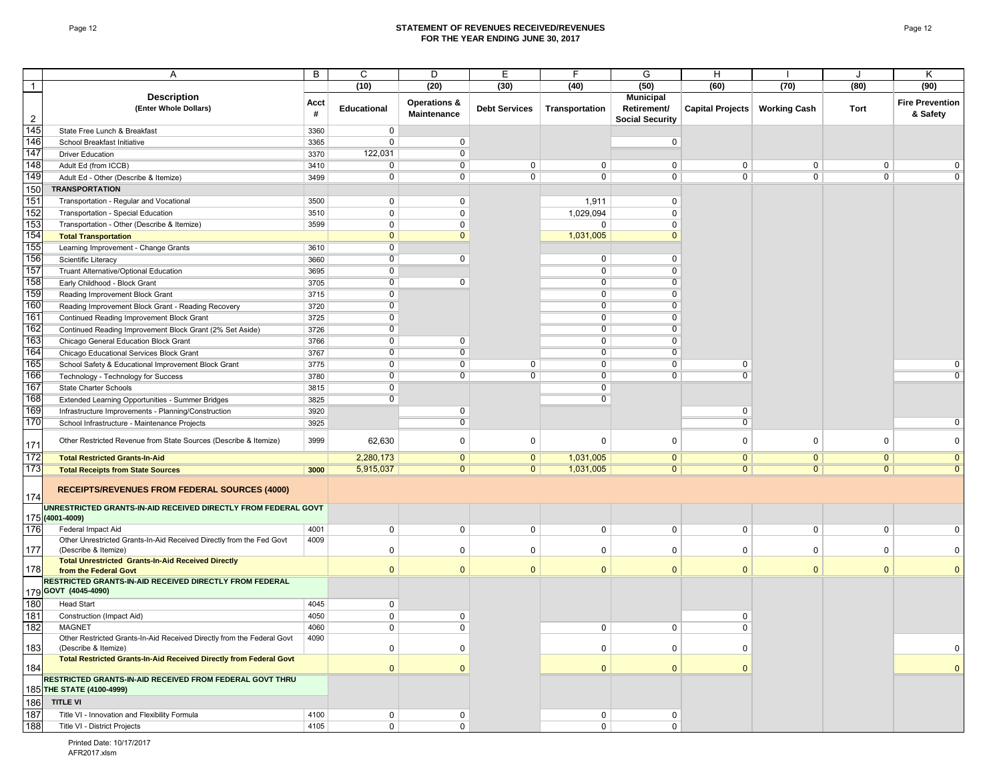#### Page 12 **STATEMENT OF REVENUES RECEIVED/REVENUES FOR THE YEAR ENDING JUNE 30, 2017**

|                | Α                                                                                                       | B    | C                  | D                       | E                    | F              | G                      | Н                               |                | J              | Κ                      |
|----------------|---------------------------------------------------------------------------------------------------------|------|--------------------|-------------------------|----------------------|----------------|------------------------|---------------------------------|----------------|----------------|------------------------|
| $\overline{1}$ |                                                                                                         |      | (10)               | (20)                    | (30)                 | (40)           | (50)                   | (60)                            | (70)           | (80)           | (90)                   |
|                | <b>Description</b>                                                                                      |      |                    |                         |                      |                | <b>Municipal</b>       |                                 |                |                |                        |
|                | (Enter Whole Dollars)                                                                                   | Acct | <b>Educational</b> | <b>Operations &amp;</b> | <b>Debt Services</b> | Transportation | Retirement/            | Capital Projects   Working Cash |                | Tort           | <b>Fire Prevention</b> |
| $\overline{2}$ |                                                                                                         | #    |                    | Maintenance             |                      |                | <b>Social Security</b> |                                 |                |                | & Safety               |
| 145            | State Free Lunch & Breakfast                                                                            | 3360 | $\mathbf 0$        |                         |                      |                |                        |                                 |                |                |                        |
| 146            | School Breakfast Initiative                                                                             | 3365 | 0                  | 0                       |                      |                | 0                      |                                 |                |                |                        |
| 147            | <b>Driver Education</b>                                                                                 | 3370 | 122,031            | $\overline{0}$          |                      |                |                        |                                 |                |                |                        |
| 148            | Adult Ed (from ICCB)                                                                                    | 3410 | $\overline{0}$     | $\overline{0}$          | $\mathbf 0$          | 0              | $\mathbf 0$            | $\mathbf 0$                     | 0              | 0              | $\Omega$               |
| 149            | Adult Ed - Other (Describe & Itemize)                                                                   | 3499 | 0                  | $\overline{0}$          | $\overline{0}$       | $\overline{0}$ | $\overline{0}$         | $\overline{0}$                  | $\overline{0}$ | 0              | $\overline{0}$         |
| 150            | <b>TRANSPORTATION</b>                                                                                   |      |                    |                         |                      |                |                        |                                 |                |                |                        |
| 151            | Transportation - Regular and Vocational                                                                 | 3500 | 0                  | 0                       |                      | 1,911          | 0                      |                                 |                |                |                        |
| 152            | Transportation - Special Education                                                                      | 3510 | 0                  | 0                       |                      | 1,029,094      | 0                      |                                 |                |                |                        |
| 153            | Transportation - Other (Describe & Itemize)                                                             | 3599 | 0                  | 0                       |                      | 0              | 0                      |                                 |                |                |                        |
| 154            | <b>Total Transportation</b>                                                                             |      | $\mathbf{0}$       | $\mathbf{0}$            |                      | 1,031,005      | $\Omega$               |                                 |                |                |                        |
| 155            | Learning Improvement - Change Grants                                                                    | 3610 | 0                  |                         |                      |                |                        |                                 |                |                |                        |
| 156            | Scientific Literacy                                                                                     | 3660 | $\overline{0}$     | 0                       |                      | 0              | 0                      |                                 |                |                |                        |
| 157            | Truant Alternative/Optional Education                                                                   | 3695 | $\overline{0}$     |                         |                      | $\overline{0}$ | $\overline{0}$         |                                 |                |                |                        |
| 158            | Early Childhood - Block Grant                                                                           | 3705 | $\overline{0}$     | 0                       |                      | $\overline{0}$ | $\overline{0}$         |                                 |                |                |                        |
| 159            | Reading Improvement Block Grant                                                                         | 3715 | $\overline{0}$     |                         |                      | $\overline{0}$ | $\overline{0}$         |                                 |                |                |                        |
| 160            | Reading Improvement Block Grant - Reading Recovery                                                      | 3720 | $\mathbf 0$        |                         |                      | $\overline{0}$ | 0                      |                                 |                |                |                        |
| 161            | Continued Reading Improvement Block Grant                                                               | 3725 | $\overline{0}$     |                         |                      | $\overline{0}$ | $\overline{0}$         |                                 |                |                |                        |
| 162            | Continued Reading Improvement Block Grant (2% Set Aside)                                                | 3726 | $\overline{0}$     |                         |                      | $\overline{0}$ | $\overline{0}$         |                                 |                |                |                        |
| 163            | Chicago General Education Block Grant                                                                   | 3766 | 0                  | 0                       |                      | 0              | 0                      |                                 |                |                |                        |
| 164            | Chicago Educational Services Block Grant                                                                | 3767 | $\overline{0}$     | $\overline{0}$          |                      | $\overline{0}$ | $\overline{0}$         |                                 |                |                |                        |
| 165            | School Safety & Educational Improvement Block Grant                                                     | 3775 | $\overline{0}$     | $\overline{0}$          | $\mathbf 0$          | $\overline{0}$ | $\overline{0}$         | 0                               |                |                | 0                      |
| 166            | Technology - Technology for Success                                                                     | 3780 | 0                  | 0                       | $\overline{0}$       | $\overline{0}$ | $\mathbf 0$            | $\overline{0}$                  |                |                |                        |
| 167            | State Charter Schools                                                                                   | 3815 | $\overline{0}$     |                         |                      | $\overline{0}$ |                        |                                 |                |                |                        |
| 168            |                                                                                                         | 3825 | $\overline{0}$     |                         |                      | $\overline{0}$ |                        |                                 |                |                |                        |
| 169            | Extended Learning Opportunities - Summer Bridges<br>Infrastructure Improvements - Planning/Construction | 3920 |                    | 0                       |                      |                |                        | 0                               |                |                |                        |
| 170            |                                                                                                         | 3925 |                    | $\overline{0}$          |                      |                |                        | $\overline{0}$                  |                |                | $\mathbf 0$            |
|                | School Infrastructure - Maintenance Projects                                                            |      |                    |                         |                      |                |                        |                                 |                |                |                        |
| 171            | Other Restricted Revenue from State Sources (Describe & Itemize)                                        | 3999 | 62,630             | $\mathbf 0$             | 0                    | 0              | $\mathbf 0$            | 0                               | 0              | 0              | $\mathbf 0$            |
| 172            | <b>Total Restricted Grants-In-Aid</b>                                                                   |      | 2,280,173          | $\overline{0}$          | $\overline{0}$       | 1,031,005      | $\overline{0}$         | $\overline{0}$                  | $\overline{0}$ | $\overline{0}$ | $\overline{0}$         |
| 173            | <b>Total Receipts from State Sources</b>                                                                | 3000 | 5,915,037          | $\overline{0}$          | $\overline{0}$       | 1,031,005      | $\mathbf{0}$           | $\mathbf{0}$                    | $\overline{0}$ | $\mathbf{0}$   | $\overline{0}$         |
|                |                                                                                                         |      |                    |                         |                      |                |                        |                                 |                |                |                        |
|                | <b>RECEIPTS/REVENUES FROM FEDERAL SOURCES (4000)</b>                                                    |      |                    |                         |                      |                |                        |                                 |                |                |                        |
| 174            |                                                                                                         |      |                    |                         |                      |                |                        |                                 |                |                |                        |
|                | UNRESTRICTED GRANTS-IN-AID RECEIVED DIRECTLY FROM FEDERAL GOVT                                          |      |                    |                         |                      |                |                        |                                 |                |                |                        |
| 176            | 175 (4001-4009)                                                                                         | 4001 | 0                  | 0                       | $\mathbf 0$          | 0              | 0                      | 0                               | $\mathbf 0$    | 0              | $\mathbf 0$            |
|                | Federal Impact Aid<br>Other Unrestricted Grants-In-Aid Received Directly from the Fed Govt              | 4009 |                    |                         |                      |                |                        |                                 |                |                |                        |
| 177            | (Describe & Itemize)                                                                                    |      | 0                  | $\Omega$                | 0                    | $\Omega$       | 0                      | 0                               | $\Omega$       | $\Omega$       | $\Omega$               |
|                | <b>Total Unrestricted Grants-In-Aid Received Directly</b>                                               |      |                    |                         |                      |                |                        |                                 |                |                |                        |
| 178            | from the Federal Govt                                                                                   |      | $\Omega$           | $\mathbf{0}$            | $\mathbf{0}$         | $\mathbf{0}$   | $\mathbf{0}$           | $\mathbf{0}$                    | $\mathbf{0}$   | $\Omega$       | $\Omega$               |
|                | RESTRICTED GRANTS-IN-AID RECEIVED DIRECTLY FROM FEDERAL                                                 |      |                    |                         |                      |                |                        |                                 |                |                |                        |
|                | 179 GOVT (4045-4090)                                                                                    |      |                    |                         |                      |                |                        |                                 |                |                |                        |
| 180            | <b>Head Start</b>                                                                                       | 4045 | 0                  |                         |                      |                |                        |                                 |                |                |                        |
| 181            | Construction (Impact Aid)                                                                               | 4050 | $\mathbf 0$        | 0                       |                      |                |                        | 0                               |                |                |                        |
| 182            | <b>MAGNET</b>                                                                                           | 4060 | $\Omega$           | $\Omega$                |                      | $\mathbf 0$    | $\mathbf 0$            | $\mathbf{0}$                    |                |                |                        |
| 183            | Other Restricted Grants-In-Aid Received Directly from the Federal Govt<br>(Describe & Itemize)          | 4090 | 0                  | 0                       |                      | 0              | 0                      | 0                               |                |                | 0                      |
|                | Total Restricted Grants-In-Aid Received Directly from Federal Govt                                      |      |                    |                         |                      |                |                        |                                 |                |                |                        |
| 184            |                                                                                                         |      | $\mathbf{0}$       | $\Omega$                |                      | $\mathbf{0}$   | $\mathbf{0}$           | $\mathbf{0}$                    |                |                | $\mathbf{0}$           |
|                | RESTRICTED GRANTS-IN-AID RECEIVED FROM FEDERAL GOVT THRU                                                |      |                    |                         |                      |                |                        |                                 |                |                |                        |
|                | 185 THE STATE (4100-4999)                                                                               |      |                    |                         |                      |                |                        |                                 |                |                |                        |
| 186            | <b>TITLE VI</b>                                                                                         |      |                    |                         |                      |                |                        |                                 |                |                |                        |
| 187            | Title VI - Innovation and Flexibility Formula                                                           | 4100 | 0                  | 0                       |                      | 0              | 0                      |                                 |                |                |                        |
| 188            | Title VI - District Projects                                                                            | 4105 | $\mathbf 0$        | $\mathbf 0$             |                      | $\mathbf 0$    | $\mathbf 0$            |                                 |                |                |                        |

Printed Date: 10/17/2017 AFR2017.xlsm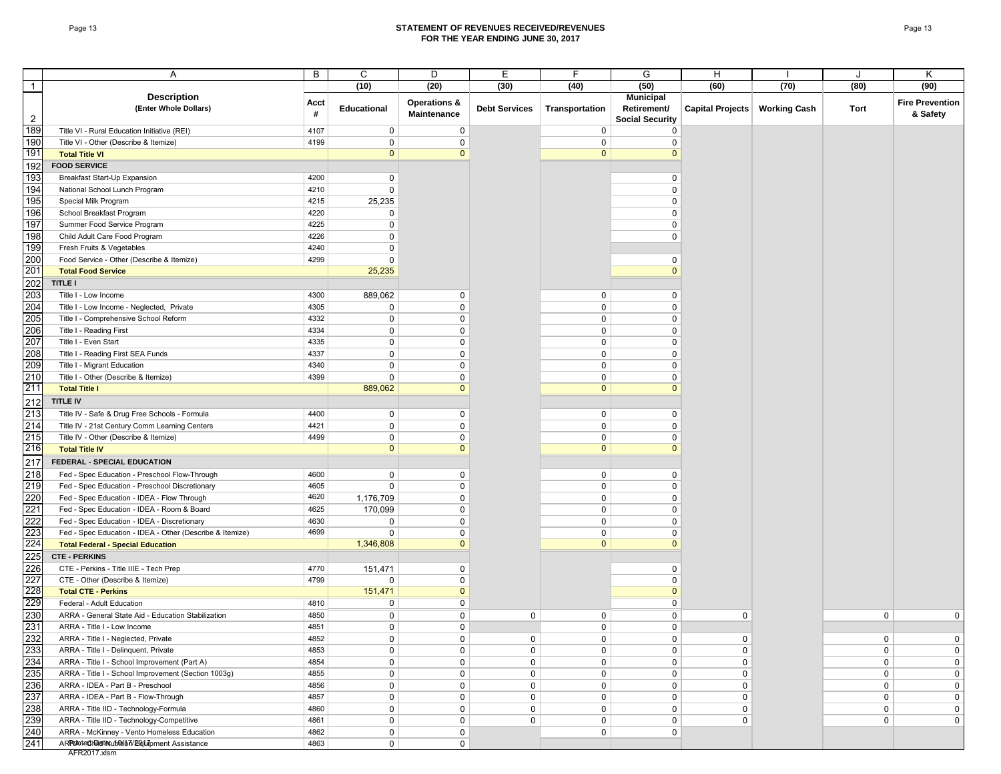#### Page 13 **STATEMENT OF REVENUES RECEIVED/REVENUES FOR THE YEAR ENDING JUNE 30, 2017**

|                | Α                                                        | B         | С                  | D                                      | Ε                    |                | G                                                         | H                               |      |              | Κ                                  |
|----------------|----------------------------------------------------------|-----------|--------------------|----------------------------------------|----------------------|----------------|-----------------------------------------------------------|---------------------------------|------|--------------|------------------------------------|
| $\mathbf{1}$   |                                                          |           | (10)               | (20)                                   | (30)                 | (40)           | (50)                                                      | (60)                            | (70) | (80)         | (90)                               |
| $\overline{2}$ | <b>Description</b><br>(Enter Whole Dollars)              | Acct<br># | <b>Educational</b> | <b>Operations &amp;</b><br>Maintenance | <b>Debt Services</b> | Transportation | <b>Municipal</b><br>Retirement/<br><b>Social Security</b> | Capital Projects   Working Cash |      | Tort         | <b>Fire Prevention</b><br>& Safety |
| 189            | Title VI - Rural Education Initiative (REI)              | 4107      | $\mathbf 0$        | 0                                      |                      | 0              | 0                                                         |                                 |      |              |                                    |
| 190            | Title VI - Other (Describe & Itemize)                    | 4199      | 0                  | 0                                      |                      | $\mathbf 0$    | $\Omega$                                                  |                                 |      |              |                                    |
| 191            | <b>Total Title VI</b>                                    |           | $\mathbf{0}$       | $\overline{0}$                         |                      | $\mathbf{0}$   | $\Omega$                                                  |                                 |      |              |                                    |
| 192            | <b>FOOD SERVICE</b>                                      |           |                    |                                        |                      |                |                                                           |                                 |      |              |                                    |
| 193            | Breakfast Start-Up Expansion                             | 4200      | $\mathbf 0$        |                                        |                      |                | 0                                                         |                                 |      |              |                                    |
| 194            | National School Lunch Program                            | 4210      | $\mathbf 0$        |                                        |                      |                | $\mathbf 0$                                               |                                 |      |              |                                    |
| 195            | Special Milk Program                                     | 4215      | 25,235             |                                        |                      |                | 0                                                         |                                 |      |              |                                    |
| 196            | School Breakfast Program                                 | 4220      | 0                  |                                        |                      |                | 0                                                         |                                 |      |              |                                    |
| 197            | Summer Food Service Program                              | 4225      | 0                  |                                        |                      |                | 0                                                         |                                 |      |              |                                    |
| 198            | Child Adult Care Food Program                            | 4226      | 0                  |                                        |                      |                | 0                                                         |                                 |      |              |                                    |
| 199            | Fresh Fruits & Vegetables                                | 4240      | 0                  |                                        |                      |                |                                                           |                                 |      |              |                                    |
| 200            | Food Service - Other (Describe & Itemize)                | 4299      | $\Omega$           |                                        |                      |                | 0                                                         |                                 |      |              |                                    |
| 201            | <b>Total Food Service</b>                                |           | 25,235             |                                        |                      |                | $\Omega$                                                  |                                 |      |              |                                    |
| 202            | <b>TITLE I</b>                                           |           |                    |                                        |                      |                |                                                           |                                 |      |              |                                    |
| 203            |                                                          | 4300      |                    | 0                                      |                      |                | $\mathbf 0$                                               |                                 |      |              |                                    |
|                | Title I - Low Income                                     |           | 889,062            |                                        |                      | $\mathbf 0$    |                                                           |                                 |      |              |                                    |
| 204            | Title I - Low Income - Neglected, Private                | 4305      | 0                  | 0                                      |                      | $\mathbf 0$    | $\mathbf 0$                                               |                                 |      |              |                                    |
| 205            | Title I - Comprehensive School Reform                    | 4332      | $\mathbf 0$        | 0                                      |                      | $\mathbf 0$    | $\mathbf 0$                                               |                                 |      |              |                                    |
| 206            | Title I - Reading First                                  | 4334      | 0                  | 0                                      |                      | 0              | 0                                                         |                                 |      |              |                                    |
| 207            | Title I - Even Start                                     | 4335      | $\mathbf 0$        | 0                                      |                      | 0              | 0                                                         |                                 |      |              |                                    |
| 208            | Title I - Reading First SEA Funds                        | 4337      | 0                  | 0                                      |                      | 0              | 0                                                         |                                 |      |              |                                    |
| 209            | Title I - Migrant Education                              | 4340      | 0                  | 0                                      |                      | 0              | 0                                                         |                                 |      |              |                                    |
| 210            | Title I - Other (Describe & Itemize)                     | 4399      | 0                  | $\Omega$                               |                      | 0              | $\Omega$                                                  |                                 |      |              |                                    |
| 211            | <b>Total Title I</b>                                     |           | 889,062            | $\Omega$                               |                      | $\mathbf{0}$   | $\Omega$                                                  |                                 |      |              |                                    |
| 212            | <b>TITLE IV</b>                                          |           |                    |                                        |                      |                |                                                           |                                 |      |              |                                    |
| 213            | Title IV - Safe & Drug Free Schools - Formula            | 4400      | 0                  | 0                                      |                      | $\mathbf 0$    | 0                                                         |                                 |      |              |                                    |
| 214            | Title IV - 21st Century Comm Learning Centers            | 4421      | $\mathbf 0$        | 0                                      |                      | 0              | 0                                                         |                                 |      |              |                                    |
| 215            | Title IV - Other (Describe & Itemize)                    | 4499      | 0                  | 0                                      |                      | 0              | 0                                                         |                                 |      |              |                                    |
| 216            | <b>Total Title IV</b>                                    |           | $\mathbf{0}$       | $\mathbf{0}$                           |                      | $\mathbf{0}$   | $\mathbf{0}$                                              |                                 |      |              |                                    |
| 217            | FEDERAL - SPECIAL EDUCATION                              |           |                    |                                        |                      |                |                                                           |                                 |      |              |                                    |
| 218            | Fed - Spec Education - Preschool Flow-Through            | 4600      | 0                  | 0                                      |                      | $\mathbf 0$    | 0                                                         |                                 |      |              |                                    |
| 219            | Fed - Spec Education - Preschool Discretionary           | 4605      | $\mathbf 0$        | 0                                      |                      | 0              | $\mathbf 0$                                               |                                 |      |              |                                    |
| 220            | Fed - Spec Education - IDEA - Flow Through               | 4620      | 1,176,709          | 0                                      |                      | $\mathbf 0$    | 0                                                         |                                 |      |              |                                    |
| 221            | Fed - Spec Education - IDEA - Room & Board               | 4625      | 170,099            | 0                                      |                      | 0              | 0                                                         |                                 |      |              |                                    |
| 222            | Fed - Spec Education - IDEA - Discretionary              | 4630      | 0                  | 0                                      |                      | 0              | $\Omega$                                                  |                                 |      |              |                                    |
| 223            | Fed - Spec Education - IDEA - Other (Describe & Itemize) | 4699      | 0                  | $\Omega$                               |                      | 0              | $\Omega$                                                  |                                 |      |              |                                    |
| 224            | <b>Total Federal - Special Education</b>                 |           | 1,346,808          | $\mathbf{0}$                           |                      | $\mathbf{0}$   | $\Omega$                                                  |                                 |      |              |                                    |
| 225            | <b>CTE - PERKINS</b>                                     |           |                    |                                        |                      |                |                                                           |                                 |      |              |                                    |
| 226            | CTE - Perkins - Title IIIE - Tech Prep                   | 4770      | 151,471            | 0                                      |                      |                | 0                                                         |                                 |      |              |                                    |
| 227            | CTE - Other (Describe & Itemize)                         | 4799      | 0                  | 0                                      |                      |                | 0                                                         |                                 |      |              |                                    |
| 228            | <b>Total CTE - Perkins</b>                               |           | 151,471            | $\mathbf{0}$                           |                      |                | $\mathbf{0}$                                              |                                 |      |              |                                    |
| 229            | Federal - Adult Education                                | 4810      | 0                  | 0                                      |                      |                | 0                                                         |                                 |      |              |                                    |
| 230            | ARRA - General State Aid - Education Stabilization       | 4850      | 0                  | 0                                      | 0                    | 0              | 0                                                         | 0                               |      | 0            | 0                                  |
| 231            | ARRA - Title I - Low Income                              | 4851      | 0                  | 0                                      |                      | $\Omega$       | $\mathbf{0}$                                              |                                 |      |              |                                    |
| 232            | ARRA - Title I - Neglected, Private                      | 4852      | $\mathbf 0$        | 0                                      | 0                    | $\mathbf 0$    | $\mathbf 0$                                               | $\mathbf 0$                     |      | 0            | $\mathbf 0$                        |
| 233            | ARRA - Title I - Delinquent, Private                     | 4853      | $\mathbf 0$        | 0                                      | $\mathbf 0$          | 0              | $\mathbf 0$                                               | $\mathbf 0$                     |      | 0            | 0                                  |
| 234            | ARRA - Title I - School Improvement (Part A)             | 4854      | 0                  | 0                                      | $\mathbf 0$          | $\mathbf 0$    | 0                                                         | 0                               |      | 0            | 0                                  |
| 235            | ARRA - Title I - School Improvement (Section 1003g)      | 4855      | 0                  | 0                                      | 0                    | 0              | 0                                                         | 0                               |      | 0            | 0                                  |
| 236            | ARRA - IDEA - Part B - Preschool                         | 4856      | 0                  | 0                                      | 0                    | 0              | 0                                                         | 0                               |      | $\mathbf{0}$ | 0                                  |
| 237            | ARRA - IDEA - Part B - Flow-Through                      | 4857      | $\mathbf 0$        | 0                                      | $\mathbf 0$          | $\mathbf 0$    | $\mathsf{O}$                                              | 0                               |      | $\mathbf 0$  | 0                                  |
| 238            | ARRA - Title IID - Technology-Formula                    | 4860      | 0                  | 0                                      | $\mathbf 0$          | $\mathbf 0$    | $\mathbf 0$                                               | 0                               |      | $\mathbf{0}$ | 0                                  |
| 239            | ARRA - Title IID - Technology-Competitive                | 4861      | $\mathbf 0$        | 0                                      | 0                    | $\mathbf 0$    | $\mathbf{0}$                                              | 0                               |      | $\mathbf 0$  | $\mathbf 0$                        |
| 240            | ARRA - McKinney - Vento Homeless Education               | 4862      | $\mathbf 0$        | 0                                      |                      | $\mathbf 0$    | 0                                                         |                                 |      |              |                                    |
| 241            | ARRANtechnathutMion/2017pment Assistance                 | 4863      | $\mathbf 0$        | 0                                      |                      |                |                                                           |                                 |      |              |                                    |
|                | AFR2017.xlsm                                             |           |                    |                                        |                      |                |                                                           |                                 |      |              |                                    |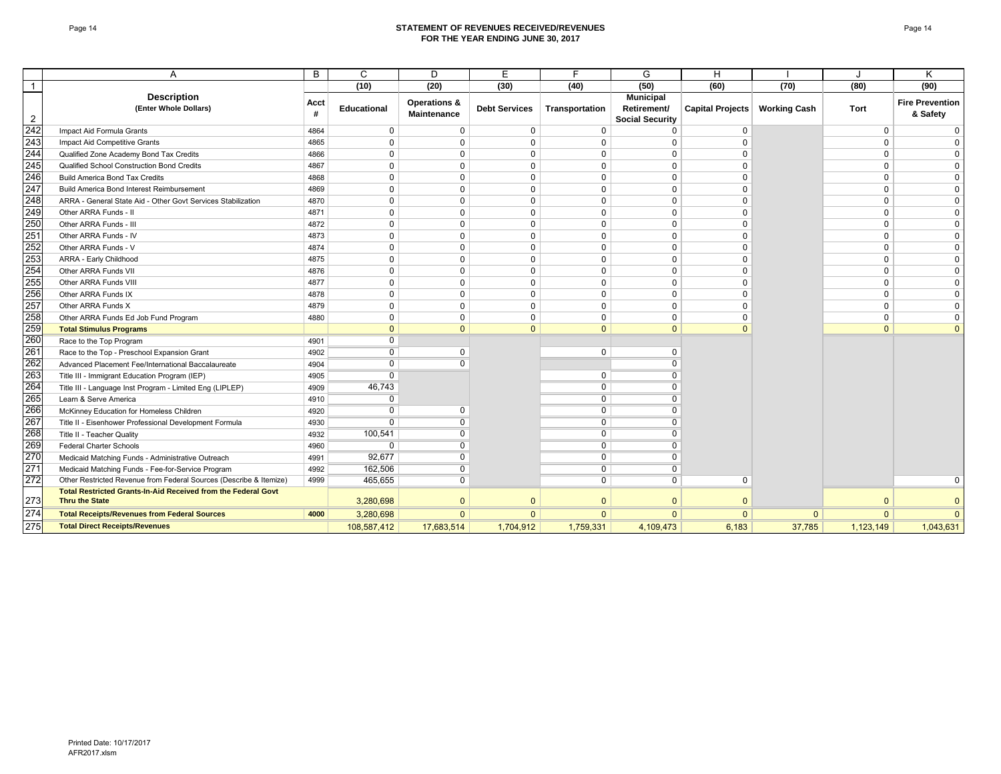#### Page 14 **STATEMENT OF REVENUES RECEIVED/REVENUES FOR THE YEAR ENDING JUNE 30, 2017**

|                | А                                                                    | B         | C              | D                                             | E                    | E              | G                                                         | H                       |                     |              | Κ                                  |
|----------------|----------------------------------------------------------------------|-----------|----------------|-----------------------------------------------|----------------------|----------------|-----------------------------------------------------------|-------------------------|---------------------|--------------|------------------------------------|
| $\mathbf{1}$   |                                                                      |           | (10)           | (20)                                          | (30)                 | (40)           | (50)                                                      | (60)                    | (70)                | (80)         | (90)                               |
| $\overline{2}$ | <b>Description</b><br>(Enter Whole Dollars)                          | Acct<br># | Educational    | <b>Operations &amp;</b><br><b>Maintenance</b> | <b>Debt Services</b> | Transportation | <b>Municipal</b><br>Retirement/<br><b>Social Security</b> | <b>Capital Projects</b> | <b>Working Cash</b> | Tort         | <b>Fire Prevention</b><br>& Safety |
| 242            | Impact Aid Formula Grants                                            | 4864      | 0              | 0                                             | 0                    | 0              | $\Omega$                                                  | 0                       |                     | 0            | 0                                  |
| 243            | Impact Aid Competitive Grants                                        | 4865      | $\Omega$       | $\Omega$                                      | 0                    | $\Omega$       | $\Omega$                                                  | $\Omega$                |                     | 0            |                                    |
| 244            | Qualified Zone Academy Bond Tax Credits                              | 4866      | 0              | 0                                             | 0                    | $\Omega$       | $\Omega$                                                  | $\Omega$                |                     | 0            |                                    |
| 245            | Qualified School Construction Bond Credits                           | 4867      | $\mathbf{0}$   | $\Omega$                                      | $\Omega$             | $\Omega$       | $\Omega$                                                  | $\Omega$                |                     | $\mathbf 0$  |                                    |
| 246            | <b>Build America Bond Tax Credits</b>                                | 4868      | $\mathbf{0}$   | $\Omega$                                      | $\Omega$             | $\Omega$       | $\mathbf 0$                                               |                         |                     | $\mathbf 0$  |                                    |
| 247            | Build America Bond Interest Reimbursement                            | 4869      | $\mathbf{0}$   | $\Omega$                                      | $\Omega$             | $\Omega$       | $\Omega$                                                  | $\Omega$                |                     | $\mathbf 0$  |                                    |
| 248            | ARRA - General State Aid - Other Govt Services Stabilization         | 4870      | $\mathbf 0$    | $\Omega$                                      | 0                    | $\Omega$       | $\Omega$                                                  | $\Omega$                |                     | $\mathbf 0$  |                                    |
| 249            | Other ARRA Funds - II                                                | 4871      | $\Omega$       | $\Omega$                                      | 0                    | $\Omega$       | $\Omega$                                                  | $\Omega$                |                     | 0            |                                    |
| 250            | Other ARRA Funds - III                                               | 4872      | $\Omega$       | $\Omega$                                      | 0                    | 0              | $\mathbf 0$                                               | $\Omega$                |                     | 0            |                                    |
| 251            | Other ARRA Funds - IV                                                | 4873      | $\mathbf 0$    | $\mathbf 0$                                   | $\Omega$             | $\mathbf 0$    | $\mathbf 0$                                               | $\Omega$                |                     | $\mathbf 0$  |                                    |
| 252            | Other ARRA Funds - V                                                 | 4874      | $\mathbf 0$    | $\mathbf 0$                                   | 0                    | $\mathbf 0$    | $\mathbf 0$                                               | $\Omega$                |                     | $\mathbf 0$  |                                    |
| 253            | ARRA - Early Childhood                                               | 4875      | $\mathbf{0}$   | $\Omega$                                      | 0                    | $\Omega$       | $\mathbf 0$                                               | $\Omega$                |                     | $\mathbf 0$  |                                    |
| 254            | Other ARRA Funds VII                                                 | 4876      | $\mathbf{0}$   | $\Omega$                                      | $\Omega$             | $\mathbf 0$    | $\Omega$                                                  | $\Omega$                |                     | $\mathbf 0$  |                                    |
| 255            | Other ARRA Funds VIII                                                | 4877      | $\mathbf{0}$   | $\Omega$                                      | $\mathbf 0$          | $\Omega$       | $\mathbf 0$                                               | $\Omega$                |                     | $\mathbf 0$  | $\Omega$                           |
| 256            | Other ARRA Funds IX                                                  | 4878      | $\Omega$       | $\Omega$                                      | $\Omega$             | $\Omega$       | $\mathbf 0$                                               | $\Omega$                |                     | 0            | $\Omega$                           |
| 257            | Other ARRA Funds X                                                   | 4879      | $\Omega$       | $\Omega$                                      | 0                    | 0              | $\mathbf 0$                                               | $\Omega$                |                     | 0            |                                    |
| 258            | Other ARRA Funds Ed Job Fund Program                                 | 4880      | 0              | $\Omega$                                      | $\Omega$             | 0              | $\Omega$                                                  | $\Omega$                |                     | 0            |                                    |
| 259            | <b>Total Stimulus Programs</b>                                       |           | $\Omega$       | $\mathbf{0}$                                  | $\mathbf{0}$         | $\mathbf{0}$   | $\mathbf{0}$                                              | $\Omega$                |                     | $\mathbf{0}$ |                                    |
| 260            | Race to the Top Program                                              | 4901      | $\overline{0}$ |                                               |                      |                |                                                           |                         |                     |              |                                    |
| 261            | Race to the Top - Preschool Expansion Grant                          | 4902      | $\overline{0}$ | $\Omega$                                      |                      | 0              | $\mathbf 0$                                               |                         |                     |              |                                    |
| 262            | Advanced Placement Fee/International Baccalaureate                   | 4904      | 0              | $\Omega$                                      |                      |                | $\Omega$                                                  |                         |                     |              |                                    |
| 263            | Title III - Immigrant Education Program (IEP)                        | 4905      | $\overline{0}$ |                                               |                      | $\mathbf 0$    | $\overline{0}$                                            |                         |                     |              |                                    |
| 264            | Title III - Language Inst Program - Limited Eng (LIPLEP)             | 4909      | 46,743         |                                               |                      | $\overline{0}$ | $\Omega$                                                  |                         |                     |              |                                    |
| 265            | Learn & Serve America                                                | 4910      | $\Omega$       |                                               |                      | $\mathbf 0$    | $\Omega$                                                  |                         |                     |              |                                    |
| 266            | McKinney Education for Homeless Children                             | 4920      | 0              |                                               |                      | $\overline{0}$ | O                                                         |                         |                     |              |                                    |
| 267            | Title II - Eisenhower Professional Development Formula               | 4930      | $\overline{0}$ |                                               |                      | $\overline{0}$ | 0                                                         |                         |                     |              |                                    |
| 268            | Title II - Teacher Quality                                           | 4932      | 100,541        | 0                                             |                      | $\overline{0}$ | $\Omega$                                                  |                         |                     |              |                                    |
| 269            | Federal Charter Schools                                              | 4960      | $\overline{0}$ | $\overline{0}$                                |                      | $\overline{0}$ | $\overline{0}$                                            |                         |                     |              |                                    |
| 270            | Medicaid Matching Funds - Administrative Outreach                    | 4991      | 92.677         | U                                             |                      | $\overline{0}$ | $\overline{0}$                                            |                         |                     |              |                                    |
| 271            | Medicaid Matching Funds - Fee-for-Service Program                    | 4992      | 162,506        | O                                             |                      | 0              | $\Omega$                                                  |                         |                     |              |                                    |
| 272            | Other Restricted Revenue from Federal Sources (Describe & Itemize)   | 4999      | 465,655        | $\overline{0}$                                |                      | $\overline{0}$ | $\overline{0}$                                            | $\Omega$                |                     |              |                                    |
|                | <b>Total Restricted Grants-In-Aid Received from the Federal Govt</b> |           |                |                                               |                      |                |                                                           |                         |                     |              |                                    |
| 273            | <b>Thru the State</b>                                                |           | 3,280,698      | $\Omega$                                      | $\Omega$             | $\Omega$       | $\Omega$                                                  | $\Omega$                |                     | $\Omega$     |                                    |
| 274            | <b>Total Receipts/Revenues from Federal Sources</b>                  | 4000      | 3,280,698      | $\Omega$                                      | $\Omega$             | $\Omega$       | $\Omega$                                                  | $\Omega$                | $\mathbf{0}$        | $\Omega$     | $\Omega$                           |
| 275            | <b>Total Direct Receipts/Revenues</b>                                |           | 108,587,412    | 17,683,514                                    | 1,704,912            | 1,759,331      | 4,109,473                                                 | 6.183                   | 37,785              | 1,123,149    | 1,043,631                          |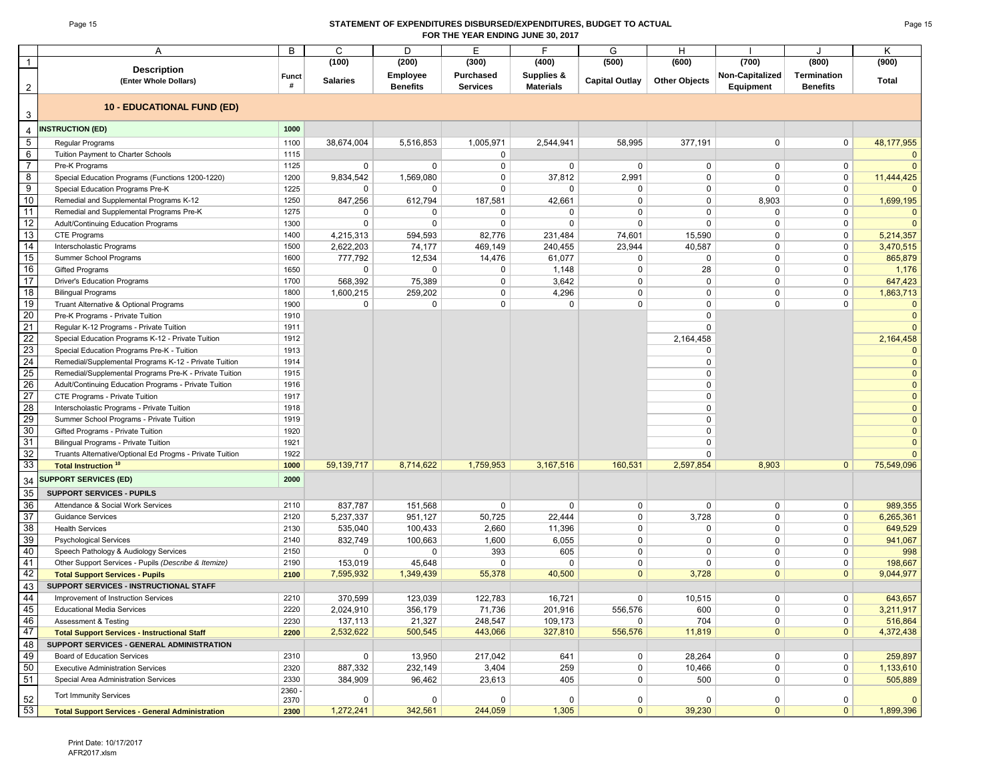#### Page 15 **STATEMENT OF EXPENDITURES DISBURSED/EXPENDITURES, BUDGET TO ACTUAL FOR THE YEAR ENDING JUNE 30, 2017**

|                                    | Α                                                                                   | B                 | C               | D                                  | Е                                   | F                                         | G                     | H                    |                              |                                       | K              |
|------------------------------------|-------------------------------------------------------------------------------------|-------------------|-----------------|------------------------------------|-------------------------------------|-------------------------------------------|-----------------------|----------------------|------------------------------|---------------------------------------|----------------|
| $\overline{1}$                     |                                                                                     |                   | (100)           | (200)                              | (300)                               | (400)                                     | (500)                 | (600)                | (700)                        | (800)                                 | (900)          |
| $\overline{2}$                     | <b>Description</b><br>(Enter Whole Dollars)                                         | <b>Funct</b><br># | <b>Salaries</b> | <b>Employee</b><br><b>Benefits</b> | <b>Purchased</b><br><b>Services</b> | <b>Supplies &amp;</b><br><b>Materials</b> | <b>Capital Outlay</b> | <b>Other Objects</b> | Non-Capitalized<br>Equipment | <b>Termination</b><br><b>Benefits</b> | <b>Total</b>   |
|                                    | <b>10 - EDUCATIONAL FUND (ED)</b>                                                   |                   |                 |                                    |                                     |                                           |                       |                      |                              |                                       |                |
| 3                                  | <b>INSTRUCTION (ED)</b>                                                             | 1000              |                 |                                    |                                     |                                           |                       |                      |                              |                                       |                |
| $\overline{4}$                     |                                                                                     |                   |                 |                                    |                                     |                                           |                       |                      |                              |                                       |                |
| $5\overline{)}$<br>$6\overline{6}$ | Regular Programs                                                                    | 1100              | 38,674,004      | 5,516,853                          | 1,005,971                           | 2,544,941                                 | 58,995                | 377,191              | 0                            | 0                                     | 48,177,955     |
| $\overline{7}$                     | Tuition Payment to Charter Schools                                                  | 1115              |                 |                                    | 0                                   |                                           |                       |                      |                              |                                       |                |
|                                    | Pre-K Programs                                                                      | 1125              | 0               | $\mathbf 0$                        | 0<br>0                              | $\mathbf 0$<br>37,812                     | 0                     | 0<br>0               | 0<br>$\mathbf 0$             | 0                                     | $\Omega$       |
| 8<br>$\overline{9}$                | Special Education Programs (Functions 1200-1220)                                    | 1200<br>1225      | 9,834,542<br>0  | 1,569,080<br>0                     | 0                                   | $\mathbf 0$                               | 2,991<br>0            | 0                    | $\Omega$                     | 0<br>$\mathbf 0$                      | 11,444,425     |
| 10                                 | Special Education Programs Pre-K                                                    | 1250              | 847,256         | 612,794                            | 187,581                             | 42,661                                    | $\Omega$              | 0                    | 8,903                        | $\mathbf 0$                           | 1,699,195      |
| 11                                 | Remedial and Supplemental Programs K-12<br>Remedial and Supplemental Programs Pre-K | 1275              | 0               | 0                                  | 0                                   | 0                                         | $\Omega$              | 0                    | 0                            | 0                                     |                |
| 12                                 | Adult/Continuing Education Programs                                                 | 1300              | $\mathbf 0$     | $\Omega$                           | $\Omega$                            | $\mathbf 0$                               | $\Omega$              | $\mathbf 0$          | $\mathbf 0$                  | $\mathbf 0$                           |                |
| 13                                 | CTE Programs                                                                        | 1400              | 4,215,313       | 594,593                            | 82,776                              | 231,484                                   | 74,601                | 15,590               | 0                            | 0                                     | 5,214,357      |
| 14                                 | Interscholastic Programs                                                            | 1500              | 2,622,203       | 74,177                             | 469,149                             | 240,455                                   | 23,944                | 40,587               | $\mathbf 0$                  | 0                                     | 3,470,515      |
| 15                                 | Summer School Programs                                                              | 1600              | 777,792         | 12,534                             | 14,476                              | 61,077                                    | 0                     | 0                    | 0                            | 0                                     | 865,879        |
| 16                                 | <b>Gifted Programs</b>                                                              | 1650              | 0               | $\mathbf 0$                        | 0                                   | 1,148                                     | $\mathbf 0$           | 28                   | 0                            | 0                                     | 1,176          |
| 17                                 | Driver's Education Programs                                                         | 1700              | 568,392         | 75,389                             | 0                                   | 3,642                                     | 0                     | $\mathbf 0$          | 0                            | $\mathbf 0$                           | 647,423        |
| 18                                 | <b>Bilingual Programs</b>                                                           | 1800              | 1,600,215       | 259,202                            | 0                                   | 4,296                                     | $\mathbf 0$           | 0                    | $\mathbf 0$                  | 0                                     | 1,863,713      |
| 19                                 | Truant Alternative & Optional Programs                                              | 1900              | $\mathbf 0$     | $\mathbf 0$                        | 0                                   | $\mathbf 0$                               | $\mathbf 0$           | 0                    | $\mathbf 0$                  | $\mathbf 0$                           | $\Omega$       |
| 20                                 | Pre-K Programs - Private Tuition                                                    | 1910              |                 |                                    |                                     |                                           |                       | $\Omega$             |                              |                                       | $\mathbf{0}$   |
| 21                                 | Regular K-12 Programs - Private Tuition                                             | 1911              |                 |                                    |                                     |                                           |                       | 0                    |                              |                                       |                |
| 22                                 | Special Education Programs K-12 - Private Tuition                                   | 1912              |                 |                                    |                                     |                                           |                       | 2,164,458            |                              |                                       | 2,164,458      |
| 23                                 | Special Education Programs Pre-K - Tuition                                          | 1913              |                 |                                    |                                     |                                           |                       | 0                    |                              |                                       |                |
| 24                                 | Remedial/Supplemental Programs K-12 - Private Tuition                               | 1914              |                 |                                    |                                     |                                           |                       | 0                    |                              |                                       | $\mathbf{0}$   |
| 25                                 | Remedial/Supplemental Programs Pre-K - Private Tuition                              | 1915              |                 |                                    |                                     |                                           |                       | $\Omega$             |                              |                                       | $\overline{0}$ |
| 26                                 | Adult/Continuing Education Programs - Private Tuition                               | 1916              |                 |                                    |                                     |                                           |                       | $\Omega$             |                              |                                       | $\mathbf{0}$   |
| 27                                 | CTE Programs - Private Tuition                                                      | 1917              |                 |                                    |                                     |                                           |                       | $\Omega$             |                              |                                       | $\mathbf{0}$   |
| 28                                 | Interscholastic Programs - Private Tuition                                          | 1918              |                 |                                    |                                     |                                           |                       | 0                    |                              |                                       | $\overline{0}$ |
| 29                                 | Summer School Programs - Private Tuition                                            | 1919              |                 |                                    |                                     |                                           |                       | $\Omega$             |                              |                                       | $\mathbf{0}$   |
| 30                                 | Gifted Programs - Private Tuition                                                   | 1920              |                 |                                    |                                     |                                           |                       | $\Omega$             |                              |                                       | $\mathbf{0}$   |
| 31                                 | Bilingual Programs - Private Tuition                                                | 1921              |                 |                                    |                                     |                                           |                       | 0                    |                              |                                       | $\Omega$       |
| 32                                 | Truants Alternative/Optional Ed Progms - Private Tuition                            | 1922              |                 |                                    |                                     |                                           |                       | $\Omega$             |                              |                                       |                |
| 33                                 | <b>Total Instruction<sup>10</sup></b>                                               | 1000              | 59,139,717      | 8,714,622                          | 1,759,953                           | 3,167,516                                 | 160,531               | 2,597,854            | 8,903                        | $\mathbf{0}$                          | 75,549,096     |
| 34                                 | <b>SUPPORT SERVICES (ED)</b>                                                        | 2000              |                 |                                    |                                     |                                           |                       |                      |                              |                                       |                |
| 35                                 | <b>SUPPORT SERVICES - PUPILS</b>                                                    |                   |                 |                                    |                                     |                                           |                       |                      |                              |                                       |                |
| 36                                 | Attendance & Social Work Services                                                   | 2110              | 837,787         | 151,568                            | $\mathbf 0$                         | $\mathbf 0$                               | 0                     | $\mathbf 0$          | 0                            | $\mathbf 0$                           | 989,355        |
| 37                                 | <b>Guidance Services</b>                                                            | 2120              | 5,237,337       | 951,127                            | 50,725                              | 22,444                                    | $\mathbf 0$           | 3,728                | 0                            | $\mathbf 0$                           | 6,265,361      |
| 38                                 | <b>Health Services</b>                                                              | 2130              | 535,040         | 100,433                            | 2,660                               | 11,396                                    | $\mathbf 0$           | 0                    | $\mathbf 0$                  | $\mathbf 0$                           | 649,529        |
| 39                                 | <b>Psychological Services</b>                                                       | 2140              | 832,749         | 100,663                            | 1,600                               | 6,055                                     | $\mathbf 0$           | 0                    | 0                            | 0                                     | 941,067        |
| 40                                 | Speech Pathology & Audiology Services                                               | 2150              | $\mathbf 0$     | $\Omega$                           | 393                                 | 605                                       | $\mathbf 0$           | 0                    | $\mathbf 0$                  | 0                                     | 998            |
| 41                                 | Other Support Services - Pupils (Describe & Itemize)                                | 2190              | 153,019         | 45,648                             | 0                                   | $\mathbf 0$                               | 0                     | 0                    | 0                            | 0                                     | 198,667        |
| 42                                 | <b>Total Support Services - Pupils</b>                                              | 2100              | 7,595,932       | 1,349,439                          | 55,378                              | 40,500                                    | $\mathbf{0}$          | 3,728                | $\mathbf{0}$                 | $\mathbf{0}$                          | 9,044,977      |
| 43                                 | SUPPORT SERVICES - INSTRUCTIONAL STAFF                                              |                   |                 |                                    |                                     |                                           |                       |                      |                              |                                       |                |
| 44                                 | Improvement of Instruction Services                                                 | 2210              | 370,599         | 123,039                            | 122,783                             | 16,721                                    | $\mathbf 0$           | 10,515               | $\mathbf 0$                  | $\mathbf 0$                           | 643,657        |
| 45                                 | <b>Educational Media Services</b>                                                   | 2220              | 2,024,910       | 356,179                            | 71,736                              | 201,916                                   | 556,576               | 600                  | 0                            | $\mathbf 0$                           | 3,211,917      |
| 46                                 | Assessment & Testing                                                                | 2230              | 137,113         | 21,327                             | 248,547                             | 109,173                                   | 0                     | 704                  | 0                            | $\mathbf 0$                           | 516,864        |
| 47                                 | <b>Total Support Services - Instructional Staff</b>                                 | 2200              | 2,532,622       | 500,545                            | 443,066                             | 327,810                                   | 556,576               | 11,819               | $\mathbf{0}$                 | $\mathbf{0}$                          | 4,372,438      |
| 48                                 | SUPPORT SERVICES - GENERAL ADMINISTRATION                                           |                   |                 |                                    |                                     |                                           |                       |                      |                              |                                       |                |
| 49                                 | Board of Education Services                                                         | 2310              | 0               | 13,950                             | 217,042                             | 641                                       | $\mathbf 0$           | 28,264               | 0                            | $\mathbf 0$                           | 259,897        |
| 50                                 | <b>Executive Administration Services</b>                                            | 2320              | 887,332         | 232,149                            | 3,404                               | 259                                       | 0                     | 10,466               | 0                            | $\mathbf 0$                           | 1,133,610      |
| 51                                 | Special Area Administration Services                                                | 2330              | 384,909         | 96,462                             | 23,613                              | 405                                       | 0                     | 500                  | 0                            | $\mathbf 0$                           | 505,889        |
|                                    | <b>Tort Immunity Services</b>                                                       | 2360 -            |                 |                                    |                                     |                                           |                       |                      |                              |                                       |                |
| 52                                 |                                                                                     | 2370              | 0               | 0                                  | 0                                   | 0                                         | 0                     | 0                    | 0                            | 0                                     |                |
| 53                                 | <b>Total Support Services - General Administration</b>                              | 2300              | 1,272,241       | 342,561                            | 244,059                             | 1,305                                     | $\mathbf{0}$          | 39,230               | $\mathbf 0$                  | $\mathbf{0}$                          | 1,899,396      |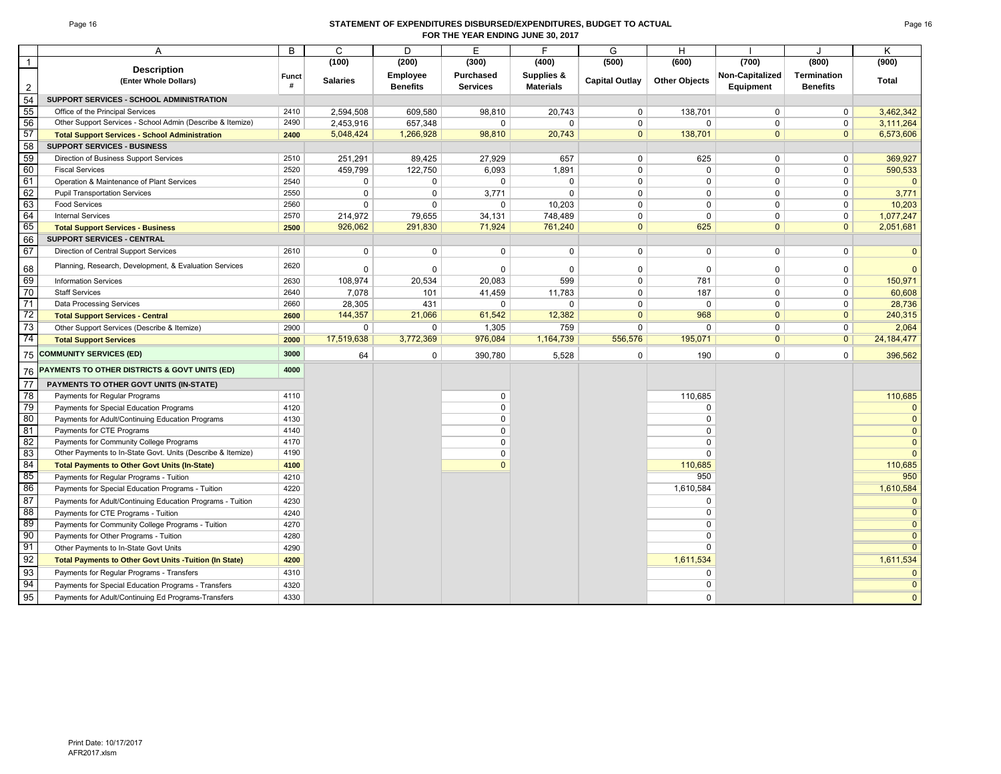#### Page 16 **STATEMENT OF EXPENDITURES DISBURSED/EXPENDITURES, BUDGET TO ACTUAL FOR THE YEAR ENDING JUNE 30, 2017**

|                | A                                                           | $\overline{B}$ | $\mathsf{C}$    | D               | E               | F                | G                     | H                    |                 | $\cdot$            | K              |
|----------------|-------------------------------------------------------------|----------------|-----------------|-----------------|-----------------|------------------|-----------------------|----------------------|-----------------|--------------------|----------------|
| $\overline{1}$ |                                                             |                | (100)           | (200)           | (300)           | (400)            | (500)                 | (600)                | (700)           | (800)              | (900)          |
|                | <b>Description</b><br>(Enter Whole Dollars)                 | Funct          | <b>Salaries</b> | Employee        | Purchased       | Supplies &       | <b>Capital Outlay</b> | <b>Other Objects</b> | Non-Capitalized | <b>Termination</b> | Total          |
| 2              |                                                             | #              |                 | <b>Benefits</b> | <b>Services</b> | <b>Materials</b> |                       |                      | Equipment       | <b>Benefits</b>    |                |
| 54             | SUPPORT SERVICES - SCHOOL ADMINISTRATION                    |                |                 |                 |                 |                  |                       |                      |                 |                    |                |
| 55             | Office of the Principal Services                            | 2410           | 2,594,508       | 609,580         | 98,810          | 20,743           | $\mathbf 0$           | 138,701              | $\mathbf 0$     | $\mathbf 0$        | 3,462,342      |
| 56             | Other Support Services - School Admin (Describe & Itemize)  | 2490           | 2,453,916       | 657,348         | $\mathbf 0$     | $\mathbf 0$      | 0                     | $\Omega$             | $\mathbf 0$     | $\mathbf 0$        | 3,111,264      |
| 57             | <b>Total Support Services - School Administration</b>       | 2400           | 5,048,424       | 1,266,928       | 98,810          | 20,743           | $\mathbf{0}$          | 138,701              | $\mathbf{0}$    | $\mathbf{0}$       | 6,573,606      |
| 58             | <b>SUPPORT SERVICES - BUSINESS</b>                          |                |                 |                 |                 |                  |                       |                      |                 |                    |                |
| 59             | Direction of Business Support Services                      | 2510           | 251,291         | 89,425          | 27,929          | 657              | $\mathbf 0$           | 625                  | $\mathbf 0$     | $\mathbf 0$        | 369,927        |
| 60             | <b>Fiscal Services</b>                                      | 2520           | 459,799         | 122,750         | 6,093           | 1,891            | 0                     | $\mathbf 0$          | 0               | $\mathbf 0$        | 590,533        |
| 61             | Operation & Maintenance of Plant Services                   | 2540           | $\mathbf 0$     | 0               | $\mathbf 0$     | $\Omega$         | $\Omega$              | $\Omega$             | $\Omega$        | $\mathbf 0$        | $\mathbf{0}$   |
| 62             | <b>Pupil Transportation Services</b>                        | 2550           | $\mathbf 0$     | $\mathbf 0$     | 3,771           | $\Omega$         | $\Omega$              | $\Omega$             | $\mathbf 0$     | $\mathbf 0$        | 3,771          |
| 63             | <b>Food Services</b>                                        | 2560           | $\Omega$        | 0               | 0               | 10,203           | $\Omega$              | $\Omega$             | $\Omega$        | $\mathbf 0$        | 10.203         |
| 64             | <b>Internal Services</b>                                    | 2570           | 214,972         | 79,655          | 34,131          | 748.489          | 0                     | $\Omega$             | $\mathbf 0$     | $\mathbf 0$        | 1,077,247      |
| 65             | <b>Total Support Services - Business</b>                    | 2500           | 926,062         | 291,830         | 71,924          | 761,240          | $\mathbf{0}$          | 625                  | $\mathbf{0}$    | $\mathbf{0}$       | 2,051,681      |
| 66             | <b>SUPPORT SERVICES - CENTRAL</b>                           |                |                 |                 |                 |                  |                       |                      |                 |                    |                |
| 67             | Direction of Central Support Services                       | 2610           | $\mathbf 0$     | 0               | $\mathbf 0$     | $\mathbf 0$      | $\mathbf 0$           | $\mathbf 0$          | $\mathbf 0$     | $\mathbf 0$        | $\mathbf 0$    |
| 68             | Planning, Research, Development, & Evaluation Services      | 2620           | $\mathbf 0$     | $\Omega$        | $\mathbf 0$     | $\Omega$         | $\Omega$              | $\Omega$             | 0               | $\mathbf 0$        | $\Omega$       |
| 69             | <b>Information Services</b>                                 | 2630           | 108,974         | 20,534          | 20,083          | 599              | 0                     | 781                  | $\mathbf 0$     | $\mathbf 0$        | 150,971        |
| 70             | <b>Staff Services</b>                                       | 2640           | 7,078           | 101             | 41,459          | 11,783           | 0                     | 187                  | $\mathbf 0$     | $\mathbf 0$        | 60,608         |
| 71             | Data Processing Services                                    | 2660           | 28,305          | 431             | $\mathbf 0$     | 0                | $\Omega$              | $\mathbf 0$          | 0               | $\mathbf 0$        | 28,736         |
| 72             | <b>Total Support Services - Central</b>                     | 2600           | 144,357         | 21,066          | 61,542          | 12,382           | $\mathbf{0}$          | 968                  | $\mathbf{0}$    | $\mathbf{0}$       | 240,315        |
| 73             | Other Support Services (Describe & Itemize)                 | 2900           | 0               | 0               | 1,305           | 759              | $\Omega$              | $\Omega$             | $\Omega$        | $\Omega$           | 2.064          |
| 74             | <b>Total Support Services</b>                               | 2000           | 17,519,638      | 3,772,369       | 976,084         | 1,164,739        | 556,576               | 195,071              | $\overline{0}$  | $\overline{0}$     | 24, 184, 477   |
| 75             | <b>COMMUNITY SERVICES (ED)</b>                              | 3000           | 64              | 0               | 390,780         | 5,528            | $\mathbf 0$           | 190                  | $\Omega$        | $\mathbf 0$        | 396,562        |
| 76             | PAYMENTS TO OTHER DISTRICTS & GOVT UNITS (ED)               | 4000           |                 |                 |                 |                  |                       |                      |                 |                    |                |
| 77             | PAYMENTS TO OTHER GOVT UNITS (IN-STATE)                     |                |                 |                 |                 |                  |                       |                      |                 |                    |                |
| 78             | Payments for Regular Programs                               | 4110           |                 |                 | $\mathbf 0$     |                  |                       | 110,685              |                 |                    | 110,685        |
| 79             | Payments for Special Education Programs                     | 4120           |                 |                 | $\Omega$        |                  |                       | $\Omega$             |                 |                    | $\Omega$       |
| 80             | Payments for Adult/Continuing Education Programs            | 4130           |                 |                 | $\Omega$        |                  |                       | $\Omega$             |                 |                    | $\mathbf{0}$   |
| 81             | Payments for CTE Programs                                   | 4140           |                 |                 | $\mathsf 0$     |                  |                       | $\mathbf 0$          |                 |                    | $\mathbf 0$    |
| 82             | Payments for Community College Programs                     | 4170           |                 |                 | $\mathsf 0$     |                  |                       | $\mathbf 0$          |                 |                    | $\mathbf{0}$   |
| 83             | Other Payments to In-State Govt. Units (Describe & Itemize) | 4190           |                 |                 | 0               |                  |                       | $\mathbf 0$          |                 |                    | $\mathbf{0}$   |
| 84             | <b>Total Payments to Other Govt Units (In-State)</b>        | 4100           |                 |                 | $\Omega$        |                  |                       | 110.685              |                 |                    | 110,685        |
| 85             | Payments for Regular Programs - Tuition                     | 4210           |                 |                 |                 |                  |                       | 950                  |                 |                    | 950            |
| 86             | Payments for Special Education Programs - Tuition           | 4220           |                 |                 |                 |                  |                       | 1,610,584            |                 |                    | 1,610,584      |
| 87             | Payments for Adult/Continuing Education Programs - Tuition  | 4230           |                 |                 |                 |                  |                       | $\Omega$             |                 |                    | $\mathbf{0}$   |
| -88            | Payments for CTE Programs - Tuition                         | 4240           |                 |                 |                 |                  |                       | $\Omega$             |                 |                    | $\overline{0}$ |
| -89            | Payments for Community College Programs - Tuition           | 4270           |                 |                 |                 |                  |                       | $\Omega$             |                 |                    | $\overline{0}$ |
| 90             | Payments for Other Programs - Tuition                       | 4280           |                 |                 |                 |                  |                       | $\Omega$             |                 |                    | $\overline{0}$ |
| 91             | Other Payments to In-State Govt Units                       | 4290           |                 |                 |                 |                  |                       | $\Omega$             |                 |                    | $\overline{0}$ |
| 92             | Total Payments to Other Govt Units - Tuition (In State)     | 4200           |                 |                 |                 |                  |                       | 1,611,534            |                 |                    | 1,611,534      |
| 93             | Payments for Regular Programs - Transfers                   | 4310           |                 |                 |                 |                  |                       | $\Omega$             |                 |                    | $\mathbf 0$    |
| 94             | Payments for Special Education Programs - Transfers         | 4320           |                 |                 |                 |                  |                       | $\Omega$             |                 |                    | $\overline{0}$ |
| 95             | Payments for Adult/Continuing Ed Programs-Transfers         | 4330           |                 |                 |                 |                  |                       | $\mathbf 0$          |                 |                    | $\mathbf{0}$   |
|                |                                                             |                |                 |                 |                 |                  |                       |                      |                 |                    |                |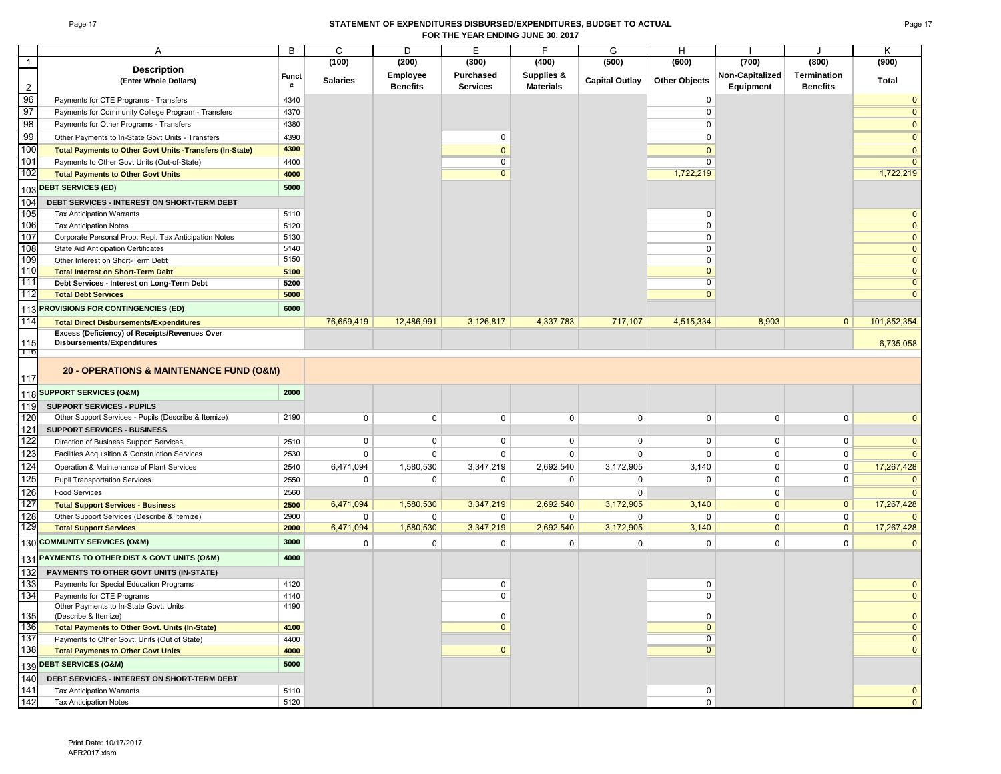#### Page 17 **STATEMENT OF EXPENDITURES DISBURSED/EXPENDITURES, BUDGET TO ACTUAL FOR THE YEAR ENDING JUNE 30, 2017**

|                 | Α                                                                                  | B            | C               | D               | Е                | F                | G                     | H                    |                 | J               | Κ                            |
|-----------------|------------------------------------------------------------------------------------|--------------|-----------------|-----------------|------------------|------------------|-----------------------|----------------------|-----------------|-----------------|------------------------------|
| $\mathbf{1}$    |                                                                                    |              | (100)           | (200)           | (300)            | (400)            | (500)                 | (600)                | (700)           | (800)           | (900)                        |
|                 | <b>Description</b>                                                                 | <b>Funct</b> |                 | Employee        | <b>Purchased</b> | Supplies &       |                       |                      | Non-Capitalized | Termination     |                              |
| $\overline{2}$  | (Enter Whole Dollars)                                                              | #            | <b>Salaries</b> | <b>Benefits</b> | <b>Services</b>  | <b>Materials</b> | <b>Capital Outlay</b> | <b>Other Objects</b> | Equipment       | <b>Benefits</b> | Total                        |
| 96              | Payments for CTE Programs - Transfers                                              | 4340         |                 |                 |                  |                  |                       | 0                    |                 |                 | $\mathbf{0}$                 |
| 97              | Payments for Community College Program - Transfers                                 | 4370         |                 |                 |                  |                  |                       | $\mathbf 0$          |                 |                 | $\overline{0}$               |
| 98              | Payments for Other Programs - Transfers                                            | 4380         |                 |                 |                  |                  |                       | 0                    |                 |                 | $\mathbf{0}$                 |
| 99              | Other Payments to In-State Govt Units - Transfers                                  | 4390         |                 |                 | 0                |                  |                       | $\mathbf 0$          |                 |                 | $\mathbf{0}$                 |
| 100             | Total Payments to Other Govt Units -Transfers (In-State)                           | 4300         |                 |                 | $\mathbf{0}$     |                  |                       | $\mathbf{0}$         |                 |                 | $\mathbf{0}$                 |
| 101             | Payments to Other Govt Units (Out-of-State)                                        | 4400         |                 |                 | $\overline{0}$   |                  |                       | $\overline{0}$       |                 |                 | $\overline{0}$               |
| 102             | <b>Total Payments to Other Govt Units</b>                                          | 4000         |                 |                 | $\overline{0}$   |                  |                       | 1,722,219            |                 |                 | 1,722,219                    |
|                 | <b>DEBT SERVICES (ED)</b>                                                          | 5000         |                 |                 |                  |                  |                       |                      |                 |                 |                              |
| 103             |                                                                                    |              |                 |                 |                  |                  |                       |                      |                 |                 |                              |
| 104             | DEBT SERVICES - INTEREST ON SHORT-TERM DEBT                                        |              |                 |                 |                  |                  |                       |                      |                 |                 |                              |
| 105<br>106      | <b>Tax Anticipation Warrants</b>                                                   | 5110         |                 |                 |                  |                  |                       | 0<br>$\mathbf 0$     |                 |                 | $\mathbf{0}$                 |
| 107             | <b>Tax Anticipation Notes</b>                                                      | 5120<br>5130 |                 |                 |                  |                  |                       | $\mathbf 0$          |                 |                 | $\mathbf 0$<br>$\mathbf{0}$  |
| 108             | Corporate Personal Prop. Repl. Tax Anticipation Notes                              | 5140         |                 |                 |                  |                  |                       | $\mathbf 0$          |                 |                 |                              |
| 109             | State Aid Anticipation Certificates<br>Other Interest on Short-Term Debt           | 5150         |                 |                 |                  |                  |                       | $\mathbf 0$          |                 |                 | $\mathbf{0}$<br>$\mathbf{0}$ |
| 110             | <b>Total Interest on Short-Term Debt</b>                                           | 5100         |                 |                 |                  |                  |                       | $\mathbf{0}$         |                 |                 | $\mathbf 0$                  |
| 111             | Debt Services - Interest on Long-Term Debt                                         | 5200         |                 |                 |                  |                  |                       | $\overline{0}$       |                 |                 | $\overline{\mathbf{0}}$      |
| 112             | <b>Total Debt Services</b>                                                         | 5000         |                 |                 |                  |                  |                       | $\mathbf{0}$         |                 |                 | $\mathbf{0}$                 |
|                 |                                                                                    |              |                 |                 |                  |                  |                       |                      |                 |                 |                              |
| 113             | PROVISIONS FOR CONTINGENCIES (ED)                                                  | 6000         |                 |                 |                  |                  |                       |                      |                 |                 |                              |
| 114             | <b>Total Direct Disbursements/Expenditures</b>                                     |              | 76,659,419      | 12,486,991      | 3,126,817        | 4,337,783        | 717,107               | 4,515,334            | 8,903           | $\mathbf{0}$    | 101,852,354                  |
| 115             | Excess (Deficiency) of Receipts/Revenues Over<br><b>Disbursements/Expenditures</b> |              |                 |                 |                  |                  |                       |                      |                 |                 | 6,735,058                    |
| 110             |                                                                                    |              |                 |                 |                  |                  |                       |                      |                 |                 |                              |
|                 |                                                                                    |              |                 |                 |                  |                  |                       |                      |                 |                 |                              |
| 117             | 20 - OPERATIONS & MAINTENANCE FUND (O&M)                                           |              |                 |                 |                  |                  |                       |                      |                 |                 |                              |
|                 |                                                                                    |              |                 |                 |                  |                  |                       |                      |                 |                 |                              |
| 118             | <b>SUPPORT SERVICES (O&amp;M)</b>                                                  | 2000         |                 |                 |                  |                  |                       |                      |                 |                 |                              |
| 119             | <b>SUPPORT SERVICES - PUPILS</b>                                                   |              |                 |                 |                  |                  |                       |                      |                 |                 |                              |
| 120             | Other Support Services - Pupils (Describe & Itemize)                               | 2190         | $\mathbf 0$     | $\mathbf 0$     | 0                | 0                | $\mathbf 0$           | 0                    | 0               | 0               | $\mathbf{0}$                 |
| 121             | <b>SUPPORT SERVICES - BUSINESS</b>                                                 |              |                 |                 |                  |                  |                       |                      |                 |                 |                              |
| 122             | Direction of Business Support Services                                             | 2510         | 0               | 0               | 0                | 0                | $\mathbf 0$           | $\mathbf 0$          | 0               | 0               | $\mathbf{0}$                 |
| 123             | Facilities Acquisition & Construction Services                                     | 2530         | 0               | $\mathbf 0$     | 0                | 0                | $\mathbf 0$           | $\mathbf 0$          | $\mathbf 0$     | $\mathbf 0$     | $\mathbf{0}$                 |
| 124             | Operation & Maintenance of Plant Services                                          | 2540         | 6,471,094       | 1,580,530       | 3,347,219        | 2,692,540        | 3,172,905             | 3,140                | 0               | 0               | 17,267,428                   |
| 125             | <b>Pupil Transportation Services</b>                                               | 2550         | $\mathbf 0$     | 0               | 0                | 0                | 0                     | $\mathbf 0$          | 0               | 0               | $\mathbf{0}$                 |
| 126             | <b>Food Services</b>                                                               | 2560         |                 |                 |                  |                  | $\mathbf 0$           |                      | $\mathbf 0$     |                 | $\mathbf{0}$                 |
| 127             | <b>Total Support Services - Business</b>                                           | 2500         | 6,471,094       | 1,580,530       | 3,347,219        | 2,692,540        | 3,172,905             | 3,140                | $\mathbf{0}$    | $\mathbf{0}$    | 17,267,428                   |
| 128             | Other Support Services (Describe & Itemize)                                        | 2900         | 0               | $\mathbf 0$     | 0                | $\mathbf 0$      | $\mathbf 0$           | $\mathbf 0$          | $\mathbf 0$     | 0               | $\mathbf{0}$                 |
| 129             | <b>Total Support Services</b>                                                      | 2000         | 6,471,094       | 1,580,530       | 3,347,219        | 2,692,540        | 3,172,905             | 3,140                | $\mathbf{0}$    | $\mathbf{0}$    | 17,267,428                   |
|                 | 130 COMMUNITY SERVICES (O&M)                                                       | 3000         | $\Omega$        | $\mathbf 0$     | $\Omega$         | 0                | $\mathbf 0$           | $\mathbf 0$          | $\mathbf 0$     | $\mathbf 0$     | $\overline{0}$               |
|                 | PAYMENTS TO OTHER DIST & GOVT UNITS (O&M)                                          | 4000         |                 |                 |                  |                  |                       |                      |                 |                 |                              |
| 131             |                                                                                    |              |                 |                 |                  |                  |                       |                      |                 |                 |                              |
| 132             | PAYMENTS TO OTHER GOVT UNITS (IN-STATE)                                            |              |                 |                 |                  |                  |                       |                      |                 |                 |                              |
| 133             | Payments for Special Education Programs                                            | 4120         |                 |                 | 0                |                  |                       | 0                    |                 |                 | $\mathbf{0}$                 |
| 134             | Payments for CTE Programs                                                          | 4140         |                 |                 | $\mathbf 0$      |                  |                       | $\mathbf 0$          |                 |                 | $\mathbf{0}$                 |
| 135             | Other Payments to In-State Govt. Units<br>(Describe & Itemize)                     | 4190         |                 |                 | $\mathsf 0$      |                  |                       | $\pmb{0}$            |                 |                 | $\mathbf 0$                  |
| 136             | <b>Total Payments to Other Govt. Units (In-State)</b>                              | 4100         |                 |                 | $\mathbf 0$      |                  |                       | $\mathbf{0}$         |                 |                 | $\mathbf{0}$                 |
| 137             | Payments to Other Govt. Units (Out of State)                                       | 4400         |                 |                 |                  |                  |                       | $\overline{0}$       |                 |                 | $\overline{0}$               |
| 138             | <b>Total Payments to Other Govt Units</b>                                          | 4000         |                 |                 | $\mathbf 0$      |                  |                       | $\overline{0}$       |                 |                 | $\overline{0}$               |
|                 | <b>DEBT SERVICES (O&amp;M)</b>                                                     | 5000         |                 |                 |                  |                  |                       |                      |                 |                 |                              |
| 139             |                                                                                    |              |                 |                 |                  |                  |                       |                      |                 |                 |                              |
| 140             | DEBT SERVICES - INTEREST ON SHORT-TERM DEBT                                        |              |                 |                 |                  |                  |                       |                      |                 |                 |                              |
| $\frac{141}{1}$ | <b>Tax Anticipation Warrants</b>                                                   | 5110         |                 |                 |                  |                  |                       | 0                    |                 |                 | $\mathbf{0}$                 |
| 142             | <b>Tax Anticipation Notes</b>                                                      | 5120         |                 |                 |                  |                  |                       | 0                    |                 |                 | $\overline{0}$               |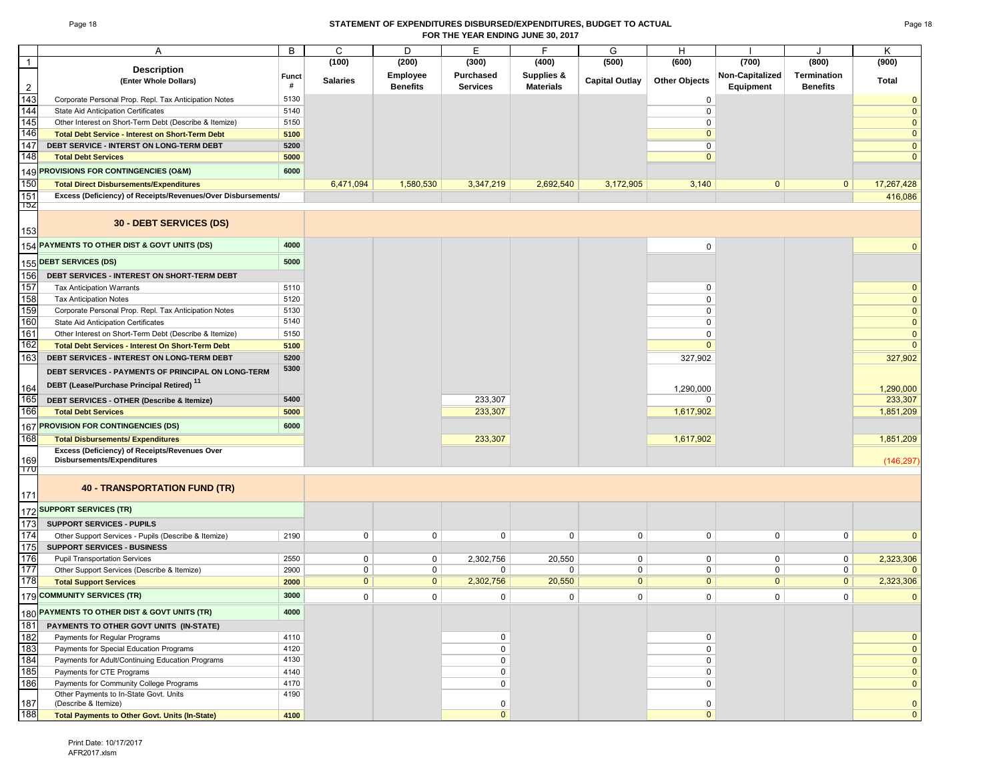#### Page 18 **STATEMENT OF EXPENDITURES DISBURSED/EXPENDITURES, BUDGET TO ACTUAL FOR THE YEAR ENDING JUNE 30, 2017**

|                | Α                                                            | B            | C               | D               | Е                | F                | G                     | H                    |                 | J                  | Κ              |
|----------------|--------------------------------------------------------------|--------------|-----------------|-----------------|------------------|------------------|-----------------------|----------------------|-----------------|--------------------|----------------|
| $\overline{1}$ | <b>Description</b>                                           |              | (100)           | (200)           | (300)            | (400)            | (500)                 | (600)                | (700)           | (800)              | (900)          |
|                | (Enter Whole Dollars)                                        | <b>Funct</b> | <b>Salaries</b> | <b>Employee</b> | <b>Purchased</b> | Supplies &       | <b>Capital Outlay</b> | <b>Other Objects</b> | Non-Capitalized | <b>Termination</b> | Total          |
| $\overline{2}$ |                                                              | #            |                 | <b>Benefits</b> | <b>Services</b>  | <b>Materials</b> |                       |                      | Equipment       | <b>Benefits</b>    |                |
| 143            | Corporate Personal Prop. Repl. Tax Anticipation Notes        | 5130         |                 |                 |                  |                  |                       | 0                    |                 |                    | $\Omega$       |
| 144            | State Aid Anticipation Certificates                          | 5140         |                 |                 |                  |                  |                       | 0                    |                 |                    | $\overline{0}$ |
| 145            | Other Interest on Short-Term Debt (Describe & Itemize)       | 5150         |                 |                 |                  |                  |                       | 0                    |                 |                    | $\overline{0}$ |
| 146            | <b>Total Debt Service - Interest on Short-Term Debt</b>      | 5100         |                 |                 |                  |                  |                       | $\mathbf 0$          |                 |                    | $\overline{0}$ |
| 147            | DEBT SERVICE - INTERST ON LONG-TERM DEBT                     | 5200         |                 |                 |                  |                  |                       | 0                    |                 |                    | $\mathbf 0$    |
| 148            | <b>Total Debt Services</b>                                   | 5000         |                 |                 |                  |                  |                       | $\mathbf{0}$         |                 |                    | $\mathbf 0$    |
| 149            | <b>PROVISIONS FOR CONTINGENCIES (O&amp;M)</b>                | 6000         |                 |                 |                  |                  |                       |                      |                 |                    |                |
| 150            | <b>Total Direct Disbursements/Expenditures</b>               |              | 6,471,094       | 1,580,530       | 3,347,219        | 2,692,540        | 3,172,905             | 3,140                | $\mathbf{0}$    | $\mathbf{0}$       | 17,267,428     |
| 151            | Excess (Deficiency) of Receipts/Revenues/Over Disbursements/ |              |                 |                 |                  |                  |                       |                      |                 |                    | 416,086        |
| 15Z            |                                                              |              |                 |                 |                  |                  |                       |                      |                 |                    |                |
| 153            | 30 - DEBT SERVICES (DS)                                      |              |                 |                 |                  |                  |                       |                      |                 |                    |                |
| 154            | PAYMENTS TO OTHER DIST & GOVT UNITS (DS)                     | 4000         |                 |                 |                  |                  |                       | $\mathbf 0$          |                 |                    | $\Omega$       |
| 155            | <b>DEBT SERVICES (DS)</b>                                    | 5000         |                 |                 |                  |                  |                       |                      |                 |                    |                |
| 156            | DEBT SERVICES - INTEREST ON SHORT-TERM DEBT                  |              |                 |                 |                  |                  |                       |                      |                 |                    |                |
| 157            | <b>Tax Anticipation Warrants</b>                             | 5110         |                 |                 |                  |                  |                       | $\mathbf 0$          |                 |                    | $\mathbf 0$    |
| 158            | <b>Tax Anticipation Notes</b>                                | 5120         |                 |                 |                  |                  |                       | $\mathbf 0$          |                 |                    | $\overline{0}$ |
| 159            | Corporate Personal Prop. Repl. Tax Anticipation Notes        | 5130         |                 |                 |                  |                  |                       | $\mathbf 0$          |                 |                    | $\overline{0}$ |
| 160            | State Aid Anticipation Certificates                          | 5140         |                 |                 |                  |                  |                       | $\mathbf 0$          |                 |                    | $\overline{0}$ |
| 161            | Other Interest on Short-Term Debt (Describe & Itemize)       | 5150         |                 |                 |                  |                  |                       | $\mathbf 0$          |                 |                    | $\mathbf 0$    |
| 162            | <b>Total Debt Services - Interest On Short-Term Debt</b>     | 5100         |                 |                 |                  |                  |                       | $\Omega$             |                 |                    | $\Omega$       |
| 163            | DEBT SERVICES - INTEREST ON LONG-TERM DEBT                   | 5200         |                 |                 |                  |                  |                       | 327,902              |                 |                    | 327,902        |
|                | DEBT SERVICES - PAYMENTS OF PRINCIPAL ON LONG-TERM           | 5300         |                 |                 |                  |                  |                       |                      |                 |                    |                |
| 164            | DEBT (Lease/Purchase Principal Retired) <sup>11</sup>        |              |                 |                 |                  |                  |                       | 1,290,000            |                 |                    | 1,290,000      |
| 165            | DEBT SERVICES - OTHER (Describe & Itemize)                   | 5400         |                 |                 | 233,307          |                  |                       | 0                    |                 |                    | 233,307        |
| 166            | <b>Total Debt Services</b>                                   | 5000         |                 |                 | 233,307          |                  |                       | 1,617,902            |                 |                    | 1,851,209      |
| 167            | PROVISION FOR CONTINGENCIES (DS)                             | 6000         |                 |                 |                  |                  |                       |                      |                 |                    |                |
| 168            | <b>Total Disbursements/ Expenditures</b>                     |              |                 |                 | 233,307          |                  |                       | 1,617,902            |                 |                    | 1,851,209      |
|                | Excess (Deficiency) of Receipts/Revenues Over                |              |                 |                 |                  |                  |                       |                      |                 |                    |                |
| 169            | Disbursements/Expenditures                                   |              |                 |                 |                  |                  |                       |                      |                 |                    | (146, 297)     |
| 170            |                                                              |              |                 |                 |                  |                  |                       |                      |                 |                    |                |
| 171            | <b>40 - TRANSPORTATION FUND (TR)</b>                         |              |                 |                 |                  |                  |                       |                      |                 |                    |                |
| 172            | <b>SUPPORT SERVICES (TR)</b>                                 |              |                 |                 |                  |                  |                       |                      |                 |                    |                |
| 173            | <b>SUPPORT SERVICES - PUPILS</b>                             |              |                 |                 |                  |                  |                       |                      |                 |                    |                |
| 174            | Other Support Services - Pupils (Describe & Itemize)         | 2190         | $\mathbf 0$     | $\mathbf 0$     | 0                | 0                | $\mathbf 0$           | 0                    | 0               | $\mathbf 0$        | $\Omega$       |
| 175            | <b>SUPPORT SERVICES - BUSINESS</b>                           |              |                 |                 |                  |                  |                       |                      |                 |                    |                |
| 176            | <b>Pupil Transportation Services</b>                         | 2550         | $\mathbf 0$     | $\mathbf 0$     | 2,302,756        | 20,550           | 0                     | 0                    | 0               | $\mathbf 0$        | 2,323,306      |
| 177            | Other Support Services (Describe & Itemize)                  | 2900         | $\mathbf 0$     | $\mathbf 0$     | 0                | 0                | $\mathbf 0$           | 0                    | 0               | $\mathbf 0$        | $\Omega$       |
| 178            | <b>Total Support Services</b>                                | 2000         | $\overline{0}$  | $\overline{0}$  | 2,302,756        | 20,550           | $\overline{0}$        | $\overline{0}$       | $\overline{0}$  | $\overline{0}$     | 2,323,306      |
| 179            | <b>COMMUNITY SERVICES (TR)</b>                               | 3000         | $\mathbf 0$     | 0               | 0                | $\mathbf 0$      | $\mathsf 0$           | 0                    | 0               | $\mathbf 0$        | $\mathbf 0$    |
|                | 180 PAYMENTS TO OTHER DIST & GOVT UNITS (TR)                 | 4000         |                 |                 |                  |                  |                       |                      |                 |                    |                |
| 181            | PAYMENTS TO OTHER GOVT UNITS (IN-STATE)                      |              |                 |                 |                  |                  |                       |                      |                 |                    |                |
| 182            | Payments for Regular Programs                                | 4110         |                 |                 | 0                |                  |                       | 0                    |                 |                    | $\mathbf 0$    |
| 183            | Payments for Special Education Programs                      | 4120         |                 |                 | 0                |                  |                       | $\pmb{0}$            |                 |                    | $\mathbf{0}$   |
| 184            | Payments for Adult/Continuing Education Programs             | 4130         |                 |                 | 0                |                  |                       | $\pmb{0}$            |                 |                    | $\mathbf 0$    |
| 185            | Payments for CTE Programs                                    | 4140         |                 |                 | 0                |                  |                       | 0                    |                 |                    | $\pmb{0}$      |
| 186            | Payments for Community College Programs                      | 4170         |                 |                 | 0                |                  |                       | $\mathsf{O}$         |                 |                    | $\mathbf 0$    |
|                | Other Payments to In-State Govt. Units                       | 4190         |                 |                 |                  |                  |                       |                      |                 |                    |                |
| 187            | (Describe & Itemize)                                         |              |                 |                 | 0                |                  |                       | 0                    |                 |                    | $\mathbf 0$    |
| 188            | <b>Total Payments to Other Govt. Units (In-State)</b>        | 4100         |                 |                 | $\overline{0}$   |                  |                       | $\mathbf{0}$         |                 |                    | $\pmb{0}$      |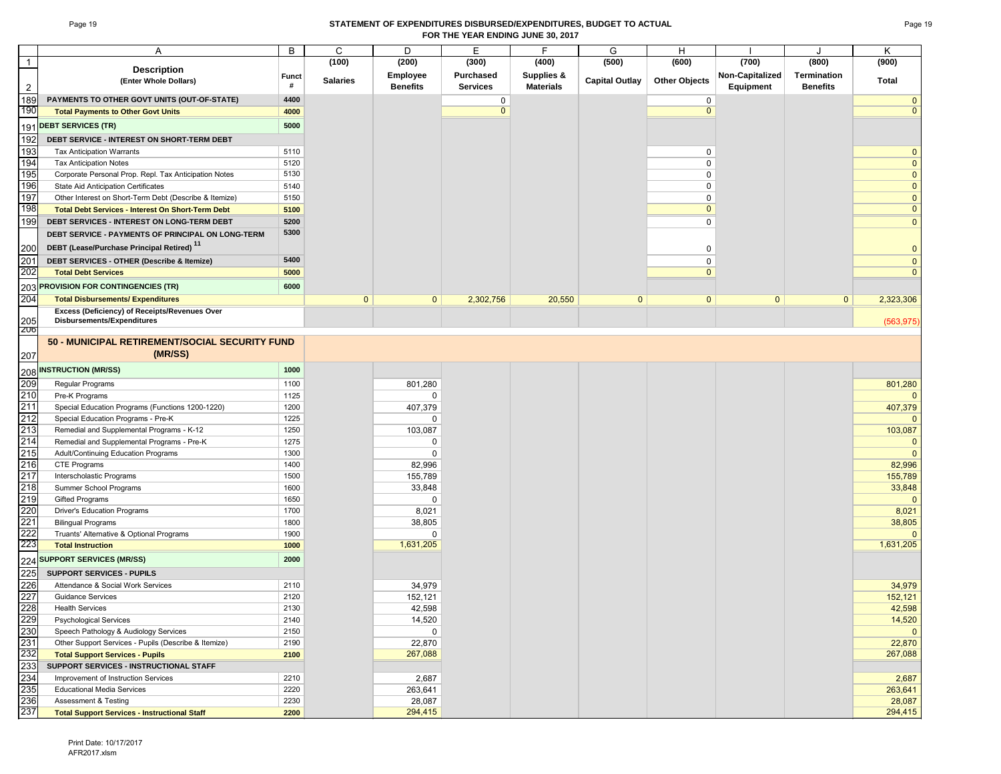#### Page 19 **STATEMENT OF EXPENDITURES DISBURSED/EXPENDITURES, BUDGET TO ACTUAL FOR THE YEAR ENDING JUNE 30, 2017**

|                                 | Α                                                        | B     | C               | D               | Ε               | F                | G                     | H                    |                 |                    | Κ              |
|---------------------------------|----------------------------------------------------------|-------|-----------------|-----------------|-----------------|------------------|-----------------------|----------------------|-----------------|--------------------|----------------|
| $\overline{1}$                  | <b>Description</b>                                       |       | (100)           | (200)           | (300)           | (400)            | (500)                 | (600)                | (700)           | (800)              | (900)          |
|                                 | (Enter Whole Dollars)                                    | Funct | <b>Salaries</b> | <b>Employee</b> | Purchased       | Supplies &       | <b>Capital Outlay</b> | <b>Other Objects</b> | Non-Capitalized | <b>Termination</b> | <b>Total</b>   |
| $\overline{2}$                  |                                                          | #     |                 | <b>Benefits</b> | <b>Services</b> | <b>Materials</b> |                       |                      | Equipment       | <b>Benefits</b>    |                |
| 189                             | PAYMENTS TO OTHER GOVT UNITS (OUT-OF-STATE)              | 4400  |                 |                 | 0               |                  |                       | 0                    |                 |                    | $\overline{0}$ |
| 190                             | <b>Total Payments to Other Govt Units</b>                | 4000  |                 |                 | $\mathbf{0}$    |                  |                       | $\overline{0}$       |                 |                    | $\mathbf{0}$   |
|                                 | <b>DEBT SERVICES (TR)</b>                                | 5000  |                 |                 |                 |                  |                       |                      |                 |                    |                |
| 191                             |                                                          |       |                 |                 |                 |                  |                       |                      |                 |                    |                |
| 192                             | DEBT SERVICE - INTEREST ON SHORT-TERM DEBT               |       |                 |                 |                 |                  |                       |                      |                 |                    |                |
| 193                             | <b>Tax Anticipation Warrants</b>                         | 5110  |                 |                 |                 |                  |                       | 0                    |                 |                    | $\overline{0}$ |
| 194                             | <b>Tax Anticipation Notes</b>                            | 5120  |                 |                 |                 |                  |                       | 0                    |                 |                    | $\mathbf 0$    |
| 195                             | Corporate Personal Prop. Repl. Tax Anticipation Notes    | 5130  |                 |                 |                 |                  |                       | $\mathbf 0$          |                 |                    | $\mathbf{0}$   |
| 196                             | State Aid Anticipation Certificates                      | 5140  |                 |                 |                 |                  |                       | $\mathbf 0$          |                 |                    | $\mathbf{0}$   |
| 197                             | Other Interest on Short-Term Debt (Describe & Itemize)   | 5150  |                 |                 |                 |                  |                       | $\mathbf 0$          |                 |                    | $\overline{0}$ |
| 198                             | <b>Total Debt Services - Interest On Short-Term Debt</b> | 5100  |                 |                 |                 |                  |                       | $\mathbf{0}$         |                 |                    | $\mathbf{0}$   |
| 199                             | DEBT SERVICES - INTEREST ON LONG-TERM DEBT               | 5200  |                 |                 |                 |                  |                       | 0                    |                 |                    | $\mathbf{0}$   |
|                                 | DEBT SERVICE - PAYMENTS OF PRINCIPAL ON LONG-TERM        | 5300  |                 |                 |                 |                  |                       |                      |                 |                    |                |
| 200                             | DEBT (Lease/Purchase Principal Retired) <sup>11</sup>    |       |                 |                 |                 |                  |                       | 0                    |                 |                    | $\mathbf 0$    |
|                                 | DEBT SERVICES - OTHER (Describe & Itemize)               | 5400  |                 |                 |                 |                  |                       | $\mathbf 0$          |                 |                    | $\mathbf 0$    |
| $\frac{201}{202}$               |                                                          |       |                 |                 |                 |                  |                       | $\mathbf{0}$         |                 |                    | $\mathbf{0}$   |
|                                 | <b>Total Debt Services</b>                               | 5000  |                 |                 |                 |                  |                       |                      |                 |                    |                |
| 203                             | <b>PROVISION FOR CONTINGENCIES (TR)</b>                  | 6000  |                 |                 |                 |                  |                       |                      |                 |                    |                |
| 204                             | <b>Total Disbursements/ Expenditures</b>                 |       | $\mathbf{0}$    | $\mathbf{0}$    | 2,302,756       | 20,550           | $\mathbf{0}$          | $\mathbf{0}$         | $\mathbf{0}$    | $\mathbf{0}$       | 2,323,306      |
|                                 | Excess (Deficiency) of Receipts/Revenues Over            |       |                 |                 |                 |                  |                       |                      |                 |                    |                |
| 205                             | Disbursements/Expenditures                               |       |                 |                 |                 |                  |                       |                      |                 |                    | (563, 975)     |
| 206                             |                                                          |       |                 |                 |                 |                  |                       |                      |                 |                    |                |
|                                 | 50 - MUNICIPAL RETIREMENT/SOCIAL SECURITY FUND           |       |                 |                 |                 |                  |                       |                      |                 |                    |                |
| 207                             | (MR/SS)                                                  |       |                 |                 |                 |                  |                       |                      |                 |                    |                |
| 208                             | <b>INSTRUCTION (MR/SS)</b>                               | 1000  |                 |                 |                 |                  |                       |                      |                 |                    |                |
| 209                             | Regular Programs                                         | 1100  |                 | 801,280         |                 |                  |                       |                      |                 |                    | 801,280        |
|                                 |                                                          | 1125  |                 |                 |                 |                  |                       |                      |                 |                    | $\mathbf{0}$   |
| 210                             | Pre-K Programs                                           |       |                 | 0               |                 |                  |                       |                      |                 |                    |                |
| $\frac{211}{212}$               | Special Education Programs (Functions 1200-1220)         | 1200  |                 | 407,379         |                 |                  |                       |                      |                 |                    | 407,379        |
|                                 | Special Education Programs - Pre-K                       | 1225  |                 | 0               |                 |                  |                       |                      |                 |                    | $\Omega$       |
| 213                             | Remedial and Supplemental Programs - K-12                | 1250  |                 | 103,087         |                 |                  |                       |                      |                 |                    | 103,087        |
| 214                             | Remedial and Supplemental Programs - Pre-K               | 1275  |                 | 0               |                 |                  |                       |                      |                 |                    | $\mathbf{0}$   |
| 215                             | Adult/Continuing Education Programs                      | 1300  |                 | $\mathbf 0$     |                 |                  |                       |                      |                 |                    | $\mathbf{0}$   |
| 216                             | <b>CTE Programs</b>                                      | 1400  |                 | 82,996          |                 |                  |                       |                      |                 |                    | 82,996         |
| 217                             | Interscholastic Programs                                 | 1500  |                 | 155,789         |                 |                  |                       |                      |                 |                    | 155,789        |
| 218                             | Summer School Programs                                   | 1600  |                 | 33,848          |                 |                  |                       |                      |                 |                    | 33,848         |
| 219                             | <b>Gifted Programs</b>                                   | 1650  |                 | $\mathbf 0$     |                 |                  |                       |                      |                 |                    | $\mathbf{0}$   |
| 220                             | <b>Driver's Education Programs</b>                       | 1700  |                 | 8,021           |                 |                  |                       |                      |                 |                    | 8,021          |
| 221                             | <b>Bilingual Programs</b>                                | 1800  |                 | 38,805          |                 |                  |                       |                      |                 |                    | 38,805         |
| 222<br>223                      | Truants' Alternative & Optional Programs                 | 1900  |                 | $\mathbf 0$     |                 |                  |                       |                      |                 |                    | $\mathbf{0}$   |
|                                 | <b>Total Instruction</b>                                 | 1000  |                 | 1,631,205       |                 |                  |                       |                      |                 |                    | 1,631,205      |
| 224                             | <b>SUPPORT SERVICES (MR/SS)</b>                          | 2000  |                 |                 |                 |                  |                       |                      |                 |                    |                |
| 225                             | <b>SUPPORT SERVICES - PUPILS</b>                         |       |                 |                 |                 |                  |                       |                      |                 |                    |                |
|                                 | Attendance & Social Work Services                        | 2110  |                 | 34,979          |                 |                  |                       |                      |                 |                    | 34,979         |
|                                 | <b>Guidance Services</b>                                 | 2120  |                 | 152,121         |                 |                  |                       |                      |                 |                    | 152,121        |
|                                 | <b>Health Services</b>                                   | 2130  |                 | 42,598          |                 |                  |                       |                      |                 |                    | 42,598         |
| 226<br>227<br>228<br>229        | <b>Psychological Services</b>                            | 2140  |                 | 14,520          |                 |                  |                       |                      |                 |                    | 14,520         |
| 230                             | Speech Pathology & Audiology Services                    | 2150  |                 | $\mathbf 0$     |                 |                  |                       |                      |                 |                    | $\mathbf{0}$   |
|                                 | Other Support Services - Pupils (Describe & Itemize)     | 2190  |                 | 22,870          |                 |                  |                       |                      |                 |                    | 22,870         |
| 231<br>232                      | <b>Total Support Services - Pupils</b>                   | 2100  |                 | 267,088         |                 |                  |                       |                      |                 |                    | 267,088        |
|                                 | SUPPORT SERVICES - INSTRUCTIONAL STAFF                   |       |                 |                 |                 |                  |                       |                      |                 |                    |                |
| 233<br>234<br>235<br>236<br>237 | Improvement of Instruction Services                      | 2210  |                 | 2,687           |                 |                  |                       |                      |                 |                    | 2,687          |
|                                 | <b>Educational Media Services</b>                        | 2220  |                 | 263,641         |                 |                  |                       |                      |                 |                    | 263,641        |
|                                 | <b>Assessment &amp; Testing</b>                          | 2230  |                 | 28,087          |                 |                  |                       |                      |                 |                    | 28,087         |
|                                 |                                                          | 2200  |                 | 294,415         |                 |                  |                       |                      |                 |                    | 294,415        |
|                                 | <b>Total Support Services - Instructional Staff</b>      |       |                 |                 |                 |                  |                       |                      |                 |                    |                |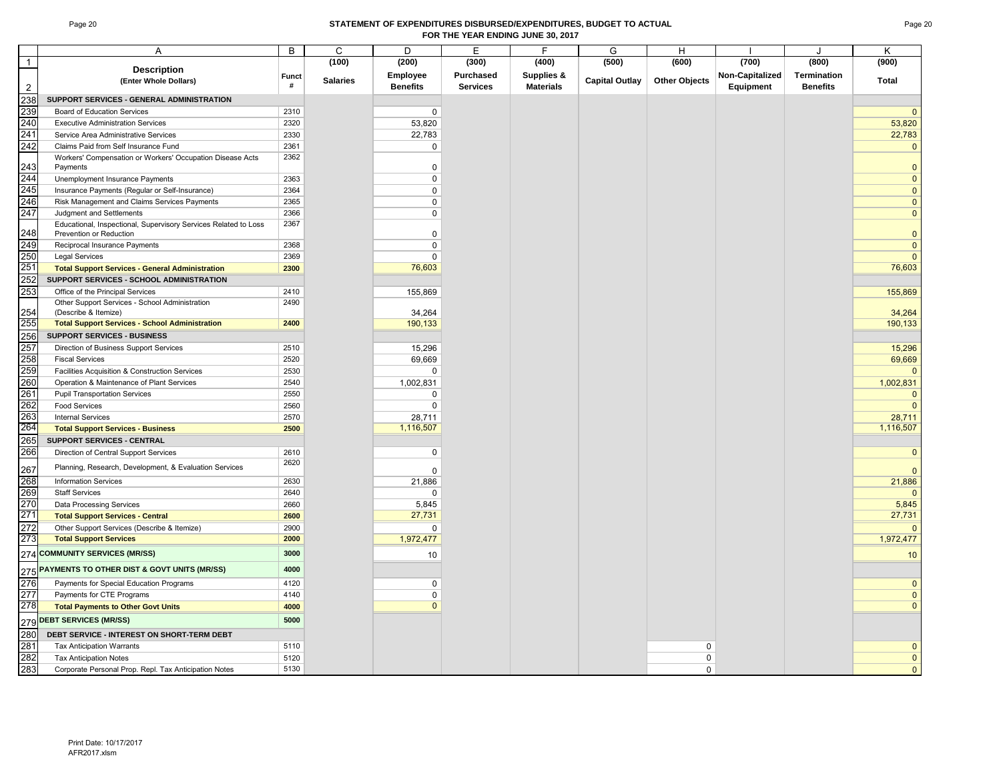#### Page 20 **STATEMENT OF EXPENDITURES DISBURSED/EXPENDITURES, BUDGET TO ACTUAL FOR THE YEAR ENDING JUNE 30, 2017**

|                | Α                                                                                          | B            | C               | D                 | Е                | F                | G                     | Н                    |                 |                 | K                 |
|----------------|--------------------------------------------------------------------------------------------|--------------|-----------------|-------------------|------------------|------------------|-----------------------|----------------------|-----------------|-----------------|-------------------|
| $\mathbf{1}$   |                                                                                            |              | (100)           | (200)             | (300)            | (400)            | (500)                 | (600)                | (700)           | (800)           | (900)             |
|                | <b>Description</b><br>(Enter Whole Dollars)                                                | <b>Funct</b> | <b>Salaries</b> | Employee          | <b>Purchased</b> | Supplies &       | <b>Capital Outlay</b> | <b>Other Objects</b> | Non-Capitalized | Termination     | Total             |
| $\overline{2}$ |                                                                                            | #            |                 | <b>Benefits</b>   | <b>Services</b>  | <b>Materials</b> |                       |                      | Equipment       | <b>Benefits</b> |                   |
| 238            | SUPPORT SERVICES - GENERAL ADMINISTRATION                                                  |              |                 |                   |                  |                  |                       |                      |                 |                 |                   |
| 239            | <b>Board of Education Services</b>                                                         | 2310         |                 | $\mathbf 0$       |                  |                  |                       |                      |                 |                 | $\mathbf{0}$      |
| 240            | <b>Executive Administration Services</b>                                                   | 2320         |                 | 53,820            |                  |                  |                       |                      |                 |                 | 53,820            |
| 241            | Service Area Administrative Services                                                       | 2330         |                 | 22,783            |                  |                  |                       |                      |                 |                 | 22,783            |
| 242            | Claims Paid from Self Insurance Fund                                                       | 2361         |                 | 0                 |                  |                  |                       |                      |                 |                 | $\mathbf 0$       |
| 243            | Workers' Compensation or Workers' Occupation Disease Acts<br>Payments                      | 2362         |                 | $\Omega$          |                  |                  |                       |                      |                 |                 | $\mathbf{0}$      |
| 244            | Unemployment Insurance Payments                                                            | 2363         |                 | 0                 |                  |                  |                       |                      |                 |                 | $\mathbf 0$       |
| 245            | Insurance Payments (Regular or Self-Insurance)                                             | 2364         |                 | $\mathbf 0$       |                  |                  |                       |                      |                 |                 | $\mathbf 0$       |
| 246            | Risk Management and Claims Services Payments                                               | 2365         |                 | $\mathbf 0$       |                  |                  |                       |                      |                 |                 | $\mathbf 0$       |
| 247            | Judgment and Settlements                                                                   | 2366         |                 | 0                 |                  |                  |                       |                      |                 |                 | $\mathbf 0$       |
| 248            | Educational, Inspectional, Supervisory Services Related to Loss<br>Prevention or Reduction | 2367         |                 | $\Omega$          |                  |                  |                       |                      |                 |                 | $\mathbf{0}$      |
| 249            | Reciprocal Insurance Payments                                                              | 2368         |                 | $\mathbf 0$       |                  |                  |                       |                      |                 |                 | $\mathbf{0}$      |
| 250            | <b>Legal Services</b>                                                                      | 2369         |                 | $\Omega$          |                  |                  |                       |                      |                 |                 | $\mathbf{0}$      |
| 251            | <b>Total Support Services - General Administration</b>                                     | 2300         |                 | 76,603            |                  |                  |                       |                      |                 |                 | 76,603            |
| 252            | SUPPORT SERVICES - SCHOOL ADMINISTRATION                                                   |              |                 |                   |                  |                  |                       |                      |                 |                 |                   |
| 253            | Office of the Principal Services                                                           | 2410         |                 | 155,869           |                  |                  |                       |                      |                 |                 | 155,869           |
|                | Other Support Services - School Administration                                             | 2490         |                 |                   |                  |                  |                       |                      |                 |                 |                   |
| 254<br>255     | (Describe & Itemize)<br><b>Total Support Services - School Administration</b>              | 2400         |                 | 34,264<br>190,133 |                  |                  |                       |                      |                 |                 | 34,264<br>190,133 |
| 256            | <b>SUPPORT SERVICES - BUSINESS</b>                                                         |              |                 |                   |                  |                  |                       |                      |                 |                 |                   |
| 257            | Direction of Business Support Services                                                     | 2510         |                 | 15,296            |                  |                  |                       |                      |                 |                 |                   |
| 258            | <b>Fiscal Services</b>                                                                     | 2520         |                 | 69,669            |                  |                  |                       |                      |                 |                 | 15,296<br>69,669  |
| 259            | Facilities Acquisition & Construction Services                                             | 2530         |                 | $\Omega$          |                  |                  |                       |                      |                 |                 | $\mathbf 0$       |
| 260            | Operation & Maintenance of Plant Services                                                  | 2540         |                 | 1,002,831         |                  |                  |                       |                      |                 |                 | 1,002,831         |
| 261            | <b>Pupil Transportation Services</b>                                                       | 2550         |                 | $\mathbf 0$       |                  |                  |                       |                      |                 |                 | $\mathbf 0$       |
| 262            | <b>Food Services</b>                                                                       | 2560         |                 | $\Omega$          |                  |                  |                       |                      |                 |                 | $\mathbf{0}$      |
| 263            | <b>Internal Services</b>                                                                   | 2570         |                 | 28,711            |                  |                  |                       |                      |                 |                 | 28,711            |
| 264            | <b>Total Support Services - Business</b>                                                   | 2500         |                 | 1,116,507         |                  |                  |                       |                      |                 |                 | 1,116,507         |
| 265            | SUPPORT SERVICES - CENTRAL                                                                 |              |                 |                   |                  |                  |                       |                      |                 |                 |                   |
| 266            | Direction of Central Support Services                                                      | 2610         |                 | $\mathbf 0$       |                  |                  |                       |                      |                 |                 | $\mathbf{0}$      |
| 267            | Planning, Research, Development, & Evaluation Services                                     | 2620         |                 | $\Omega$          |                  |                  |                       |                      |                 |                 | $\mathbf{0}$      |
| 268            | <b>Information Services</b>                                                                | 2630         |                 | 21,886            |                  |                  |                       |                      |                 |                 | 21,886            |
| 269            | <b>Staff Services</b>                                                                      | 2640         |                 | $\Omega$          |                  |                  |                       |                      |                 |                 | $\mathbf{0}$      |
| 270            | Data Processing Services                                                                   | 2660         |                 | 5,845             |                  |                  |                       |                      |                 |                 | 5,845             |
| 271            | <b>Total Support Services - Central</b>                                                    | 2600         |                 | 27,731            |                  |                  |                       |                      |                 |                 | 27,731            |
| 272            | Other Support Services (Describe & Itemize)                                                | 2900         |                 | $\Omega$          |                  |                  |                       |                      |                 |                 | $\mathbf 0$       |
| 273            | <b>Total Support Services</b>                                                              | 2000         |                 | 1,972,477         |                  |                  |                       |                      |                 |                 | 1,972,477         |
|                | 274 COMMUNITY SERVICES (MR/SS)                                                             | 3000         |                 | 10                |                  |                  |                       |                      |                 |                 | 10 <sup>°</sup>   |
|                | 275 PAYMENTS TO OTHER DIST & GOVT UNITS (MR/SS)                                            | 4000         |                 |                   |                  |                  |                       |                      |                 |                 |                   |
| 276            | Payments for Special Education Programs                                                    | 4120         |                 | $\mathbf 0$       |                  |                  |                       |                      |                 |                 | $\mathbf 0$       |
| 277            | Payments for CTE Programs                                                                  | 4140         |                 | $\mathbf 0$       |                  |                  |                       |                      |                 |                 | $\mathbf 0$       |
| 278            | <b>Total Payments to Other Govt Units</b>                                                  | 4000         |                 | $\mathbf{0}$      |                  |                  |                       |                      |                 |                 | $\mathbf{0}$      |
|                | 279 DEBT SERVICES (MR/SS)                                                                  | 5000         |                 |                   |                  |                  |                       |                      |                 |                 |                   |
| 280            | DEBT SERVICE - INTEREST ON SHORT-TERM DEBT                                                 |              |                 |                   |                  |                  |                       |                      |                 |                 |                   |
| 281            | <b>Tax Anticipation Warrants</b>                                                           | 5110         |                 |                   |                  |                  |                       | 0                    |                 |                 | $\mathbf 0$       |
| 282            | <b>Tax Anticipation Notes</b>                                                              | 5120         |                 |                   |                  |                  |                       | 0                    |                 |                 | $\mathbf 0$       |
| 283            | Corporate Personal Prop. Repl. Tax Anticipation Notes                                      | 5130         |                 |                   |                  |                  |                       | $\Omega$             |                 |                 | $\overline{0}$    |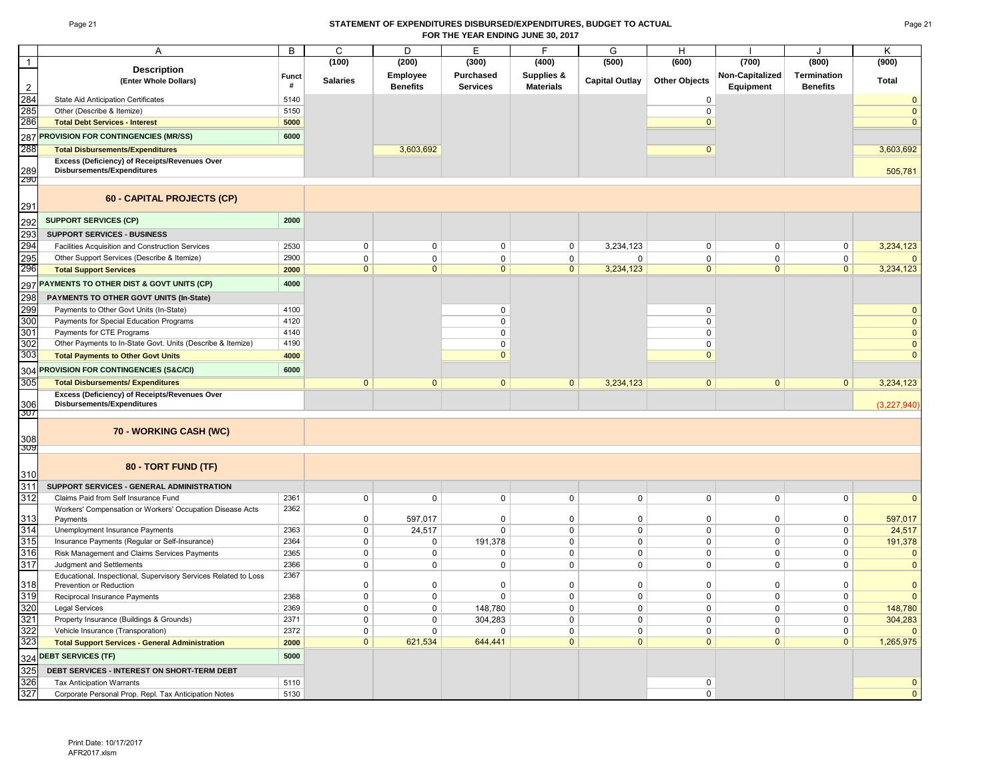#### Page 21 **STATEMENT OF EXPENDITURES DISBURSED/EXPENDITURES, BUDGET TO ACTUAL FOR THE YEAR ENDING JUNE 30, 2017**

|                | A                                                                                          | B            | C               | D               | E               | F                | G                     | H                    |                     | ۱.                      | K              |
|----------------|--------------------------------------------------------------------------------------------|--------------|-----------------|-----------------|-----------------|------------------|-----------------------|----------------------|---------------------|-------------------------|----------------|
| $\overline{1}$ |                                                                                            |              | (100)           | (200)           | (300)           | (400)            | (500)                 | (600)                | (700)               | (800)                   | (900)          |
|                | <b>Description</b>                                                                         | <b>Funct</b> |                 | Employee        | Purchased       | Supplies &       |                       |                      | Non-Capitalized     | <b>Termination</b>      |                |
| $\overline{2}$ | (Enter Whole Dollars)                                                                      | #            | <b>Salaries</b> | <b>Benefits</b> | <b>Services</b> | <b>Materials</b> | <b>Capital Outlay</b> | <b>Other Objects</b> | Equipment           | <b>Benefits</b>         | Total          |
| 284            | <b>State Aid Anticipation Certificates</b>                                                 | 5140         |                 |                 |                 |                  |                       | 0                    |                     |                         | $\mathbf{0}$   |
| 285            | Other (Describe & Itemize)                                                                 | 5150         |                 |                 |                 |                  |                       | $\pmb{0}$            |                     |                         | $\mathbf 0$    |
| 286            | <b>Total Debt Services - Interest</b>                                                      | 5000         |                 |                 |                 |                  |                       | $\mathbf{0}$         |                     |                         | $\overline{0}$ |
| 287            | <b>PROVISION FOR CONTINGENCIES (MR/SS)</b>                                                 | 6000         |                 |                 |                 |                  |                       |                      |                     |                         |                |
| 288            | <b>Total Disbursements/Expenditures</b>                                                    |              |                 | 3,603,692       |                 |                  |                       | $\mathbf{0}$         |                     |                         | 3,603,692      |
|                | Excess (Deficiency) of Receipts/Revenues Over                                              |              |                 |                 |                 |                  |                       |                      |                     |                         |                |
| 289            | Disbursements/Expenditures                                                                 |              |                 |                 |                 |                  |                       |                      |                     |                         | 505,781        |
| Z90            |                                                                                            |              |                 |                 |                 |                  |                       |                      |                     |                         |                |
| 291            | 60 - CAPITAL PROJECTS (CP)                                                                 |              |                 |                 |                 |                  |                       |                      |                     |                         |                |
| 292            | <b>SUPPORT SERVICES (CP)</b>                                                               | 2000         |                 |                 |                 |                  |                       |                      |                     |                         |                |
| 293            | <b>SUPPORT SERVICES - BUSINESS</b>                                                         |              |                 |                 |                 |                  |                       |                      |                     |                         |                |
| 294            | Facilities Acquisition and Construction Services                                           | 2530         | $\mathbf 0$     | $\mathbf 0$     | 0               | $\mathbf 0$      | 3,234,123             | 0                    | 0                   | $\mathbf 0$             | 3,234,123      |
| 295            | Other Support Services (Describe & Itemize)                                                | 2900         | $\mathbf 0$     | $\mathbf 0$     | 0               | $\mathbf 0$      | $\mathbf 0$           | $\mathbf 0$          | $\mathbf 0$         | $\mathbf 0$             | $\mathbf{0}$   |
| 296            | <b>Total Support Services</b>                                                              | 2000         | $\mathbf{0}$    | $\Omega$        | $\mathbf{0}$    | $\mathbf{0}$     | 3,234,123             | $\mathbf{0}$         | $\Omega$            | $\mathbf{0}$            | 3,234,123      |
|                | PAYMENTS TO OTHER DIST & GOVT UNITS (CP)                                                   | 4000         |                 |                 |                 |                  |                       |                      |                     |                         |                |
| 297            |                                                                                            |              |                 |                 |                 |                  |                       |                      |                     |                         |                |
| 298<br>299     | PAYMENTS TO OTHER GOVT UNITS (In-State)                                                    |              |                 |                 | 0               |                  |                       | $\Omega$             |                     |                         | $\mathbf 0$    |
| 300            | Payments to Other Govt Units (In-State)                                                    | 4100<br>4120 |                 |                 | 0               |                  |                       | $\mathbf 0$          |                     |                         | $\mathbf 0$    |
| 301            | Payments for Special Education Programs<br>Payments for CTE Programs                       | 4140         |                 |                 | 0               |                  |                       | $\mathbf 0$          |                     |                         | $\mathbf 0$    |
| 302            | Other Payments to In-State Govt. Units (Describe & Itemize)                                | 4190         |                 |                 | 0               |                  |                       | $\Omega$             |                     |                         | $\mathbf{0}$   |
| 303            | <b>Total Payments to Other Govt Units</b>                                                  | 4000         |                 |                 | $\overline{0}$  |                  |                       | $\mathbf{0}$         |                     |                         | $\mathbf{0}$   |
|                |                                                                                            |              |                 |                 |                 |                  |                       |                      |                     |                         |                |
| 304            | <b>PROVISION FOR CONTINGENCIES (S&amp;C/CI)</b>                                            | 6000         |                 |                 |                 |                  |                       |                      |                     |                         |                |
| 305            | <b>Total Disbursements/ Expenditures</b>                                                   |              | $\mathbf{0}$    | $\mathbf{0}$    | $\overline{0}$  | $\mathbf{0}$     | 3,234,123             | $\mathbf{0}$         | $\mathbf{0}$        | $\mathbf{0}$            | 3,234,123      |
| 306            | Excess (Deficiency) of Receipts/Revenues Over<br>Disbursements/Expenditures                |              |                 |                 |                 |                  |                       |                      |                     |                         | (3,227,940)    |
| 3U7            |                                                                                            |              |                 |                 |                 |                  |                       |                      |                     |                         |                |
| 308            | 70 - WORKING CASH (WC)                                                                     |              |                 |                 |                 |                  |                       |                      |                     |                         |                |
| ડાપ્ર          |                                                                                            |              |                 |                 |                 |                  |                       |                      |                     |                         |                |
|                | 80 - TORT FUND (TF)                                                                        |              |                 |                 |                 |                  |                       |                      |                     |                         |                |
| 310            |                                                                                            |              |                 |                 |                 |                  |                       |                      |                     |                         |                |
| 311            | SUPPORT SERVICES - GENERAL ADMINISTRATION                                                  |              |                 |                 |                 |                  |                       |                      |                     |                         |                |
| 312            | Claims Paid from Self Insurance Fund                                                       | 2361         | $\mathsf 0$     | $\mathbf 0$     | $\mathsf{O}$    | $\mathsf 0$      | $\mathbf 0$           | $\pmb{0}$            | $\mathsf{O}$        | $\mathsf 0$             | $\mathbf{0}$   |
| 313            | Workers' Compensation or Workers' Occupation Disease Acts<br>Payments                      | 2362         | 0               | 597,017         | $\Omega$        | $\mathbf 0$      | $\mathsf 0$           | $\Omega$             | $\Omega$            | 0                       | 597,017        |
| 314            | Unemployment Insurance Payments                                                            | 2363         | $\mathbf 0$     | 24,517          | 0               | $\mathbf{0}$     | $\mathbf 0$           | $\mathbf 0$          | $\mathbf 0$         | 0                       | 24,517         |
| 315            | Insurance Payments (Regular or Self-Insurance)                                             | 2364         | $\mathsf 0$     | $\mathbf 0$     | 191,378         | $\mathbf 0$      | $\mathbf 0$           | $\mathbf 0$          | $\mathbf 0$         | $\mathbf 0$             | 191,378        |
| 316            | Risk Management and Claims Services Payments                                               | 2365         | $\mathsf 0$     | $\mathsf 0$     | 0               | $\mathsf 0$      | 0                     | $\pmb{0}$            | $\mathsf 0$         | $\mathsf{O}\phantom{0}$ | $\overline{0}$ |
| 317            | Judgment and Settlements                                                                   | 2366         | $\mathsf 0$     | $\mathbf 0$     | 0               | $\mathbf{0}$     | $\mathbf 0$           | $\mathbf 0$          | $\mathbf 0$         | $\mathbf 0$             | $\mathbf 0$    |
| 318            | Educational, Inspectional, Supervisory Services Related to Loss<br>Prevention or Reduction | 2367         | 0               | $\mathbf 0$     | 0               | $\mathbf 0$      | $\mathbf 0$           | $\mathbf 0$          | $\mathbf 0$         | $\mathbf 0$             | $\mathbf 0$    |
| 319            | Reciprocal Insurance Payments                                                              | 2368         | $\mathsf 0$     | $\mathbf 0$     | $\Omega$        | $\mathbf 0$      | $\mathbf 0$           | $\mathbf 0$          | $\mathbf 0$         | 0                       | $\overline{0}$ |
| 320            | <b>Legal Services</b>                                                                      | 2369         | $\mathsf 0$     | $\mathbf 0$     | 148,780         | $\mathsf 0$      | $\mathsf 0$           | $\pmb{0}$            | $\mathsf{O}\xspace$ | $\mathsf{O}\phantom{0}$ | 148,780        |
| 321            | Property Insurance (Buildings & Grounds)                                                   | 2371         | $\mathsf 0$     | 0               | 304,283         | $\mathbf 0$      | $\mathbf 0$           | $\mathbf 0$          | $\mathbf 0$         | 0                       | 304,283        |
| 322            | Vehicle Insurance (Transporation)                                                          | 2372         | $\mathbf 0$     | $\Omega$        | $\Omega$        | $\mathbf 0$      | $\mathbf 0$           | $\Omega$             | $\Omega$            | $\mathbf 0$             | $\Omega$       |
| 323            | <b>Total Support Services - General Administration</b>                                     | 2000         | $\mathbf{0}$    | 621,534         | 644,441         | $\mathbf{0}$     | $\mathbf{0}$          | $\mathbf{0}$         | $\Omega$            | $\mathbf{0}$            | 1,265,975      |
|                | <b>DEBT SERVICES (TF)</b>                                                                  | 5000         |                 |                 |                 |                  |                       |                      |                     |                         |                |
| 324<br>325     | DEBT SERVICES - INTEREST ON SHORT-TERM DEBT                                                |              |                 |                 |                 |                  |                       |                      |                     |                         |                |
| 326            | <b>Tax Anticipation Warrants</b>                                                           | 5110         |                 |                 |                 |                  |                       | $\mathsf 0$          |                     |                         | $\mathbf{0}$   |
| 327            | Corporate Personal Prop. Repl. Tax Anticipation Notes                                      | 5130         |                 |                 |                 |                  |                       | $\mathbf 0$          |                     |                         | $\mathbf{0}$   |
|                |                                                                                            |              |                 |                 |                 |                  |                       |                      |                     |                         |                |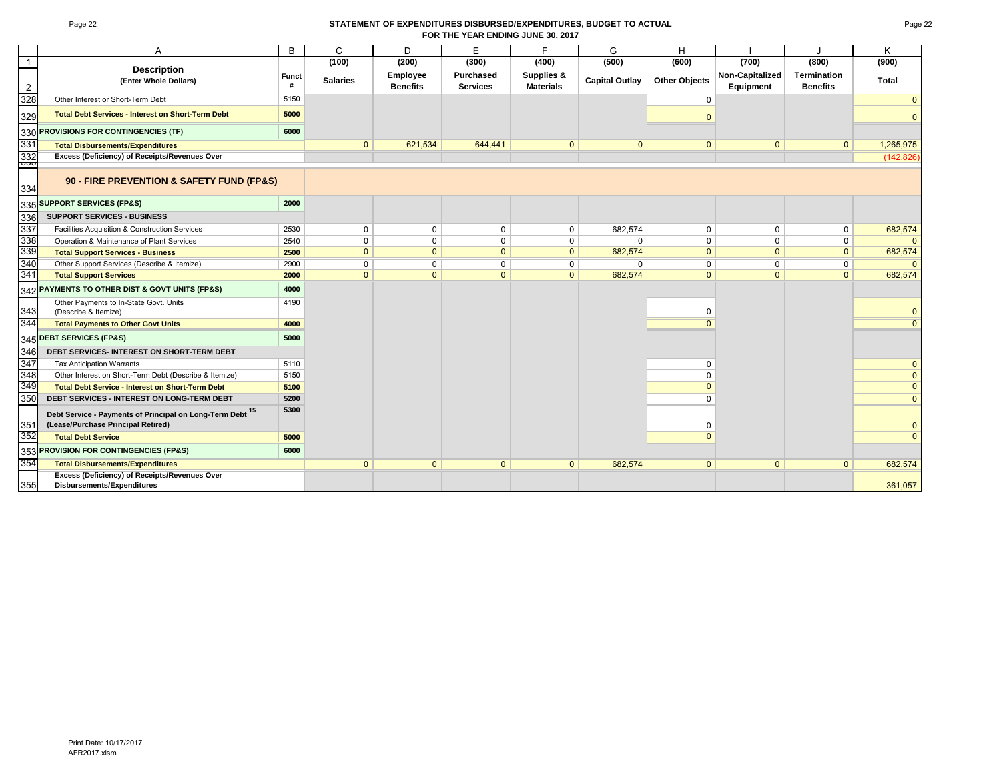#### Page 22 **STATEMENT OF EXPENDITURES DISBURSED/EXPENDITURES, BUDGET TO ACTUAL FOR THE YEAR ENDING JUNE 30, 2017**

|                | A                                                                                               | B     | $\mathsf{C}$    | D               | E               | F                | G                     | H                    |                 |                 | K              |
|----------------|-------------------------------------------------------------------------------------------------|-------|-----------------|-----------------|-----------------|------------------|-----------------------|----------------------|-----------------|-----------------|----------------|
| $\overline{1}$ |                                                                                                 |       | (100)           | (200)           | (300)           | (400)            | (500)                 | (600)                | (700)           | (800)           | (900)          |
|                | <b>Description</b>                                                                              | Funct |                 | Employee        | Purchased       | Supplies &       |                       |                      | Non-Capitalized | Termination     |                |
| 2              | (Enter Whole Dollars)                                                                           | #     | <b>Salaries</b> | <b>Benefits</b> | <b>Services</b> | <b>Materials</b> | <b>Capital Outlay</b> | <b>Other Objects</b> | Equipment       | <b>Benefits</b> | <b>Total</b>   |
| 328            | Other Interest or Short-Term Debt                                                               | 5150  |                 |                 |                 |                  |                       | 0                    |                 |                 |                |
| 329            | <b>Total Debt Services - Interest on Short-Term Debt</b>                                        | 5000  |                 |                 |                 |                  |                       | $\Omega$             |                 |                 | $\Omega$       |
| 330            | PROVISIONS FOR CONTINGENCIES (TF)                                                               | 6000  |                 |                 |                 |                  |                       |                      |                 |                 |                |
| 331            | <b>Total Disbursements/Expenditures</b>                                                         |       | $\mathbf{0}$    | 621,534         | 644,441         | $\mathbf{0}$     | $\mathbf{0}$          | $\mathbf{0}$         | $\mathbf{0}$    | $\mathbf{0}$    | 1,265,975      |
| 332<br>ᡂ       | Excess (Deficiency) of Receipts/Revenues Over                                                   |       |                 |                 |                 |                  |                       |                      |                 |                 | (142, 826)     |
| 334            | 90 - FIRE PREVENTION & SAFETY FUND (FP&S)                                                       |       |                 |                 |                 |                  |                       |                      |                 |                 |                |
|                | 335 SUPPORT SERVICES (FP&S)                                                                     | 2000  |                 |                 |                 |                  |                       |                      |                 |                 |                |
| 336            | <b>SUPPORT SERVICES - BUSINESS</b>                                                              |       |                 |                 |                 |                  |                       |                      |                 |                 |                |
| 337            | Facilities Acquisition & Construction Services                                                  | 2530  | 0               | $\mathbf 0$     | 0               | 0                | 682,574               | 0                    | 0               | $\mathbf{0}$    | 682,574        |
| 338            | Operation & Maintenance of Plant Services                                                       | 2540  | 0               | $\mathbf 0$     | $\mathbf 0$     | $\mathbf 0$      | $\Omega$              | 0                    | 0               | $\mathbf 0$     |                |
| 339            | <b>Total Support Services - Business</b>                                                        | 2500  | $\mathbf{0}$    | $\mathbf{0}$    | $\mathbf{0}$    | $\mathbf{0}$     | 682,574               | $\mathbf{0}$         | $\mathbf{0}$    | $\mathbf{0}$    | 682,574        |
| 340            | Other Support Services (Describe & Itemize)                                                     | 2900  | $\mathbf 0$     | $\mathbf 0$     | 0               | $\mathbf 0$      | 0                     | 0                    | $\mathbf 0$     | $\mathbf 0$     |                |
| 341            | <b>Total Support Services</b>                                                                   | 2000  | $\mathbf{0}$    | $\mathbf{0}$    | $\mathbf{0}$    | $\mathbf{0}$     | 682,574               | $\mathbf{0}$         | $\Omega$        | $\mathbf{0}$    | 682,574        |
| 342            | PAYMENTS TO OTHER DIST & GOVT UNITS (FP&S)                                                      | 4000  |                 |                 |                 |                  |                       |                      |                 |                 |                |
| 343            | Other Payments to In-State Govt. Units<br>(Describe & Itemize)                                  | 4190  |                 |                 |                 |                  |                       | 0                    |                 |                 | $\Omega$       |
| 344            | <b>Total Payments to Other Govt Units</b>                                                       | 4000  |                 |                 |                 |                  |                       | $\Omega$             |                 |                 | $\Omega$       |
| 345            | <b>DEBT SERVICES (FP&amp;S)</b>                                                                 | 5000  |                 |                 |                 |                  |                       |                      |                 |                 |                |
| 346            | DEBT SERVICES- INTEREST ON SHORT-TERM DEBT                                                      |       |                 |                 |                 |                  |                       |                      |                 |                 |                |
| 347            | <b>Tax Anticipation Warrants</b>                                                                | 5110  |                 |                 |                 |                  |                       | $\mathbf 0$          |                 |                 | $\mathbf{0}$   |
| 348            | Other Interest on Short-Term Debt (Describe & Itemize)                                          | 5150  |                 |                 |                 |                  |                       | $\mathbf 0$          |                 |                 | $\mathbf{0}$   |
| 349            | <b>Total Debt Service - Interest on Short-Term Debt</b>                                         | 5100  |                 |                 |                 |                  |                       | $\Omega$             |                 |                 | $\mathbf{0}$   |
| 350            | <b>DEBT SERVICES - INTEREST ON LONG-TERM DEBT</b>                                               | 5200  |                 |                 |                 |                  |                       | $\Omega$             |                 |                 | $\mathbf{0}$   |
| 351            | Debt Service - Payments of Principal on Long-Term Debt 15<br>(Lease/Purchase Principal Retired) | 5300  |                 |                 |                 |                  |                       | $\Omega$             |                 |                 | $\overline{0}$ |
| 352            | <b>Total Debt Service</b>                                                                       | 5000  |                 |                 |                 |                  |                       | $\Omega$             |                 |                 | $\mathbf{0}$   |
|                | 353 PROVISION FOR CONTINGENCIES (FP&S)                                                          | 6000  |                 |                 |                 |                  |                       |                      |                 |                 |                |
| 354            | <b>Total Disbursements/Expenditures</b>                                                         |       | $\mathbf{0}$    | $\mathbf{0}$    | $\mathbf{0}$    | $\mathbf{0}$     | 682,574               | $\mathbf{0}$         | $\Omega$        | $\mathbf{0}$    | 682,574        |
| 355            | Excess (Deficiency) of Receipts/Revenues Over<br><b>Disbursements/Expenditures</b>              |       |                 |                 |                 |                  |                       |                      |                 |                 | 361,057        |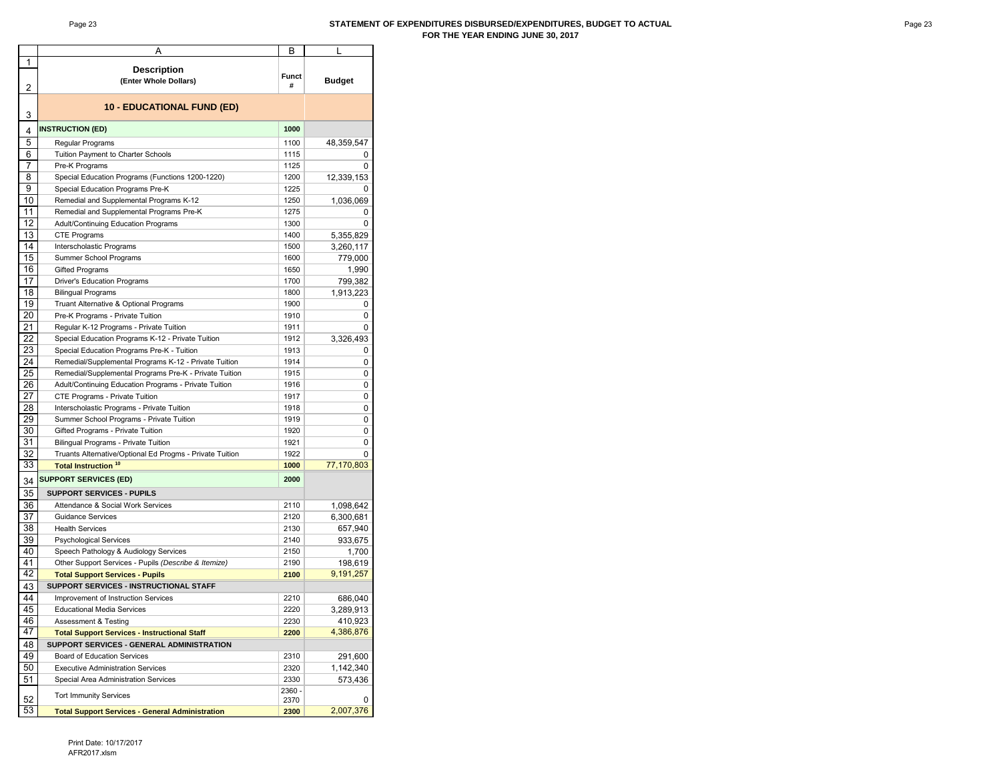#### Page 23 **STATEMENT OF EXPENDITURES DISBURSED/EXPENDITURES, BUDGET TO ACTUAL FOR THE YEAR ENDING JUNE 30, 2017**

|    | Α                                                        | B      | L             |
|----|----------------------------------------------------------|--------|---------------|
| 1  |                                                          |        |               |
|    | <b>Description</b>                                       | Funct  |               |
| 2  | (Enter Whole Dollars)                                    | #      | <b>Budget</b> |
|    |                                                          |        |               |
|    | 10 - EDUCATIONAL FUND (ED)                               |        |               |
| 3  |                                                          |        |               |
|    | <b>INSTRUCTION (ED)</b>                                  | 1000   |               |
| 4  |                                                          |        |               |
| 5  | Regular Programs                                         | 1100   | 48,359,547    |
| 6  | Tuition Payment to Charter Schools                       | 1115   | 0             |
| 7  | Pre-K Programs                                           | 1125   | 0             |
| 8  | Special Education Programs (Functions 1200-1220)         | 1200   | 12,339,153    |
| 9  | Special Education Programs Pre-K                         | 1225   | 0             |
| 10 | Remedial and Supplemental Programs K-12                  | 1250   | 1,036,069     |
| 11 | Remedial and Supplemental Programs Pre-K                 | 1275   | 0             |
| 12 | Adult/Continuing Education Programs                      | 1300   | 0             |
| 13 | <b>CTE Programs</b>                                      | 1400   | 5,355,829     |
| 14 | Interscholastic Programs                                 | 1500   | 3,260,117     |
| 15 |                                                          |        |               |
|    | Summer School Programs                                   | 1600   | 779,000       |
| 16 | Gifted Programs                                          | 1650   | 1,990         |
| 17 | Driver's Education Programs                              | 1700   | 799,382       |
| 18 | <b>Bilingual Programs</b>                                | 1800   | 1,913,223     |
| 19 | Truant Alternative & Optional Programs                   | 1900   | 0             |
| 20 | Pre-K Programs - Private Tuition                         | 1910   | 0             |
| 21 | Regular K-12 Programs - Private Tuition                  | 1911   | 0             |
| 22 | Special Education Programs K-12 - Private Tuition        | 1912   | 3,326,493     |
| 23 | Special Education Programs Pre-K - Tuition               | 1913   | 0             |
| 24 | Remedial/Supplemental Programs K-12 - Private Tuition    | 1914   | 0             |
| 25 | Remedial/Supplemental Programs Pre-K - Private Tuition   | 1915   | 0             |
| 26 | Adult/Continuing Education Programs - Private Tuition    | 1916   | 0             |
| 27 |                                                          | 1917   | 0             |
|    | CTE Programs - Private Tuition                           |        |               |
| 28 | Interscholastic Programs - Private Tuition               | 1918   | 0             |
| 29 | Summer School Programs - Private Tuition                 | 1919   | 0             |
| 30 | Gifted Programs - Private Tuition                        | 1920   | 0             |
| 31 | Bilingual Programs - Private Tuition                     | 1921   | 0             |
| 32 | Truants Alternative/Optional Ed Progms - Private Tuition | 1922   | 0             |
| 33 | <b>Total Instruction<sup>10</sup></b>                    | 1000   | 77,170,803    |
| 34 | <b>SUPPORT SERVICES (ED)</b>                             | 2000   |               |
|    |                                                          |        |               |
| 35 | <b>SUPPORT SERVICES - PUPILS</b>                         |        |               |
| 36 | Attendance & Social Work Services                        | 2110   | 1,098,642     |
| 37 | <b>Guidance Services</b>                                 | 2120   | 6,300,681     |
| 38 | <b>Health Services</b>                                   | 2130   | 657,940       |
| 39 | <b>Psychological Services</b>                            | 2140   | 933,675       |
| 40 | Speech Pathology & Audiology Services                    | 2150   | 1,700         |
| 41 | Other Support Services - Pupils (Describe & Itemize)     | 2190   | 198,619       |
| 42 | <b>Total Support Services - Pupils</b>                   | 2100   | 9,191,257     |
| 43 | SUPPORT SERVICES - INSTRUCTIONAL STAFF                   |        |               |
| 44 |                                                          | 2210   |               |
| 45 | Improvement of Instruction Services                      | 2220   | 686,040       |
|    | <b>Educational Media Services</b>                        |        | 3,289,913     |
| 46 | <b>Assessment &amp; Testing</b>                          | 2230   | 410,923       |
| 47 | <b>Total Support Services - Instructional Staff</b>      | 2200   | 4,386,876     |
| 48 | SUPPORT SERVICES - GENERAL ADMINISTRATION                |        |               |
| 49 | Board of Education Services                              | 2310   | 291,600       |
| 50 | <b>Executive Administration Services</b>                 | 2320   | 1,142,340     |
| 51 | Special Area Administration Services                     | 2330   | 573,436       |
|    |                                                          | 2360 - |               |
| 52 | <b>Tort Immunity Services</b>                            | 2370   | 0             |
| 53 | <b>Total Support Services - General Administration</b>   | 2300   | 2,007,376     |
|    |                                                          |        |               |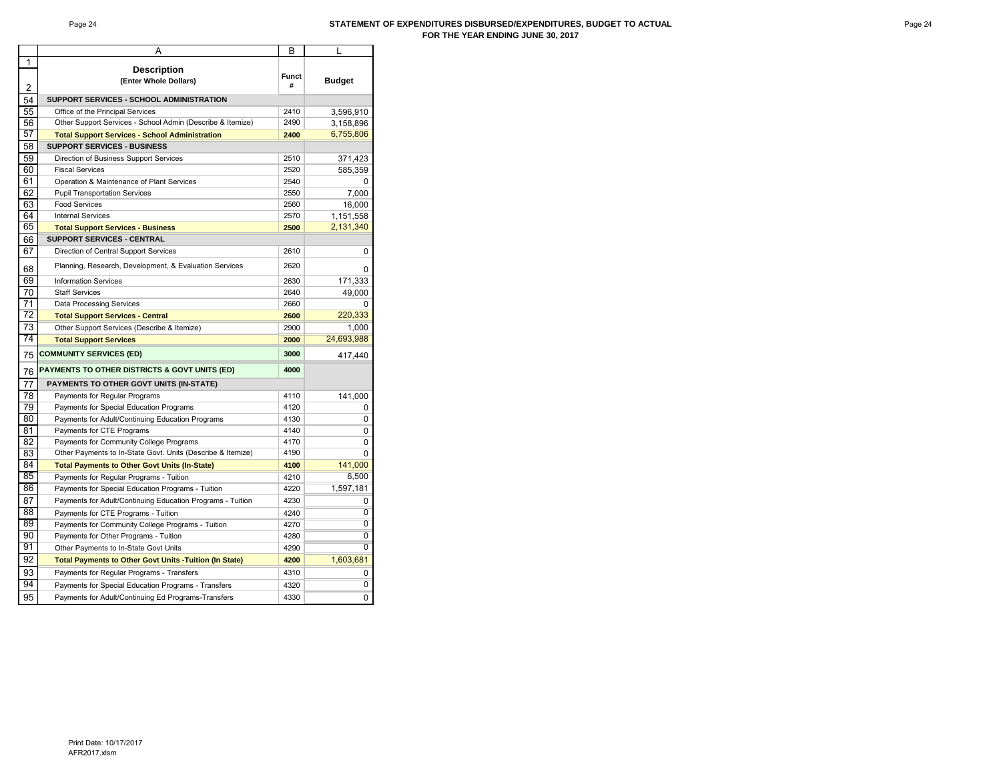#### Page 24 **STATEMENT OF EXPENDITURES DISBURSED/EXPENDITURES, BUDGET TO ACTUAL FOR THE YEAR ENDING JUNE 30, 2017**

|    | A                                                              | В     | L              |
|----|----------------------------------------------------------------|-------|----------------|
| 1  |                                                                |       |                |
|    | <b>Description</b><br>(Enter Whole Dollars)                    | Funct | <b>Budget</b>  |
| 2  |                                                                | #     |                |
| 54 | SUPPORT SERVICES - SCHOOL ADMINISTRATION                       |       |                |
| 55 | Office of the Principal Services                               | 2410  | 3,596,910      |
| 56 | Other Support Services - School Admin (Describe & Itemize)     | 2490  | 3,158,896      |
| 57 | <b>Total Support Services - School Administration</b>          | 2400  | 6,755,806      |
| 58 | <b>SUPPORT SERVICES - BUSINESS</b>                             |       |                |
| 59 | Direction of Business Support Services                         | 2510  | 371,423        |
| 60 | <b>Fiscal Services</b>                                         | 2520  | 585,359        |
| 61 | Operation & Maintenance of Plant Services                      | 2540  | 0              |
| 62 | <b>Pupil Transportation Services</b>                           | 2550  | 7,000          |
| 63 | <b>Food Services</b>                                           | 2560  | 16,000         |
| 64 | <b>Internal Services</b>                                       | 2570  | 1,151,558      |
| 65 | <b>Total Support Services - Business</b>                       | 2500  | 2,131,340      |
| 66 | <b>SUPPORT SERVICES - CENTRAL</b>                              |       |                |
| 67 | Direction of Central Support Services                          | 2610  | 0              |
| 68 | Planning, Research, Development, & Evaluation Services         | 2620  | 0              |
| 69 | <b>Information Services</b>                                    | 2630  | 171,333        |
| 70 | <b>Staff Services</b>                                          | 2640  | 49,000         |
| 71 | <b>Data Processing Services</b>                                | 2660  | 0              |
| 72 | <b>Total Support Services - Central</b>                        | 2600  | 220,333        |
| 73 | Other Support Services (Describe & Itemize)                    | 2900  | 1,000          |
| 74 | <b>Total Support Services</b>                                  | 2000  | 24,693,988     |
| 75 | <b>COMMUNITY SERVICES (ED)</b>                                 | 3000  | 417,440        |
| 76 | <b>PAYMENTS TO OTHER DISTRICTS &amp; GOVT UNITS (ED)</b>       | 4000  |                |
| 77 | <b>PAYMENTS TO OTHER GOVT UNITS (IN-STATE)</b>                 |       |                |
| 78 | Payments for Regular Programs                                  | 4110  | 141,000        |
| 79 | Payments for Special Education Programs                        | 4120  | 0              |
| 80 | Payments for Adult/Continuing Education Programs               | 4130  | 0              |
| 81 | Payments for CTE Programs                                      | 4140  | 0              |
| 82 | Payments for Community College Programs                        | 4170  | 0              |
| 83 | Other Payments to In-State Govt. Units (Describe & Itemize)    | 4190  | 0              |
| 84 | <b>Total Payments to Other Govt Units (In-State)</b>           | 4100  | 141,000        |
| 85 | Payments for Regular Programs - Tuition                        | 4210  | 6,500          |
| 86 | Payments for Special Education Programs - Tuition              | 4220  | 1,597,181      |
| 87 | Payments for Adult/Continuing Education Programs - Tuition     | 4230  | 0              |
| 88 | Payments for CTE Programs - Tuition                            | 4240  | $\overline{0}$ |
| 89 | Payments for Community College Programs - Tuition              | 4270  | Ō              |
| 90 | Payments for Other Programs - Tuition                          | 4280  | Ō              |
| 91 | Other Payments to In-State Govt Units                          | 4290  | 0              |
| 92 | <b>Total Payments to Other Govt Units - Tuition (In State)</b> | 4200  | 1,603,681      |
| 93 | Payments for Regular Programs - Transfers                      | 4310  | 0              |
| 94 | Payments for Special Education Programs - Transfers            | 4320  | $\overline{0}$ |
|    |                                                                |       |                |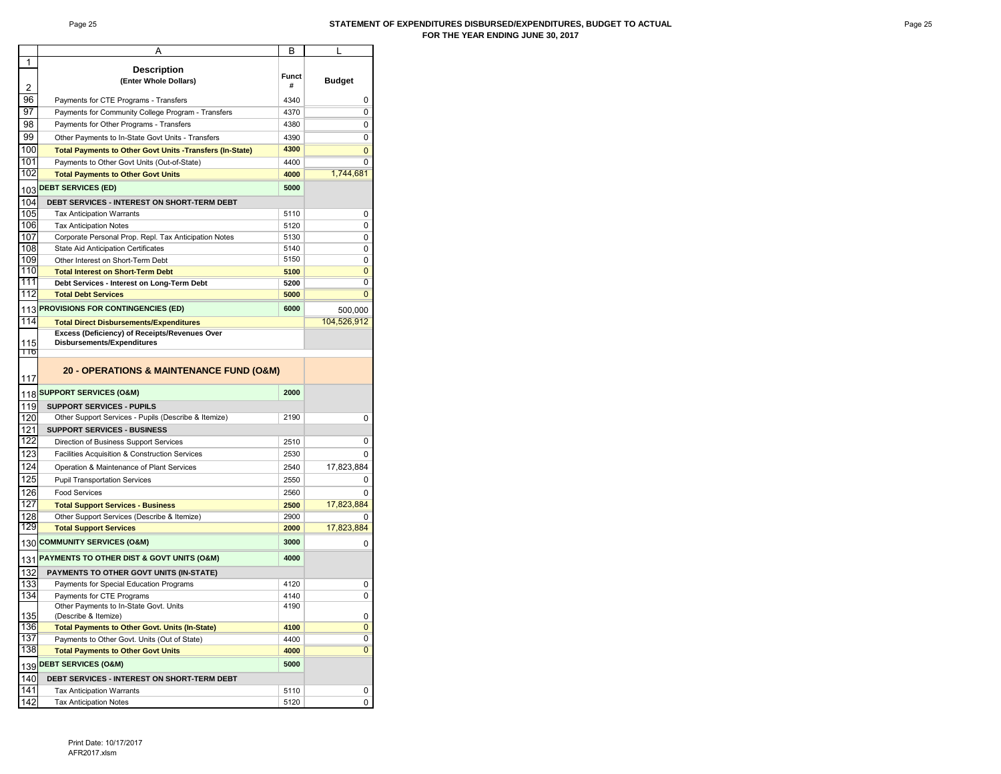#### Page 25 **STATEMENT OF EXPENDITURES DISBURSED/EXPENDITURES, BUDGET TO ACTUAL FOR THE YEAR ENDING JUNE 30, 2017**

|            | Α                                                                           | B     |               |
|------------|-----------------------------------------------------------------------------|-------|---------------|
| 1          |                                                                             |       |               |
|            | <b>Description</b>                                                          | Funct |               |
| 2          | (Enter Whole Dollars)                                                       | #     | <b>Budget</b> |
| 96         | Payments for CTE Programs - Transfers                                       | 4340  | 0             |
| 97         |                                                                             | 4370  | 0             |
| 98         | Payments for Community College Program - Transfers                          |       |               |
|            | Payments for Other Programs - Transfers                                     | 4380  | 0             |
| 99         | Other Payments to In-State Govt Units - Transfers                           | 4390  | 0             |
| 100        | <b>Total Payments to Other Govt Units -Transfers (In-State)</b>             | 4300  | 0             |
| 101        | Payments to Other Govt Units (Out-of-State)                                 | 4400  | 0             |
| 102        | <b>Total Payments to Other Govt Units</b>                                   | 4000  | 1,744,681     |
| 103        | <b>DEBT SERVICES (ED)</b>                                                   | 5000  |               |
| 104        | DEBT SERVICES - INTEREST ON SHORT-TERM DEBT                                 |       |               |
| 105        | <b>Tax Anticipation Warrants</b>                                            | 5110  | 0             |
| 106        | <b>Tax Anticipation Notes</b>                                               | 5120  | 0             |
| 107        | Corporate Personal Prop. Repl. Tax Anticipation Notes                       | 5130  | 0             |
| 108        | State Aid Anticipation Certificates                                         | 5140  | 0             |
| 109        | Other Interest on Short-Term Debt                                           | 5150  | 0             |
| 110        | <b>Total Interest on Short-Term Debt</b>                                    | 5100  | 0             |
| 111        | Debt Services - Interest on Long-Term Debt                                  | 5200  | 0             |
| 112        | <b>Total Debt Services</b>                                                  | 5000  | 0             |
|            |                                                                             | 6000  |               |
| 113        | <b>PROVISIONS FOR CONTINGENCIES (ED)</b>                                    |       | 500,000       |
| 114        | <b>Total Direct Disbursements/Expenditures</b>                              |       | 104,526,912   |
|            | Excess (Deficiency) of Receipts/Revenues Over<br>Disbursements/Expenditures |       |               |
| 115<br>११७ |                                                                             |       |               |
|            |                                                                             |       |               |
|            | 20 - OPERATIONS & MAINTENANCE FUND (O&M)                                    |       |               |
| 117        |                                                                             |       |               |
| 118        | <b>SUPPORT SERVICES (O&amp;M)</b>                                           | 2000  |               |
| 119        | <b>SUPPORT SERVICES - PUPILS</b>                                            |       |               |
| 120        | Other Support Services - Pupils (Describe & Itemize)                        | 2190  | 0             |
| 121        | <b>SUPPORT SERVICES - BUSINESS</b>                                          |       |               |
| 122        | Direction of Business Support Services                                      | 2510  | 0             |
| 123        | Facilities Acquisition & Construction Services                              | 2530  | 0             |
| 124        | Operation & Maintenance of Plant Services                                   | 2540  | 17,823,884    |
| 125        | <b>Pupil Transportation Services</b>                                        | 2550  | 0             |
| 126        | <b>Food Services</b>                                                        | 2560  | 0             |
| 127        | <b>Total Support Services - Business</b>                                    | 2500  | 17,823,884    |
| 128        | Other Support Services (Describe & Itemize)                                 | 2900  |               |
| 129        | <b>Total Support Services</b>                                               | 2000  | 17,823,884    |
|            |                                                                             |       |               |
| 130        | <b>COMMUNITY SERVICES (O&amp;M)</b>                                         | 3000  | 0             |
| 131        | PAYMENTS TO OTHER DIST & GOVT UNITS (O&M)                                   | 4000  |               |
| 132        | PAYMENTS TO OTHER GOVT UNITS (IN-STATE)                                     |       |               |
| 133        | Payments for Special Education Programs                                     | 4120  | 0             |
| 134        | Payments for CTE Programs                                                   | 4140  | 0             |
|            | Other Payments to In-State Govt. Units                                      | 4190  |               |
| 135        | (Describe & Itemize)                                                        |       | 0             |
| 136        | <b>Total Payments to Other Govt. Units (In-State)</b>                       | 4100  | 0             |
| 137        | Payments to Other Govt. Units (Out of State)                                | 4400  | 0             |
| 138        | <b>Total Payments to Other Govt Units</b>                                   | 4000  | 0             |
| 139        | <b>DEBT SERVICES (O&amp;M)</b>                                              | 5000  |               |
| 140        | <b>DEBT SERVICES - INTEREST ON SHORT-TERM DEBT</b>                          |       |               |
| 141        | <b>Tax Anticipation Warrants</b>                                            | 5110  | 0             |
| 142        | <b>Tax Anticipation Notes</b>                                               | 5120  | 0             |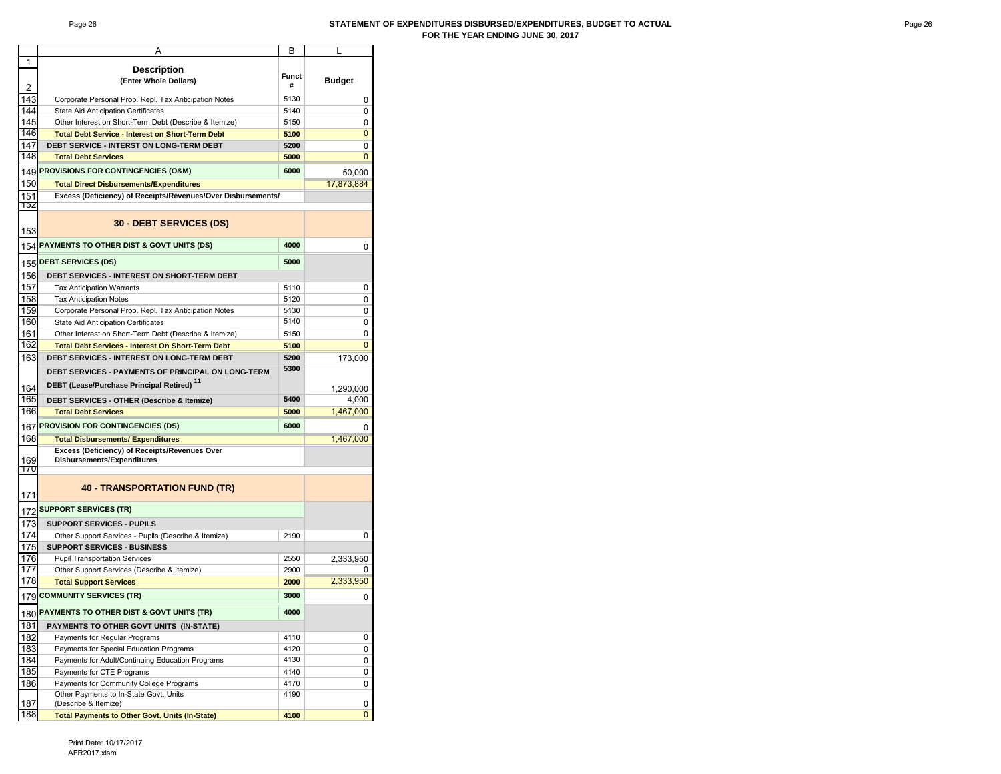#### Page 26 **STATEMENT OF EXPENDITURES DISBURSED/EXPENDITURES, BUDGET TO ACTUAL FOR THE YEAR ENDING JUNE 30, 2017**

|            | A                                                            | В            |               |
|------------|--------------------------------------------------------------|--------------|---------------|
| 1          |                                                              |              |               |
|            | <b>Description</b>                                           | <b>Funct</b> |               |
| 2          | (Enter Whole Dollars)                                        | #            | <b>Budget</b> |
| 143        | Corporate Personal Prop. Repl. Tax Anticipation Notes        | 5130         | 0             |
| 144        |                                                              |              |               |
|            | <b>State Aid Anticipation Certificates</b>                   | 5140         | 0             |
| 145        | Other Interest on Short-Term Debt (Describe & Itemize)       | 5150         | 0             |
| 146        | <b>Total Debt Service - Interest on Short-Term Debt</b>      | 5100         | 0             |
| 147        | DEBT SERVICE - INTERST ON LONG-TERM DEBT                     | 5200         | 0             |
| 148        | <b>Total Debt Services</b>                                   | 5000         | 0             |
| 149        | PROVISIONS FOR CONTINGENCIES (O&M)                           | 6000         | 50,000        |
|            |                                                              |              |               |
| 150        | <b>Total Direct Disbursements/Expenditures</b>               |              | 17,873,884    |
| 151<br>15Z | Excess (Deficiency) of Receipts/Revenues/Over Disbursements/ |              |               |
| 153        | 30 - DEBT SERVICES (DS)                                      |              |               |
| 154        | PAYMENTS TO OTHER DIST & GOVT UNITS (DS)                     | 4000         | 0             |
|            | <b>DEBT SERVICES (DS)</b>                                    | 5000         |               |
| 155        |                                                              |              |               |
| 156        | DEBT SERVICES - INTEREST ON SHORT-TERM DEBT                  |              |               |
| 157        | <b>Tax Anticipation Warrants</b>                             | 5110         | 0             |
| 158        | <b>Tax Anticipation Notes</b>                                | 5120         | 0             |
| 159        | Corporate Personal Prop. Repl. Tax Anticipation Notes        | 5130         | 0             |
| 160        | State Aid Anticipation Certificates                          | 5140         | 0             |
| 161        | Other Interest on Short-Term Debt (Describe & Itemize)       | 5150         | 0             |
| 162        | <b>Total Debt Services - Interest On Short-Term Debt</b>     | 5100         | 0             |
|            |                                                              |              |               |
| 163        | DEBT SERVICES - INTEREST ON LONG-TERM DEBT                   | 5200         | 173,000       |
|            | DEBT SERVICES - PAYMENTS OF PRINCIPAL ON LONG-TERM           | 5300         |               |
|            | DEBT (Lease/Purchase Principal Retired) <sup>11</sup>        |              |               |
| 164        |                                                              |              | 1,290,000     |
| 165        | DEBT SERVICES - OTHER (Describe & Itemize)                   | 5400         | 4,000         |
| 166        | <b>Total Debt Services</b>                                   | 5000         | 1,467,000     |
|            | 167 PROVISION FOR CONTINGENCIES (DS)                         | 6000         |               |
| 168        | <b>Total Disbursements/ Expenditures</b>                     |              | 1,467,000     |
|            | Excess (Deficiency) of Receipts/Revenues Over                |              |               |
| 169        | <b>Disbursements/Expenditures</b>                            |              |               |
| 170        |                                                              |              |               |
| 171        | <b>40 - TRANSPORTATION FUND (TR)</b>                         |              |               |
| 172        | <b>SUPPORT SERVICES (TR)</b>                                 |              |               |
| 173        | <b>SUPPORT SERVICES - PUPILS</b>                             |              |               |
| 174        | Other Support Services - Pupils (Describe & Itemize)         | 2190         | 0             |
| 175        | <b>SUPPORT SERVICES - BUSINESS</b>                           |              |               |
| 176        | <b>Pupil Transportation Services</b>                         | 2550         | 2,333,950     |
| 177        | Other Support Services (Describe & Itemize)                  | 2900         | 0             |
| 178        |                                                              |              | 2,333,950     |
|            | <b>Total Support Services</b>                                | 2000         |               |
| 179        | <b>COMMUNITY SERVICES (TR)</b>                               | 3000         | 0             |
| 180        | PAYMENTS TO OTHER DIST & GOVT UNITS (TR)                     | 4000         |               |
| 181        | PAYMENTS TO OTHER GOVT UNITS (IN-STATE)                      |              |               |
| 182        | Payments for Regular Programs                                | 4110         | 0             |
| 183        | Payments for Special Education Programs                      | 4120         | 0             |
| 184        | Payments for Adult/Continuing Education Programs             | 4130         | 0             |
| 185        | Payments for CTE Programs                                    | 4140         | 0             |
| 186        | Payments for Community College Programs                      | 4170         | 0             |
|            | Other Payments to In-State Govt. Units                       | 4190         |               |
| 187        | (Describe & Itemize)                                         |              | 0             |
| 188        | <b>Total Payments to Other Govt. Units (In-State)</b>        | 4100         | 0             |
|            |                                                              |              |               |

Print Date: 10/17/2017 AFR2017.xlsm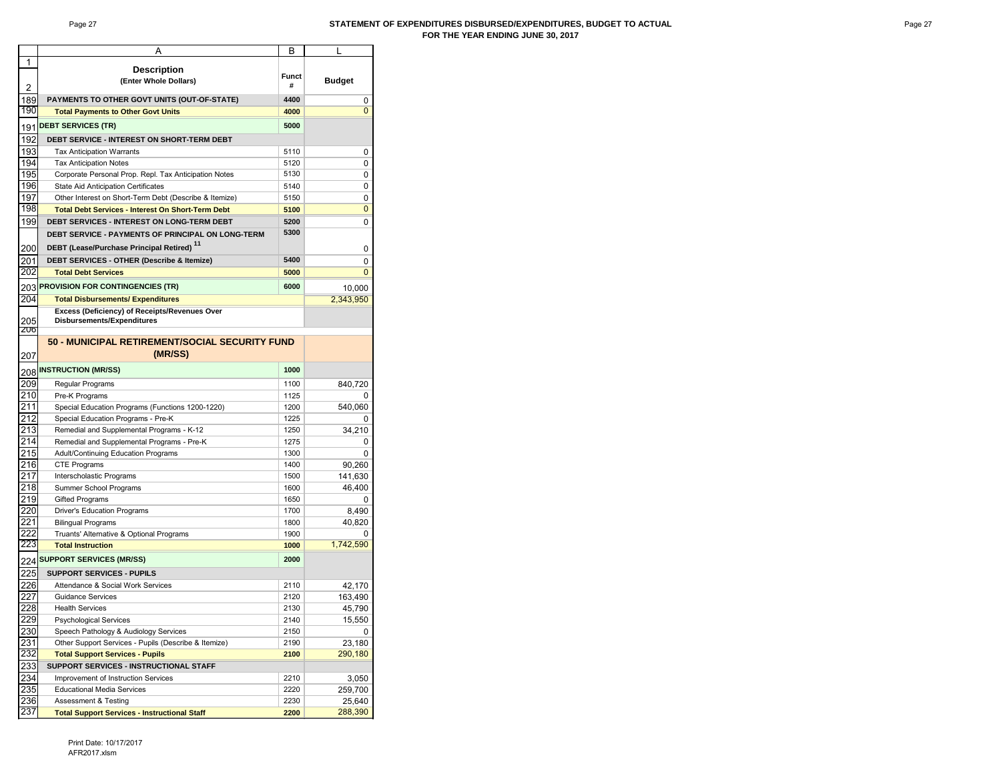#### Page 27 **STATEMENT OF EXPENDITURES DISBURSED/EXPENDITURES, BUDGET TO ACTUAL FOR THE YEAR ENDING JUNE 30, 2017**

|                  | А                                                        | в     | L                 |
|------------------|----------------------------------------------------------|-------|-------------------|
| 1                |                                                          |       |                   |
|                  | <b>Description</b>                                       | Funct |                   |
| 2                | (Enter Whole Dollars)                                    | #     | <b>Budget</b>     |
| 189              | PAYMENTS TO OTHER GOVT UNITS (OUT-OF-STATE)              | 4400  | 0                 |
| 190              |                                                          | 4000  | 0                 |
|                  | <b>Total Payments to Other Govt Units</b>                |       |                   |
|                  | 191 <mark>DEBT SERVICES (TR)</mark>                      | 5000  |                   |
| 192              | DEBT SERVICE - INTEREST ON SHORT-TERM DEBT               |       |                   |
| 193              | <b>Tax Anticipation Warrants</b>                         | 5110  | 0                 |
| 194              | <b>Tax Anticipation Notes</b>                            | 5120  | 0                 |
| 195              | Corporate Personal Prop. Repl. Tax Anticipation Notes    | 5130  | 0                 |
| 196              | State Aid Anticipation Certificates                      | 5140  | 0                 |
| 197              | Other Interest on Short-Term Debt (Describe & Itemize)   | 5150  | 0                 |
| 198              | <b>Total Debt Services - Interest On Short-Term Debt</b> | 5100  | 0                 |
|                  | DEBT SERVICES - INTEREST ON LONG-TERM DEBT               |       |                   |
| 199              |                                                          | 5200  | 0                 |
|                  | DEBT SERVICE - PAYMENTS OF PRINCIPAL ON LONG-TERM        | 5300  |                   |
| 200              | DEBT (Lease/Purchase Principal Retired) <sup>11</sup>    |       | 0                 |
| 201              | <b>DEBT SERVICES - OTHER (Describe &amp; Itemize)</b>    | 5400  | 0                 |
| 202              | <b>Total Debt Services</b>                               | 5000  | $\mathbf 0$       |
|                  |                                                          |       |                   |
|                  | 203 PROVISION FOR CONTINGENCIES (TR)                     | 6000  | 10,000            |
| 204              | <b>Total Disbursements/ Expenditures</b>                 |       | 2,343,950         |
|                  | Excess (Deficiency) of Receipts/Revenues Over            |       |                   |
| 205              | Disbursements/Expenditures                               |       |                   |
| 206              |                                                          |       |                   |
|                  | 50 - MUNICIPAL RETIREMENT/SOCIAL SECURITY FUND           |       |                   |
| 207              | (MR/SS)                                                  |       |                   |
|                  | 208 <mark>INSTRUCTION (MR/SS)</mark>                     | 1000  |                   |
|                  |                                                          |       |                   |
| 209              | Regular Programs                                         | 1100  | 840,720           |
| 210              | Pre-K Programs                                           | 1125  | 0                 |
| 211              | Special Education Programs (Functions 1200-1220)         | 1200  | 540,060           |
| 212              | Special Education Programs - Pre-K                       | 1225  | 0                 |
| 213              | Remedial and Supplemental Programs - K-12                | 1250  | 34,210            |
| $\overline{214}$ | Remedial and Supplemental Programs - Pre-K               | 1275  | 0                 |
| 215              | Adult/Continuing Education Programs                      | 1300  | 0                 |
| 216              | <b>CTE Programs</b>                                      | 1400  | 90,260            |
| 217              | Interscholastic Programs                                 | 1500  | 141,630           |
| 218              | Summer School Programs                                   | 1600  | 46,400            |
| 219              | <b>Gifted Programs</b>                                   | 1650  | 0                 |
| 220              | Driver's Education Programs                              | 1700  | 8,490             |
| 221              | <b>Bilingual Programs</b>                                | 1800  | 40,820            |
| 222              | Truants' Alternative & Optional Programs                 | 1900  |                   |
| 223              | <b>Total Instruction</b>                                 | 1000  | 1,742,590         |
|                  |                                                          |       |                   |
|                  | 224 <mark>SUPPORT SERVICES (MR/SS)</mark>                | 2000  |                   |
| 225              | <b>SUPPORT SERVICES - PUPILS</b>                         |       |                   |
| 226              | Attendance & Social Work Services                        | 2110  | 42,170            |
| 227              | <b>Guidance Services</b>                                 | 2120  | 163,490           |
| $\overline{228}$ | <b>Health Services</b>                                   | 2130  | 45,790            |
|                  | <b>Psychological Services</b>                            | 2140  | 15,550            |
| 229<br>230       | Speech Pathology & Audiology Services                    | 2150  | 0                 |
|                  | Other Support Services - Pupils (Describe & Itemize)     |       |                   |
| 231<br>232       |                                                          | 2190  | 23,180<br>290,180 |
|                  | <b>Total Support Services - Pupils</b>                   | 2100  |                   |
| <u>233</u>       | SUPPORT SERVICES - INSTRUCTIONAL STAFF                   |       |                   |
| 234              | Improvement of Instruction Services                      | 2210  | 3,050             |
| 235              | <b>Educational Media Services</b>                        | 2220  | 259,700           |
| 236              | Assessment & Testing                                     | 2230  | 25,640            |
| 237              | <b>Total Support Services - Instructional Staff</b>      | 2200  | 288,390           |

Print Date: 10/17/2017 AFR2017.xlsm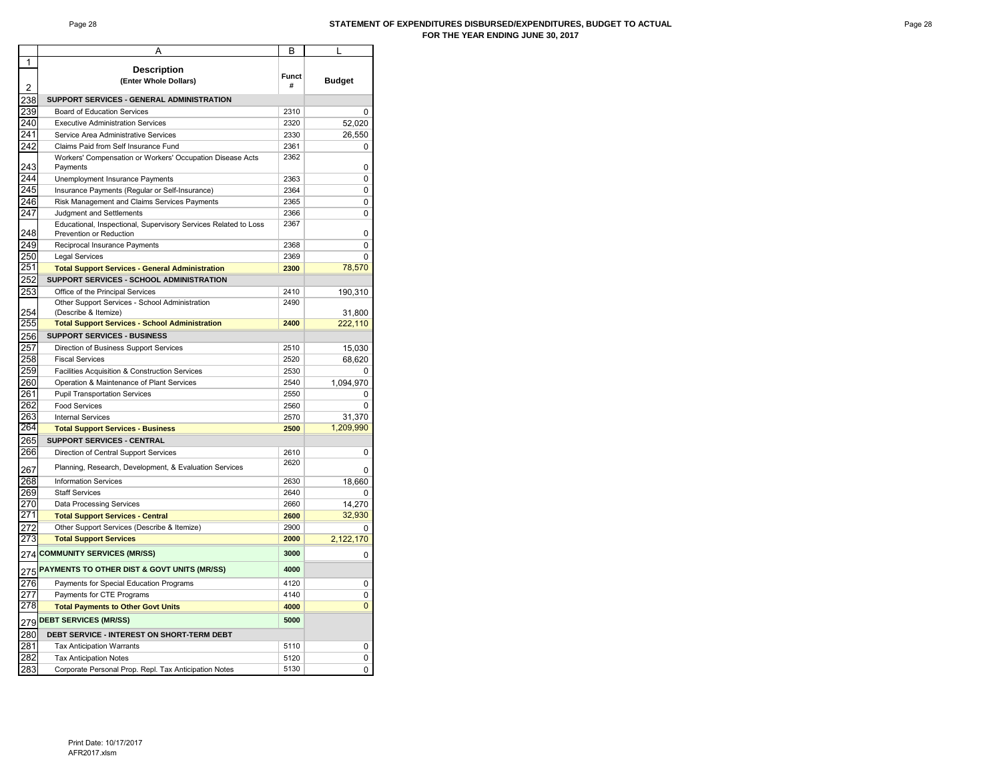#### Page 28 **STATEMENT OF EXPENDITURES DISBURSED/EXPENDITURES, BUDGET TO ACTUAL FOR THE YEAR ENDING JUNE 30, 2017**

|     | Α                                                                | В            |               |
|-----|------------------------------------------------------------------|--------------|---------------|
| 1   |                                                                  |              |               |
|     | <b>Description</b>                                               | <b>Funct</b> |               |
| 2   | (Enter Whole Dollars)                                            | #            | <b>Budget</b> |
| 238 | SUPPORT SERVICES - GENERAL ADMINISTRATION                        |              |               |
| 239 | <b>Board of Education Services</b>                               | 2310         | 0             |
| 240 | <b>Executive Administration Services</b>                         | 2320         | 52,020        |
| 241 | Service Area Administrative Services                             | 2330         | 26,550        |
| 242 | Claims Paid from Self Insurance Fund                             | 2361         | 0             |
|     | Workers' Compensation or Workers' Occupation Disease Acts        | 2362         |               |
| 243 | Payments                                                         |              | 0             |
| 244 | Unemployment Insurance Payments                                  | 2363         | 0             |
| 245 | Insurance Payments (Regular or Self-Insurance)                   | 2364         | 0             |
| 246 | Risk Management and Claims Services Payments                     | 2365         | 0             |
| 247 | Judgment and Settlements                                         | 2366         | 0             |
|     | Educational, Inspectional, Supervisory Services Related to Loss  | 2367         |               |
| 248 | Prevention or Reduction                                          |              | 0             |
| 249 | Reciprocal Insurance Payments                                    | 2368         | 0             |
| 250 | <b>Legal Services</b>                                            | 2369         | 0             |
| 251 | <b>Total Support Services - General Administration</b>           | 2300         | 78,570        |
| 252 | SUPPORT SERVICES - SCHOOL ADMINISTRATION                         |              |               |
| 253 | Office of the Principal Services                                 | 2410         | 190,310       |
|     | Other Support Services - School Administration                   | 2490         |               |
| 254 | (Describe & Itemize)                                             |              | 31,800        |
| 255 | <b>Total Support Services - School Administration</b>            | 2400         | 222,110       |
| 256 | <b>SUPPORT SERVICES - BUSINESS</b>                               |              |               |
| 257 | Direction of Business Support Services                           | 2510         | 15,030        |
| 258 | <b>Fiscal Services</b>                                           | 2520         | 68,620        |
| 259 | Facilities Acquisition & Construction Services                   | 2530         | 0             |
| 260 | Operation & Maintenance of Plant Services                        | 2540         | 1,094,970     |
| 261 | <b>Pupil Transportation Services</b>                             | 2550         | 0             |
| 262 | <b>Food Services</b>                                             | 2560         | 0             |
| 263 | <b>Internal Services</b>                                         | 2570         | 31,370        |
| 264 | <b>Total Support Services - Business</b>                         | 2500         | 1,209,990     |
| 265 | SUPPORT SERVICES - CENTRAL                                       |              |               |
| 266 | Direction of Central Support Services                            | 2610         | 0             |
|     | Planning, Research, Development, & Evaluation Services           | 2620         |               |
| 267 |                                                                  |              | 0             |
| 268 | <b>Information Services</b>                                      | 2630         | 18,660        |
| 269 | <b>Staff Services</b>                                            | 2640         | 0             |
| 270 | <b>Data Processing Services</b>                                  | 2660         | 14,270        |
| 271 | <b>Total Support Services - Central</b>                          | 2600         | 32,930        |
| 272 | Other Support Services (Describe & Itemize)                      | 2900         | ŋ             |
| 273 | <b>Total Support Services</b>                                    | 2000         | 2,122,170     |
| 274 | <b>COMMUNITY SERVICES (MR/SS)</b>                                | 3000         | 0             |
|     | 275 <mark>PAYMENTS TO OTHER DIST &amp; GOVT UNITS (MR/SS)</mark> | 4000         |               |
|     |                                                                  |              |               |
| 276 | Payments for Special Education Programs                          | 4120         | 0             |
| 277 | Payments for CTE Programs                                        | 4140         | 0             |
| 278 | <b>Total Payments to Other Govt Units</b>                        | 4000         | 0             |
|     | 279 <mark>DEBT SERVICES (MR/SS)</mark>                           | 5000         |               |
| 280 | DEBT SERVICE - INTEREST ON SHORT-TERM DEBT                       |              |               |
| 281 | <b>Tax Anticipation Warrants</b>                                 | 5110         | 0             |
| 282 | <b>Tax Anticipation Notes</b>                                    | 5120         | 0             |
| 283 | Corporate Personal Prop. Repl. Tax Anticipation Notes            | 5130         | 0             |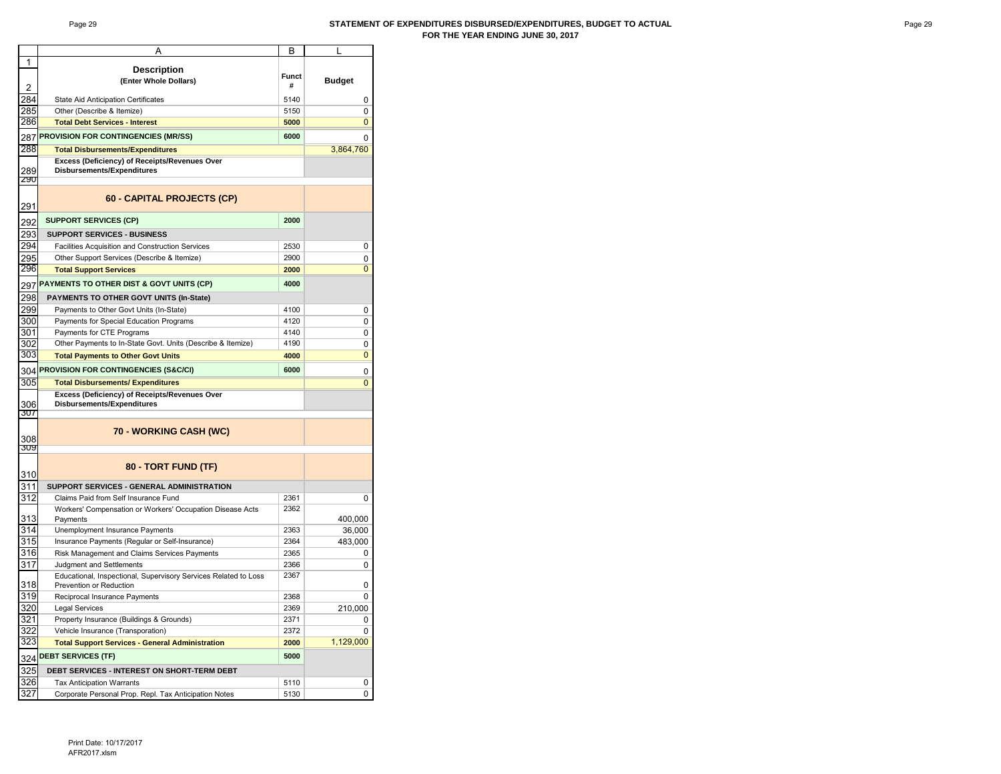#### Page 29 **STATEMENT OF EXPENDITURES DISBURSED/EXPENDITURES, BUDGET TO ACTUAL FOR THE YEAR ENDING JUNE 30, 2017**

|                  | A                                                               | В            | L              |
|------------------|-----------------------------------------------------------------|--------------|----------------|
| 1                |                                                                 |              |                |
|                  | <b>Description</b>                                              | <b>Funct</b> |                |
| $\overline{2}$   | (Enter Whole Dollars)                                           | #            | <b>Budget</b>  |
| 284              | State Aid Anticipation Certificates                             | 5140         | 0              |
| 285              | Other (Describe & Itemize)                                      | 5150         | 0              |
| 286              |                                                                 |              | 0              |
|                  | <b>Total Debt Services - Interest</b>                           | 5000         |                |
| 287              | <b>PROVISION FOR CONTINGENCIES (MR/SS)</b>                      | 6000         | 0              |
| 288              | <b>Total Disbursements/Expenditures</b>                         |              | 3,864,760      |
|                  | Excess (Deficiency) of Receipts/Revenues Over                   |              |                |
| 289              | <b>Disbursements/Expenditures</b>                               |              |                |
| <b>290</b>       |                                                                 |              |                |
| 291              | 60 - CAPITAL PROJECTS (CP)                                      |              |                |
| 292              | <b>SUPPORT SERVICES (CP)</b>                                    | 2000         |                |
| 293              | <b>SUPPORT SERVICES - BUSINESS</b>                              |              |                |
| 294              | Facilities Acquisition and Construction Services                | 2530         | 0              |
| 295              | Other Support Services (Describe & Itemize)                     | 2900         | 0              |
| 296              | <b>Total Support Services</b>                                   | 2000         | $\overline{0}$ |
|                  |                                                                 |              |                |
| 297              | PAYMENTS TO OTHER DIST & GOVT UNITS (CP)                        | 4000         |                |
| 298              | PAYMENTS TO OTHER GOVT UNITS (In-State)                         |              |                |
| 299              | Payments to Other Govt Units (In-State)                         | 4100         | 0              |
| 300              | Payments for Special Education Programs                         | 4120         | 0              |
| 301              | Payments for CTE Programs                                       | 4140         | 0              |
| 302              | Other Payments to In-State Govt. Units (Describe & Itemize)     | 4190         | 0              |
| 303              | <b>Total Payments to Other Govt Units</b>                       | 4000         | 0              |
| 304              | PROVISION FOR CONTINGENCIES (S&C/CI)                            | 6000         | 0              |
| 305              | <b>Total Disbursements/ Expenditures</b>                        |              | $\overline{0}$ |
|                  | Excess (Deficiency) of Receipts/Revenues Over                   |              |                |
| 306              | <b>Disbursements/Expenditures</b>                               |              |                |
| 307              |                                                                 |              |                |
|                  |                                                                 |              |                |
| 308              | 70 - WORKING CASH (WC)                                          |              |                |
| 309              |                                                                 |              |                |
|                  |                                                                 |              |                |
| 310              | 80 - TORT FUND (TF)                                             |              |                |
| 311              | SUPPORT SERVICES - GENERAL ADMINISTRATION                       |              |                |
| 312              | Claims Paid from Self Insurance Fund                            | 2361         |                |
|                  | Workers' Compensation or Workers' Occupation Disease Acts       | 2362         | 0              |
| 313              | Payments                                                        |              | 400,000        |
| 314              | Unemployment Insurance Payments                                 | 2363         | 36,000         |
| 315              | Insurance Payments (Regular or Self-Insurance)                  | 2364         | 483,000        |
| 316              | Risk Management and Claims Services Payments                    | 2365         | 0              |
| $\overline{317}$ | Judgment and Settlements                                        | 2366         | 0              |
|                  | Educational, Inspectional, Supervisory Services Related to Loss | 2367         |                |
| 318              | Prevention or Reduction                                         |              | 0              |
| 319              | Reciprocal Insurance Payments                                   | 2368         | 0              |
| 320              | <b>Legal Services</b>                                           | 2369         | 210,000        |
| 321              | Property Insurance (Buildings & Grounds)                        | 2371         | 0              |
| 322              | Vehicle Insurance (Transporation)                               | 2372         | 0              |
| 323              | <b>Total Support Services - General Administration</b>          | 2000         | 1,129,000      |
| 324              | <b>DEBT SERVICES (TF)</b>                                       | 5000         |                |
| 325              | DEBT SERVICES - INTEREST ON SHORT-TERM DEBT                     |              |                |
| 326              | <b>Tax Anticipation Warrants</b>                                | 5110         | 0              |
| 327              | Corporate Personal Prop. Repl. Tax Anticipation Notes           | 5130         | 0              |
|                  |                                                                 |              |                |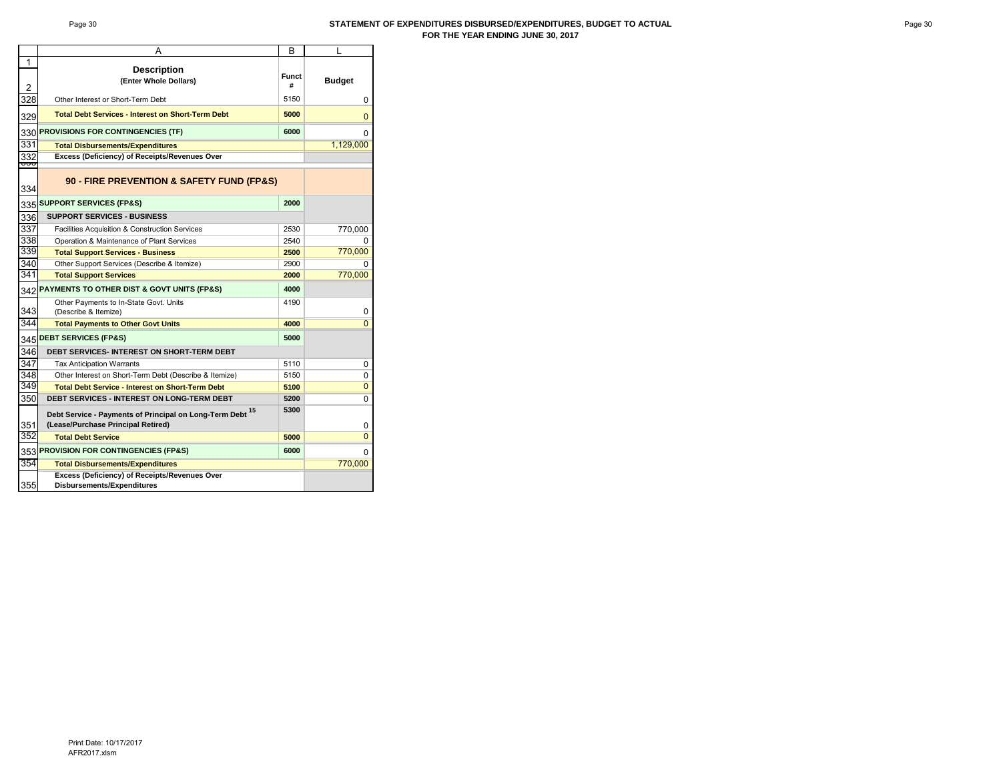#### Page 30 **STATEMENT OF EXPENDITURES DISBURSED/EXPENDITURES, BUDGET TO ACTUAL FOR THE YEAR ENDING JUNE 30, 2017**

|                | A                                                                           | В            | L              |
|----------------|-----------------------------------------------------------------------------|--------------|----------------|
| 1              |                                                                             |              |                |
|                | <b>Description</b><br>(Enter Whole Dollars)                                 | <b>Funct</b> |                |
| $\overline{2}$ |                                                                             | #            | <b>Budget</b>  |
| 328            | Other Interest or Short-Term Debt                                           | 5150         | 0              |
| 329            | <b>Total Debt Services - Interest on Short-Term Debt</b>                    | 5000         | $\Omega$       |
|                | 330 PROVISIONS FOR CONTINGENCIES (TF)                                       | 6000         | 0              |
| 331            | <b>Total Disbursements/Expenditures</b>                                     |              | 1,129,000      |
| 332            | Excess (Deficiency) of Receipts/Revenues Over                               |              |                |
| ०००<br>334     | 90 - FIRE PREVENTION & SAFETY FUND (FP&S)                                   |              |                |
|                | 335 SUPPORT SERVICES (FP&S)                                                 | 2000         |                |
| 336            | <b>SUPPORT SERVICES - BUSINESS</b>                                          |              |                |
| 337            | Facilities Acquisition & Construction Services                              | 2530         | 770,000        |
| 338            | Operation & Maintenance of Plant Services                                   | 2540         | <sup>0</sup>   |
| 339            | <b>Total Support Services - Business</b>                                    | 2500         | 770,000        |
| 340            | Other Support Services (Describe & Itemize)                                 | 2900         | o              |
| 341            | <b>Total Support Services</b>                                               | 2000         | 770,000        |
|                | 342 PAYMENTS TO OTHER DIST & GOVT UNITS (FP&S)                              | 4000         |                |
| 343            | Other Payments to In-State Govt. Units<br>(Describe & Itemize)              | 4190         | 0              |
| 344            |                                                                             |              | $\overline{0}$ |
|                | <b>Total Payments to Other Govt Units</b>                                   | 4000         |                |
|                | 345 DEBT SERVICES (FP&S)                                                    | 5000         |                |
| 346            | <b>DEBT SERVICES- INTEREST ON SHORT-TERM DEBT</b>                           |              |                |
| 347            | <b>Tax Anticipation Warrants</b>                                            | 5110         | 0              |
| 348            | Other Interest on Short-Term Debt (Describe & Itemize)                      | 5150         | 0              |
| 349            | <b>Total Debt Service - Interest on Short-Term Debt</b>                     | 5100         | $\mathbf{0}$   |
| 350            | <b>DEBT SERVICES - INTEREST ON LONG-TERM DEBT</b>                           | 5200         | 0              |
|                | Debt Service - Payments of Principal on Long-Term Debt 15                   | 5300         |                |
| 351            | (Lease/Purchase Principal Retired)                                          |              | 0              |
| 352            | <b>Total Debt Service</b>                                                   | 5000         | $\Omega$       |
|                | 353 PROVISION FOR CONTINGENCIES (FP&S)                                      | 6000         | 0              |
| 354            | <b>Total Disbursements/Expenditures</b>                                     |              | 770,000        |
| 355            | Excess (Deficiency) of Receipts/Revenues Over<br>Disbursements/Expenditures |              |                |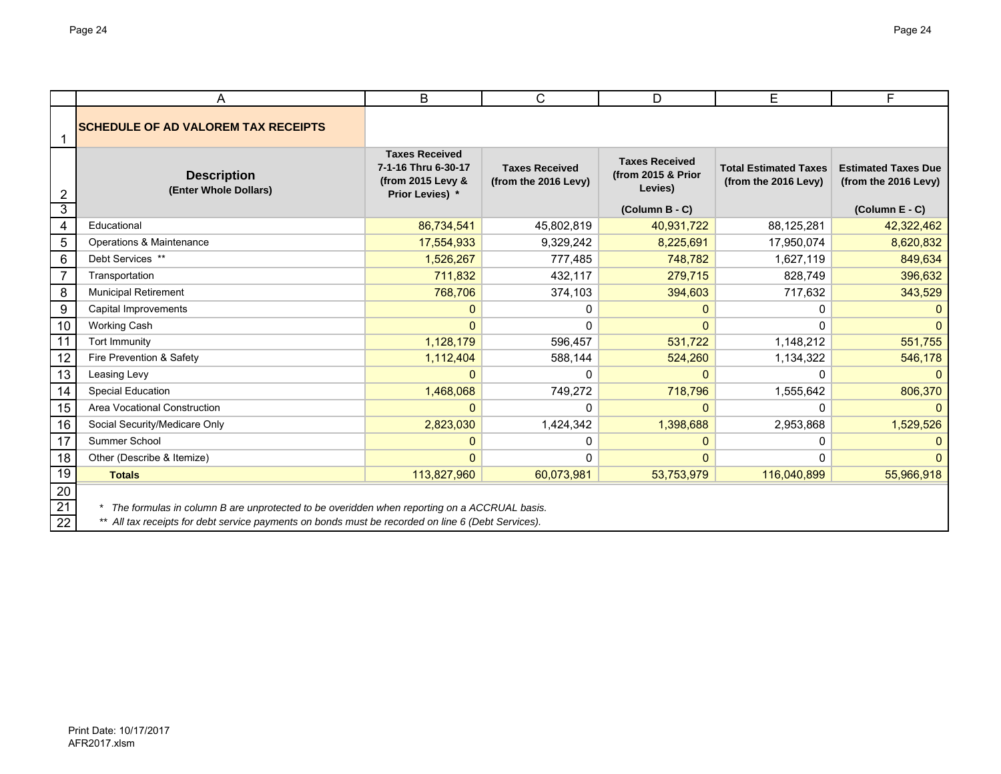|                         | A                                                                                                  | B                                                                                    | C                                             | D                                                      | E                                                    | F                                                  |
|-------------------------|----------------------------------------------------------------------------------------------------|--------------------------------------------------------------------------------------|-----------------------------------------------|--------------------------------------------------------|------------------------------------------------------|----------------------------------------------------|
| 1                       | <b>SCHEDULE OF AD VALOREM TAX RECEIPTS</b>                                                         |                                                                                      |                                               |                                                        |                                                      |                                                    |
| $\overline{2}$          | <b>Description</b><br>(Enter Whole Dollars)                                                        | <b>Taxes Received</b><br>7-1-16 Thru 6-30-17<br>(from 2015 Levy &<br>Prior Levies) * | <b>Taxes Received</b><br>(from the 2016 Levy) | <b>Taxes Received</b><br>(from 2015 & Prior<br>Levies) | <b>Total Estimated Taxes</b><br>(from the 2016 Levy) | <b>Estimated Taxes Due</b><br>(from the 2016 Levy) |
| 3                       |                                                                                                    |                                                                                      |                                               | (Column B - C)                                         |                                                      | (Column E - C)                                     |
| $\overline{\mathbf{4}}$ | Educational                                                                                        | 86,734,541                                                                           | 45,802,819                                    | 40,931,722                                             | 88,125,281                                           | 42,322,462                                         |
| 5                       | Operations & Maintenance                                                                           | 17,554,933                                                                           | 9,329,242                                     | 8,225,691                                              | 17,950,074                                           | 8,620,832                                          |
| 6                       | Debt Services **                                                                                   | 1,526,267                                                                            | 777,485                                       | 748,782                                                | 1,627,119                                            | 849,634                                            |
| $\overline{7}$          | Transportation                                                                                     | 711,832                                                                              | 432,117                                       | 279,715                                                | 828,749                                              | 396,632                                            |
| 8                       | <b>Municipal Retirement</b>                                                                        | 768,706                                                                              | 374,103                                       | 394,603                                                | 717,632                                              | 343,529                                            |
| 9                       | Capital Improvements                                                                               | 0                                                                                    | 0                                             | 0                                                      |                                                      |                                                    |
| 10                      | <b>Working Cash</b>                                                                                | 0                                                                                    | $\Omega$                                      | $\Omega$                                               | $\Omega$                                             |                                                    |
| 11                      | Tort Immunity                                                                                      | 1,128,179                                                                            | 596,457                                       | 531,722                                                | 1,148,212                                            | 551,755                                            |
| 12                      | Fire Prevention & Safety                                                                           | 1,112,404                                                                            | 588,144                                       | 524,260                                                | 1,134,322                                            | 546,178                                            |
| 13                      | Leasing Levy                                                                                       | 0                                                                                    | $\Omega$                                      | $\mathbf{0}$                                           | $\Omega$                                             |                                                    |
| 14                      | <b>Special Education</b>                                                                           | 1,468,068                                                                            | 749,272                                       | 718,796                                                | 1,555,642                                            | 806,370                                            |
| 15                      | Area Vocational Construction                                                                       | 0                                                                                    | 0                                             | $\mathbf{0}$                                           | 0                                                    |                                                    |
| 16                      | Social Security/Medicare Only                                                                      | 2,823,030                                                                            | 1,424,342                                     | 1,398,688                                              | 2,953,868                                            | 1,529,526                                          |
| 17                      | Summer School                                                                                      | 0                                                                                    | 0                                             | 0                                                      | 0                                                    |                                                    |
| 18                      | Other (Describe & Itemize)                                                                         | O                                                                                    | $\Omega$                                      | 0                                                      | 0                                                    |                                                    |
| 19                      | <b>Totals</b>                                                                                      | 113,827,960                                                                          | 60,073,981                                    | 53,753,979                                             | 116,040,899                                          | 55,966,918                                         |
| 20                      |                                                                                                    |                                                                                      |                                               |                                                        |                                                      |                                                    |
| $\overline{21}$         | The formulas in column B are unprotected to be overidden when reporting on a ACCRUAL basis.        |                                                                                      |                                               |                                                        |                                                      |                                                    |
| $\overline{22}$         | ** All tax receipts for debt service payments on bonds must be recorded on line 6 (Debt Services). |                                                                                      |                                               |                                                        |                                                      |                                                    |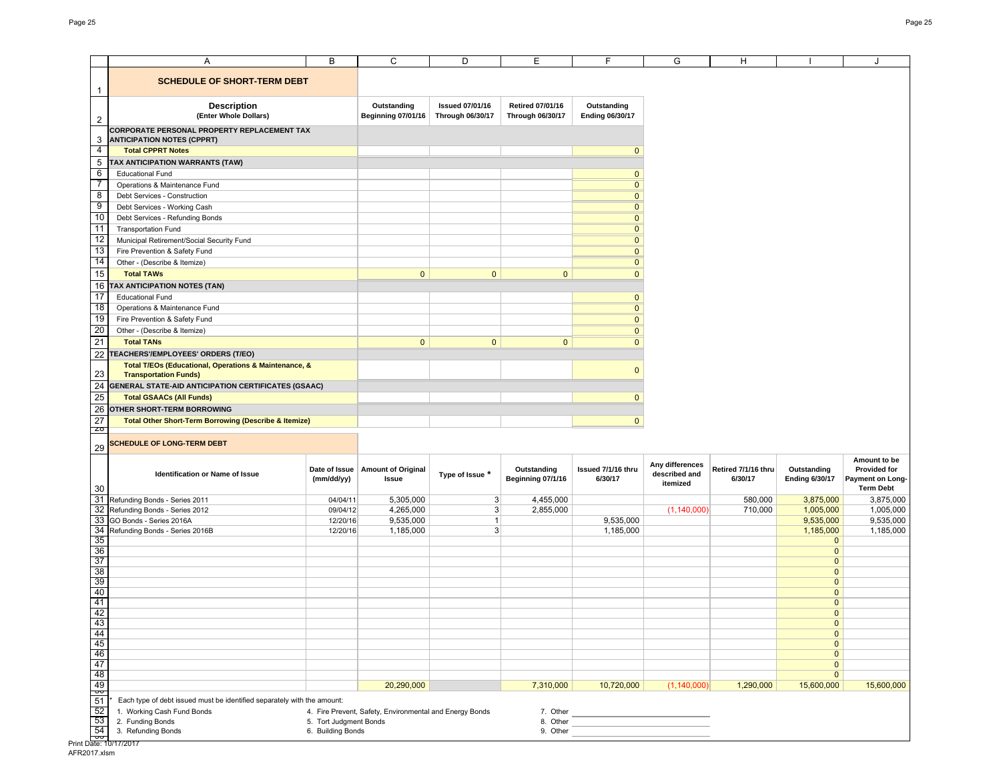|                                                                                                                                                                                                                       | Α                                                                                       | В                                           | C                                                       | D                                                 | Е                                                  | F                                     | G                         | H                              |                                      | J                                                           |
|-----------------------------------------------------------------------------------------------------------------------------------------------------------------------------------------------------------------------|-----------------------------------------------------------------------------------------|---------------------------------------------|---------------------------------------------------------|---------------------------------------------------|----------------------------------------------------|---------------------------------------|---------------------------|--------------------------------|--------------------------------------|-------------------------------------------------------------|
|                                                                                                                                                                                                                       | <b>SCHEDULE OF SHORT-TERM DEBT</b>                                                      |                                             |                                                         |                                                   |                                                    |                                       |                           |                                |                                      |                                                             |
|                                                                                                                                                                                                                       |                                                                                         |                                             |                                                         |                                                   |                                                    |                                       |                           |                                |                                      |                                                             |
| 2                                                                                                                                                                                                                     | <b>Description</b><br>(Enter Whole Dollars)                                             |                                             | Outstanding<br><b>Beginning 07/01/16</b>                | <b>Issued 07/01/16</b><br><b>Through 06/30/17</b> | <b>Retired 07/01/16</b><br><b>Through 06/30/17</b> | Outstanding<br><b>Ending 06/30/17</b> |                           |                                |                                      |                                                             |
| 3                                                                                                                                                                                                                     | <b>CORPORATE PERSONAL PROPERTY REPLACEMENT TAX</b><br><b>ANTICIPATION NOTES (CPPRT)</b> |                                             |                                                         |                                                   |                                                    |                                       |                           |                                |                                      |                                                             |
| 4                                                                                                                                                                                                                     | <b>Total CPPRT Notes</b>                                                                |                                             |                                                         |                                                   |                                                    | $\mathbf{0}$                          |                           |                                |                                      |                                                             |
| 5                                                                                                                                                                                                                     | TAX ANTICIPATION WARRANTS (TAW)                                                         |                                             |                                                         |                                                   |                                                    |                                       |                           |                                |                                      |                                                             |
| 6                                                                                                                                                                                                                     | <b>Educational Fund</b>                                                                 |                                             |                                                         |                                                   |                                                    | $\mathbf{0}$                          |                           |                                |                                      |                                                             |
| 7                                                                                                                                                                                                                     | Operations & Maintenance Fund                                                           |                                             |                                                         |                                                   |                                                    | $\overline{0}$                        |                           |                                |                                      |                                                             |
| 8                                                                                                                                                                                                                     | Debt Services - Construction                                                            |                                             |                                                         |                                                   |                                                    | $\overline{0}$                        |                           |                                |                                      |                                                             |
| 9                                                                                                                                                                                                                     | Debt Services - Working Cash                                                            |                                             |                                                         |                                                   |                                                    | $\overline{0}$                        |                           |                                |                                      |                                                             |
| 10                                                                                                                                                                                                                    | Debt Services - Refunding Bonds                                                         |                                             |                                                         |                                                   |                                                    | $\pmb{0}$                             |                           |                                |                                      |                                                             |
| 11                                                                                                                                                                                                                    | <b>Transportation Fund</b>                                                              |                                             |                                                         |                                                   |                                                    | $\overline{0}$                        |                           |                                |                                      |                                                             |
| 12                                                                                                                                                                                                                    | Municipal Retirement/Social Security Fund                                               |                                             |                                                         |                                                   |                                                    | $\overline{0}$                        |                           |                                |                                      |                                                             |
| 13                                                                                                                                                                                                                    | Fire Prevention & Safety Fund                                                           |                                             |                                                         |                                                   |                                                    | $\mathbf 0$                           |                           |                                |                                      |                                                             |
| 14                                                                                                                                                                                                                    | Other - (Describe & Itemize)                                                            |                                             |                                                         |                                                   |                                                    | $\mathbf{0}$                          |                           |                                |                                      |                                                             |
| 15                                                                                                                                                                                                                    | <b>Total TAWs</b>                                                                       |                                             | $\mathbf{0}$                                            | $\mathbf{0}$                                      | $\mathbf 0$                                        | $\mathbf{0}$                          |                           |                                |                                      |                                                             |
| 16                                                                                                                                                                                                                    | TAX ANTICIPATION NOTES (TAN)                                                            |                                             |                                                         |                                                   |                                                    |                                       |                           |                                |                                      |                                                             |
| 17                                                                                                                                                                                                                    | <b>Educational Fund</b>                                                                 |                                             |                                                         |                                                   |                                                    | $\mathbf 0$                           |                           |                                |                                      |                                                             |
| 18                                                                                                                                                                                                                    | Operations & Maintenance Fund                                                           |                                             |                                                         |                                                   |                                                    | $\overline{0}$                        |                           |                                |                                      |                                                             |
| 19                                                                                                                                                                                                                    | Fire Prevention & Safety Fund                                                           |                                             |                                                         |                                                   |                                                    | $\mathbf 0$                           |                           |                                |                                      |                                                             |
| 20                                                                                                                                                                                                                    | Other - (Describe & Itemize)                                                            |                                             |                                                         |                                                   |                                                    | $\mathbf{0}$                          |                           |                                |                                      |                                                             |
| 21                                                                                                                                                                                                                    | <b>Total TANs</b>                                                                       |                                             | $\mathbf{0}$                                            | $\mathbf{0}$                                      | $\mathbf{0}$                                       | $\mathbf{0}$                          |                           |                                |                                      |                                                             |
| 22                                                                                                                                                                                                                    | <b>TEACHERS'/EMPLOYEES' ORDERS (T/EO)</b>                                               |                                             |                                                         |                                                   |                                                    |                                       |                           |                                |                                      |                                                             |
| 23                                                                                                                                                                                                                    | Total T/EOs (Educational, Operations & Maintenance, &<br><b>Transportation Funds)</b>   |                                             |                                                         |                                                   |                                                    | $\mathbf{0}$                          |                           |                                |                                      |                                                             |
|                                                                                                                                                                                                                       | GENERAL STATE-AID ANTICIPATION CERTIFICATES (GSAAC)                                     |                                             |                                                         |                                                   |                                                    |                                       |                           |                                |                                      |                                                             |
|                                                                                                                                                                                                                       |                                                                                         |                                             |                                                         |                                                   |                                                    |                                       |                           |                                |                                      |                                                             |
|                                                                                                                                                                                                                       | <b>Total GSAACs (All Funds)</b>                                                         |                                             |                                                         |                                                   |                                                    | $\mathbf{0}$                          |                           |                                |                                      |                                                             |
|                                                                                                                                                                                                                       | OTHER SHORT-TERM BORROWING                                                              |                                             |                                                         |                                                   |                                                    |                                       |                           |                                |                                      |                                                             |
|                                                                                                                                                                                                                       | <b>Total Other Short-Term Borrowing (Describe &amp; Itemize)</b>                        |                                             |                                                         |                                                   |                                                    | $\mathbf{0}$                          |                           |                                |                                      |                                                             |
|                                                                                                                                                                                                                       | <b>SCHEDULE OF LONG-TERM DEBT</b>                                                       |                                             |                                                         |                                                   |                                                    |                                       |                           |                                |                                      |                                                             |
|                                                                                                                                                                                                                       |                                                                                         |                                             |                                                         |                                                   |                                                    |                                       | Any differences           |                                |                                      | Amount to be                                                |
|                                                                                                                                                                                                                       | Identification or Name of Issue                                                         | (mm/dd/yy)                                  | Date of Issue   Amount of Original<br>Issue             | Type of Issue *                                   | Outstanding<br>Beginning 07/1/16                   | Issued 7/1/16 thru<br>6/30/17         | described and<br>itemized | Retired 7/1/16 thru<br>6/30/17 | Outstanding<br><b>Ending 6/30/17</b> | <b>Provided for</b><br>Payment on Long-<br><b>Term Debt</b> |
|                                                                                                                                                                                                                       | Refunding Bonds - Series 2011                                                           | 04/04/11                                    | 5,305,000                                               | 3 <sup>2</sup>                                    | 4,455,000                                          |                                       |                           | 580,000                        | 3,875,000                            |                                                             |
|                                                                                                                                                                                                                       | Refunding Bonds - Series 2012                                                           | 09/04/12                                    | 4,265,000                                               | 3 <sup>1</sup>                                    | 2,855,000                                          |                                       | (1, 140, 000)             | 710,000                        | 1,005,000                            |                                                             |
|                                                                                                                                                                                                                       | GO Bonds - Series 2016A                                                                 | 12/20/16                                    | 9,535,000                                               | $\mathbf{1}$                                      |                                                    | 9,535,000                             |                           |                                | 9,535,000                            |                                                             |
|                                                                                                                                                                                                                       | Refunding Bonds - Series 2016B                                                          | 12/20/16                                    | 1,185,000                                               | 3 <sup>1</sup>                                    |                                                    | 1,185,000                             |                           |                                | 1,185,000                            |                                                             |
|                                                                                                                                                                                                                       |                                                                                         |                                             |                                                         |                                                   |                                                    |                                       |                           |                                | $\mathbf{0}$                         |                                                             |
|                                                                                                                                                                                                                       |                                                                                         |                                             |                                                         |                                                   |                                                    |                                       |                           |                                | $\mathbf{0}$                         |                                                             |
|                                                                                                                                                                                                                       |                                                                                         |                                             |                                                         |                                                   |                                                    |                                       |                           |                                | $\mathbf{0}$                         |                                                             |
|                                                                                                                                                                                                                       |                                                                                         |                                             |                                                         |                                                   |                                                    |                                       |                           |                                | $\mathbf{0}$                         |                                                             |
|                                                                                                                                                                                                                       |                                                                                         |                                             |                                                         |                                                   |                                                    |                                       |                           |                                | $\mathbf{0}$<br>$\mathbf{0}$         |                                                             |
|                                                                                                                                                                                                                       |                                                                                         |                                             |                                                         |                                                   |                                                    |                                       |                           |                                | $\mathbf{0}$                         | 3,875,000<br>1,005,000<br>9,535,000<br>1,185,000            |
|                                                                                                                                                                                                                       |                                                                                         |                                             |                                                         |                                                   |                                                    |                                       |                           |                                | $\mathbf{0}$                         |                                                             |
|                                                                                                                                                                                                                       |                                                                                         |                                             |                                                         |                                                   |                                                    |                                       |                           |                                | $\mathbf{0}$                         |                                                             |
|                                                                                                                                                                                                                       |                                                                                         |                                             |                                                         |                                                   |                                                    |                                       |                           |                                | $\mathbf 0$                          |                                                             |
|                                                                                                                                                                                                                       |                                                                                         |                                             |                                                         |                                                   |                                                    |                                       |                           |                                | $\mathbf{0}$                         |                                                             |
|                                                                                                                                                                                                                       |                                                                                         |                                             |                                                         |                                                   |                                                    |                                       |                           |                                | $\pmb{0}$                            |                                                             |
|                                                                                                                                                                                                                       |                                                                                         |                                             |                                                         |                                                   |                                                    |                                       |                           |                                | $\mathbf{0}$                         |                                                             |
|                                                                                                                                                                                                                       |                                                                                         |                                             |                                                         |                                                   |                                                    |                                       |                           |                                | $\overline{\mathbf{0}}$              |                                                             |
|                                                                                                                                                                                                                       |                                                                                         |                                             | 20,290,000                                              |                                                   | 7,310,000                                          | 10,720,000                            | (1, 140, 000)             | 1,290,000                      | 15,600,000                           |                                                             |
|                                                                                                                                                                                                                       | Each type of debt issued must be identified separately with the amount:                 |                                             |                                                         |                                                   |                                                    |                                       |                           |                                |                                      |                                                             |
|                                                                                                                                                                                                                       | 1. Working Cash Fund Bonds                                                              |                                             |                                                         |                                                   |                                                    |                                       |                           |                                |                                      |                                                             |
| 24<br>25<br>26<br>$\overline{27}$<br>Z0<br>29<br>30<br>31<br>32<br>33<br>34<br>35<br>36<br>37<br>38<br>39<br>40<br>41<br>42<br>43<br>44<br>45<br>46<br>47<br>48<br>$\frac{49}{50}$<br>51<br>52<br>53<br>$rac{54}{55}$ | 2. Funding Bonds<br>3. Refunding Bonds                                                  | 5. Tort Judgment Bonds<br>6. Building Bonds | 4. Fire Prevent, Safety, Environmental and Energy Bonds |                                                   | 7. Other<br>8. Other                               |                                       |                           |                                |                                      | 15,600,000                                                  |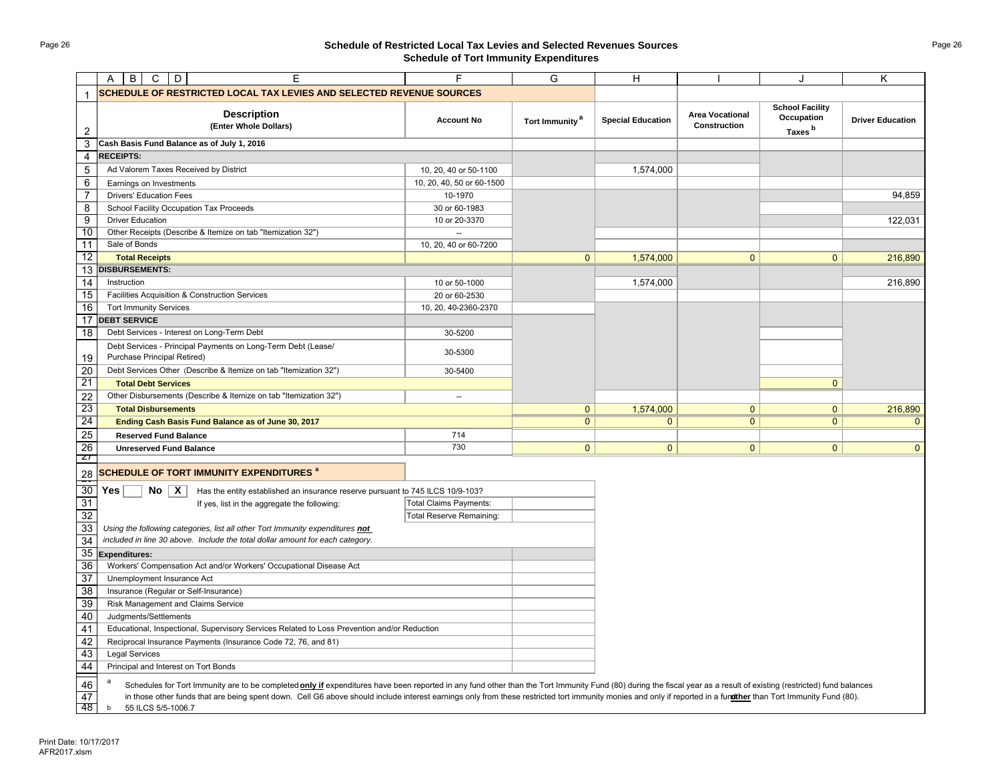# Page 26 **Schedule of Restricted Local Tax Levies and Selected Revenues Sources Schedule of Tort Immunity Expenditures**

|                 | E<br>B<br>$\circ$<br>D<br>A                                                                                                                                                                                          |                                 | G                          | Н                        |                                               |                                                            | K.                      |
|-----------------|----------------------------------------------------------------------------------------------------------------------------------------------------------------------------------------------------------------------|---------------------------------|----------------------------|--------------------------|-----------------------------------------------|------------------------------------------------------------|-------------------------|
|                 | SCHEDULE OF RESTRICTED LOCAL TAX LEVIES AND SELECTED REVENUE SOURCES                                                                                                                                                 |                                 |                            |                          |                                               |                                                            |                         |
| $\overline{2}$  | <b>Description</b><br>(Enter Whole Dollars)                                                                                                                                                                          | <b>Account No</b>               | Tort Immunity <sup>a</sup> | <b>Special Education</b> | <b>Area Vocational</b><br><b>Construction</b> | <b>School Facility</b><br>Occupation<br>Taxes <sup>b</sup> | <b>Driver Education</b> |
| 3               | Cash Basis Fund Balance as of July 1, 2016                                                                                                                                                                           |                                 |                            |                          |                                               |                                                            |                         |
| 4               | <b>RECEIPTS:</b>                                                                                                                                                                                                     |                                 |                            |                          |                                               |                                                            |                         |
| 5               | Ad Valorem Taxes Received by District                                                                                                                                                                                | 10, 20, 40 or 50-1100           |                            | 1,574,000                |                                               |                                                            |                         |
| 6               | Earnings on Investments                                                                                                                                                                                              | 10, 20, 40, 50 or 60-1500       |                            |                          |                                               |                                                            |                         |
| $\overline{7}$  | <b>Drivers' Education Fees</b>                                                                                                                                                                                       | 10-1970                         |                            |                          |                                               |                                                            | 94,859                  |
| 8               | School Facility Occupation Tax Proceeds                                                                                                                                                                              | 30 or 60-1983                   |                            |                          |                                               |                                                            |                         |
| $\overline{9}$  | <b>Driver Education</b>                                                                                                                                                                                              | 10 or 20-3370                   |                            |                          |                                               |                                                            | 122,031                 |
| 10              | Other Receipts (Describe & Itemize on tab "Itemization 32")                                                                                                                                                          | $\mathbb{Z}^2$                  |                            |                          |                                               |                                                            |                         |
| 11              | Sale of Bonds                                                                                                                                                                                                        | 10, 20, 40 or 60-7200           |                            |                          |                                               |                                                            |                         |
| $\overline{12}$ | <b>Total Receipts</b>                                                                                                                                                                                                |                                 | $\mathbf{0}$               | 1,574,000                | $\Omega$                                      | $\Omega$                                                   | 216,890                 |
| 13              | <b>DISBURSEMENTS:</b>                                                                                                                                                                                                |                                 |                            |                          |                                               |                                                            |                         |
| 14              | Instruction                                                                                                                                                                                                          | 10 or 50-1000                   |                            | 1,574,000                |                                               |                                                            | 216,890                 |
| 15              | Facilities Acquisition & Construction Services                                                                                                                                                                       | 20 or 60-2530                   |                            |                          |                                               |                                                            |                         |
| 16              | <b>Tort Immunity Services</b>                                                                                                                                                                                        | 10, 20, 40-2360-2370            |                            |                          |                                               |                                                            |                         |
| 17              | <b>DEBT SERVICE</b>                                                                                                                                                                                                  |                                 |                            |                          |                                               |                                                            |                         |
| 18              | Debt Services - Interest on Long-Term Debt                                                                                                                                                                           | 30-5200                         |                            |                          |                                               |                                                            |                         |
| 19              | Debt Services - Principal Payments on Long-Term Debt (Lease/<br>Purchase Principal Retired)                                                                                                                          | 30-5300                         |                            |                          |                                               |                                                            |                         |
| 20              | Debt Services Other (Describe & Itemize on tab "Itemization 32")                                                                                                                                                     | 30-5400                         |                            |                          |                                               |                                                            |                         |
| 21              | <b>Total Debt Services</b>                                                                                                                                                                                           |                                 |                            |                          |                                               | $\mathbf{0}$                                               |                         |
| $\overline{22}$ | Other Disbursements (Describe & Itemize on tab "Itemization 32")                                                                                                                                                     | $\sim$                          |                            |                          |                                               |                                                            |                         |
| 23              | <b>Total Disbursements</b>                                                                                                                                                                                           |                                 | $\mathbf{0}$               | 1,574,000                | $\mathbf{0}$                                  | $\mathbf{0}$                                               | 216,890                 |
| 24              | Ending Cash Basis Fund Balance as of June 30, 2017                                                                                                                                                                   |                                 | $\overline{0}$             | $\overline{0}$           | $\overline{0}$                                | $\overline{0}$                                             | $\mathbf{0}$            |
| 25              | <b>Reserved Fund Balance</b>                                                                                                                                                                                         | 714                             |                            |                          |                                               |                                                            |                         |
| 26              | <b>Unreserved Fund Balance</b>                                                                                                                                                                                       | 730                             | $\mathbf{0}$               | $\mathbf{0}$             | $\overline{0}$                                | $\overline{0}$                                             | $\mathbf{0}$            |
| $\mathbf{z}$    |                                                                                                                                                                                                                      |                                 |                            |                          |                                               |                                                            |                         |
| 28              | SCHEDULE OF TORT IMMUNITY EXPENDITURES <sup>a</sup>                                                                                                                                                                  |                                 |                            |                          |                                               |                                                            |                         |
| 30              | Yes<br>$No \mid X$<br>Has the entity established an insurance reserve pursuant to 745 ILCS 10/9-103?                                                                                                                 |                                 |                            |                          |                                               |                                                            |                         |
| 31              | If yes, list in the aggregate the following:                                                                                                                                                                         | <b>Total Claims Payments:</b>   |                            |                          |                                               |                                                            |                         |
| 32              |                                                                                                                                                                                                                      | <b>Total Reserve Remaining:</b> |                            |                          |                                               |                                                            |                         |
| 33              | Using the following categories, list all other Tort Immunity expenditures not                                                                                                                                        |                                 |                            |                          |                                               |                                                            |                         |
| 34              | included in line 30 above. Include the total dollar amount for each category.                                                                                                                                        |                                 |                            |                          |                                               |                                                            |                         |
| 35              | Expenditures:                                                                                                                                                                                                        |                                 |                            |                          |                                               |                                                            |                         |
| 36              | Workers' Compensation Act and/or Workers' Occupational Disease Act                                                                                                                                                   |                                 |                            |                          |                                               |                                                            |                         |
| 37              | Unemployment Insurance Act                                                                                                                                                                                           |                                 |                            |                          |                                               |                                                            |                         |
| 38              | Insurance (Regular or Self-Insurance)                                                                                                                                                                                |                                 |                            |                          |                                               |                                                            |                         |
| 39              | Risk Management and Claims Service                                                                                                                                                                                   |                                 |                            |                          |                                               |                                                            |                         |
| 40              | Judgments/Settlements                                                                                                                                                                                                |                                 |                            |                          |                                               |                                                            |                         |
| 41              | Educational, Inspectional, Supervisory Services Related to Loss Prevention and/or Reduction                                                                                                                          |                                 |                            |                          |                                               |                                                            |                         |
| 42              | Reciprocal Insurance Payments (Insurance Code 72, 76, and 81)                                                                                                                                                        |                                 |                            |                          |                                               |                                                            |                         |
| 43              | <b>Legal Services</b>                                                                                                                                                                                                |                                 |                            |                          |                                               |                                                            |                         |
| 44              | Principal and Interest on Tort Bonds                                                                                                                                                                                 |                                 |                            |                          |                                               |                                                            |                         |
| 46              | Schedules for Tort Immunity are to be completed only if expenditures have been reported in any fund other than the Tort Immunity Fund (80) during the fiscal year as a result of existing (restricted) fund balances |                                 |                            |                          |                                               |                                                            |                         |
| 47              | in those other funds that are being spent down. Cell G6 above should include interest earnings only from these restricted tort immunity monies and only if reported in a fundther than Tort Immunity Fund (80).      |                                 |                            |                          |                                               |                                                            |                         |
| -48             | 55 ILCS 5/5-1006.7<br>b                                                                                                                                                                                              |                                 |                            |                          |                                               |                                                            |                         |
|                 |                                                                                                                                                                                                                      |                                 |                            |                          |                                               |                                                            |                         |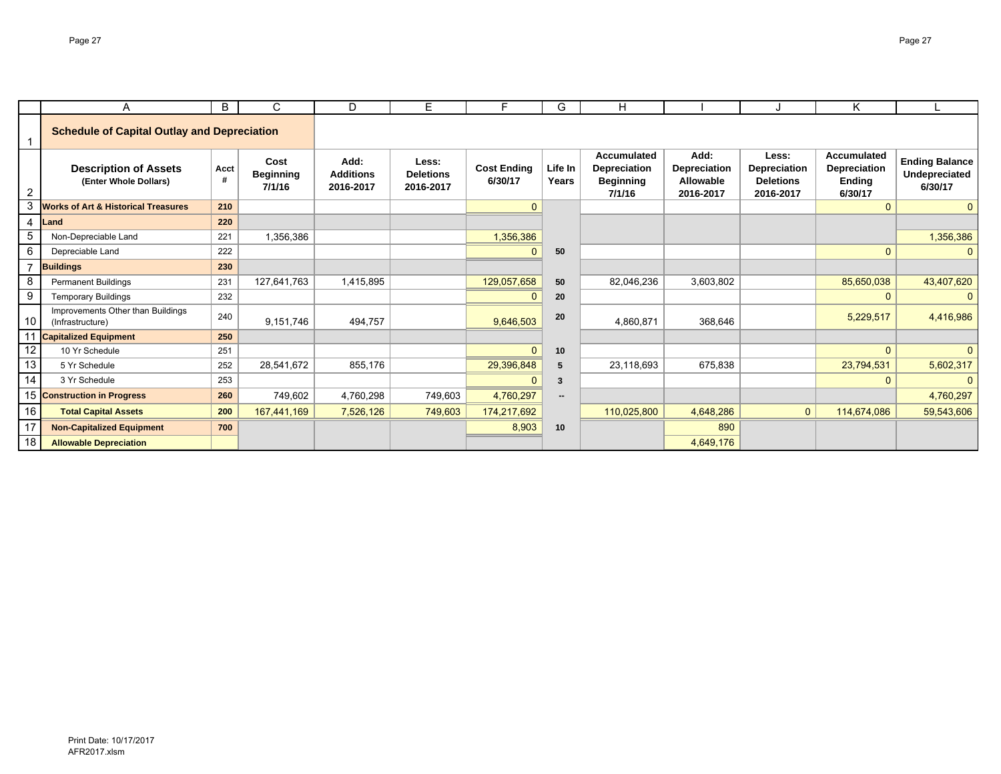|                | A                                                     | B         | C                                  | D                                     | E.                                     | F.                            | G                        | н                                                         |                                                       |                                                               | Κ                                                              |                                                   |
|----------------|-------------------------------------------------------|-----------|------------------------------------|---------------------------------------|----------------------------------------|-------------------------------|--------------------------|-----------------------------------------------------------|-------------------------------------------------------|---------------------------------------------------------------|----------------------------------------------------------------|---------------------------------------------------|
|                | <b>Schedule of Capital Outlay and Depreciation</b>    |           |                                    |                                       |                                        |                               |                          |                                                           |                                                       |                                                               |                                                                |                                                   |
| 2              | <b>Description of Assets</b><br>(Enter Whole Dollars) | Acct<br># | Cost<br><b>Beginning</b><br>7/1/16 | Add:<br><b>Additions</b><br>2016-2017 | Less:<br><b>Deletions</b><br>2016-2017 | <b>Cost Ending</b><br>6/30/17 | Life In<br>Years         | Accumulated<br>Depreciation<br><b>Beginning</b><br>7/1/16 | Add:<br><b>Depreciation</b><br>Allowable<br>2016-2017 | Less:<br><b>Depreciation</b><br><b>Deletions</b><br>2016-2017 | <b>Accumulated</b><br>Depreciation<br><b>Ending</b><br>6/30/17 | <b>Ending Balance</b><br>Undepreciated<br>6/30/17 |
| 3              | <b>Works of Art &amp; Historical Treasures</b>        | 210       |                                    |                                       |                                        | $\Omega$                      |                          |                                                           |                                                       |                                                               | $\Omega$                                                       | $\mathbf{0}$                                      |
| $\overline{4}$ | Land                                                  | 220       |                                    |                                       |                                        |                               |                          |                                                           |                                                       |                                                               |                                                                |                                                   |
| 5              | Non-Depreciable Land                                  | 221       | 1,356,386                          |                                       |                                        | 1,356,386                     |                          |                                                           |                                                       |                                                               |                                                                | 1,356,386                                         |
| 6              | Depreciable Land                                      | 222       |                                    |                                       |                                        | $\Omega$                      | 50                       |                                                           |                                                       |                                                               | $\mathbf{0}$                                                   | $\mathbf{0}$                                      |
| $\overline{7}$ | <b>Buildings</b>                                      | 230       |                                    |                                       |                                        |                               |                          |                                                           |                                                       |                                                               |                                                                |                                                   |
| 8              | <b>Permanent Buildings</b>                            | 231       | 127,641,763                        | 1,415,895                             |                                        | 129,057,658                   | 50                       | 82,046,236                                                | 3,603,802                                             |                                                               | 85,650,038                                                     | 43,407,620                                        |
| 9              | <b>Temporary Buildings</b>                            | 232       |                                    |                                       |                                        | $\Omega$                      | 20                       |                                                           |                                                       |                                                               | $\Omega$                                                       | $\Omega$                                          |
| 10             | Improvements Other than Buildings<br>(Infrastructure) | 240       | 9,151,746                          | 494,757                               |                                        | 9,646,503                     | 20                       | 4,860,871                                                 | 368,646                                               |                                                               | 5,229,517                                                      | 4,416,986                                         |
| 11             | <b>Capitalized Equipment</b>                          | 250       |                                    |                                       |                                        |                               |                          |                                                           |                                                       |                                                               |                                                                |                                                   |
| 12             | 10 Yr Schedule                                        | 251       |                                    |                                       |                                        | $\mathbf{0}$                  | 10                       |                                                           |                                                       |                                                               | $\mathbf{0}$                                                   | $\mathbf{0}$                                      |
| 13             | 5 Yr Schedule                                         | 252       | 28,541,672                         | 855,176                               |                                        | 29,396,848                    | 5                        | 23,118,693                                                | 675,838                                               |                                                               | 23,794,531                                                     | 5,602,317                                         |
| 14             | 3 Yr Schedule                                         | 253       |                                    |                                       |                                        | $\Omega$                      | 3                        |                                                           |                                                       |                                                               | $\mathbf{0}$                                                   | $\Omega$                                          |
|                | 15 Construction in Progress                           | 260       | 749,602                            | 4,760,298                             | 749,603                                | 4,760,297                     | $\overline{\phantom{a}}$ |                                                           |                                                       |                                                               |                                                                | 4,760,297                                         |
| 16             | <b>Total Capital Assets</b>                           | 200       | 167,441,169                        | 7,526,126                             | 749,603                                | 174,217,692                   |                          | 110,025,800                                               | 4,648,286                                             | $\mathbf{0}$                                                  | 114,674,086                                                    | 59,543,606                                        |
| 17             | <b>Non-Capitalized Equipment</b>                      | 700       |                                    |                                       |                                        | 8,903                         | 10                       |                                                           | 890                                                   |                                                               |                                                                |                                                   |
| 18             | <b>Allowable Depreciation</b>                         |           |                                    |                                       |                                        |                               |                          |                                                           | 4,649,176                                             |                                                               |                                                                |                                                   |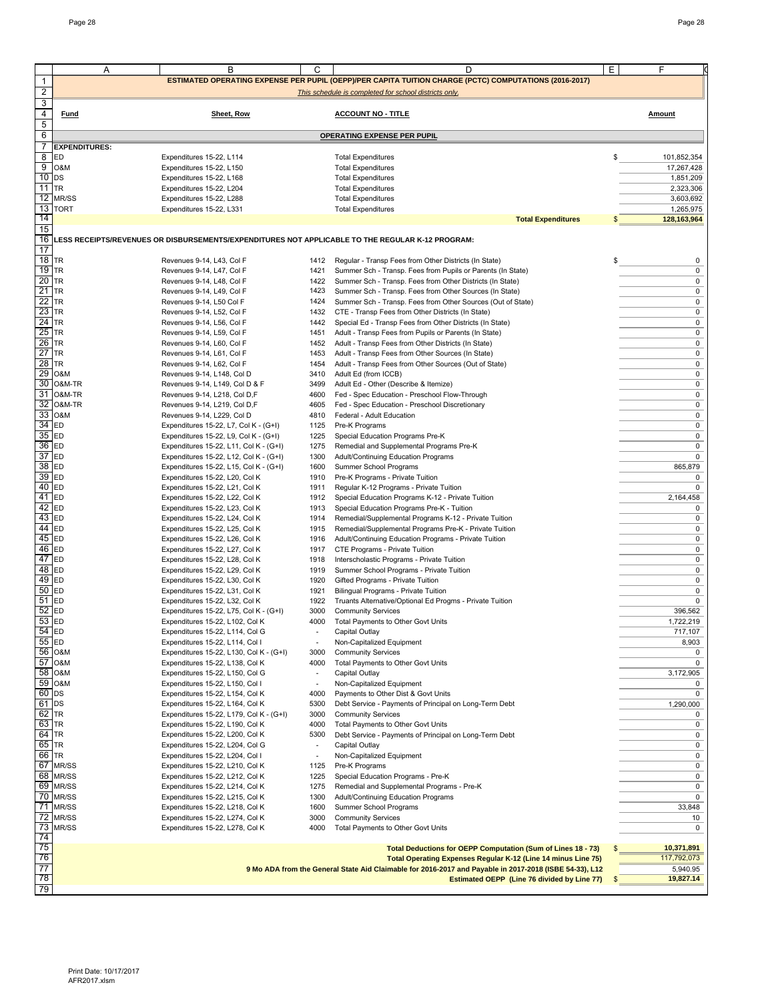|                  | Α                      | В                                                                                                | C                                | D                                                                                                                     | Е<br>F                   |
|------------------|------------------------|--------------------------------------------------------------------------------------------------|----------------------------------|-----------------------------------------------------------------------------------------------------------------------|--------------------------|
| $\mathbf{1}$     |                        |                                                                                                  |                                  | ESTIMATED OPERATING EXPENSE PER PUPIL (OEPP)/PER CAPITA TUITION CHARGE (PCTC) COMPUTATIONS (2016-2017)                |                          |
| $\overline{c}$   |                        |                                                                                                  |                                  | This schedule is completed for school districts only.                                                                 |                          |
| 3                |                        |                                                                                                  |                                  |                                                                                                                       |                          |
| 4<br>5           | <b>Fund</b>            | Sheet, Row                                                                                       |                                  | <b>ACCOUNT NO - TITLE</b>                                                                                             | <b>Amount</b>            |
| 6                |                        |                                                                                                  |                                  | OPERATING EXPENSE PER PUPIL                                                                                           |                          |
| 7                | <b>EXPENDITURES:</b>   |                                                                                                  |                                  |                                                                                                                       |                          |
| 8<br>9           | ED                     | Expenditures 15-22, L114                                                                         |                                  | <b>Total Expenditures</b>                                                                                             | $S_{-}$<br>101,852,354   |
| $10$ DS          | O&M                    | Expenditures 15-22, L150<br>Expenditures 15-22, L168                                             |                                  | <b>Total Expenditures</b><br><b>Total Expenditures</b>                                                                | 17,267,428<br>1,851,209  |
| $11$ TR          |                        | Expenditures 15-22, L204                                                                         |                                  | <b>Total Expenditures</b>                                                                                             | 2,323,306                |
|                  | 12 MR/SS               | Expenditures 15-22, L288                                                                         |                                  | <b>Total Expenditures</b>                                                                                             | 3,603,692                |
| 14               | 13 TORT                | Expenditures 15-22, L331                                                                         |                                  | <b>Total Expenditures</b><br><b>Total Expenditures</b>                                                                | 1,265,975<br>128,163,964 |
| 15               |                        |                                                                                                  |                                  |                                                                                                                       |                          |
| 16               |                        | LESS RECEIPTS/REVENUES OR DISBURSEMENTS/EXPENDITURES NOT APPLICABLE TO THE REGULAR K-12 PROGRAM: |                                  |                                                                                                                       |                          |
| 17<br>18         | <b>TR</b>              |                                                                                                  |                                  |                                                                                                                       |                          |
| 19 TR            |                        | Revenues 9-14, L43, Col F<br>Revenues 9-14, L47, Col F                                           | 1412<br>1421                     | Regular - Transp Fees from Other Districts (In State)<br>Summer Sch - Transp. Fees from Pupils or Parents (In State)  | 0<br>$\pmb{0}$           |
| $20$ TR          |                        | Revenues 9-14, L48, Col F                                                                        |                                  | 1422 Summer Sch - Transp. Fees from Other Districts (In State)                                                        | $\pmb{0}$                |
| 21               | <b>TR</b>              | Revenues 9-14, L49, Col F                                                                        | 1423                             | Summer Sch - Transp. Fees from Other Sources (In State)                                                               | 0                        |
| 22<br>23         | <b>TR</b><br><b>TR</b> | Revenues 9-14, L50 Col F<br>Revenues 9-14, L52, Col F                                            | 1424                             | Summer Sch - Transp. Fees from Other Sources (Out of State)<br>1432 CTE - Transp Fees from Other Districts (In State) | 0<br>0                   |
| 24               | TR                     | Revenues 9-14, L56, Col F                                                                        | 1442                             | Special Ed - Transp Fees from Other Districts (In State)                                                              | $\pmb{0}$                |
| 25               | TR                     | Revenues 9-14, L59, Col F                                                                        | 1451                             | Adult - Transp Fees from Pupils or Parents (In State)                                                                 | 0                        |
| 26               | <b>TR</b>              | Revenues 9-14, L60, Col F                                                                        |                                  | 1452 Adult - Transp Fees from Other Districts (In State)                                                              | 0                        |
| 27<br>28         | <b>TR</b><br><b>TR</b> | Revenues 9-14, L61, Col F<br>Revenues 9-14, L62, Col F                                           | 1453<br>1454                     | Adult - Transp Fees from Other Sources (In State)<br>Adult - Transp Fees from Other Sources (Out of State)            | 0<br>0                   |
| 29               | O&M                    | Revenues 9-14, L148, Col D                                                                       | 3410                             | Adult Ed (from ICCB)                                                                                                  | 0                        |
|                  | 30 O&M-TR              | Revenues 9-14, L149, Col D & F                                                                   | 3499                             | Adult Ed - Other (Describe & Itemize)                                                                                 | 0                        |
|                  | 31 O&M-TR              | Revenues 9-14, L218, Col D,F                                                                     | 4600                             | Fed - Spec Education - Preschool Flow-Through                                                                         | 0                        |
| 32<br>33         | O&M-TR<br>O&M          | Revenues 9-14, L219, Col D,F<br>Revenues 9-14, L229, Col D                                       | 4605<br>4810                     | Fed - Spec Education - Preschool Discretionary<br>Federal - Adult Education                                           | 0<br>0                   |
| 34               | ED                     | Expenditures 15-22, L7, Col K - (G+I)                                                            | 1125                             | Pre-K Programs                                                                                                        | 0                        |
| 35               | ED                     | Expenditures 15-22, L9, Col K - (G+I)                                                            | 1225                             | Special Education Programs Pre-K                                                                                      | 0                        |
| 36               | ED                     | Expenditures 15-22, L11, Col K - (G+I)                                                           | 1275                             | Remedial and Supplemental Programs Pre-K                                                                              | 0                        |
| 37<br>38         | ED<br><b>ED</b>        | Expenditures 15-22, L12, Col K - (G+I)<br>Expenditures 15-22, L15, Col K - (G+I)                 | 1300<br>1600                     | Adult/Continuing Education Programs<br>Summer School Programs                                                         | 0<br>865,879             |
| 39               | <b>ED</b>              | Expenditures 15-22, L20, Col K                                                                   | 1910                             | Pre-K Programs - Private Tuition                                                                                      | 0                        |
| 40               | ED                     | Expenditures 15-22, L21, Col K                                                                   | 1911                             | Regular K-12 Programs - Private Tuition                                                                               | 0                        |
| 41               | ED                     | Expenditures 15-22, L22, Col K                                                                   | 1912                             | Special Education Programs K-12 - Private Tuition                                                                     | 2,164,458                |
| 42<br>43         | ED<br><b>ED</b>        | Expenditures 15-22, L23, Col K<br>Expenditures 15-22, L24, Col K                                 | 1913<br>1914                     | Special Education Programs Pre-K - Tuition<br>Remedial/Supplemental Programs K-12 - Private Tuition                   | 0<br>0                   |
| 44               | ED                     | Expenditures 15-22, L25, Col K                                                                   | 1915                             | Remedial/Supplemental Programs Pre-K - Private Tuition                                                                | $\pmb{0}$                |
| 45               | ED                     | Expenditures 15-22, L26, Col K                                                                   |                                  | 1916 Adult/Continuing Education Programs - Private Tuition                                                            | 0                        |
| 46<br>47         | <b>ED</b><br>ED        | Expenditures 15-22, L27, Col K<br>Expenditures 15-22, L28, Col K                                 | 1917<br>1918                     | CTE Programs - Private Tuition<br>Interscholastic Programs - Private Tuition                                          | 0<br>0                   |
| 48 ED            |                        | Expenditures 15-22, L29, Col K                                                                   | 1919                             | Summer School Programs - Private Tuition                                                                              | 0                        |
| 49               | <b>ED</b>              | Expenditures 15-22, L30, Col K                                                                   | 1920                             | Gifted Programs - Private Tuition                                                                                     | 0                        |
| 50               | <b>ED</b>              | Expenditures 15-22, L31, Col K                                                                   | 1921                             | Bilingual Programs - Private Tuition                                                                                  | 0                        |
| 51<br>52         | ED<br>ED               | Expenditures 15-22, L32, Col K<br>Expenditures 15-22, L75, Col K - (G+I)                         | 1922<br>3000                     | Truants Alternative/Optional Ed Progms - Private Tuition<br><b>Community Services</b>                                 | $\pmb{0}$<br>396,562     |
| $53$ ED          |                        | Expenditures 15-22, L102, Col K                                                                  |                                  | Total Payments to Other Govt Units                                                                                    | 1,722,219                |
| 54 ED            |                        | Expenditures 15-22, L114, Col G                                                                  | $\overline{\phantom{a}}$         | Capital Outlay                                                                                                        | 717,107                  |
| 55               | ED<br>56 O&M           | Expenditures 15-22, L114, Col I<br>Expenditures 15-22, L130, Col K - (G+I)                       | 3000                             | Non-Capitalized Equipment<br><b>Community Services</b>                                                                | 8,903<br>0               |
|                  | 57 0&M                 | Expenditures 15-22, L138, Col K                                                                  | 4000                             | Total Payments to Other Govt Units                                                                                    | 0                        |
| 58               | O&M                    | Expenditures 15-22, L150, Col G                                                                  | $\overline{\phantom{a}}$         | Capital Outlay                                                                                                        | 3,172,905                |
|                  | 59 O&M                 | Expenditures 15-22, L150, Col I                                                                  | $\overline{\phantom{a}}$         | Non-Capitalized Equipment                                                                                             | 0                        |
| $60$ DS<br>61 DS |                        | Expenditures 15-22, L154, Col K<br>Expenditures 15-22, L164, Col K                               | 4000<br>5300                     | Payments to Other Dist & Govt Units<br>Debt Service - Payments of Principal on Long-Term Debt                         | 0<br>1,290,000           |
| 62 TR            |                        | Expenditures 15-22, L179, Col K - (G+I)                                                          | 3000                             | <b>Community Services</b>                                                                                             | 0                        |
| 63               | <b>TR</b>              | Expenditures 15-22, L190, Col K                                                                  | 4000                             | Total Payments to Other Govt Units                                                                                    | 0                        |
| 64 TR<br>65 TR   |                        | Expenditures 15-22, L200, Col K<br>Expenditures 15-22, L204, Col G                               | 5300<br>$\overline{\phantom{a}}$ | Debt Service - Payments of Principal on Long-Term Debt<br>Capital Outlay                                              | 0<br>$\mathsf 0$         |
| 66 TR            |                        | Expenditures 15-22, L204, Col I                                                                  |                                  | Non-Capitalized Equipment                                                                                             | 0                        |
|                  | 67 MR/SS               | Expenditures 15-22, L210, Col K                                                                  | 1125                             | Pre-K Programs                                                                                                        | 0                        |
|                  | 68 MR/SS               | Expenditures 15-22, L212, Col K                                                                  | 1225                             | Special Education Programs - Pre-K                                                                                    | 0                        |
|                  | 69 MR/SS<br>70 MR/SS   | Expenditures 15-22, L214, Col K<br>Expenditures 15-22, L215, Col K                               | 1275<br>1300                     | Remedial and Supplemental Programs - Pre-K<br>Adult/Continuing Education Programs                                     | 0<br>0                   |
| 71               | MR/SS                  | Expenditures 15-22, L218, Col K                                                                  | 1600                             | Summer School Programs                                                                                                | 33,848                   |
| 72               | MR/SS                  | Expenditures 15-22, L274, Col K                                                                  | 3000                             | <b>Community Services</b>                                                                                             | 10                       |
|                  | 73 MR/SS               | Expenditures 15-22, L278, Col K                                                                  | 4000                             | Total Payments to Other Govt Units                                                                                    | 0                        |
| 74<br>75         |                        |                                                                                                  |                                  | Total Deductions for OEPP Computation (Sum of Lines 18 - 73)                                                          | 10,371,891               |
| 76               |                        |                                                                                                  |                                  | Total Operating Expenses Regular K-12 (Line 14 minus Line 75)                                                         | 117,792,073              |
| 77               |                        |                                                                                                  |                                  | 9 Mo ADA from the General State Aid Claimable for 2016-2017 and Payable in 2017-2018 (ISBE 54-33), L12                | 5,940.95                 |
| 78               |                        |                                                                                                  |                                  | Estimated OEPP (Line 76 divided by Line 77)                                                                           | 19,827.14<br>S           |
| 79               |                        |                                                                                                  |                                  |                                                                                                                       |                          |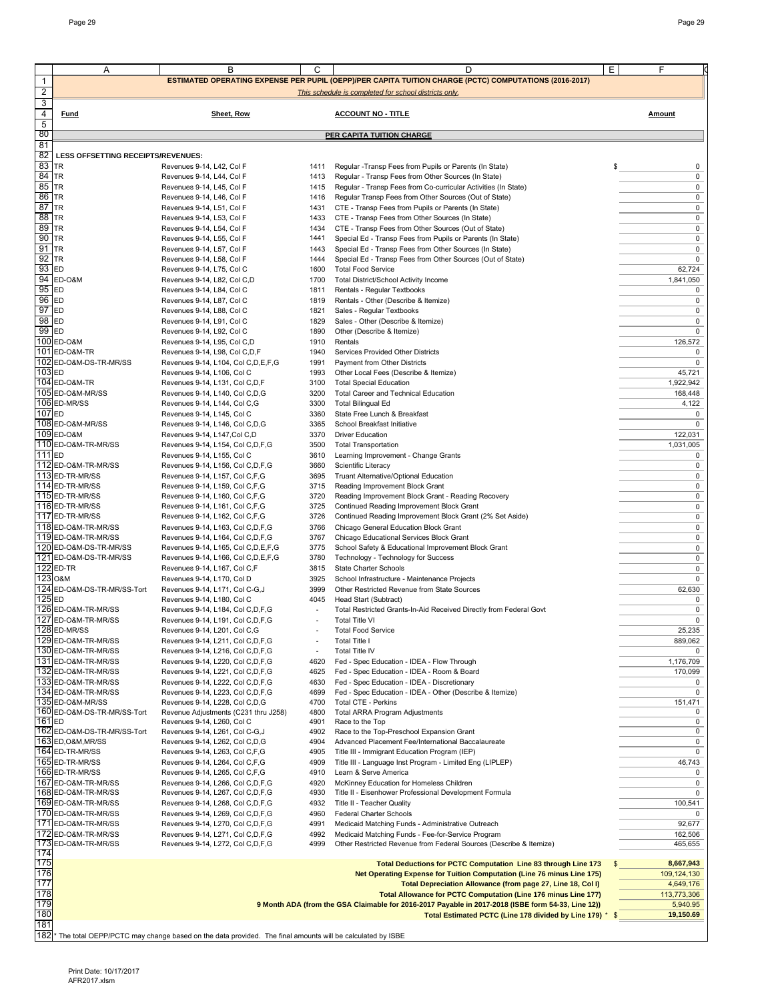|                     | Α                                          | В                                                                                                                        | С            | D                                                                                                                                               | E<br>F                   |
|---------------------|--------------------------------------------|--------------------------------------------------------------------------------------------------------------------------|--------------|-------------------------------------------------------------------------------------------------------------------------------------------------|--------------------------|
| 1                   |                                            |                                                                                                                          |              | <b>ESTIMATED OPERATING EXPENSE PER PUPIL (OEPP)/PER CAPITA TUITION CHARGE (PCTC) COMPUTATIONS (2016-2017)</b>                                   |                          |
| $\overline{c}$<br>3 |                                            |                                                                                                                          |              | This schedule is completed for school districts only.                                                                                           |                          |
| 4                   | <b>Fund</b>                                | Sheet, Row                                                                                                               |              | <b>ACCOUNT NO - TITLE</b>                                                                                                                       | <b>Amount</b>            |
| 5<br>80             |                                            |                                                                                                                          |              | <b>PER CAPITA TUITION CHARGE</b>                                                                                                                |                          |
| 81                  |                                            |                                                                                                                          |              |                                                                                                                                                 |                          |
| 82<br>83            | LESS OFFSETTING RECEIPTS/REVENUES:<br>TR   | Revenues 9-14, L42, Col F                                                                                                | 1411         | Regular -Transp Fees from Pupils or Parents (In State)                                                                                          | 0<br>\$                  |
| 84                  | <b>TR</b>                                  | Revenues 9-14, L44, Col F                                                                                                | 1413         | Regular - Transp Fees from Other Sources (In State)                                                                                             | 0                        |
| 85                  | <b>TR</b>                                  | Revenues 9-14, L45, Col F                                                                                                | 1415         | Regular - Transp Fees from Co-curricular Activities (In State)                                                                                  | 0                        |
| 86                  | <b>TR</b>                                  | Revenues 9-14, L46, Col F                                                                                                | 1416         | Regular Transp Fees from Other Sources (Out of State)                                                                                           | 0                        |
| 87<br>88            | <b>TR</b><br>TR                            | Revenues 9-14, L51, Col F<br>Revenues 9-14, L53, Col F                                                                   | 1431<br>1433 | CTE - Transp Fees from Pupils or Parents (In State)<br>CTE - Transp Fees from Other Sources (In State)                                          | 0<br>0                   |
| 89                  | <b>TR</b>                                  | Revenues 9-14, L54, Col F                                                                                                | 1434         | CTE - Transp Fees from Other Sources (Out of State)                                                                                             | 0                        |
| 90                  | TR                                         | Revenues 9-14, L55, Col F                                                                                                | 1441         | Special Ed - Transp Fees from Pupils or Parents (In State)                                                                                      | 0                        |
| 91                  | <b>TR</b>                                  | Revenues 9-14, L57, Col F                                                                                                | 1443         | Special Ed - Transp Fees from Other Sources (In State)                                                                                          | 0                        |
| 92                  | <b>TR</b>                                  | Revenues 9-14, L58, Col F                                                                                                | 1444         | Special Ed - Transp Fees from Other Sources (Out of State)                                                                                      | $\mathbf 0$              |
| 93<br>94            | <b>ED</b><br>ED-O&M                        | Revenues 9-14, L75, Col C<br>Revenues 9-14, L82, Col C,D                                                                 | 1600<br>1700 | <b>Total Food Service</b><br>Total District/School Activity Income                                                                              | 62,724<br>1,841,050      |
| 95                  | <b>ED</b>                                  | Revenues 9-14, L84, Col C                                                                                                | 1811         | Rentals - Regular Textbooks                                                                                                                     | 0                        |
| 96                  | <b>ED</b>                                  | Revenues 9-14, L87, Col C                                                                                                | 1819         | Rentals - Other (Describe & Itemize)                                                                                                            | 0                        |
| 97                  | <b>ED</b>                                  | Revenues 9-14, L88, Col C                                                                                                | 1821         | Sales - Regular Textbooks                                                                                                                       | 0                        |
| 98<br>99            | ED<br><b>ED</b>                            | Revenues 9-14, L91, Col C                                                                                                | 1829         | Sales - Other (Describe & Itemize)<br>Other (Describe & Itemize)                                                                                | 0<br>$\mathbf 0$         |
|                     | 100 ED-0&M                                 | Revenues 9-14, L92, Col C<br>Revenues 9-14, L95, Col C,D                                                                 | 1890<br>1910 | Rentals                                                                                                                                         | 126,572                  |
|                     | 101 ED-0&M-TR                              | Revenues 9-14, L98, Col C,D,F                                                                                            | 1940         | Services Provided Other Districts                                                                                                               | 0                        |
| 102                 | ED-O&M-DS-TR-MR/SS                         | Revenues 9-14, L104, Col C, D, E, F, G                                                                                   | 1991         | Payment from Other Districts                                                                                                                    | $\mathbf 0$              |
| 103 ED              |                                            | Revenues 9-14, L106, Col C                                                                                               | 1993         | Other Local Fees (Describe & Itemize)                                                                                                           | 45,721                   |
|                     | 104 ED-0&M-TR<br>105 ED-O&M-MR/SS          | Revenues 9-14, L131, Col C,D,F<br>Revenues 9-14, L140, Col C,D,G                                                         | 3100<br>3200 | <b>Total Special Education</b><br>Total Career and Technical Education                                                                          | 1,922,942<br>168,448     |
|                     | 106 ED-MR/SS                               | Revenues 9-14, L144, Col C,G                                                                                             | 3300         | <b>Total Bilingual Ed</b>                                                                                                                       | 4,122                    |
| 107 <sub>ED</sub>   |                                            | Revenues 9-14, L145, Col C                                                                                               | 3360         | State Free Lunch & Breakfast                                                                                                                    | 0                        |
|                     | 108 ED-O&M-MR/SS                           | Revenues 9-14, L146, Col C,D,G                                                                                           | 3365         | School Breakfast Initiative                                                                                                                     | 0                        |
|                     | 109 ED-0&M<br>110 ED-O&M-TR-MR/SS          | Revenues 9-14, L147, Col C, D                                                                                            | 3370         | <b>Driver Education</b>                                                                                                                         | 122,031                  |
| 111 <sub>IED</sub>  |                                            | Revenues 9-14, L154, Col C, D, F, G<br>Revenues 9-14, L155, Col C                                                        | 3500<br>3610 | <b>Total Transportation</b><br>Learning Improvement - Change Grants                                                                             | 1,031,005<br>0           |
|                     | 112 ED-O&M-TR-MR/SS                        | Revenues 9-14, L156, Col C, D, F, G                                                                                      | 3660         | Scientific Literacy                                                                                                                             | 0                        |
|                     | 113 ED-TR-MR/SS                            | Revenues 9-14, L157, Col C,F,G                                                                                           | 3695         | Truant Alternative/Optional Education                                                                                                           | 0                        |
|                     | 114 ED-TR-MR/SS                            | Revenues 9-14, L159, Col C,F,G                                                                                           | 3715         | Reading Improvement Block Grant                                                                                                                 | 0                        |
|                     | 115 ED-TR-MR/SS<br>116 ED-TR-MR/SS         | Revenues 9-14, L160, Col C,F,G<br>Revenues 9-14, L161, Col C,F,G                                                         | 3720<br>3725 | Reading Improvement Block Grant - Reading Recovery<br>Continued Reading Improvement Block Grant                                                 | 0<br>0                   |
|                     | 117 ED-TR-MR/SS                            | Revenues 9-14, L162, Col C,F,G                                                                                           | 3726         | Continued Reading Improvement Block Grant (2% Set Aside)                                                                                        | 0                        |
|                     | 118 ED-O&M-TR-MR/SS                        | Revenues 9-14, L163, Col C,D,F,G                                                                                         | 3766         | Chicago General Education Block Grant                                                                                                           | 0                        |
|                     | 119 ED-O&M-TR-MR/SS                        | Revenues 9-14, L164, Col C, D, F, G                                                                                      | 3767         | Chicago Educational Services Block Grant                                                                                                        | 0                        |
|                     | 120 ED-O&M-DS-TR-MR/SS                     | Revenues 9-14, L165, Col C, D, E, F, G                                                                                   | 3775         | School Safety & Educational Improvement Block Grant                                                                                             | 0                        |
|                     | 121 ED-O&M-DS-TR-MR/SS<br>122 ED-TR        | Revenues 9-14, L166, Col C, D, E, F, G<br>Revenues 9-14, L167, Col C,F                                                   | 3780<br>3815 | Technology - Technology for Success<br>State Charter Schools                                                                                    | 0<br>0                   |
| 123 O&M             |                                            | Revenues 9-14, L170, Col D                                                                                               | 3925         | School Infrastructure - Maintenance Projects                                                                                                    | 0                        |
|                     | 124 ED-O&M-DS-TR-MR/SS-Tort                | Revenues 9-14, L171, Col C-G, J                                                                                          | 3999         | Other Restricted Revenue from State Sources                                                                                                     | 62,630                   |
| 125 ED              |                                            | Revenues 9-14, L180, Col C                                                                                               | 4045         | Head Start (Subtract)                                                                                                                           | 0                        |
|                     | 126 ED-O&M-TR-MR/SS<br>127 ED-O&M-TR-MR/SS | Revenues 9-14, L184, Col C, D, F, G<br>Revenues 9-14, L191, Col C,D,F,G                                                  |              | Total Restricted Grants-In-Aid Received Directly from Federal Govt<br><b>Total Title VI</b>                                                     | 0<br>0                   |
|                     | 128 ED-MR/SS                               | Revenues 9-14, L201, Col C,G                                                                                             |              | <b>Total Food Service</b>                                                                                                                       | 25,235                   |
|                     | 129 ED-O&M-TR-MR/SS                        | Revenues 9-14, L211, Col C,D,F,G                                                                                         |              | <b>Total Title I</b>                                                                                                                            | 889,062                  |
|                     | 130 ED-O&M-TR-MR/SS                        | Revenues 9-14, L216, Col C,D,F,G                                                                                         | ÷,           | Total Title IV                                                                                                                                  |                          |
|                     | 131 ED-O&M-TR-MR/SS<br>132 ED-O&M-TR-MR/SS | Revenues 9-14, L220, Col C,D,F,G<br>Revenues 9-14, L221, Col C,D,F,G                                                     | 4620<br>4625 | Fed - Spec Education - IDEA - Flow Through<br>Fed - Spec Education - IDEA - Room & Board                                                        | 1,176,709<br>170,099     |
|                     | 133 ED-O&M-TR-MR/SS                        | Revenues 9-14, L222, Col C,D,F,G                                                                                         | 4630         | Fed - Spec Education - IDEA - Discretionary                                                                                                     | 0                        |
|                     | 134 ED-O&M-TR-MR/SS                        | Revenues 9-14, L223, Col C,D,F,G                                                                                         | 4699         | Fed - Spec Education - IDEA - Other (Describe & Itemize)                                                                                        | 0                        |
|                     | 135 ED-O&M-MR/SS                           | Revenues 9-14, L228, Col C,D,G                                                                                           | 4700         | Total CTE - Perkins                                                                                                                             | 151,471                  |
| $161$ <sub>ED</sub> | 160 ED-O&M-DS-TR-MR/SS-Tort                | Revenue Adjustments (C231 thru J258)<br>Revenues 9-14, L260, Col C                                                       | 4800<br>4901 | Total ARRA Program Adjustments<br>Race to the Top                                                                                               | 0<br>0                   |
|                     | 162 ED-O&M-DS-TR-MR/SS-Tort                | Revenues 9-14, L261, Col C-G,J                                                                                           | 4902         | Race to the Top-Preschool Expansion Grant                                                                                                       | 0                        |
|                     | 163 ED, O&M, MR/SS                         | Revenues 9-14, L262, Col C,D,G                                                                                           | 4904         | Advanced Placement Fee/International Baccalaureate                                                                                              | 0                        |
|                     | 164 ED-TR-MR/SS                            | Revenues 9-14, L263, Col C,F,G                                                                                           | 4905         | Title III - Immigrant Education Program (IEP)                                                                                                   | 0                        |
|                     | 165 ED-TR-MR/SS<br>166 ED-TR-MR/SS         | Revenues 9-14, L264, Col C,F,G<br>Revenues 9-14, L265, Col C,F,G                                                         | 4909<br>4910 | Title III - Language Inst Program - Limited Eng (LIPLEP)<br>Learn & Serve America                                                               | 46,743<br>0              |
|                     | 167 ED-O&M-TR-MR/SS                        | Revenues 9-14, L266, Col C,D,F,G                                                                                         | 4920         | McKinney Education for Homeless Children                                                                                                        | 0                        |
|                     | 168 ED-O&M-TR-MR/SS                        | Revenues 9-14, L267, Col C,D,F,G                                                                                         | 4930         | Title II - Eisenhower Professional Development Formula                                                                                          | $\mathbf 0$              |
|                     | 169 ED-O&M-TR-MR/SS                        | Revenues 9-14, L268, Col C, D, F, G                                                                                      | 4932         | Title II - Teacher Quality                                                                                                                      | 100,541                  |
|                     | 170 ED-O&M-TR-MR/SS<br>171 ED-O&M-TR-MR/SS | Revenues 9-14, L269, Col C,D,F,G                                                                                         | 4960         | Federal Charter Schools                                                                                                                         | $\Omega$                 |
|                     | 172 ED-O&M-TR-MR/SS                        | Revenues 9-14, L270, Col C,D,F,G<br>Revenues 9-14, L271, Col C, D, F, G                                                  | 4991<br>4992 | Medicaid Matching Funds - Administrative Outreach<br>Medicaid Matching Funds - Fee-for-Service Program                                          | 92,677<br>162,506        |
|                     | 173 ED-O&M-TR-MR/SS                        | Revenues 9-14, L272, Col C,D,F,G                                                                                         | 4999         | Other Restricted Revenue from Federal Sources (Describe & Itemize)                                                                              | 465,655                  |
| 174                 |                                            |                                                                                                                          |              |                                                                                                                                                 |                          |
| 175<br>176          |                                            |                                                                                                                          |              | <b>Total Deductions for PCTC Computation Line 83 through Line 173</b><br>Net Operating Expense for Tuition Computation (Line 76 minus Line 175) | 8,667,943<br>109,124,130 |
| 177                 |                                            |                                                                                                                          |              | Total Depreciation Allowance (from page 27, Line 18, Col I)                                                                                     | 4,649,176                |
| 178                 |                                            |                                                                                                                          |              | Total Allowance for PCTC Computation (Line 176 minus Line 177)                                                                                  | 113,773,306              |
| 179                 |                                            |                                                                                                                          |              | 9 Month ADA (from the GSA Claimable for 2016-2017 Payable in 2017-2018 (ISBE form 54-33, Line 12))                                              | 5,940.95                 |
| 180<br>181          |                                            |                                                                                                                          |              | Total Estimated PCTC (Line 178 divided by Line 179) *                                                                                           | 19,150.69<br>\$          |
|                     |                                            | 182 <sup>*</sup> The total OEPP/PCTC may change based on the data provided. The final amounts will be calculated by ISBE |              |                                                                                                                                                 |                          |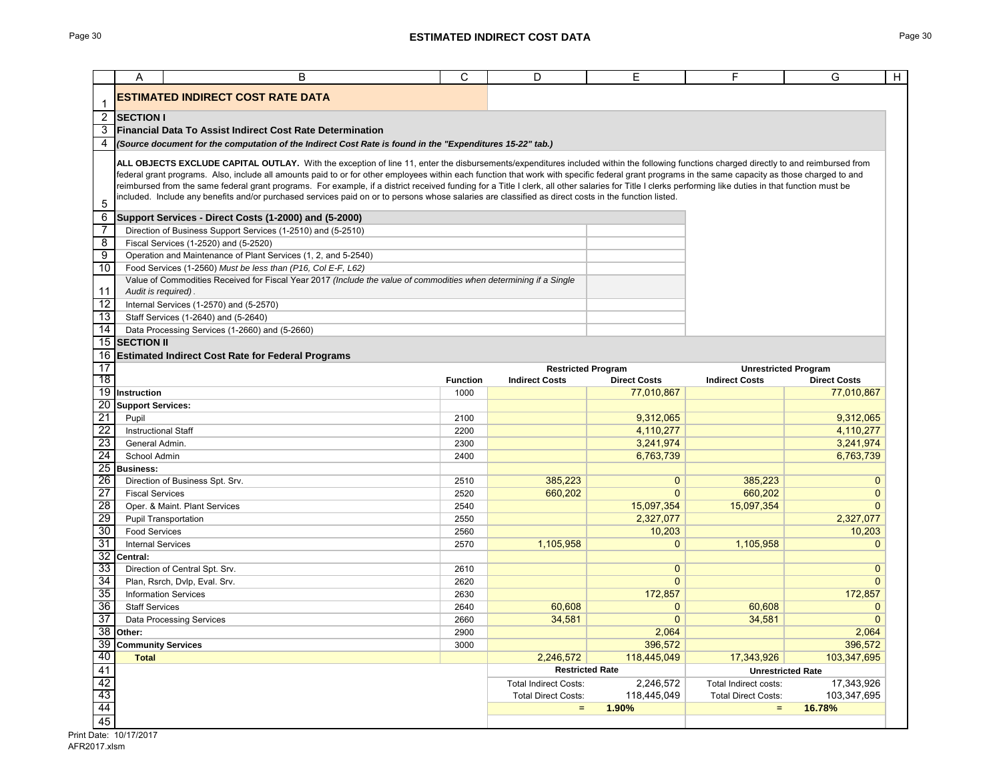|                       | A                                                                                                                                                                                                                                                                                                                                                               | B                                                                                                                                                                                       | C               | D                            | E                        | F                          | G<br>H                      |  |  |
|-----------------------|-----------------------------------------------------------------------------------------------------------------------------------------------------------------------------------------------------------------------------------------------------------------------------------------------------------------------------------------------------------------|-----------------------------------------------------------------------------------------------------------------------------------------------------------------------------------------|-----------------|------------------------------|--------------------------|----------------------------|-----------------------------|--|--|
|                       |                                                                                                                                                                                                                                                                                                                                                                 | <b>ESTIMATED INDIRECT COST RATE DATA</b>                                                                                                                                                |                 |                              |                          |                            |                             |  |  |
|                       | <b>SECTION I</b>                                                                                                                                                                                                                                                                                                                                                |                                                                                                                                                                                         |                 |                              |                          |                            |                             |  |  |
| $\overline{c}$<br>3   | Financial Data To Assist Indirect Cost Rate Determination                                                                                                                                                                                                                                                                                                       |                                                                                                                                                                                         |                 |                              |                          |                            |                             |  |  |
| 4                     | (Source document for the computation of the Indirect Cost Rate is found in the "Expenditures 15-22" tab.)                                                                                                                                                                                                                                                       |                                                                                                                                                                                         |                 |                              |                          |                            |                             |  |  |
|                       |                                                                                                                                                                                                                                                                                                                                                                 |                                                                                                                                                                                         |                 |                              |                          |                            |                             |  |  |
|                       |                                                                                                                                                                                                                                                                                                                                                                 | ALL OBJECTS EXCLUDE CAPITAL OUTLAY. With the exception of line 11, enter the disbursements/expenditures included within the following functions charged directly to and reimbursed from |                 |                              |                          |                            |                             |  |  |
|                       | federal grant programs. Also, include all amounts paid to or for other employees within each function that work with specific federal grant programs in the same capacity as those charged to and                                                                                                                                                               |                                                                                                                                                                                         |                 |                              |                          |                            |                             |  |  |
|                       | reimbursed from the same federal grant programs. For example, if a district received funding for a Title I clerk, all other salaries for Title I clerks performing like duties in that function must be<br>included. Include any benefits and/or purchased services paid on or to persons whose salaries are classified as direct costs in the function listed. |                                                                                                                                                                                         |                 |                              |                          |                            |                             |  |  |
| 5                     |                                                                                                                                                                                                                                                                                                                                                                 |                                                                                                                                                                                         |                 |                              |                          |                            |                             |  |  |
| 6                     |                                                                                                                                                                                                                                                                                                                                                                 | Support Services - Direct Costs (1-2000) and (5-2000)                                                                                                                                   |                 |                              |                          |                            |                             |  |  |
| -7<br>8               |                                                                                                                                                                                                                                                                                                                                                                 | Direction of Business Support Services (1-2510) and (5-2510)                                                                                                                            |                 |                              |                          |                            |                             |  |  |
| $\overline{9}$        |                                                                                                                                                                                                                                                                                                                                                                 | Fiscal Services (1-2520) and (5-2520)<br>Operation and Maintenance of Plant Services (1, 2, and 5-2540)                                                                                 |                 |                              |                          |                            |                             |  |  |
| 10                    |                                                                                                                                                                                                                                                                                                                                                                 | Food Services (1-2560) Must be less than (P16, Col E-F, L62)                                                                                                                            |                 |                              |                          |                            |                             |  |  |
|                       |                                                                                                                                                                                                                                                                                                                                                                 | Value of Commodities Received for Fiscal Year 2017 (Include the value of commodities when determining if a Single                                                                       |                 |                              |                          |                            |                             |  |  |
| 11                    | Audit is required).                                                                                                                                                                                                                                                                                                                                             |                                                                                                                                                                                         |                 |                              |                          |                            |                             |  |  |
| 12                    |                                                                                                                                                                                                                                                                                                                                                                 | Internal Services (1-2570) and (5-2570)                                                                                                                                                 |                 |                              |                          |                            |                             |  |  |
| 13                    |                                                                                                                                                                                                                                                                                                                                                                 | Staff Services (1-2640) and (5-2640)                                                                                                                                                    |                 |                              |                          |                            |                             |  |  |
| 14                    |                                                                                                                                                                                                                                                                                                                                                                 | Data Processing Services (1-2660) and (5-2660)                                                                                                                                          |                 |                              |                          |                            |                             |  |  |
| 15                    | <b>SECTION II</b>                                                                                                                                                                                                                                                                                                                                               |                                                                                                                                                                                         |                 |                              |                          |                            |                             |  |  |
| 16                    | <b>Estimated Indirect Cost Rate for Federal Programs</b>                                                                                                                                                                                                                                                                                                        |                                                                                                                                                                                         |                 |                              |                          |                            |                             |  |  |
| 17                    |                                                                                                                                                                                                                                                                                                                                                                 |                                                                                                                                                                                         |                 | <b>Restricted Program</b>    |                          |                            | <b>Unrestricted Program</b> |  |  |
| 18<br>$\overline{19}$ |                                                                                                                                                                                                                                                                                                                                                                 |                                                                                                                                                                                         | <b>Function</b> | <b>Indirect Costs</b>        | <b>Direct Costs</b>      | <b>Indirect Costs</b>      | <b>Direct Costs</b>         |  |  |
| 20                    | Instruction<br><b>Support Services:</b>                                                                                                                                                                                                                                                                                                                         |                                                                                                                                                                                         | 1000            |                              | 77.010.867               |                            | 77.010.867                  |  |  |
| $\overline{21}$       | Pupil                                                                                                                                                                                                                                                                                                                                                           |                                                                                                                                                                                         | 2100            |                              | 9,312,065                |                            | 9,312,065                   |  |  |
| $\overline{22}$       | <b>Instructional Staff</b>                                                                                                                                                                                                                                                                                                                                      |                                                                                                                                                                                         | 2200            |                              | 4,110,277                |                            | 4,110,277                   |  |  |
| 23                    | General Admin.                                                                                                                                                                                                                                                                                                                                                  |                                                                                                                                                                                         | 2300            |                              | 3,241,974                |                            | 3,241,974                   |  |  |
| $\overline{24}$       | School Admin                                                                                                                                                                                                                                                                                                                                                    |                                                                                                                                                                                         | 2400            |                              | 6,763,739                |                            | 6,763,739                   |  |  |
| 25                    | <b>Business:</b>                                                                                                                                                                                                                                                                                                                                                |                                                                                                                                                                                         |                 |                              |                          |                            |                             |  |  |
| 26                    |                                                                                                                                                                                                                                                                                                                                                                 | Direction of Business Spt. Srv.                                                                                                                                                         | 2510            | 385.223                      | $\mathbf{0}$             | 385,223                    | $\mathbf{0}$                |  |  |
| 27                    | <b>Fiscal Services</b>                                                                                                                                                                                                                                                                                                                                          |                                                                                                                                                                                         | 2520            | 660,202                      | $\Omega$                 | 660.202                    | $\mathbf{0}$                |  |  |
| 28                    |                                                                                                                                                                                                                                                                                                                                                                 | Oper. & Maint. Plant Services                                                                                                                                                           | 2540            |                              | 15,097,354               | 15,097,354                 | $\Omega$                    |  |  |
| 29                    |                                                                                                                                                                                                                                                                                                                                                                 | <b>Pupil Transportation</b>                                                                                                                                                             | 2550            |                              | 2,327,077                |                            | 2,327,077                   |  |  |
| 30                    | <b>Food Services</b>                                                                                                                                                                                                                                                                                                                                            |                                                                                                                                                                                         | 2560            |                              | 10,203                   |                            | 10,203                      |  |  |
| 31                    | <b>Internal Services</b>                                                                                                                                                                                                                                                                                                                                        |                                                                                                                                                                                         | 2570            | 1,105,958                    | $\mathbf{0}$             | 1,105,958                  | $\overline{0}$              |  |  |
| $\overline{32}$       | Central:                                                                                                                                                                                                                                                                                                                                                        |                                                                                                                                                                                         |                 |                              |                          |                            |                             |  |  |
| 33<br>34              |                                                                                                                                                                                                                                                                                                                                                                 | Direction of Central Spt. Srv.                                                                                                                                                          | 2610            |                              | $\mathbf{0}$<br>$\Omega$ |                            | $\mathbf{0}$<br>$\Omega$    |  |  |
| 35                    |                                                                                                                                                                                                                                                                                                                                                                 | Plan, Rsrch, Dvlp, Eval. Srv.<br><b>Information Services</b>                                                                                                                            | 2620<br>2630    |                              | 172,857                  |                            | 172,857                     |  |  |
| 36                    | <b>Staff Services</b>                                                                                                                                                                                                                                                                                                                                           |                                                                                                                                                                                         | 2640            | 60.608                       | $\mathbf{0}$             | 60.608                     | $\mathbf 0$                 |  |  |
| $\overline{37}$       |                                                                                                                                                                                                                                                                                                                                                                 | <b>Data Processing Services</b>                                                                                                                                                         | 2660            | 34,581                       | $\overline{0}$           | 34,581                     | $\Omega$                    |  |  |
| 38                    | Other:                                                                                                                                                                                                                                                                                                                                                          |                                                                                                                                                                                         | 2900            |                              | 2,064                    |                            | 2,064                       |  |  |
| 39                    | <b>Community Services</b>                                                                                                                                                                                                                                                                                                                                       |                                                                                                                                                                                         | 3000            |                              | 396,572                  |                            | 396,572                     |  |  |
| 40                    | <b>Total</b>                                                                                                                                                                                                                                                                                                                                                    |                                                                                                                                                                                         |                 | 2.246.572                    | 118,445,049              | 17,343,926                 | 103,347,695                 |  |  |
| 41                    |                                                                                                                                                                                                                                                                                                                                                                 |                                                                                                                                                                                         |                 | <b>Restricted Rate</b>       |                          |                            | <b>Unrestricted Rate</b>    |  |  |
| 42                    |                                                                                                                                                                                                                                                                                                                                                                 |                                                                                                                                                                                         |                 | <b>Total Indirect Costs:</b> | 2,246,572                | Total Indirect costs:      | 17,343,926                  |  |  |
| 43                    |                                                                                                                                                                                                                                                                                                                                                                 |                                                                                                                                                                                         |                 | <b>Total Direct Costs:</b>   | 118,445,049              | <b>Total Direct Costs:</b> | 103,347,695                 |  |  |
| 44                    |                                                                                                                                                                                                                                                                                                                                                                 |                                                                                                                                                                                         |                 | $\equiv$                     | 1.90%                    | $\qquad \qquad =$          | 16.78%                      |  |  |
| 45                    |                                                                                                                                                                                                                                                                                                                                                                 |                                                                                                                                                                                         |                 |                              |                          |                            |                             |  |  |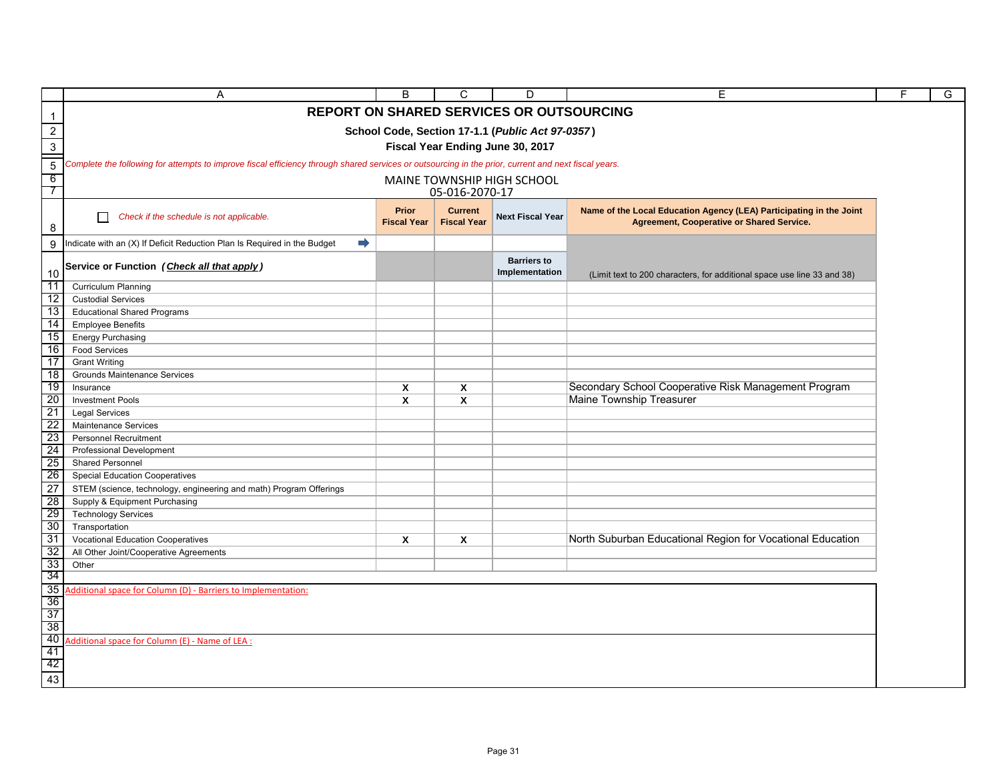|                 | Α                                                                                                                                                    | B                                  | C                                    | D                                    | E                                                                                                                       | F | G |  |  |
|-----------------|------------------------------------------------------------------------------------------------------------------------------------------------------|------------------------------------|--------------------------------------|--------------------------------------|-------------------------------------------------------------------------------------------------------------------------|---|---|--|--|
| $\mathbf{1}$    | <b>REPORT ON SHARED SERVICES OR OUTSOURCING</b>                                                                                                      |                                    |                                      |                                      |                                                                                                                         |   |   |  |  |
|                 | School Code, Section 17-1.1 (Public Act 97-0357)                                                                                                     |                                    |                                      |                                      |                                                                                                                         |   |   |  |  |
| $\frac{2}{3}$   | Fiscal Year Ending June 30, 2017                                                                                                                     |                                    |                                      |                                      |                                                                                                                         |   |   |  |  |
| $\sqrt{5}$      | Complete the following for attempts to improve fiscal efficiency through shared services or outsourcing in the prior, current and next fiscal years. |                                    |                                      |                                      |                                                                                                                         |   |   |  |  |
| 6               |                                                                                                                                                      |                                    |                                      |                                      |                                                                                                                         |   |   |  |  |
| 7               | MAINE TOWNSHIP HIGH SCHOOL<br>05-016-2070-17                                                                                                         |                                    |                                      |                                      |                                                                                                                         |   |   |  |  |
| 8               | Check if the schedule is not applicable.                                                                                                             | <b>Prior</b><br><b>Fiscal Year</b> | <b>Current</b><br><b>Fiscal Year</b> | <b>Next Fiscal Year</b>              | Name of the Local Education Agency (LEA) Participating in the Joint<br><b>Agreement, Cooperative or Shared Service.</b> |   |   |  |  |
| 9               | $\Rightarrow$<br>Indicate with an (X) If Deficit Reduction Plan Is Required in the Budget                                                            |                                    |                                      |                                      |                                                                                                                         |   |   |  |  |
| 10              | Service or Function (Check all that apply)                                                                                                           |                                    |                                      | <b>Barriers to</b><br>Implementation | (Limit text to 200 characters, for additional space use line 33 and 38)                                                 |   |   |  |  |
| 11              | <b>Curriculum Planning</b>                                                                                                                           |                                    |                                      |                                      |                                                                                                                         |   |   |  |  |
| 12<br>13        | <b>Custodial Services</b><br><b>Educational Shared Programs</b>                                                                                      |                                    |                                      |                                      |                                                                                                                         |   |   |  |  |
| 14              | <b>Employee Benefits</b>                                                                                                                             |                                    |                                      |                                      |                                                                                                                         |   |   |  |  |
| 15              | <b>Energy Purchasing</b>                                                                                                                             |                                    |                                      |                                      |                                                                                                                         |   |   |  |  |
| 16              | <b>Food Services</b>                                                                                                                                 |                                    |                                      |                                      |                                                                                                                         |   |   |  |  |
| 17              | <b>Grant Writing</b>                                                                                                                                 |                                    |                                      |                                      |                                                                                                                         |   |   |  |  |
| 18              | Grounds Maintenance Services                                                                                                                         |                                    |                                      |                                      |                                                                                                                         |   |   |  |  |
| 19              | Insurance                                                                                                                                            | $\boldsymbol{\mathsf{x}}$          | $\mathsf{x}$                         |                                      | Secondary School Cooperative Risk Management Program                                                                    |   |   |  |  |
| 20<br>21        | <b>Investment Pools</b><br><b>Legal Services</b>                                                                                                     | X                                  | X                                    |                                      | <b>Maine Township Treasurer</b>                                                                                         |   |   |  |  |
| 22              | Maintenance Services                                                                                                                                 |                                    |                                      |                                      |                                                                                                                         |   |   |  |  |
| 23              | <b>Personnel Recruitment</b>                                                                                                                         |                                    |                                      |                                      |                                                                                                                         |   |   |  |  |
| 24              | <b>Professional Development</b>                                                                                                                      |                                    |                                      |                                      |                                                                                                                         |   |   |  |  |
| -25             | Shared Personnel                                                                                                                                     |                                    |                                      |                                      |                                                                                                                         |   |   |  |  |
| 26              | <b>Special Education Cooperatives</b>                                                                                                                |                                    |                                      |                                      |                                                                                                                         |   |   |  |  |
| 27              | STEM (science, technology, engineering and math) Program Offerings                                                                                   |                                    |                                      |                                      |                                                                                                                         |   |   |  |  |
| 28              | Supply & Equipment Purchasing                                                                                                                        |                                    |                                      |                                      |                                                                                                                         |   |   |  |  |
| 29<br>30        | <b>Technology Services</b>                                                                                                                           |                                    |                                      |                                      |                                                                                                                         |   |   |  |  |
| 31              | Transportation<br><b>Vocational Education Cooperatives</b>                                                                                           | X                                  | X                                    |                                      | North Suburban Educational Region for Vocational Education                                                              |   |   |  |  |
| 32              | All Other Joint/Cooperative Agreements                                                                                                               |                                    |                                      |                                      |                                                                                                                         |   |   |  |  |
| 33              | Other                                                                                                                                                |                                    |                                      |                                      |                                                                                                                         |   |   |  |  |
| -34             |                                                                                                                                                      |                                    |                                      |                                      |                                                                                                                         |   |   |  |  |
| 35              | Additional space for Column (D) - Barriers to Implementation:                                                                                        |                                    |                                      |                                      |                                                                                                                         |   |   |  |  |
| 36              |                                                                                                                                                      |                                    |                                      |                                      |                                                                                                                         |   |   |  |  |
| 37<br>38        |                                                                                                                                                      |                                    |                                      |                                      |                                                                                                                         |   |   |  |  |
| $\overline{40}$ | dditional space for Column (E) - Name of LEA :                                                                                                       |                                    |                                      |                                      |                                                                                                                         |   |   |  |  |
| 41              |                                                                                                                                                      |                                    |                                      |                                      |                                                                                                                         |   |   |  |  |
|                 |                                                                                                                                                      |                                    |                                      |                                      |                                                                                                                         |   |   |  |  |
| $\frac{42}{43}$ |                                                                                                                                                      |                                    |                                      |                                      |                                                                                                                         |   |   |  |  |

٦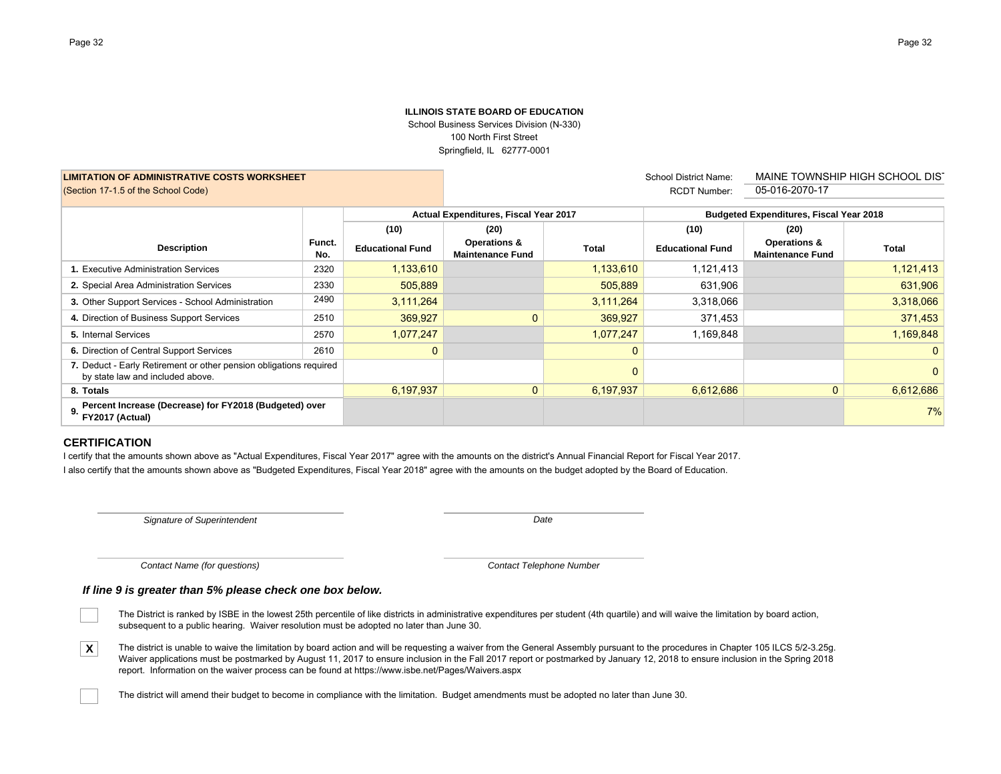### **ILLINOIS STATE BOARD OF EDUCATION**School Business Services Division (N-330) 100 North First Street Springfield, IL 62777-0001

**LIMITATION OF ADMINISTRATIVE COSTS WORKSHEET**(Section 17-1.5 of the School Code) 05-016-2070-17

 School District Name: RCDT Number:

MAINE TOWNSHIP HIGH SCHOOL DIST

|                                                                                                        |               | Actual Expenditures, Fiscal Year 2017 |                                                    | <b>Budgeted Expenditures, Fiscal Year 2018</b> |                         |                                                    |                |
|--------------------------------------------------------------------------------------------------------|---------------|---------------------------------------|----------------------------------------------------|------------------------------------------------|-------------------------|----------------------------------------------------|----------------|
|                                                                                                        |               | (10)                                  | (20)                                               |                                                | (10)                    | (20)                                               |                |
| <b>Description</b>                                                                                     | Funct.<br>No. | <b>Educational Fund</b>               | <b>Operations &amp;</b><br><b>Maintenance Fund</b> | <b>Total</b>                                   | <b>Educational Fund</b> | <b>Operations &amp;</b><br><b>Maintenance Fund</b> | <b>Total</b>   |
| 1. Executive Administration Services                                                                   | 2320          | 1,133,610                             |                                                    | 1,133,610                                      | 1,121,413               |                                                    | 1,121,413      |
| 2. Special Area Administration Services                                                                | 2330          | 505,889                               |                                                    | 505,889                                        | 631,906                 |                                                    | 631,906        |
| 3. Other Support Services - School Administration                                                      | 2490          | 3,111,264                             |                                                    | 3,111,264                                      | 3,318,066               |                                                    | 3,318,066      |
| 4. Direction of Business Support Services                                                              | 2510          | 369,927                               | $\mathbf{0}$                                       | 369,927                                        | 371,453                 |                                                    | 371,453        |
| 5. Internal Services                                                                                   | 2570          | 1,077,247                             |                                                    | 1,077,247                                      | 1,169,848               |                                                    | 1,169,848      |
| 6. Direction of Central Support Services                                                               | 2610          | 0                                     |                                                    | $\mathbf 0$                                    |                         |                                                    | $\overline{0}$ |
| 7. Deduct - Early Retirement or other pension obligations required<br>by state law and included above. |               |                                       |                                                    | 0                                              |                         |                                                    | $\Omega$       |
| 8. Totals                                                                                              |               | 6,197,937                             | $\mathbf{0}$                                       | 6,197,937                                      | 6.612.686               | $\mathbf{0}$                                       | 6.612.686      |
| Percent Increase (Decrease) for FY2018 (Budgeted) over<br>9.<br>FY2017 (Actual)                        |               |                                       |                                                    |                                                |                         |                                                    | 7%             |

### **CERTIFICATION**

I certify that the amounts shown above as "Actual Expenditures, Fiscal Year 2017" agree with the amounts on the district's Annual Financial Report for Fiscal Year 2017. I also certify that the amounts shown above as "Budgeted Expenditures, Fiscal Year 2018" agree with the amounts on the budget adopted by the Board of Education.

*Signature of Superintendent*

*Date*

*Contact Name (for questions)*

*Contact Telephone Number*

### *If line 9 is greater than 5% please check one box below.*

- The District is ranked by ISBE in the lowest 25th percentile of like districts in administrative expenditures per student (4th quartile) and will waive the limitation by board action, subsequent to a public hearing. Waiver resolution must be adopted no later than June 30.
- **X**The district is unable to waive the limitation by board action and will be requesting a waiver from the General Assembly pursuant to the procedures in Chapter 105 ILCS 5/2-3.25g. Waiver applications must be postmarked by August 11, 2017 to ensure inclusion in the Fall 2017 report or postmarked by January 12, 2018 to ensure inclusion in the Spring 2018 report. Information on the waiver process can be found at https://www.isbe.net/Pages/Waivers.aspx
	- The district will amend their budget to become in compliance with the limitation. Budget amendments must be adopted no later than June 30.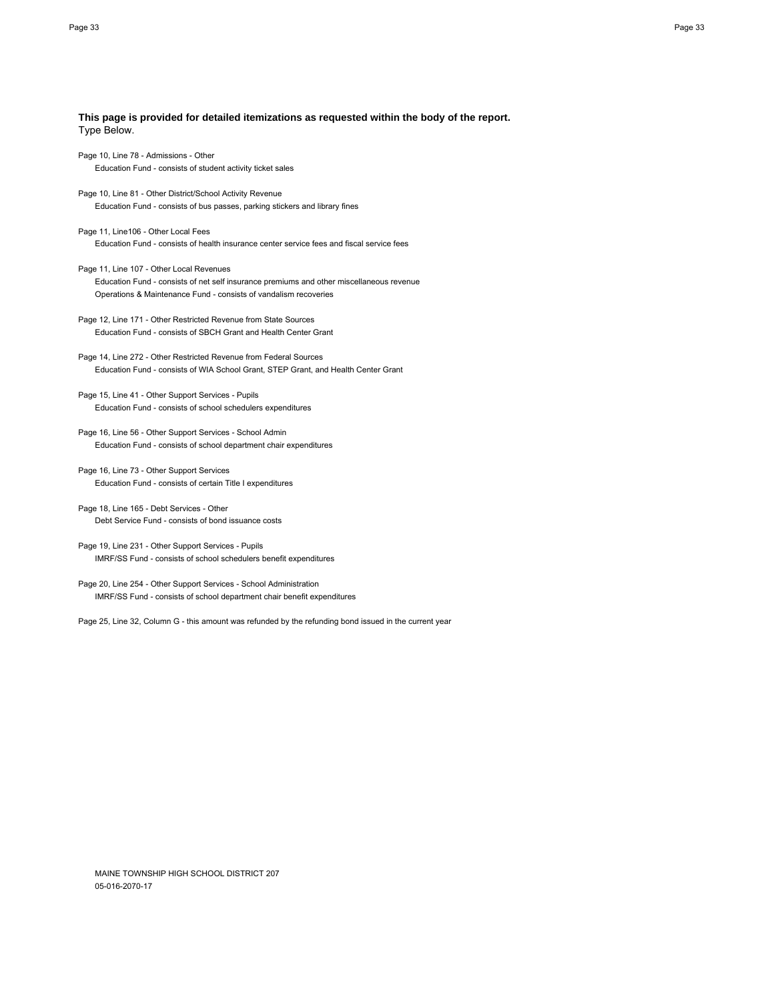| This page is provided for detailed itemizations as requested within the body of the report.<br>Type Below.                                                                                               |
|----------------------------------------------------------------------------------------------------------------------------------------------------------------------------------------------------------|
| Page 10, Line 78 - Admissions - Other<br>Education Fund - consists of student activity ticket sales                                                                                                      |
| Page 10, Line 81 - Other District/School Activity Revenue<br>Education Fund - consists of bus passes, parking stickers and library fines                                                                 |
| Page 11, Line106 - Other Local Fees<br>Education Fund - consists of health insurance center service fees and fiscal service fees                                                                         |
| Page 11, Line 107 - Other Local Revenues<br>Education Fund - consists of net self insurance premiums and other miscellaneous revenue<br>Operations & Maintenance Fund - consists of vandalism recoveries |
| Page 12, Line 171 - Other Restricted Revenue from State Sources<br>Education Fund - consists of SBCH Grant and Health Center Grant                                                                       |
| Page 14, Line 272 - Other Restricted Revenue from Federal Sources<br>Education Fund - consists of WIA School Grant, STEP Grant, and Health Center Grant                                                  |
| Page 15, Line 41 - Other Support Services - Pupils<br>Education Fund - consists of school schedulers expenditures                                                                                        |
| Page 16, Line 56 - Other Support Services - School Admin<br>Education Fund - consists of school department chair expenditures                                                                            |
| Page 16, Line 73 - Other Support Services<br>Education Fund - consists of certain Title I expenditures                                                                                                   |
| Page 18, Line 165 - Debt Services - Other<br>Debt Service Fund - consists of bond issuance costs                                                                                                         |
| Page 19, Line 231 - Other Support Services - Pupils<br>IMRF/SS Fund - consists of school schedulers benefit expenditures                                                                                 |
| Page 20, Line 254 - Other Support Services - School Administration<br>IMRF/SS Fund - consists of school department chair benefit expenditures                                                            |
| Page 25, Line 32, Column G - this amount was refunded by the refunding bond issued in the current year                                                                                                   |
|                                                                                                                                                                                                          |

MAINE TOWNSHIP HIGH SCHOOL DISTRICT 207 05-016-2070-17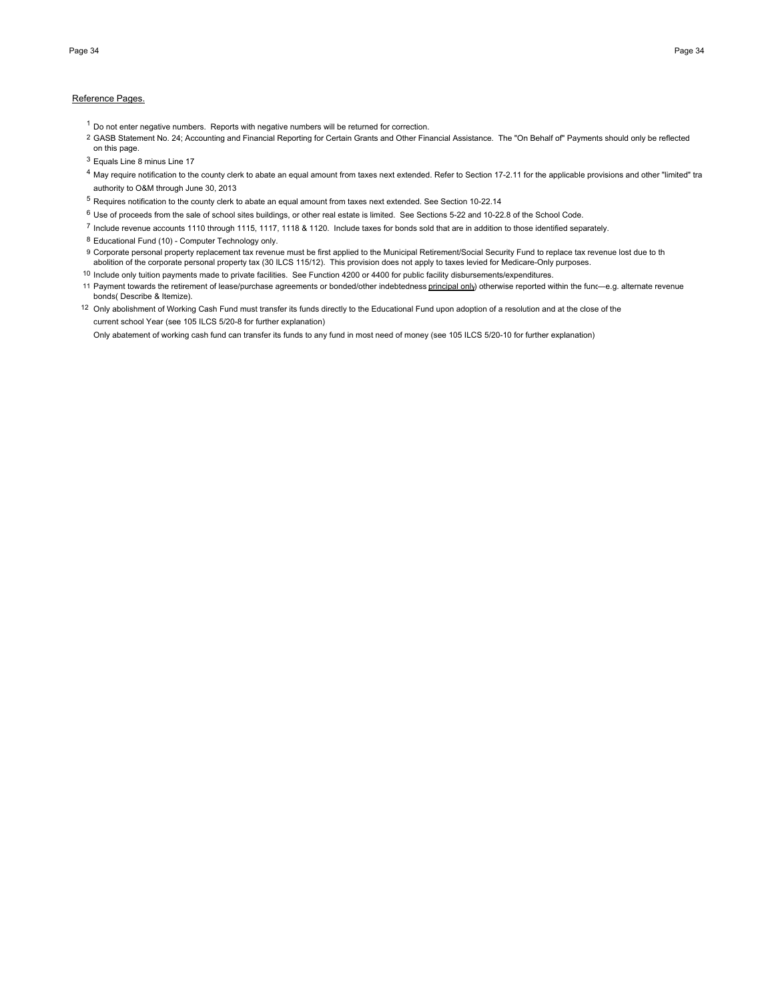#### Reference Pages.

- $1$  Do not enter negative numbers. Reports with negative numbers will be returned for correction.
- 2 GASB Statement No. 24; Accounting and Financial Reporting for Certain Grants and Other Financial Assistance. The "On Behalf of" Payments should only be reflected on this page.
- <sup>3</sup> Equals Line 8 minus Line 17
- <sup>4</sup> May require notification to the county clerk to abate an equal amount from taxes next extended. Refer to Section 17-2.11 for the applicable provisions and other "limited" tra authority to O&M through June 30, 2013
- <sup>5</sup> Requires notification to the county clerk to abate an equal amount from taxes next extended. See Section 10-22.14
- $6$  Use of proceeds from the sale of school sites buildings, or other real estate is limited. See Sections 5-22 and 10-22.8 of the School Code.
- <sup>7</sup> Include revenue accounts 1110 through 1115, 1117, 1118 & 1120. Include taxes for bonds sold that are in addition to those identified separately.
- 8 Educational Fund (10) Computer Technology only.
- 9 Corporate personal property replacement tax revenue must be first applied to the Municipal Retirement/Social Security Fund to replace tax revenue lost due to th abolition of the corporate personal property tax (30 ILCS 115/12). This provision does not apply to taxes levied for Medicare-Only purposes.
- <sup>10</sup> Include only tuition payments made to private facilities. See Function 4200 or 4400 for public facility disbursements/expenditures.
- 11 Payment towards the retirement of lease/purchase agreements or bonded/other indebtedness *principal only*) otherwise reported within the func-e.g. alternate revenue bonds( Describe & Itemize).
- 12 Only abolishment of Working Cash Fund must transfer its funds directly to the Educational Fund upon adoption of a resolution and at the close of the current school Year (see 105 ILCS 5/20-8 for further explanation)
	- Only abatement of working cash fund can transfer its funds to any fund in most need of money (see 105 ILCS 5/20-10 for further explanation)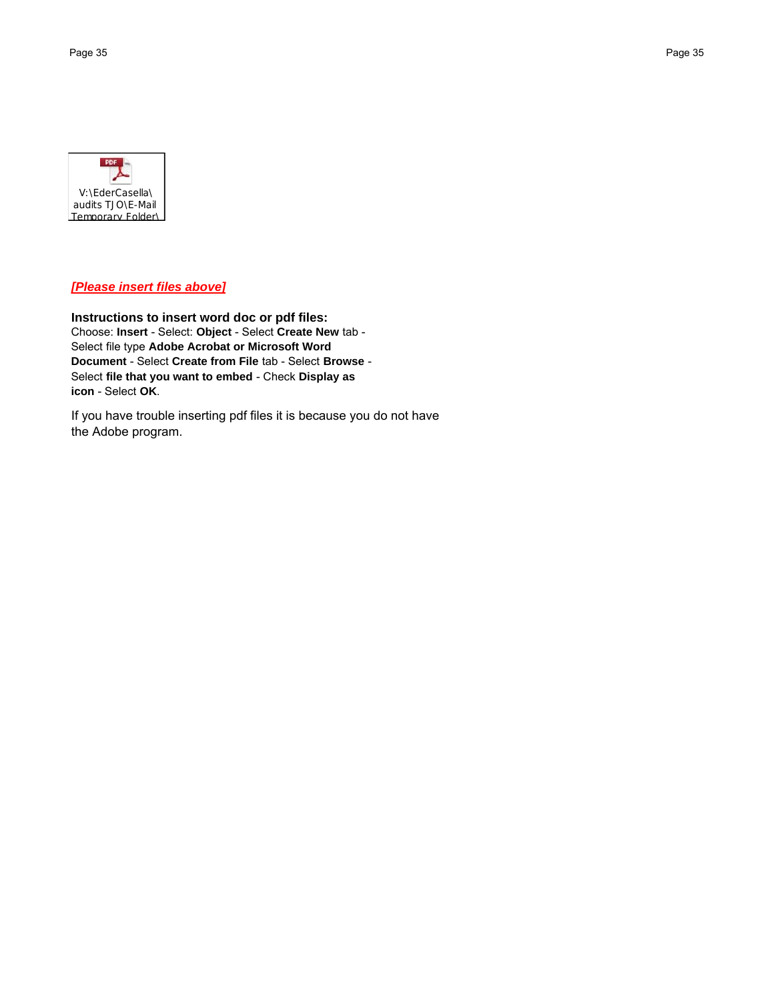

# *[Please insert files above]*

**Instructions to insert word doc or pdf files:** Choose: **Insert** - Select: **Object** - Select **Create New** tab - Select file type **Adobe Acrobat or Microsoft Word Document** - Select **Create from File** tab - Select **Browse** - Select **file that you want to embed** - Check **Display as icon** - Select **OK**.

If you have trouble inserting pdf files it is because you do not have the Adobe program.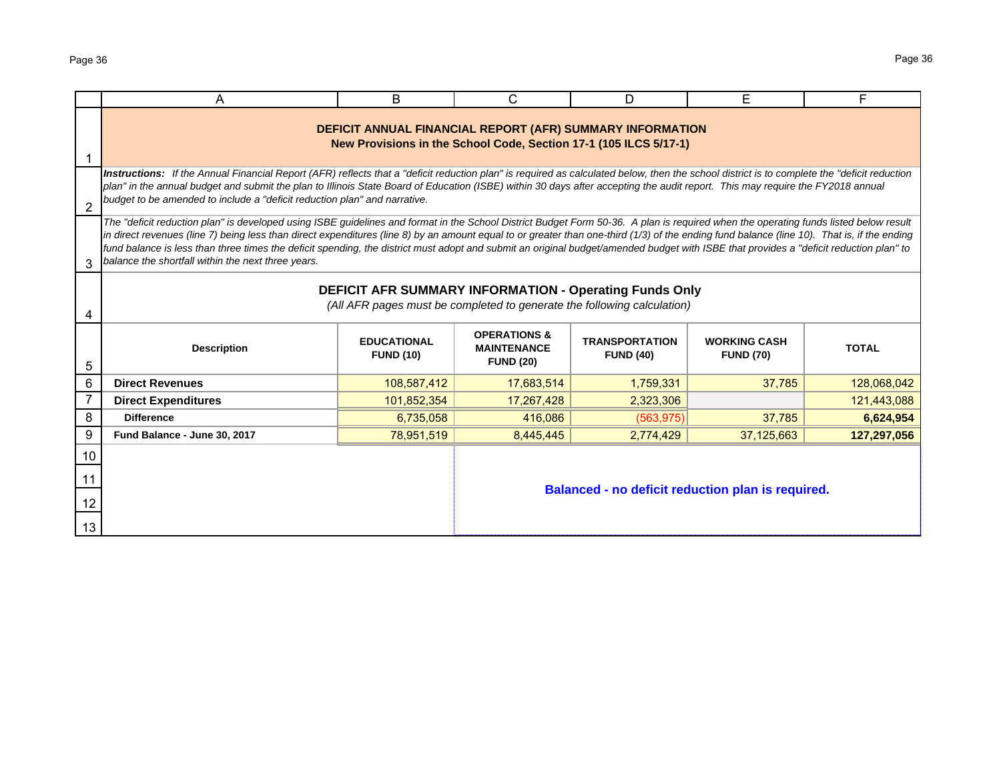|                | A                                                                                                                                                                                                                                                                                                                                                                                                                                                                                                                                                                                                                                   | B                                      | C                                                                 | D                                                 | E                                       | F            |  |  |  |
|----------------|-------------------------------------------------------------------------------------------------------------------------------------------------------------------------------------------------------------------------------------------------------------------------------------------------------------------------------------------------------------------------------------------------------------------------------------------------------------------------------------------------------------------------------------------------------------------------------------------------------------------------------------|----------------------------------------|-------------------------------------------------------------------|---------------------------------------------------|-----------------------------------------|--------------|--|--|--|
|                | DEFICIT ANNUAL FINANCIAL REPORT (AFR) SUMMARY INFORMATION<br>New Provisions in the School Code, Section 17-1 (105 ILCS 5/17-1)                                                                                                                                                                                                                                                                                                                                                                                                                                                                                                      |                                        |                                                                   |                                                   |                                         |              |  |  |  |
| $\overline{2}$ | Instructions: If the Annual Financial Report (AFR) reflects that a "deficit reduction plan" is required as calculated below, then the school district is to complete the "deficit reduction<br>plan" in the annual budget and submit the plan to Illinois State Board of Education (ISBE) within 30 days after accepting the audit report. This may require the FY2018 annual<br>budget to be amended to include a "deficit reduction plan" and narrative.                                                                                                                                                                          |                                        |                                                                   |                                                   |                                         |              |  |  |  |
| 3              | The "deficit reduction plan" is developed using ISBE guidelines and format in the School District Budget Form 50-36. A plan is required when the operating funds listed below result<br>in direct revenues (line 7) being less than direct expenditures (line 8) by an amount equal to or greater than one-third (1/3) of the ending fund balance (line 10). That is, if the ending<br>fund balance is less than three times the deficit spending, the district must adopt and submit an original budget/amended budget with ISBE that provides a "deficit reduction plan" to<br>balance the shortfall within the next three years. |                                        |                                                                   |                                                   |                                         |              |  |  |  |
|                | DEFICIT AFR SUMMARY INFORMATION - Operating Funds Only<br>(All AFR pages must be completed to generate the following calculation)                                                                                                                                                                                                                                                                                                                                                                                                                                                                                                   |                                        |                                                                   |                                                   |                                         |              |  |  |  |
| 5              | <b>Description</b>                                                                                                                                                                                                                                                                                                                                                                                                                                                                                                                                                                                                                  | <b>EDUCATIONAL</b><br><b>FUND (10)</b> | <b>OPERATIONS &amp;</b><br><b>MAINTENANCE</b><br><b>FUND (20)</b> | <b>TRANSPORTATION</b><br><b>FUND (40)</b>         | <b>WORKING CASH</b><br><b>FUND (70)</b> | <b>TOTAL</b> |  |  |  |
| 6              | <b>Direct Revenues</b>                                                                                                                                                                                                                                                                                                                                                                                                                                                                                                                                                                                                              | 108,587,412                            | 17,683,514                                                        | 1,759,331                                         | 37,785                                  | 128,068,042  |  |  |  |
|                | <b>Direct Expenditures</b>                                                                                                                                                                                                                                                                                                                                                                                                                                                                                                                                                                                                          | 101,852,354                            | 17,267,428                                                        | 2,323,306                                         |                                         | 121,443,088  |  |  |  |
| 8              | <b>Difference</b>                                                                                                                                                                                                                                                                                                                                                                                                                                                                                                                                                                                                                   | 6,735,058                              | 416,086                                                           | (563.975)                                         | 37,785                                  | 6,624,954    |  |  |  |
| 9              | Fund Balance - June 30, 2017                                                                                                                                                                                                                                                                                                                                                                                                                                                                                                                                                                                                        | 78,951,519                             | 8,445,445                                                         | 2,774,429                                         | 37,125,663                              | 127,297,056  |  |  |  |
| 10             |                                                                                                                                                                                                                                                                                                                                                                                                                                                                                                                                                                                                                                     |                                        |                                                                   |                                                   |                                         |              |  |  |  |
| 11<br>12<br>13 |                                                                                                                                                                                                                                                                                                                                                                                                                                                                                                                                                                                                                                     |                                        |                                                                   | Balanced - no deficit reduction plan is required. |                                         |              |  |  |  |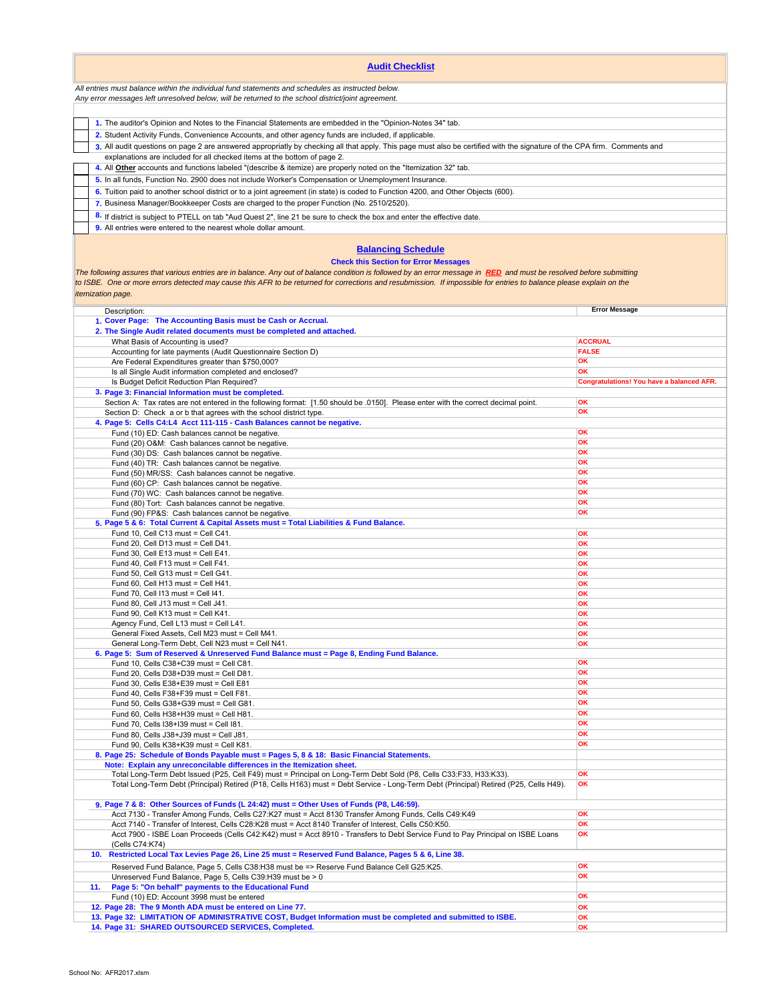| <b>Audit Checklist</b>                                                                                                                                                                                                                                                                                                                                                                                                                                |                                                        |  |  |  |  |  |
|-------------------------------------------------------------------------------------------------------------------------------------------------------------------------------------------------------------------------------------------------------------------------------------------------------------------------------------------------------------------------------------------------------------------------------------------------------|--------------------------------------------------------|--|--|--|--|--|
| All entries must balance within the individual fund statements and schedules as instructed below.<br>Any error messages left unresolved below, will be returned to the school district/joint agreement.                                                                                                                                                                                                                                               |                                                        |  |  |  |  |  |
|                                                                                                                                                                                                                                                                                                                                                                                                                                                       |                                                        |  |  |  |  |  |
| 1. The auditor's Opinion and Notes to the Financial Statements are embedded in the "Opinion-Notes 34" tab.                                                                                                                                                                                                                                                                                                                                            |                                                        |  |  |  |  |  |
| 2. Student Activity Funds, Convenience Accounts, and other agency funds are included, if applicable.                                                                                                                                                                                                                                                                                                                                                  |                                                        |  |  |  |  |  |
| 3. All audit questions on page 2 are answered appropriatly by checking all that apply. This page must also be certified with the signature of the CPA firm. Comments and<br>explanations are included for all checked items at the bottom of page 2.                                                                                                                                                                                                  |                                                        |  |  |  |  |  |
| 4. All <b>Other</b> accounts and functions labeled "(describe & itemize) are properly noted on the "Itemization 32" tab.                                                                                                                                                                                                                                                                                                                              |                                                        |  |  |  |  |  |
| 5. In all funds, Function No. 2900 does not include Worker's Compensation or Unemployment Insurance.                                                                                                                                                                                                                                                                                                                                                  |                                                        |  |  |  |  |  |
| 6. Tuition paid to another school district or to a joint agreement (in state) is coded to Function 4200, and Other Objects (600).<br>7. Business Manager/Bookkeeper Costs are charged to the proper Function (No. 2510/2520).                                                                                                                                                                                                                         |                                                        |  |  |  |  |  |
| 8. If district is subject to PTELL on tab "Aud Quest 2", line 21 be sure to check the box and enter the effective date.                                                                                                                                                                                                                                                                                                                               |                                                        |  |  |  |  |  |
| 9. All entries were entered to the nearest whole dollar amount.                                                                                                                                                                                                                                                                                                                                                                                       |                                                        |  |  |  |  |  |
| <b>Balancing Schedule</b><br><b>Check this Section for Error Messages</b><br>The following assures that various entries are in balance. Any out of balance condition is followed by an error message in RED and must be resolved before submitting<br>to ISBE. One or more errors detected may cause this AFR to be returned for corrections and resubmission. If impossible for entries to balance please explain on the<br><i>itemization page.</i> |                                                        |  |  |  |  |  |
| Description:<br>1. Cover Page: The Accounting Basis must be Cash or Accrual.                                                                                                                                                                                                                                                                                                                                                                          | <b>Error Message</b>                                   |  |  |  |  |  |
| 2. The Single Audit related documents must be completed and attached.                                                                                                                                                                                                                                                                                                                                                                                 |                                                        |  |  |  |  |  |
| What Basis of Accounting is used?<br>Accounting for late payments (Audit Questionnaire Section D)                                                                                                                                                                                                                                                                                                                                                     | <b>ACCRUAL</b><br><b>FALSE</b>                         |  |  |  |  |  |
| Are Federal Expenditures greater than \$750,000?                                                                                                                                                                                                                                                                                                                                                                                                      | OK                                                     |  |  |  |  |  |
| Is all Single Audit information completed and enclosed?<br>Is Budget Deficit Reduction Plan Required?                                                                                                                                                                                                                                                                                                                                                 | OK<br><b>Congratulations! You have a balanced AFR.</b> |  |  |  |  |  |
| 3. Page 3: Financial Information must be completed.                                                                                                                                                                                                                                                                                                                                                                                                   |                                                        |  |  |  |  |  |
| Section A: Tax rates are not entered in the following format: [1.50 should be .0150]. Please enter with the correct decimal point.<br>Section D: Check a or b that agrees with the school district type.                                                                                                                                                                                                                                              | OK<br>OK                                               |  |  |  |  |  |
| 4. Page 5: Cells C4:L4 Acct 111-115 - Cash Balances cannot be negative.                                                                                                                                                                                                                                                                                                                                                                               |                                                        |  |  |  |  |  |
| Fund (10) ED: Cash balances cannot be negative.                                                                                                                                                                                                                                                                                                                                                                                                       | OK                                                     |  |  |  |  |  |
| Fund (20) O&M: Cash balances cannot be negative.<br>Fund (30) DS: Cash balances cannot be negative.                                                                                                                                                                                                                                                                                                                                                   | OK<br>OK                                               |  |  |  |  |  |
| Fund (40) TR: Cash balances cannot be negative.                                                                                                                                                                                                                                                                                                                                                                                                       | OK                                                     |  |  |  |  |  |
| Fund (50) MR/SS: Cash balances cannot be negative.<br>Fund (60) CP: Cash balances cannot be negative.                                                                                                                                                                                                                                                                                                                                                 | OK<br>OK                                               |  |  |  |  |  |
| Fund (70) WC: Cash balances cannot be negative.                                                                                                                                                                                                                                                                                                                                                                                                       | OK                                                     |  |  |  |  |  |
| Fund (80) Tort: Cash balances cannot be negative.                                                                                                                                                                                                                                                                                                                                                                                                     | OK                                                     |  |  |  |  |  |
| Fund (90) FP&S: Cash balances cannot be negative.<br>5. Page 5 & 6: Total Current & Capital Assets must = Total Liabilities & Fund Balance.                                                                                                                                                                                                                                                                                                           | OK                                                     |  |  |  |  |  |
| Fund 10, Cell C13 must = Cell C41.                                                                                                                                                                                                                                                                                                                                                                                                                    | OK                                                     |  |  |  |  |  |
| Fund 20, Cell D13 must = Cell D41.<br>Fund 30, Cell E13 must = Cell E41.                                                                                                                                                                                                                                                                                                                                                                              | OK<br>OK                                               |  |  |  |  |  |
| Fund 40, Cell F13 must = Cell F41.                                                                                                                                                                                                                                                                                                                                                                                                                    | OK                                                     |  |  |  |  |  |
| Fund 50, Cell G13 must = Cell G41.                                                                                                                                                                                                                                                                                                                                                                                                                    | OK                                                     |  |  |  |  |  |
| Fund 60, Cell H13 must = Cell H41.<br>Fund 70, Cell I13 must = Cell I41.                                                                                                                                                                                                                                                                                                                                                                              | OK<br>OK                                               |  |  |  |  |  |
| Fund 80, Cell J13 must = Cell J41.                                                                                                                                                                                                                                                                                                                                                                                                                    | OK                                                     |  |  |  |  |  |
| Fund 90. Cell K13 must = Cell K41.                                                                                                                                                                                                                                                                                                                                                                                                                    | OK                                                     |  |  |  |  |  |
| Agency Fund, Cell L13 must = Cell L41.<br>General Fixed Assets, Cell M23 must = Cell M41.                                                                                                                                                                                                                                                                                                                                                             | OK<br>OK                                               |  |  |  |  |  |
| General Long-Term Debt, Cell N23 must = Cell N41.                                                                                                                                                                                                                                                                                                                                                                                                     | OK                                                     |  |  |  |  |  |
| 6. Page 5: Sum of Reserved & Unreserved Fund Balance must = Page 8, Ending Fund Balance.<br>Fund 10, Cells C38+C39 must = Cell C81.                                                                                                                                                                                                                                                                                                                   | OK                                                     |  |  |  |  |  |
| Fund 20, Cells D38+D39 must = Cell D81.                                                                                                                                                                                                                                                                                                                                                                                                               | OK                                                     |  |  |  |  |  |
| Fund 30, Cells E38+E39 must = Cell E81                                                                                                                                                                                                                                                                                                                                                                                                                | OK<br>OK                                               |  |  |  |  |  |
| Fund 40, Cells F38+F39 must = Cell F81.<br>Fund 50, Cells G38+G39 must = Cell G81.                                                                                                                                                                                                                                                                                                                                                                    | OK                                                     |  |  |  |  |  |
| Fund 60, Cells H38+H39 must = Cell H81.                                                                                                                                                                                                                                                                                                                                                                                                               | OK                                                     |  |  |  |  |  |
| Fund 70, Cells I38+I39 must = Cell I81.                                                                                                                                                                                                                                                                                                                                                                                                               | OK<br>OK                                               |  |  |  |  |  |
| Fund 80, Cells J38+J39 must = Cell J81.<br>Fund 90, Cells K38+K39 must = Cell K81.                                                                                                                                                                                                                                                                                                                                                                    | OK                                                     |  |  |  |  |  |
| 8. Page 25: Schedule of Bonds Payable must = Pages 5, 8 & 18: Basic Financial Statements.                                                                                                                                                                                                                                                                                                                                                             |                                                        |  |  |  |  |  |
| Note: Explain any unreconcilable differences in the Itemization sheet.<br>Total Long-Term Debt Issued (P25, Cell F49) must = Principal on Long-Term Debt Sold (P8, Cells C33:F33, H33:K33).                                                                                                                                                                                                                                                           | OK                                                     |  |  |  |  |  |
| Total Long-Term Debt (Principal) Retired (P18, Cells H163) must = Debt Service - Long-Term Debt (Principal) Retired (P25, Cells H49).                                                                                                                                                                                                                                                                                                                 | OK                                                     |  |  |  |  |  |
| 9. Page 7 & 8: Other Sources of Funds (L 24:42) must = Other Uses of Funds (P8, L46:59).<br>Acct 7130 - Transfer Among Funds, Cells C27:K27 must = Acct 8130 Transfer Among Funds, Cells C49:K49                                                                                                                                                                                                                                                      | OK                                                     |  |  |  |  |  |
| Acct 7140 - Transfer of Interest, Cells C28:K28 must = Acct 8140 Transfer of Interest, Cells C50:K50.                                                                                                                                                                                                                                                                                                                                                 | OK                                                     |  |  |  |  |  |
| Acct 7900 - ISBE Loan Proceeds (Cells C42:K42) must = Acct 8910 - Transfers to Debt Service Fund to Pay Principal on ISBE Loans<br>(Cells C74:K74)                                                                                                                                                                                                                                                                                                    | OK                                                     |  |  |  |  |  |
| Restricted Local Tax Levies Page 26, Line 25 must = Reserved Fund Balance, Pages 5 & 6, Line 38.<br>10.                                                                                                                                                                                                                                                                                                                                               |                                                        |  |  |  |  |  |
| Reserved Fund Balance, Page 5, Cells C38:H38 must be => Reserve Fund Balance Cell G25:K25.<br>Unreserved Fund Balance, Page 5, Cells C39:H39 must be > 0                                                                                                                                                                                                                                                                                              | OK<br>OK                                               |  |  |  |  |  |
| Page 5: "On behalf" payments to the Educational Fund<br>11.                                                                                                                                                                                                                                                                                                                                                                                           |                                                        |  |  |  |  |  |
| Fund (10) ED: Account 3998 must be entered                                                                                                                                                                                                                                                                                                                                                                                                            | OK                                                     |  |  |  |  |  |
| 12. Page 28: The 9 Month ADA must be entered on Line 77.<br>13. Page 32: LIMITATION OF ADMINISTRATIVE COST, Budget Information must be completed and submitted to ISBE.                                                                                                                                                                                                                                                                               | OK<br>OK                                               |  |  |  |  |  |
| 14. Page 31: SHARED OUTSOURCED SERVICES, Completed.                                                                                                                                                                                                                                                                                                                                                                                                   | OK                                                     |  |  |  |  |  |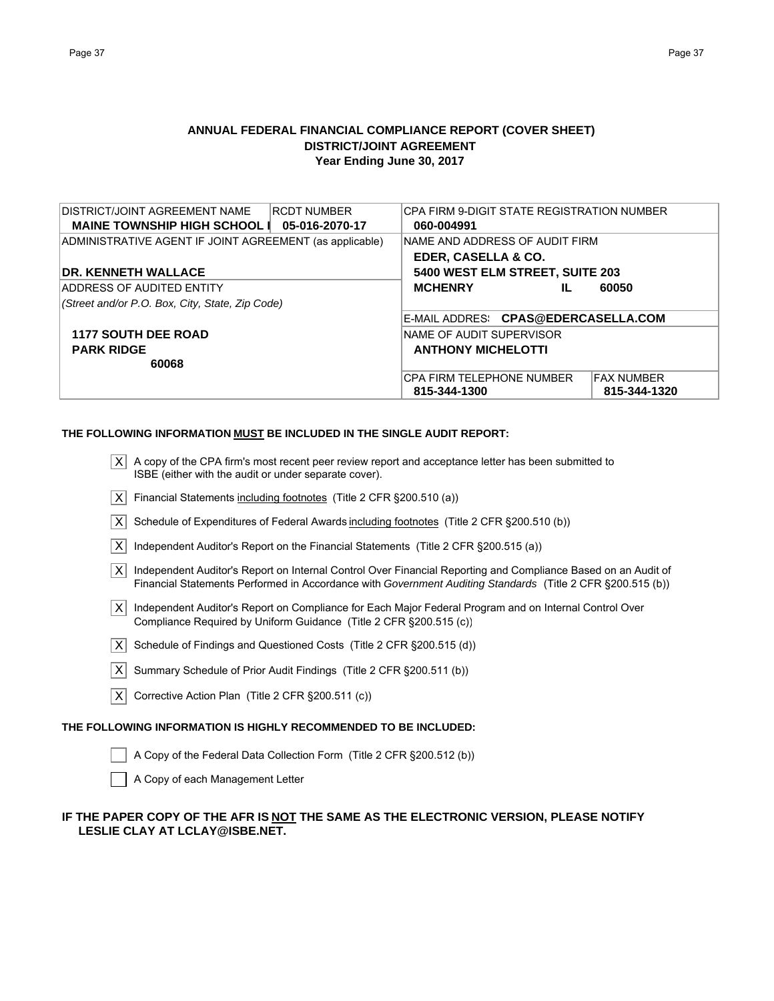# **ANNUAL FEDERAL FINANCIAL COMPLIANCE REPORT (COVER SHEET) DISTRICT/JOINT AGREEMENT Year Ending June 30, 2017**

| <b>DISTRICT/JOINT AGREEMENT NAME</b><br><b>RCDT NUMBER</b><br>MAINE TOWNSHIP HIGH SCHOOL   05-016-2070-17 | ICPA FIRM 9-DIGIT STATE REGISTRATION NUMBER<br>060-004991 |                    |  |  |  |
|-----------------------------------------------------------------------------------------------------------|-----------------------------------------------------------|--------------------|--|--|--|
| ADMINISTRATIVE AGENT IF JOINT AGREEMENT (as applicable)                                                   | <b>INAME AND ADDRESS OF AUDIT FIRM</b>                    |                    |  |  |  |
|                                                                                                           |                                                           |                    |  |  |  |
|                                                                                                           | EDER, CASELLA & CO.                                       |                    |  |  |  |
| <b>IDR. KENNETH WALLACE</b>                                                                               | 5400 WEST ELM STREET, SUITE 203                           |                    |  |  |  |
| ADDRESS OF AUDITED ENTITY                                                                                 | <b>MCHENRY</b><br>IL                                      | 60050              |  |  |  |
| (Street and/or P.O. Box, City, State, Zip Code)                                                           |                                                           |                    |  |  |  |
|                                                                                                           | E-MAIL ADDRES: CPAS@EDERCASELLA.COM                       |                    |  |  |  |
| <b>1177 SOUTH DEE ROAD</b>                                                                                | INAME OF AUDIT SUPERVISOR                                 |                    |  |  |  |
| <b>PARK RIDGE</b>                                                                                         | <b>ANTHONY MICHELOTTI</b>                                 |                    |  |  |  |
| 60068                                                                                                     |                                                           |                    |  |  |  |
|                                                                                                           | ICPA FIRM TELEPHONE NUMBER                                | <b>IFAX NUMBER</b> |  |  |  |
|                                                                                                           | 815-344-1300                                              | 815-344-1320       |  |  |  |

### **THE FOLLOWING INFORMATION MUST BE INCLUDED IN THE SINGLE AUDIT REPORT:**

| X A copy of the CPA firm's most recent peer review report and acceptance letter has been submitted to |
|-------------------------------------------------------------------------------------------------------|
| ISBE (either with the audit or under separate cover).                                                 |

- $\overline{X}$  Financial Statements including footnotes (Title 2 CFR §200.510 (a))
- $\overline{X}$  Schedule of Expenditures of Federal Awards including footnotes (Title 2 CFR §200.510 (b))
- $|\overline{X}|$  Independent Auditor's Report on the Financial Statements (Title 2 CFR §200.515 (a))
- $\overline{X}$  Independent Auditor's Report on Internal Control Over Financial Reporting and Compliance Based on an Audit of Financial Statements Performed in Accordance with *Government Auditing Standards* (Title 2 CFR §200.515 (b))
- | X| Independent Auditor's Report on Compliance for Each Major Federal Program and on Internal Control Over Compliance Required by Uniform Guidance (Title 2 CFR §200.515 (c))
- $\overline{X}$  Schedule of Findings and Questioned Costs (Title 2 CFR §200.515 (d))
- $|X|$  Summary Schedule of Prior Audit Findings (Title 2 CFR §200.511 (b))
- $\overline{X}$  Corrective Action Plan (Title 2 CFR §200.511 (c))

### **THE FOLLOWING INFORMATION IS HIGHLY RECOMMENDED TO BE INCLUDED:**

- A Copy of the Federal Data Collection Form (Title 2 CFR §200.512 (b))
- A Copy of each Management Letter

# **IF THE PAPER COPY OF THE AFR IS NOT THE SAME AS THE ELECTRONIC VERSION, PLEASE NOTIFY LESLIE CLAY AT LCLAY@ISBE.NET.**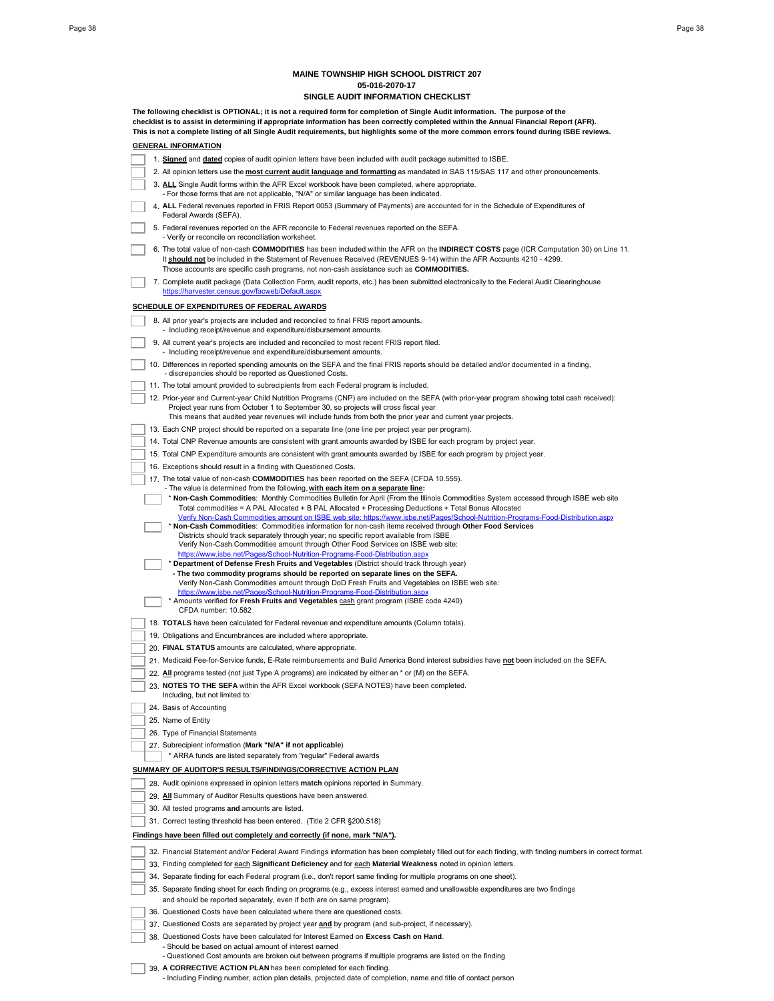### **MAINE TOWNSHIP HIGH SCHOOL DISTRICT 207 05-016-2070-17**

|  | SINGLE AUDIT INFORMATION CHECKLIST                                                                                                                                                                                                                                                                                                                                                                                    |
|--|-----------------------------------------------------------------------------------------------------------------------------------------------------------------------------------------------------------------------------------------------------------------------------------------------------------------------------------------------------------------------------------------------------------------------|
|  | The following checklist is OPTIONAL; it is not a required form for completion of Single Audit information. The purpose of the<br>checklist is to assist in determining if appropriate information has been correctly completed within the Annual Financial Report (AFR).<br>This is not a complete listing of all Single Audit requirements, but highlights some of the more common errors found during ISBE reviews. |
|  | <b>GENERAL INFORMATION</b>                                                                                                                                                                                                                                                                                                                                                                                            |
|  | 1. Signed and dated copies of audit opinion letters have been included with audit package submitted to ISBE.                                                                                                                                                                                                                                                                                                          |
|  | 2. All opinion letters use the <b>most current audit language and formatting</b> as mandated in SAS 115/SAS 117 and other pronouncements.                                                                                                                                                                                                                                                                             |
|  | 3. ALL Single Audit forms within the AFR Excel workbook have been completed, where appropriate.<br>- For those forms that are not applicable, "N/A" or similar language has been indicated.                                                                                                                                                                                                                           |
|  | 4. ALL Federal revenues reported in FRIS Report 0053 (Summary of Payments) are accounted for in the Schedule of Expenditures of<br>Federal Awards (SEFA).                                                                                                                                                                                                                                                             |
|  | 5. Federal revenues reported on the AFR reconcile to Federal revenues reported on the SEFA.<br>- Verify or reconcile on reconciliation worksheet.                                                                                                                                                                                                                                                                     |
|  | 6. The total value of non-cash COMMODITIES has been included within the AFR on the INDIRECT COSTS page (ICR Computation 30) on Line 11.<br>It should not be included in the Statement of Revenues Received (REVENUES 9-14) within the AFR Accounts 4210 - 4299.<br>Those accounts are specific cash programs, not non-cash assistance such as <b>COMMODITIES.</b>                                                     |
|  | 7. Complete audit package (Data Collection Form, audit reports, etc.) has been submitted electronically to the Federal Audit Clearinghouse<br>https://harvester.census.gov/facweb/Default.aspx                                                                                                                                                                                                                        |
|  | <b>SCHEDULE OF EXPENDITURES OF FEDERAL AWARDS</b>                                                                                                                                                                                                                                                                                                                                                                     |
|  | 8. All prior year's projects are included and reconciled to final FRIS report amounts.<br>- Including receipt/revenue and expenditure/disbursement amounts.                                                                                                                                                                                                                                                           |
|  | 9. All current year's projects are included and reconciled to most recent FRIS report filed.<br>- Including receipt/revenue and expenditure/disbursement amounts.                                                                                                                                                                                                                                                     |
|  | 10. Differences in reported spending amounts on the SEFA and the final FRIS reports should be detailed and/or documented in a finding,<br>- discrepancies should be reported as Questioned Costs.                                                                                                                                                                                                                     |
|  | 11. The total amount provided to subrecipients from each Federal program is included.                                                                                                                                                                                                                                                                                                                                 |
|  | 12. Prior-year and Current-year Child Nutrition Programs (CNP) are included on the SEFA (with prior-year program showing total cash received):<br>Project year runs from October 1 to September 30, so projects will cross fiscal year.<br>This means that audited year revenues will include funds from both the prior year and current year projects.                                                               |
|  | 13. Each CNP project should be reported on a separate line (one line per project year per program).                                                                                                                                                                                                                                                                                                                   |
|  | 14. Total CNP Revenue amounts are consistent with grant amounts awarded by ISBE for each program by project year.                                                                                                                                                                                                                                                                                                     |
|  | 15. Total CNP Expenditure amounts are consistent with grant amounts awarded by ISBE for each program by project year.                                                                                                                                                                                                                                                                                                 |
|  | 16. Exceptions should result in a finding with Questioned Costs.                                                                                                                                                                                                                                                                                                                                                      |
|  | 17. The total value of non-cash <b>COMMODITIES</b> has been reported on the SEFA (CFDA 10.555).<br>- The value is determined from the following, with each item on a separate line:                                                                                                                                                                                                                                   |
|  | * Non-Cash Commodities: Monthly Commodities Bulletin for April (From the Illinois Commodities System accessed through ISBE web site<br>Total commodities = A PAL Allocated + B PAL Allocated + Processing Deductions + Total Bonus Allocatec<br>Verify Non-Cash Commodities amount on ISBE web site: https://www.isbe.net/Pages/School-Nutrition-Programs-Food-Distribution.aspx                                      |
|  | * Non-Cash Commodities: Commodities information for non-cash items received through Other Food Services                                                                                                                                                                                                                                                                                                               |
|  | Districts should track separately through year; no specific report available from ISBE<br>Verify Non-Cash Commodities amount through Other Food Services on ISBE web site:                                                                                                                                                                                                                                            |
|  | https://www.isbe.net/Pages/School-Nutrition-Programs-Food-Distribution.aspx<br>Department of Defense Fresh Fruits and Vegetables (District should track through year)                                                                                                                                                                                                                                                 |
|  | - The two commodity programs should be reported on separate lines on the SEFA.                                                                                                                                                                                                                                                                                                                                        |
|  | Verify Non-Cash Commodities amount through DoD Fresh Fruits and Vegetables on ISBE web site:<br>https://www.isbe.net/Pages/School-Nutrition-Programs-Food-Distribution.aspx                                                                                                                                                                                                                                           |
|  | * Amounts verified for Fresh Fruits and Vegetables cash grant program (ISBE code 4240)<br>CFDA number: 10.582                                                                                                                                                                                                                                                                                                         |
|  | 18. TOTALS have been calculated for Federal revenue and expenditure amounts (Column totals).                                                                                                                                                                                                                                                                                                                          |
|  | 19. Obligations and Encumbrances are included where appropriate.                                                                                                                                                                                                                                                                                                                                                      |
|  | 20. FINAL STATUS amounts are calculated, where appropriate.                                                                                                                                                                                                                                                                                                                                                           |
|  | 21. Medicaid Fee-for-Service funds, E-Rate reimbursements and Build America Bond interest subsidies have not been included on the SEFA.                                                                                                                                                                                                                                                                               |
|  | 22. All programs tested (not just Type A programs) are indicated by either an * or (M) on the SEFA.<br>23. NOTES TO THE SEFA within the AFR Excel workbook (SEFA NOTES) have been completed.                                                                                                                                                                                                                          |
|  | Including, but not limited to:                                                                                                                                                                                                                                                                                                                                                                                        |
|  | 24. Basis of Accounting                                                                                                                                                                                                                                                                                                                                                                                               |
|  | 25. Name of Entity                                                                                                                                                                                                                                                                                                                                                                                                    |
|  | 26. Type of Financial Statements                                                                                                                                                                                                                                                                                                                                                                                      |
|  | 27. Subrecipient information (Mark "N/A" if not applicable)<br>* ARRA funds are listed separately from "regular" Federal awards                                                                                                                                                                                                                                                                                       |
|  | SUMMARY OF AUDITOR'S RESULTS/FINDINGS/CORRECTIVE ACTION PLAN                                                                                                                                                                                                                                                                                                                                                          |
|  | 28. Audit opinions expressed in opinion letters match opinions reported in Summary.                                                                                                                                                                                                                                                                                                                                   |
|  | 29. All Summary of Auditor Results questions have been answered.                                                                                                                                                                                                                                                                                                                                                      |
|  | 30. All tested programs and amounts are listed.                                                                                                                                                                                                                                                                                                                                                                       |
|  | 31. Correct testing threshold has been entered. (Title 2 CFR § 200.518)                                                                                                                                                                                                                                                                                                                                               |
|  | Findings have been filled out completely and correctly (if none, mark "N/A").                                                                                                                                                                                                                                                                                                                                         |
|  | 32. Financial Statement and/or Federal Award Findings information has been completely filled out for each finding, with finding numbers in correct format.                                                                                                                                                                                                                                                            |
|  | 33. Finding completed for each Significant Deficiency and for each Material Weakness noted in opinion letters.                                                                                                                                                                                                                                                                                                        |
|  | 34. Separate finding for each Federal program (i.e., don't report same finding for multiple programs on one sheet).                                                                                                                                                                                                                                                                                                   |
|  | 35. Separate finding sheet for each finding on programs (e.g., excess interest earned and unallowable expenditures are two findings<br>and should be reported separately, even if both are on same program).                                                                                                                                                                                                          |
|  | 36. Questioned Costs have been calculated where there are questioned costs.                                                                                                                                                                                                                                                                                                                                           |
|  | 37. Questioned Costs are separated by project year and by program (and sub-project, if necessary).                                                                                                                                                                                                                                                                                                                    |

- 38. Questioned Costs have been calculated for Interest Earned on **Excess Cash on Hand.**<br>- Should be based on actual amount of interest earned<br>- Questioned Cost amounts are broken out between programs if multiple programs a
- 39. A CORRECTIVE ACTION PLAN has been completed for each finding.
	- Including Finding number, action plan details, projected date of completion, name and title of contact person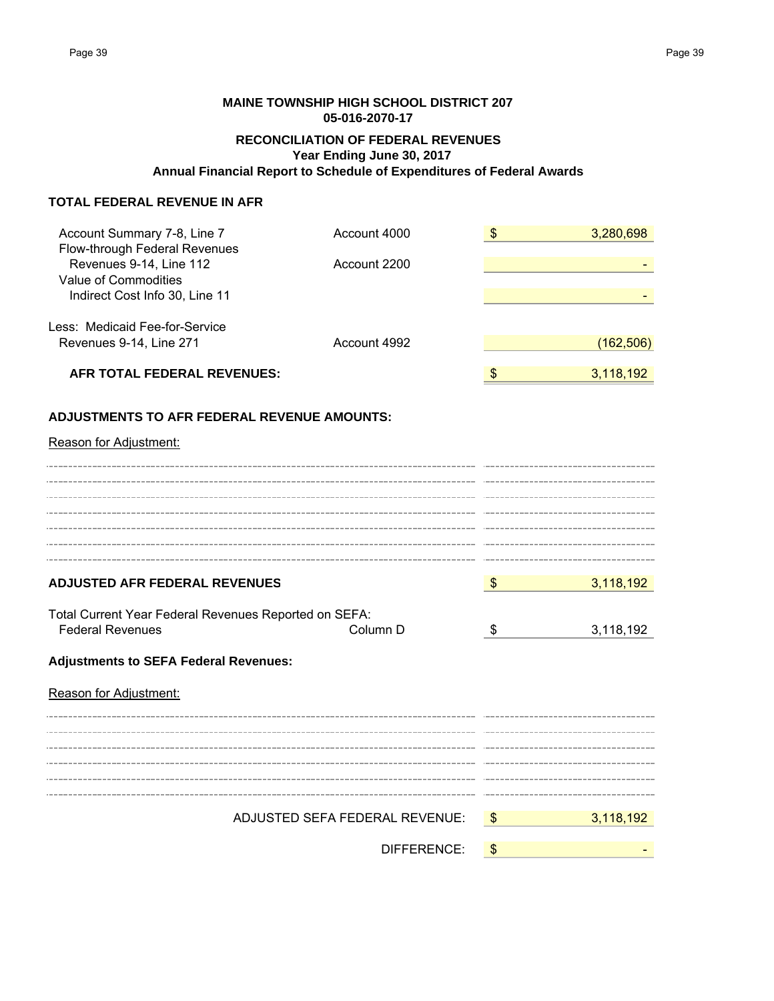# **RECONCILIATION OF FEDERAL REVENUES Year Ending June 30, 2017 Annual Financial Report to Schedule of Expenditures of Federal Awards MAINE TOWNSHIP HIGH SCHOOL DISTRICT 207 05-016-2070-17**

# **TOTAL FEDERAL REVENUE IN AFR**

| Account Summary 7-8, Line 7<br>Flow-through Federal Revenues | Account 4000                   | $\frac{3}{2}$ | 3,280,698  |
|--------------------------------------------------------------|--------------------------------|---------------|------------|
| Revenues 9-14, Line 112                                      | Account 2200                   |               |            |
| Value of Commodities                                         |                                |               |            |
| Indirect Cost Info 30, Line 11                               |                                |               |            |
| Less: Medicaid Fee-for-Service                               |                                |               |            |
| Revenues 9-14, Line 271                                      | Account 4992                   |               | (162, 506) |
| AFR TOTAL FEDERAL REVENUES:                                  |                                | \$            | 3,118,192  |
| ADJUSTMENTS TO AFR FEDERAL REVENUE AMOUNTS:                  |                                |               |            |
| Reason for Adjustment:                                       |                                |               |            |
|                                                              |                                |               |            |
|                                                              |                                |               |            |
|                                                              |                                |               |            |
|                                                              |                                |               |            |
|                                                              |                                |               |            |
| <b>ADJUSTED AFR FEDERAL REVENUES</b>                         |                                | $\sqrt[3]{3}$ | 3,118,192  |
| Total Current Year Federal Revenues Reported on SEFA:        |                                |               |            |
| <b>Federal Revenues</b>                                      | Column D                       | \$            | 3,118,192  |
| <b>Adjustments to SEFA Federal Revenues:</b>                 |                                |               |            |
| Reason for Adjustment:                                       |                                |               |            |
|                                                              |                                |               |            |
|                                                              |                                |               |            |
|                                                              |                                |               |            |
|                                                              |                                |               |            |
|                                                              | ADJUSTED SEFA FEDERAL REVENUE: | $\sqrt[6]{3}$ | 3,118,192  |
|                                                              |                                |               |            |
|                                                              | DIFFERENCE:                    | \$            |            |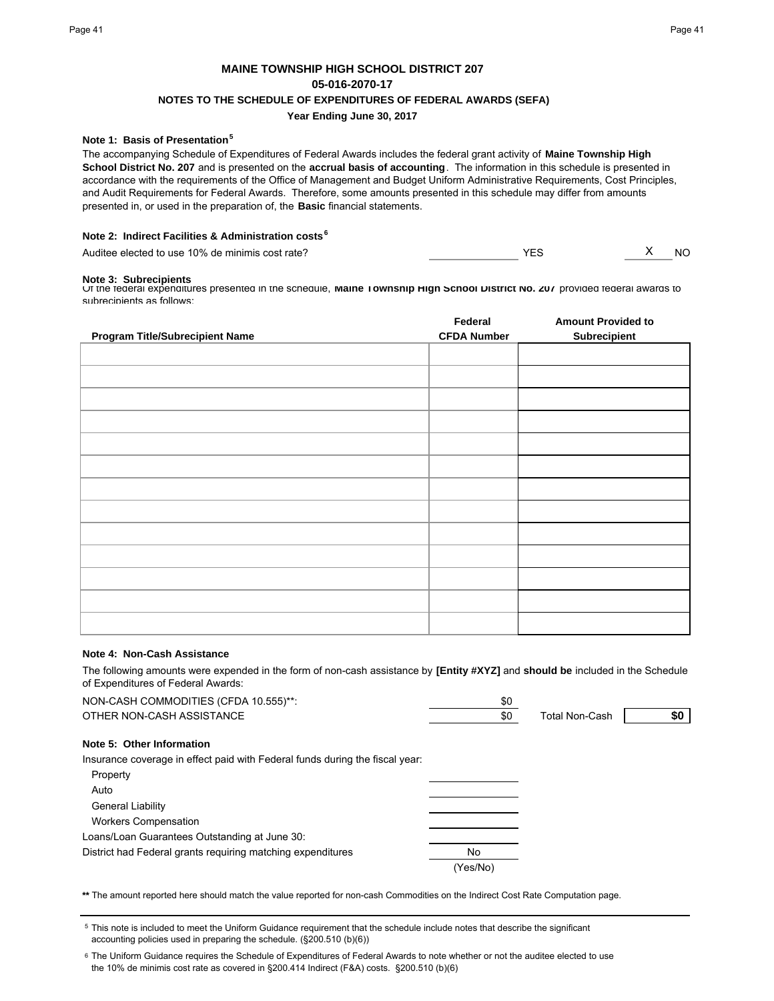# **MAINE TOWNSHIP HIGH SCHOOL DISTRICT 207 05-016-2070-17 NOTES TO THE SCHEDULE OF EXPENDITURES OF FEDERAL AWARDS (SEFA) Year Ending June 30, 2017**

## **Note 1: Basis of Presentation<sup>5</sup>**

The accompanying Schedule of Expenditures of Federal Awards includes the federal grant activity of **Maine Township High School District No. 207** and is presented on the **accrual basis of accounting**. The information in this schedule is presented in accordance with the requirements of the Office of Management and Budget Uniform Administrative Requirements, Cost Principles, and Audit Requirements for Federal Awards. Therefore, some amounts presented in this schedule may differ from amounts presented in, or used in the preparation of, the **Basic** financial statements.

### **Note 2: Indirect Facilities & Administration costs<sup>6</sup>**

Auditee elected to use 10% de minimis cost rate? All the matrix of the matrix of the MO of the MO of the MO of the MO

#### **Note 3: Subrecipients**

Of the federal expenditures presented in the schedule, **Maine Township High School District No. 207** provided federal awards to subrecinients as follows:

|                                        | Federal            | <b>Amount Provided to</b> |
|----------------------------------------|--------------------|---------------------------|
| <b>Program Title/Subrecipient Name</b> | <b>CFDA Number</b> | Subrecipient              |
|                                        |                    |                           |
|                                        |                    |                           |
|                                        |                    |                           |
|                                        |                    |                           |
|                                        |                    |                           |
|                                        |                    |                           |
|                                        |                    |                           |
|                                        |                    |                           |
|                                        |                    |                           |
|                                        |                    |                           |
|                                        |                    |                           |
|                                        |                    |                           |
|                                        |                    |                           |

### **Note 4: Non-Cash Assistance**

The following amounts were expended in the form of non-cash assistance by **[Entity #XYZ]** and **should be** included in the Schedule of Expenditures of Federal Awards:

| NON-CASH COMMODITIES (CFDA 10.555)**:                                        | \$0      |                       |     |
|------------------------------------------------------------------------------|----------|-----------------------|-----|
| OTHER NON-CASH ASSISTANCE                                                    | \$0      | <b>Total Non-Cash</b> | \$0 |
| Note 5: Other Information                                                    |          |                       |     |
| Insurance coverage in effect paid with Federal funds during the fiscal year: |          |                       |     |
| Property                                                                     |          |                       |     |
| Auto                                                                         |          |                       |     |
| <b>General Liability</b>                                                     |          |                       |     |
| <b>Workers Compensation</b>                                                  |          |                       |     |
| Loans/Loan Guarantees Outstanding at June 30:                                |          |                       |     |
| District had Federal grants requiring matching expenditures                  | No       |                       |     |
|                                                                              | (Yes/No) |                       |     |
|                                                                              |          |                       |     |

**\*\*** The amount reported here should match the value reported for non-cash Commodities on the Indirect Cost Rate Computation page.

5 This note is included to meet the Uniform Guidance requirement that the schedule include notes that describe the significant accounting policies used in preparing the schedule. (§200.510 (b)(6))

<sup>6</sup> The Uniform Guidance requires the Schedule of Expenditures of Federal Awards to note whether or not the auditee elected to use the 10% de minimis cost rate as covered in §200.414 Indirect (F&A) costs. §200.510 (b)(6)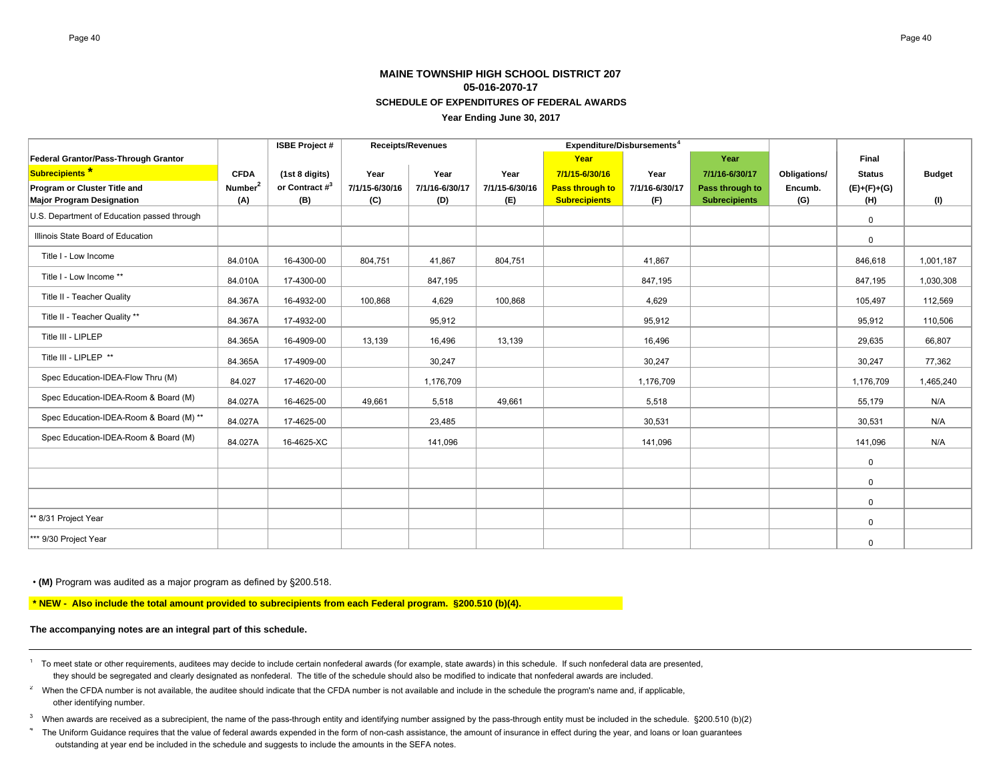# **MAINE TOWNSHIP HIGH SCHOOL DISTRICT 20705-016-2070-17SCHEDULE OF EXPENDITURES OF FEDERAL AWARDS**

**Year Ending June 30, 2017**

|                                             |                     | <b>ISBE Project#</b> |                | <b>Receipts/Revenues</b> | Expenditure/Disbursements <sup>4</sup> |                        |                |                      |              |               |               |
|---------------------------------------------|---------------------|----------------------|----------------|--------------------------|----------------------------------------|------------------------|----------------|----------------------|--------------|---------------|---------------|
| Federal Grantor/Pass-Through Grantor        |                     |                      |                |                          |                                        | Year                   |                | Year                 |              | Final         |               |
| Subrecipients <sup>*</sup>                  | <b>CFDA</b>         | (1st 8 digits)       | Year           | Year                     | Year                                   | 7/1/15-6/30/16         | Year           | 7/1/16-6/30/17       | Obligations/ | <b>Status</b> | <b>Budget</b> |
| Program or Cluster Title and                | Number <sup>2</sup> | or Contract $\#^3$   | 7/1/15-6/30/16 | 7/1/16-6/30/17           | 7/1/15-6/30/16                         | <b>Pass through to</b> | 7/1/16-6/30/17 | Pass through to      | Encumb.      | $(E)+(F)+(G)$ |               |
| <b>Major Program Designation</b>            | (A)                 | (B)                  | (C)            | (D)                      | (E)                                    | <b>Subrecipients</b>   | (F)            | <b>Subrecipients</b> | (G)          | (H)           | (1)           |
| U.S. Department of Education passed through |                     |                      |                |                          |                                        |                        |                |                      |              | $\mathbf 0$   |               |
| Illinois State Board of Education           |                     |                      |                |                          |                                        |                        |                |                      |              | 0             |               |
| Title I - Low Income                        | 84.010A             | 16-4300-00           | 804,751        | 41,867                   | 804,751                                |                        | 41,867         |                      |              | 846,618       | 1,001,187     |
| Title I - Low Income **                     | 84.010A             | 17-4300-00           |                | 847,195                  |                                        |                        | 847,195        |                      |              | 847,195       | 1,030,308     |
| Title II - Teacher Quality                  | 84.367A             | 16-4932-00           | 100,868        | 4,629                    | 100,868                                |                        | 4,629          |                      |              | 105,497       | 112,569       |
| Title II - Teacher Quality **               | 84.367A             | 17-4932-00           |                | 95,912                   |                                        |                        | 95,912         |                      |              | 95,912        | 110,506       |
| Title III - LIPLEP                          | 84.365A             | 16-4909-00           | 13,139         | 16,496                   | 13,139                                 |                        | 16.496         |                      |              | 29.635        | 66.807        |
| Title III - LIPLEP **                       | 84.365A             | 17-4909-00           |                | 30,247                   |                                        |                        | 30,247         |                      |              | 30,247        | 77,362        |
| Spec Education-IDEA-Flow Thru (M)           | 84.027              | 17-4620-00           |                | 1,176,709                |                                        |                        | 1,176,709      |                      |              | 1,176,709     | 1,465,240     |
| Spec Education-IDEA-Room & Board (M)        | 84.027A             | 16-4625-00           | 49,661         | 5,518                    | 49,661                                 |                        | 5,518          |                      |              | 55,179        | N/A           |
| Spec Education-IDEA-Room & Board (M) **     | 84.027A             | 17-4625-00           |                | 23,485                   |                                        |                        | 30,531         |                      |              | 30,531        | N/A           |
| Spec Education-IDEA-Room & Board (M)        | 84.027A             | 16-4625-XC           |                | 141,096                  |                                        |                        | 141,096        |                      |              | 141,096       | N/A           |
|                                             |                     |                      |                |                          |                                        |                        |                |                      |              | $\mathsf{O}$  |               |
|                                             |                     |                      |                |                          |                                        |                        |                |                      |              | $\mathbf 0$   |               |
|                                             |                     |                      |                |                          |                                        |                        |                |                      |              | $\mathbf 0$   |               |
| ** 8/31 Project Year                        |                     |                      |                |                          |                                        |                        |                |                      |              | $\mathbf 0$   |               |
| *** 9/30 Project Year                       |                     |                      |                |                          |                                        |                        |                |                      |              | 0             |               |

• **(M)** Program was audited as a major program as defined by §200.518.

 **\* NEW - Also include the total amount provided to subrecipients from each Federal program. §200.510 (b)(4).**

**The accompanying notes are an integral part of this schedule.**

- <sup>1</sup> To meet state or other requirements, auditees may decide to include certain nonfederal awards (for example, state awards) in this schedule. If such nonfederal data are presented, they should be segregated and clearly designated as nonfederal. The title of the schedule should also be modified to indicate that nonfederal awards are included.
- <sup>2</sup> When the CFDA number is not available, the auditee should indicate that the CFDA number is not available and include in the schedule the program's name and, if applicable, other identifying number.
- <sup>3</sup> When awards are received as a subrecipient, the name of the pass-through entity and identifying number assigned by the pass-through entity must be included in the schedule. §200.510 (b)(2)
- <sup>4</sup> The Uniform Guidance requires that the value of federal awards expended in the form of non-cash assistance, the amount of insurance in effect during the year, and loans or loan guarantees outstanding at year end be included in the schedule and suggests to include the amounts in the SEFA notes.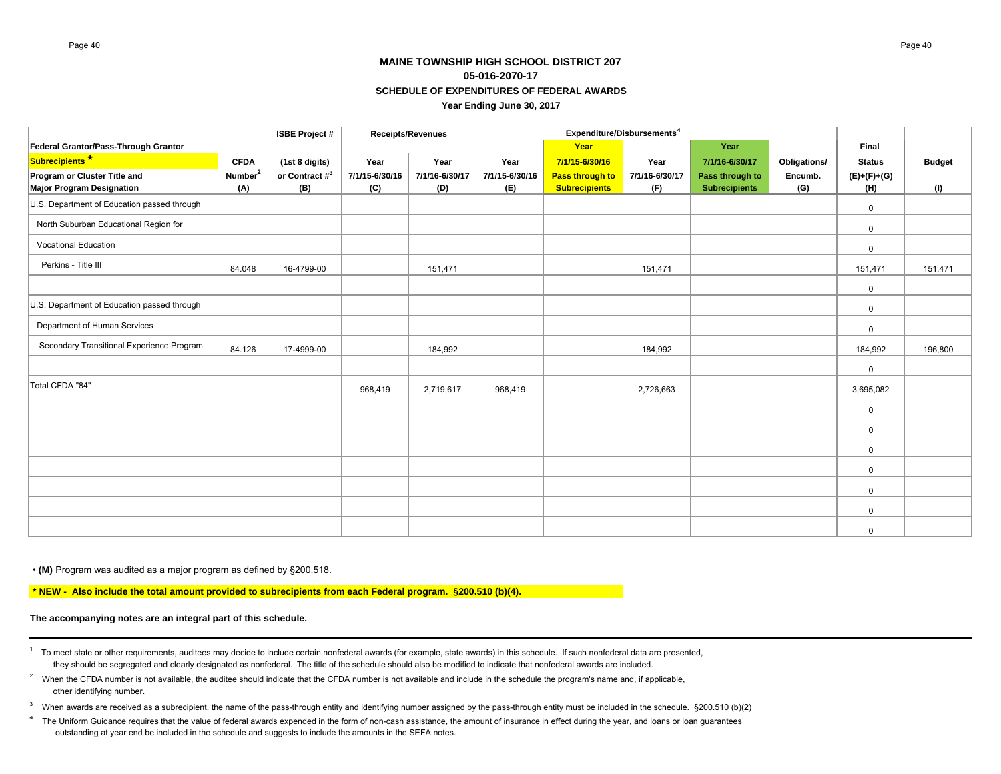# **MAINE TOWNSHIP HIGH SCHOOL DISTRICT 20705-016-2070-17SCHEDULE OF EXPENDITURES OF FEDERAL AWARDSYear Ending June 30, 2017**

|                                             |                     | <b>ISBE Project #</b> |                | Receipts/Revenues | Expenditure/Disbursements <sup>4</sup> |                        |                |                      |              |               |               |
|---------------------------------------------|---------------------|-----------------------|----------------|-------------------|----------------------------------------|------------------------|----------------|----------------------|--------------|---------------|---------------|
| Federal Grantor/Pass-Through Grantor        |                     |                       |                |                   |                                        | Year                   |                | Year                 |              | Final         |               |
| Subrecipients <sup>*</sup>                  | <b>CFDA</b>         | (1st 8 digits)        | Year           | Year              | Year                                   | 7/1/15-6/30/16         | Year           | 7/1/16-6/30/17       | Obligations/ | <b>Status</b> | <b>Budget</b> |
| Program or Cluster Title and                | Number <sup>2</sup> | or Contract $\#^3$    | 7/1/15-6/30/16 | 7/1/16-6/30/17    | 7/1/15-6/30/16                         | <b>Pass through to</b> | 7/1/16-6/30/17 | Pass through to      | Encumb.      | $(E)+(F)+(G)$ |               |
| <b>Major Program Designation</b>            | (A)                 | (B)                   | (C)            | (D)               | (E)                                    | <b>Subrecipients</b>   | (F)            | <b>Subrecipients</b> | (G)          | (H)           | (1)           |
| U.S. Department of Education passed through |                     |                       |                |                   |                                        |                        |                |                      |              | 0             |               |
| North Suburban Educational Region for       |                     |                       |                |                   |                                        |                        |                |                      |              | $\mathbf 0$   |               |
| <b>Vocational Education</b>                 |                     |                       |                |                   |                                        |                        |                |                      |              | 0             |               |
| Perkins - Title III                         | 84.048              | 16-4799-00            |                | 151,471           |                                        |                        | 151,471        |                      |              | 151,471       | 151,471       |
|                                             |                     |                       |                |                   |                                        |                        |                |                      |              | 0             |               |
| U.S. Department of Education passed through |                     |                       |                |                   |                                        |                        |                |                      |              | 0             |               |
| Department of Human Services                |                     |                       |                |                   |                                        |                        |                |                      |              | $\mathbf 0$   |               |
| Secondary Transitional Experience Program   | 84.126              | 17-4999-00            |                | 184,992           |                                        |                        | 184,992        |                      |              | 184,992       | 196,800       |
|                                             |                     |                       |                |                   |                                        |                        |                |                      |              | $\mathbf 0$   |               |
| Total CFDA "84"                             |                     |                       | 968,419        | 2,719,617         | 968,419                                |                        | 2,726,663      |                      |              | 3,695,082     |               |
|                                             |                     |                       |                |                   |                                        |                        |                |                      |              | $\mathsf{O}$  |               |
|                                             |                     |                       |                |                   |                                        |                        |                |                      |              | 0             |               |
|                                             |                     |                       |                |                   |                                        |                        |                |                      |              | 0             |               |
|                                             |                     |                       |                |                   |                                        |                        |                |                      |              | $\mathbf 0$   |               |
|                                             |                     |                       |                |                   |                                        |                        |                |                      |              | 0             |               |
|                                             |                     |                       |                |                   |                                        |                        |                |                      |              | 0             |               |
|                                             |                     |                       |                |                   |                                        |                        |                |                      |              | $\mathbf 0$   |               |

• **(M)** Program was audited as a major program as defined by §200.518.

 **\* NEW - Also include the total amount provided to subrecipients from each Federal program. §200.510 (b)(4).**

#### **The accompanying notes are an integral part of this schedule.**

- <sup>1</sup> To meet state or other requirements, auditees may decide to include certain nonfederal awards (for example, state awards) in this schedule. If such nonfederal data are presented, they should be segregated and clearly designated as nonfederal. The title of the schedule should also be modified to indicate that nonfederal awards are included.
- <sup>2</sup> When the CFDA number is not available, the auditee should indicate that the CFDA number is not available and include in the schedule the program's name and, if applicable, other identifying number.
- $3$  When awards are received as a subrecipient, the name of the pass-through entity and identifying number assigned by the pass-through entity must be included in the schedule.  $\S200.510$  (b)(2)
- 4The Uniform Guidance requires that the value of federal awards expended in the form of non-cash assistance, the amount of insurance in effect during the year, and loans or loan guarantees outstanding at year end be included in the schedule and suggests to include the amounts in the SEFA notes.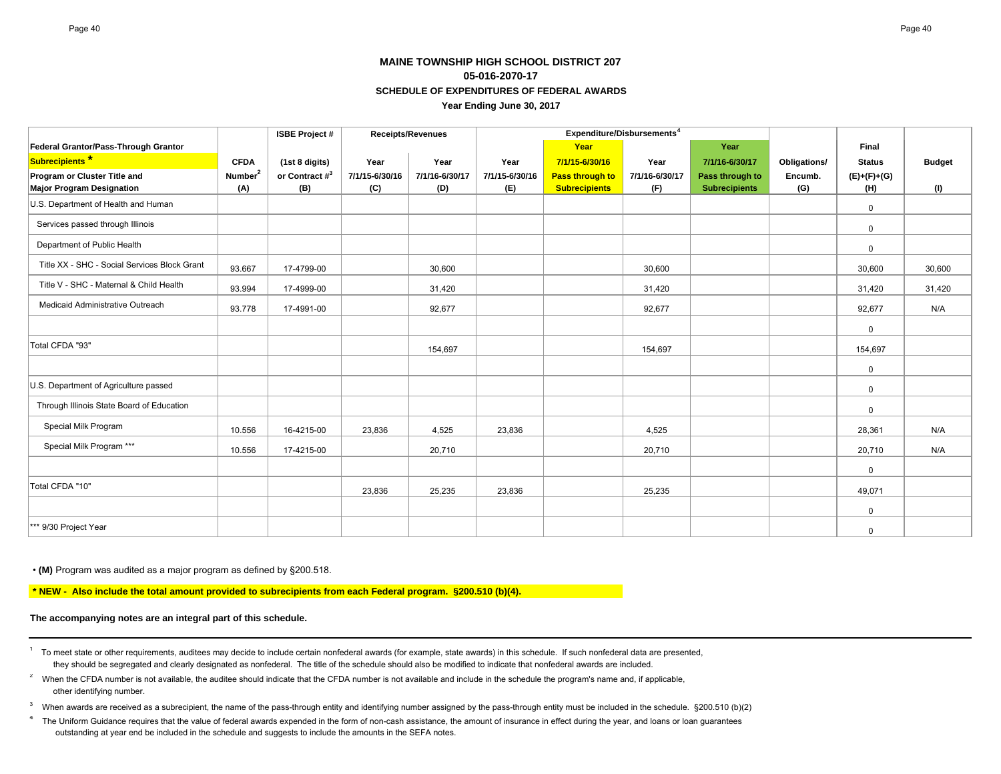# **MAINE TOWNSHIP HIGH SCHOOL DISTRICT 20705-016-2070-17SCHEDULE OF EXPENDITURES OF FEDERAL AWARDSYear Ending June 30, 2017**

|                                              |                     | <b>ISBE Project#</b> |                | <b>Receipts/Revenues</b> | Expenditure/Disbursements <sup>4</sup> |                        |                |                      |                     |               |               |
|----------------------------------------------|---------------------|----------------------|----------------|--------------------------|----------------------------------------|------------------------|----------------|----------------------|---------------------|---------------|---------------|
| Federal Grantor/Pass-Through Grantor         |                     |                      |                |                          |                                        | Year                   |                | Year                 |                     | Final         |               |
| Subrecipients <sup>*</sup>                   | <b>CFDA</b>         | (1st 8 digits)       | Year           | Year                     | Year                                   | 7/1/15-6/30/16         | Year           | 7/1/16-6/30/17       | <b>Obligations/</b> | <b>Status</b> | <b>Budget</b> |
| Program or Cluster Title and                 | Number <sup>2</sup> | or Contract $\#^3$   | 7/1/15-6/30/16 | 7/1/16-6/30/17           | 7/1/15-6/30/16                         | <b>Pass through to</b> | 7/1/16-6/30/17 | Pass through to      | Encumb.             | $(E)+(F)+(G)$ |               |
| <b>Major Program Designation</b>             | (A)                 | (B)                  | (C)            | (D)                      | (E)                                    | <b>Subrecipients</b>   | (F)            | <b>Subrecipients</b> | (G)                 | (H)           | (1)           |
| U.S. Department of Health and Human          |                     |                      |                |                          |                                        |                        |                |                      |                     | 0             |               |
| Services passed through Illinois             |                     |                      |                |                          |                                        |                        |                |                      |                     | 0             |               |
| Department of Public Health                  |                     |                      |                |                          |                                        |                        |                |                      |                     | 0             |               |
| Title XX - SHC - Social Services Block Grant | 93.667              | 17-4799-00           |                | 30.600                   |                                        |                        | 30,600         |                      |                     | 30,600        | 30,600        |
| Title V - SHC - Maternal & Child Health      | 93.994              | 17-4999-00           |                | 31,420                   |                                        |                        | 31,420         |                      |                     | 31,420        | 31,420        |
| Medicaid Administrative Outreach             | 93.778              | 17-4991-00           |                | 92,677                   |                                        |                        | 92,677         |                      |                     | 92,677        | N/A           |
|                                              |                     |                      |                |                          |                                        |                        |                |                      |                     | $\mathbf 0$   |               |
| Total CFDA "93"                              |                     |                      |                | 154,697                  |                                        |                        | 154,697        |                      |                     | 154,697       |               |
|                                              |                     |                      |                |                          |                                        |                        |                |                      |                     | 0             |               |
| U.S. Department of Agriculture passed        |                     |                      |                |                          |                                        |                        |                |                      |                     | 0             |               |
| Through Illinois State Board of Education    |                     |                      |                |                          |                                        |                        |                |                      |                     | 0             |               |
| Special Milk Program                         | 10.556              | 16-4215-00           | 23,836         | 4,525                    | 23,836                                 |                        | 4,525          |                      |                     | 28,361        | N/A           |
| Special Milk Program ***                     | 10.556              | 17-4215-00           |                | 20,710                   |                                        |                        | 20,710         |                      |                     | 20,710        | N/A           |
|                                              |                     |                      |                |                          |                                        |                        |                |                      |                     | $\mathbf 0$   |               |
| Total CFDA "10"                              |                     |                      | 23,836         | 25,235                   | 23,836                                 |                        | 25,235         |                      |                     | 49,071        |               |
|                                              |                     |                      |                |                          |                                        |                        |                |                      |                     | 0             |               |
| *** 9/30 Project Year                        |                     |                      |                |                          |                                        |                        |                |                      |                     | 0             |               |

• **(M)** Program was audited as a major program as defined by §200.518.

 **\* NEW - Also include the total amount provided to subrecipients from each Federal program. §200.510 (b)(4).**

### **The accompanying notes are an integral part of this schedule.**

<sup>1</sup> To meet state or other requirements, auditees may decide to include certain nonfederal awards (for example, state awards) in this schedule. If such nonfederal data are presented, they should be segregated and clearly designated as nonfederal. The title of the schedule should also be modified to indicate that nonfederal awards are included.

- <sup>2</sup> When the CFDA number is not available, the auditee should indicate that the CFDA number is not available and include in the schedule the program's name and, if applicable, other identifying number.
- $3$  When awards are received as a subrecipient, the name of the pass-through entity and identifying number assigned by the pass-through entity must be included in the schedule.  $\S200.510$  (b)(2)

4The Uniform Guidance requires that the value of federal awards expended in the form of non-cash assistance, the amount of insurance in effect during the year, and loans or loan guarantees outstanding at year end be included in the schedule and suggests to include the amounts in the SEFA notes.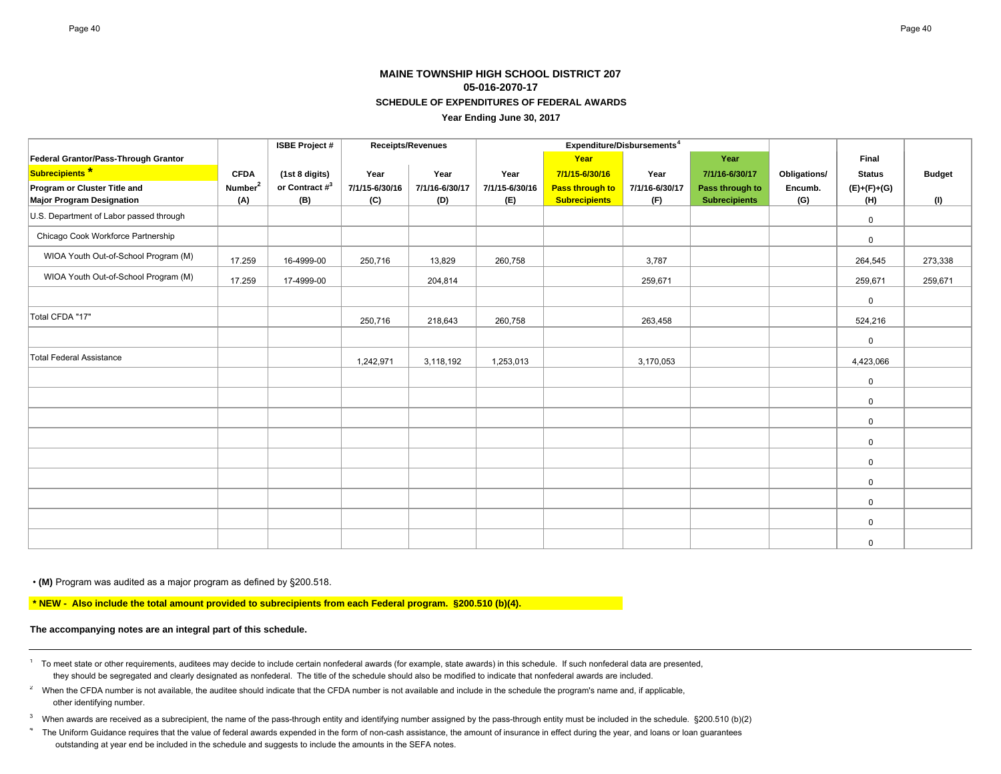# **MAINE TOWNSHIP HIGH SCHOOL DISTRICT 20705-016-2070-17SCHEDULE OF EXPENDITURES OF FEDERAL AWARDS**

**Year Ending June 30, 2017**

|                                         |                     | <b>ISBE Project#</b> |                | Receipts/Revenues |                | Expenditure/Disbursements <sup>4</sup> |                |                      |              |               |               |
|-----------------------------------------|---------------------|----------------------|----------------|-------------------|----------------|----------------------------------------|----------------|----------------------|--------------|---------------|---------------|
| Federal Grantor/Pass-Through Grantor    |                     |                      |                |                   |                | Year                                   |                | Year                 |              | Final         |               |
| Subrecipients <sup>*</sup>              | <b>CFDA</b>         | (1st 8 digits)       | Year           | Year              | Year           | 7/1/15-6/30/16                         | Year           | 7/1/16-6/30/17       | Obligations/ | <b>Status</b> | <b>Budget</b> |
| Program or Cluster Title and            | Number <sup>2</sup> | or Contract $\#^3$   | 7/1/15-6/30/16 | 7/1/16-6/30/17    | 7/1/15-6/30/16 | <b>Pass through to</b>                 | 7/1/16-6/30/17 | Pass through to      | Encumb.      | $(E)+(F)+(G)$ |               |
| <b>Major Program Designation</b>        | (A)                 | (B)                  | (C)            | (D)               | (E)            | <b>Subrecipients</b>                   | (F)            | <b>Subrecipients</b> | (G)          | (H)           | (1)           |
| U.S. Department of Labor passed through |                     |                      |                |                   |                |                                        |                |                      |              | $\mathbf 0$   |               |
| Chicago Cook Workforce Partnership      |                     |                      |                |                   |                |                                        |                |                      |              | $\mathbf 0$   |               |
| WIOA Youth Out-of-School Program (M)    | 17.259              | 16-4999-00           | 250,716        | 13,829            | 260,758        |                                        | 3,787          |                      |              | 264,545       | 273,338       |
| WIOA Youth Out-of-School Program (M)    | 17.259              | 17-4999-00           |                | 204,814           |                |                                        | 259,671        |                      |              | 259,671       | 259,671       |
|                                         |                     |                      |                |                   |                |                                        |                |                      |              | $\mathbf 0$   |               |
| Total CFDA "17"                         |                     |                      | 250,716        | 218,643           | 260,758        |                                        | 263,458        |                      |              | 524,216       |               |
|                                         |                     |                      |                |                   |                |                                        |                |                      |              | $\mathbf 0$   |               |
| Total Federal Assistance                |                     |                      | 1,242,971      | 3,118,192         | 1,253,013      |                                        | 3,170,053      |                      |              | 4,423,066     |               |
|                                         |                     |                      |                |                   |                |                                        |                |                      |              | $\mathbf 0$   |               |
|                                         |                     |                      |                |                   |                |                                        |                |                      |              | $\mathbf 0$   |               |
|                                         |                     |                      |                |                   |                |                                        |                |                      |              | $\mathbf 0$   |               |
|                                         |                     |                      |                |                   |                |                                        |                |                      |              | $\mathbf 0$   |               |
|                                         |                     |                      |                |                   |                |                                        |                |                      |              | $\mathbf 0$   |               |
|                                         |                     |                      |                |                   |                |                                        |                |                      |              | $\mathbf 0$   |               |
|                                         |                     |                      |                |                   |                |                                        |                |                      |              | $\mathbf 0$   |               |
|                                         |                     |                      |                |                   |                |                                        |                |                      |              | $\mathbf 0$   |               |
|                                         |                     |                      |                |                   |                |                                        |                |                      |              | $\mathbf 0$   |               |

• **(M)** Program was audited as a major program as defined by §200.518.

 **\* NEW - Also include the total amount provided to subrecipients from each Federal program. §200.510 (b)(4).**

**The accompanying notes are an integral part of this schedule.**

- <sup>1</sup> To meet state or other requirements, auditees may decide to include certain nonfederal awards (for example, state awards) in this schedule. If such nonfederal data are presented, they should be segregated and clearly designated as nonfederal. The title of the schedule should also be modified to indicate that nonfederal awards are included.
- <sup>2</sup> When the CFDA number is not available, the auditee should indicate that the CFDA number is not available and include in the schedule the program's name and, if applicable, other identifying number.
- <sup>3</sup> When awards are received as a subrecipient, the name of the pass-through entity and identifying number assigned by the pass-through entity must be included in the schedule. §200.510 (b)(2)
- <sup>4</sup> The Uniform Guidance requires that the value of federal awards expended in the form of non-cash assistance, the amount of insurance in effect during the year, and loans or loan guarantees outstanding at year end be included in the schedule and suggests to include the amounts in the SEFA notes.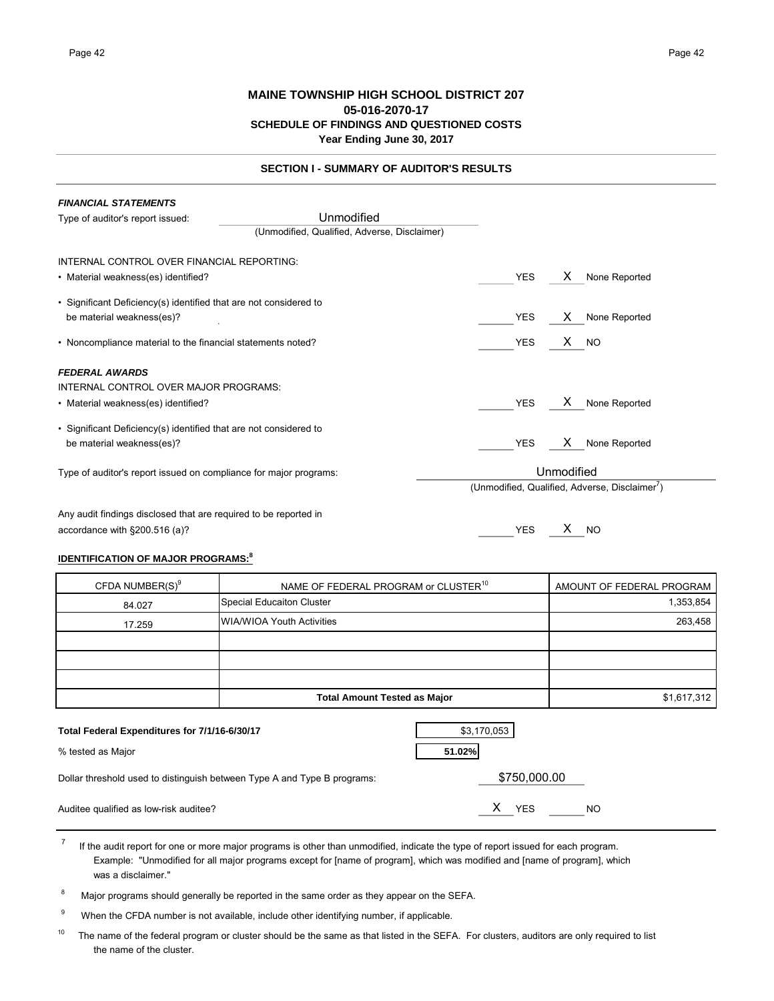# **MAINE TOWNSHIP HIGH SCHOOL DISTRICT 207 05-016-2070-17 SCHEDULE OF FINDINGS AND QUESTIONED COSTS Year Ending June 30, 2017**

|--|

| <b>FINANCIAL STATEMENTS</b>                                       |                                              |            |                                               |
|-------------------------------------------------------------------|----------------------------------------------|------------|-----------------------------------------------|
| Type of auditor's report issued:                                  | Unmodified                                   |            |                                               |
|                                                                   | (Unmodified, Qualified, Adverse, Disclaimer) |            |                                               |
| INTERNAL CONTROL OVER FINANCIAL REPORTING:                        |                                              |            |                                               |
| • Material weakness(es) identified?                               |                                              | <b>YES</b> | X.<br>None Reported                           |
| • Significant Deficiency(s) identified that are not considered to |                                              |            |                                               |
| be material weakness(es)?                                         |                                              | <b>YES</b> | None Reported<br>X.                           |
| • Noncompliance material to the financial statements noted?       |                                              | <b>YES</b> | $X$ NO                                        |
| <b>FEDERAL AWARDS</b>                                             |                                              |            |                                               |
| INTERNAL CONTROL OVER MAJOR PROGRAMS:                             |                                              |            |                                               |
| • Material weakness(es) identified?                               |                                              | <b>YES</b> | None Reported<br>X.                           |
| • Significant Deficiency(s) identified that are not considered to |                                              |            |                                               |
| be material weakness(es)?                                         |                                              | <b>YES</b> | X.<br>None Reported                           |
| Type of auditor's report issued on compliance for major programs: |                                              |            | Unmodified                                    |
|                                                                   |                                              |            | (Unmodified, Qualified, Adverse, Disclaimer') |
| Any audit findings disclosed that are required to be reported in  |                                              |            |                                               |
| accordance with §200.516 (a)?                                     |                                              | <b>YES</b> | х<br><sub>NO</sub>                            |

# **IDENTIFICATION OF MAJOR PROGRAMS:<sup>8</sup>**

| CFDA NUMBER(S) <sup>9</sup>                                        | NAME OF FEDERAL PROGRAM or CLUSTER <sup>10</sup><br>AMOUNT OF FEDERAL PROGRAM |             |  |  |  |  |  |
|--------------------------------------------------------------------|-------------------------------------------------------------------------------|-------------|--|--|--|--|--|
| 84.027                                                             | Special Educaiton Cluster                                                     | 1,353,854   |  |  |  |  |  |
| 17.259                                                             | <b>WIA/WIOA Youth Activities</b>                                              | 263,458     |  |  |  |  |  |
|                                                                    |                                                                               |             |  |  |  |  |  |
|                                                                    |                                                                               |             |  |  |  |  |  |
|                                                                    |                                                                               |             |  |  |  |  |  |
|                                                                    | <b>Total Amount Tested as Major</b>                                           | \$1,617,312 |  |  |  |  |  |
| Total Federal Expenditures for 7/1/16-6/30/17<br>% tected as Maior | \$3,170,053<br>51 020/                                                        |             |  |  |  |  |  |

| % tested as Major                                                        | 51.02%           |
|--------------------------------------------------------------------------|------------------|
| Dollar threshold used to distinguish between Type A and Type B programs: | \$750,000.00     |
| Auditee qualified as low-risk auditee?                                   | YFS<br><b>NO</b> |

 $<sup>7</sup>$  If the audit report for one or more major programs is other than unmodified, indicate the type of report issued for each program.</sup> Example: "Unmodified for all major programs except for [name of program], which was modified and [name of program], which was a disclaimer."

<sup>8</sup> Major programs should generally be reported in the same order as they appear on the SEFA.

<sup>9</sup> When the CFDA number is not available, include other identifying number, if applicable.

<sup>10</sup> The name of the federal program or cluster should be the same as that listed in the SEFA. For clusters, auditors are only required to list the name of the cluster.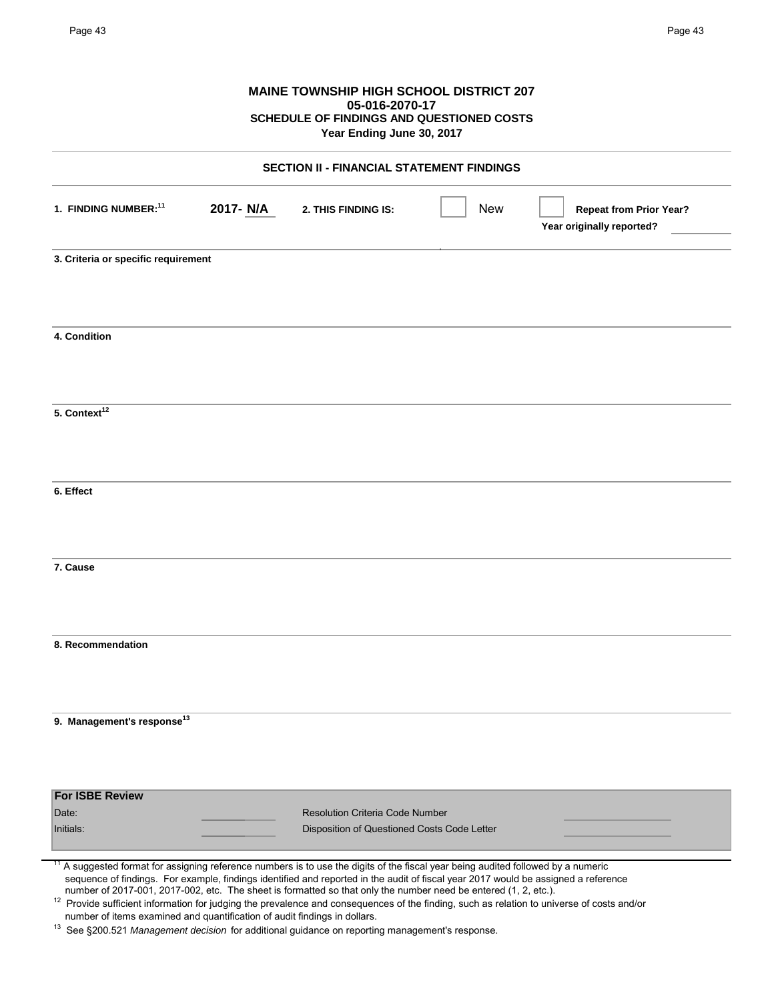|                                                  |           | SCHEDULE OF FINDINGS AND QUESTIONED COSTS<br>Year Ending June 30, 2017                |            |                                                             |  |  |
|--------------------------------------------------|-----------|---------------------------------------------------------------------------------------|------------|-------------------------------------------------------------|--|--|
| <b>SECTION II - FINANCIAL STATEMENT FINDINGS</b> |           |                                                                                       |            |                                                             |  |  |
| 1. FINDING NUMBER: <sup>11</sup>                 | 2017- N/A | 2. THIS FINDING IS:                                                                   | <b>New</b> | <b>Repeat from Prior Year?</b><br>Year originally reported? |  |  |
| 3. Criteria or specific requirement              |           |                                                                                       |            |                                                             |  |  |
| 4. Condition                                     |           |                                                                                       |            |                                                             |  |  |
| 5. Context <sup>12</sup>                         |           |                                                                                       |            |                                                             |  |  |
| 6. Effect                                        |           |                                                                                       |            |                                                             |  |  |
| 7. Cause                                         |           |                                                                                       |            |                                                             |  |  |
| 8. Recommendation                                |           |                                                                                       |            |                                                             |  |  |
| 9. Management's response <sup>13</sup>           |           |                                                                                       |            |                                                             |  |  |
| <b>For ISBE Review</b>                           |           |                                                                                       |            |                                                             |  |  |
| Date:<br>Initials:                               |           | <b>Resolution Criteria Code Number</b><br>Disposition of Questioned Costs Code Letter |            |                                                             |  |  |

number of items examined and quantification of audit findings in dollars.

<sup>13</sup> See §200.521 *Management decision* for additional guidance on reporting management's response.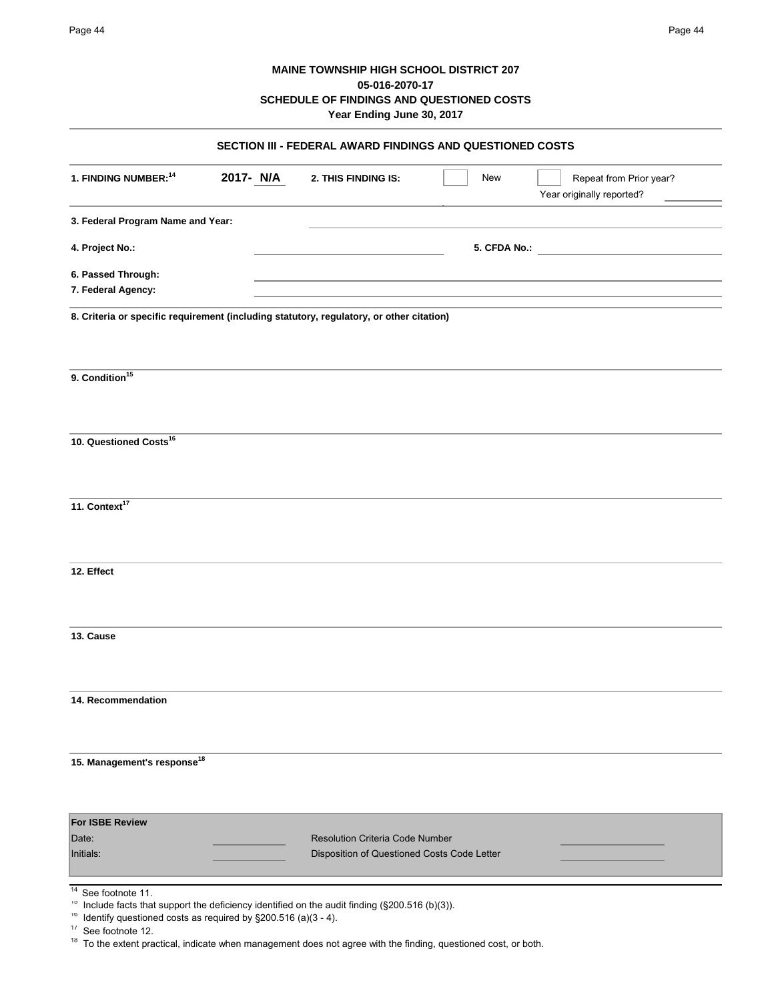# **MAINE TOWNSHIP HIGH SCHOOL DISTRICT 207 05-016-2070-17 SCHEDULE OF FINDINGS AND QUESTIONED COSTS**

| Year Ending June 30, 2017                                                                |           |                                                                                              |              |  |                                                      |  |
|------------------------------------------------------------------------------------------|-----------|----------------------------------------------------------------------------------------------|--------------|--|------------------------------------------------------|--|
| SECTION III - FEDERAL AWARD FINDINGS AND QUESTIONED COSTS                                |           |                                                                                              |              |  |                                                      |  |
| 1. FINDING NUMBER: <sup>14</sup>                                                         | 2017- N/A | 2. THIS FINDING IS:                                                                          | New          |  | Repeat from Prior year?<br>Year originally reported? |  |
| 3. Federal Program Name and Year:                                                        |           |                                                                                              |              |  |                                                      |  |
| 4. Project No.:                                                                          |           |                                                                                              | 5. CFDA No.: |  |                                                      |  |
| 6. Passed Through:                                                                       |           |                                                                                              |              |  |                                                      |  |
| 7. Federal Agency:                                                                       |           |                                                                                              |              |  |                                                      |  |
| 8. Criteria or specific requirement (including statutory, regulatory, or other citation) |           |                                                                                              |              |  |                                                      |  |
| 9. Condition <sup>15</sup>                                                               |           |                                                                                              |              |  |                                                      |  |
| 10. Questioned Costs <sup>16</sup>                                                       |           |                                                                                              |              |  |                                                      |  |
| 11. Context <sup>17</sup>                                                                |           |                                                                                              |              |  |                                                      |  |
| 12. Effect                                                                               |           |                                                                                              |              |  |                                                      |  |
| 13. Cause                                                                                |           |                                                                                              |              |  |                                                      |  |
| 14. Recommendation                                                                       |           |                                                                                              |              |  |                                                      |  |
|                                                                                          |           |                                                                                              |              |  |                                                      |  |
| 15. Management's response <sup>18</sup>                                                  |           |                                                                                              |              |  |                                                      |  |
| <b>For ISBE Review</b>                                                                   |           |                                                                                              |              |  |                                                      |  |
| Date:<br>Initials:                                                                       |           | <b>Resolution Criteria Code Number</b><br>Disposition of Questioned Costs Code Letter        |              |  |                                                      |  |
| 14<br>See footnote 11.<br>Тb                                                             |           | Include facts that support the deficiency identified on the audit finding (§200.516 (b)(3)). |              |  |                                                      |  |

<sup>&</sup>lt;sup>16</sup> Identify questioned costs as required by  $\S 200.516$  (a)(3 - 4).

<sup>&</sup>lt;sup>17</sup> See footnote 12.

 $18$  To the extent practical, indicate when management does not agree with the finding, questioned cost, or both.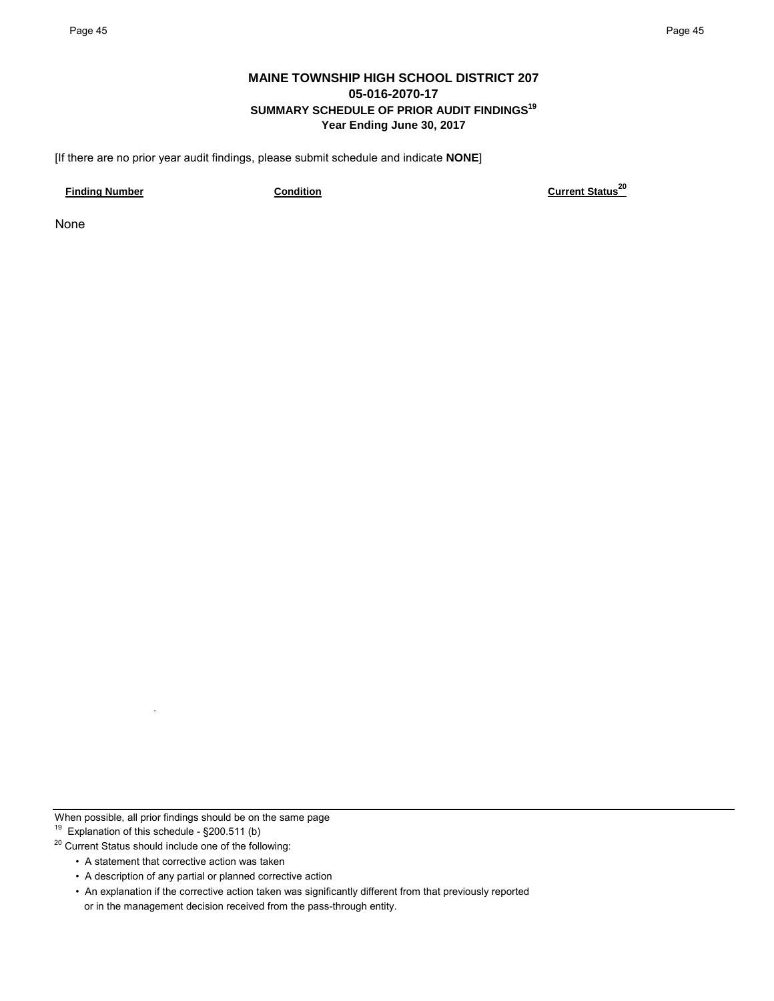# **MAINE TOWNSHIP HIGH SCHOOL DISTRICT 207 05-016-2070-17 SUMMARY SCHEDULE OF PRIOR AUDIT FINDINGS19 Year Ending June 30, 2017**

[If there are no prior year audit findings, please submit schedule and indicate **NONE**]

**Finding Number Condition Condition Condition Current Status**<sup>20</sup>

None

When possible, all prior findings should be on the same page

19 Explanation of this schedule - §200.511 (b)

<sup>20</sup> Current Status should include one of the following:

- A statement that corrective action was taken
- A description of any partial or planned corrective action
- An explanation if the corrective action taken was significantly different from that previously reported or in the management decision received from the pass-through entity.